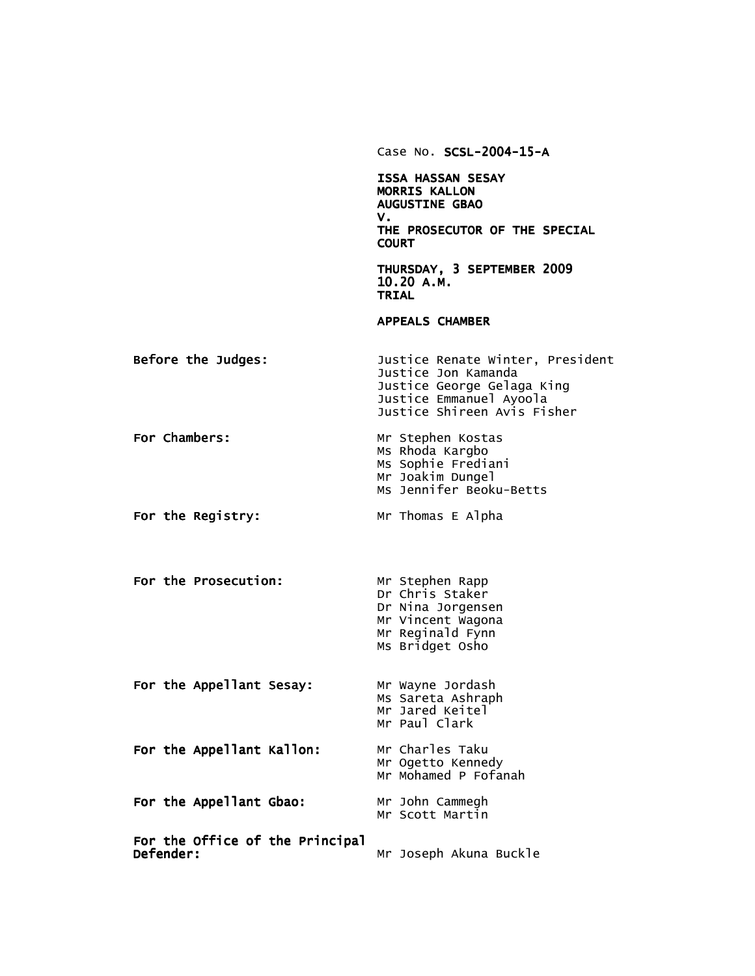Case No. SCSL-2004-15-A ISSA HASSAN SESAY **MORRIS KALLON** AUGUSTINE GBAO V. THE PROSECUTOR OF THE SPECIAL COURT THURSDAY, 3 SEPTEMBER 2009 10.20A.M. TRIAL APPEALS CHAMBER Before the Judges: Justice Renate Winter, President Justice Jon Kamanda Justice George Gelaga King Justice Emmanuel Ayoola Justice Shireen Avis Fisher For Chambers: Mr Stephen Kostas Ms Rhoda Kargbo Ms Sophie Frediani Mr Joakim Dungel Ms Jennifer Beoku-Betts For the Registry: Mr Thomas E Alpha For the Prosecution: Mr Stephen Rapp Dr Chris Staker Dr Nina Jorgensen Mr Vincent Wagona Mr Reginald Fynn Ms Bridget Osho For the Appellant Sesay: For the Appellant Kallon: For the Appellant Gbao: For the Office of the Principal Defender: Mr Wayne Jordash Ms Sareta Ashraph Mr Jared Keitel Mr Paul Clark Mr Charles Taku Mr Ogetto Kennedy Mr Mohamed P Fofanah Mr John Cammegh Mr Scott Martin Mr Joseph Akuna Buckle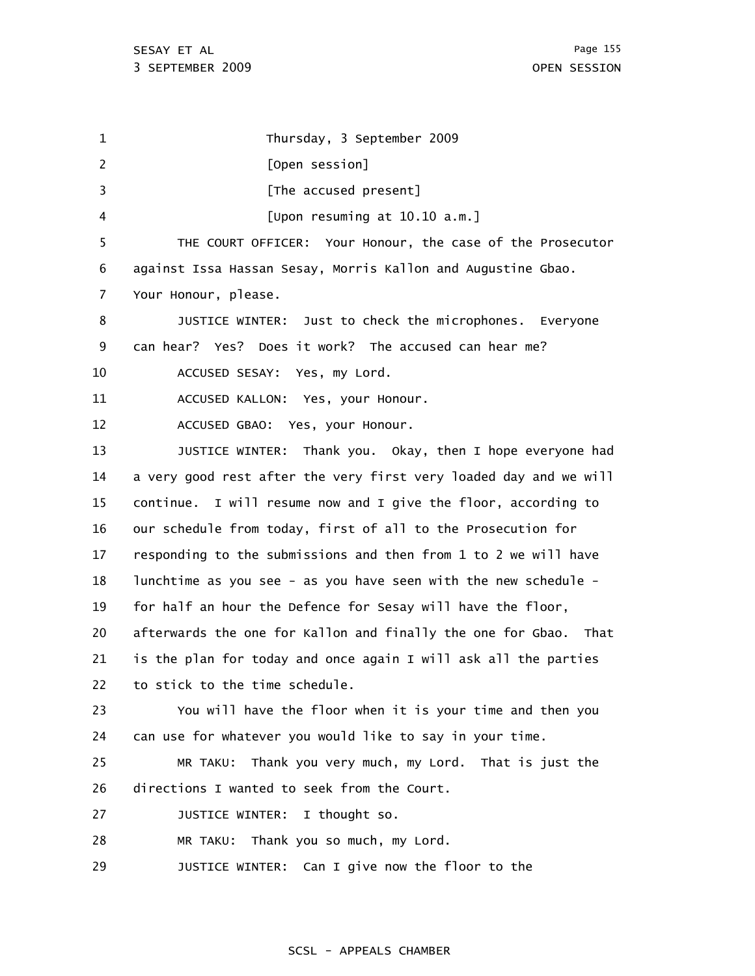1 2 3 4 5 6 7 8 9 10 11 12 13 14 15 16 17 18 19 20 21 22 23 24 25 26 27 28 29 Thursday, 3 September 2009 [Open session] [The accused present] [Upon resuming at 10.10 a.m.] THE COURT OFFICER: Your Honour, the case of the Prosecutor against Issa Hassan Sesay, Morris Kallon and Augustine Gbao. Your Honour, please. JUSTICE WINTER: Just to check the microphones. Everyone can hear? Yes? Does it work? The accused can hear me? ACCUSED SESAY: Yes, my Lord. ACCUSED KALLON: Yes, your Honour. ACCUSED GBAO: Yes, your Honour. JUSTICE WINTER: Thank you. Okay, then I hope everyone had a very good rest after the very first very loaded day and we will continue. I will resume now and I give the floor, according to our schedule from today, first of all to the Prosecution for responding to the submissions and then from 1 to 2 we will have lunchtime as you see - as you have seen with the new schedule for half an hour the Defence for Sesay will have the floor, afterwards the one for Kallon and finally the one for Gbao. That is the plan for today and once again I will ask all the parties to stick to the time schedule. You will have the floor when it is your time and then you can use for whatever you would like to say in your time. MR TAKU: Thank you very much, my Lord. That is just the directions I wanted to seek from the Court. JUSTICE WINTER: I thought so. MR TAKU: Thank you so much, my Lord. JUSTICE WINTER: Can I give now the floor to the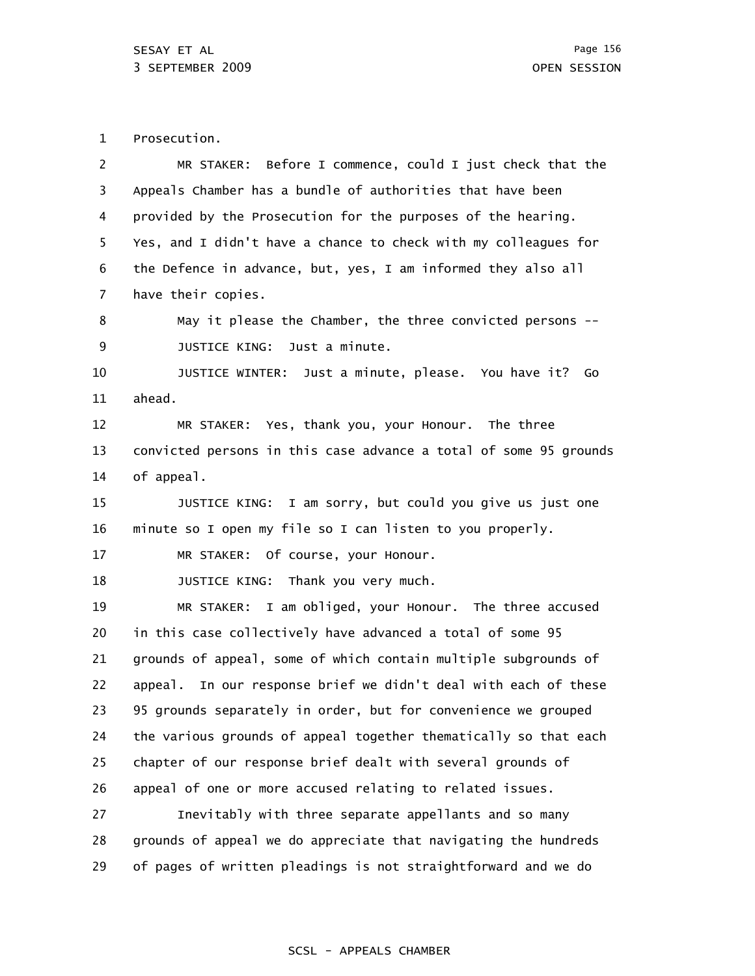1 Prosecution.

| $\overline{2}$ | MR STAKER: Before I commence, could I just check that the         |
|----------------|-------------------------------------------------------------------|
| 3              | Appeals Chamber has a bundle of authorities that have been        |
| 4              | provided by the Prosecution for the purposes of the hearing.      |
| 5              | Yes, and I didn't have a chance to check with my colleagues for   |
| 6              | the Defence in advance, but, yes, I am informed they also all     |
| 7              | have their copies.                                                |
| 8              | May it please the Chamber, the three convicted persons --         |
| 9              | JUSTICE KING: Just a minute.                                      |
| 10             | JUSTICE WINTER: Just a minute, please. You have it?<br>Go         |
| 11             | ahead.                                                            |
| 12             | MR STAKER: Yes, thank you, your Honour. The three                 |
| 13             | convicted persons in this case advance a total of some 95 grounds |
| 14             | of appeal.                                                        |
| 15             | JUSTICE KING: I am sorry, but could you give us just one          |
| 16             | minute so I open my file so I can listen to you properly.         |
| 17             | MR STAKER: Of course, your Honour.                                |
| 18             | JUSTICE KING: Thank you very much.                                |
| 19             | MR STAKER: I am obliged, your Honour. The three accused           |
| 20             | in this case collectively have advanced a total of some 95        |
| 21             | grounds of appeal, some of which contain multiple subgrounds of   |
| 22             | appeal. In our response brief we didn't deal with each of these   |
| 23             | 95 grounds separately in order, but for convenience we grouped    |
| 24             | the various grounds of appeal together thematically so that each  |
| 25             | chapter of our response brief dealt with several grounds of       |
| 26             | appeal of one or more accused relating to related issues.         |
| 27             | Inevitably with three separate appellants and so many             |
| 28             | grounds of appeal we do appreciate that navigating the hundreds   |
| 29             | of pages of written pleadings is not straightforward and we do    |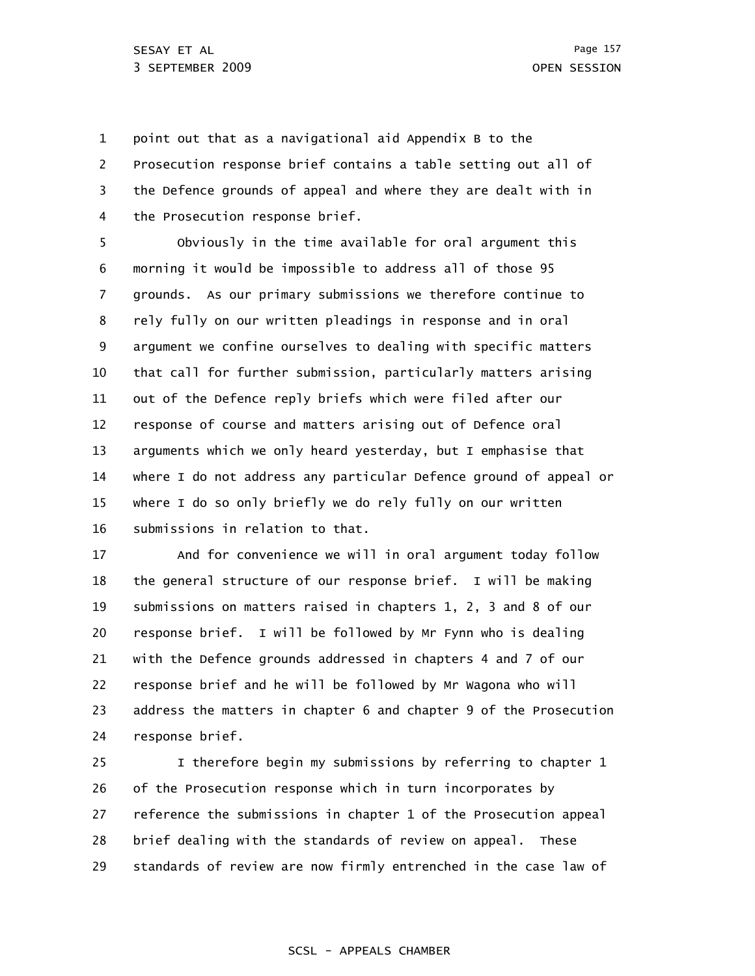1 2 3 4 point out that as a navigational aid Appendix B to the Prosecution response brief contains a table setting out all of the Defence grounds of appeal and where they are dealt with in the Prosecution response brief.

5 6 7 8 9 10 11 12 13 14 15 16 Obviously in the time available for oral argument this morning it would be impossible to address all of those 95 grounds. As our primary submissions we therefore continue to rely fully on our written pleadings in response and in oral argument we confine ourselves to dealing with specific matters that call for further submission, particularly matters arising out of the Defence reply briefs which were filed after our response of course and matters arising out of Defence oral arguments which we only heard yesterday, but I emphasise that where I do not address any particular Defence ground of appeal or where I do so only briefly we do rely fully on our written submissions in relation to that.

17 18 19 20 21 22 23 24 And for convenience we will in oral argument today follow the general structure of our response brief. I will be making submissions on matters raised in chapters 1, 2, 3 and 8 of our response brief. I will be followed by Mr Fynn who is dealing with the Defence grounds addressed in chapters 4 and 7 of our response brief and he will be followed by Mr Wagona who will address the matters in chapter 6 and chapter 9 of the Prosecution response brief.

25 26 27 28 29 I therefore begin my submissions by referring to chapter 1 of the Prosecution response which in turn incorporates by reference the submissions in chapter 1 of the Prosecution appeal brief dealing with the standards of review on appeal. These standards of review are now firmly entrenched in the case law of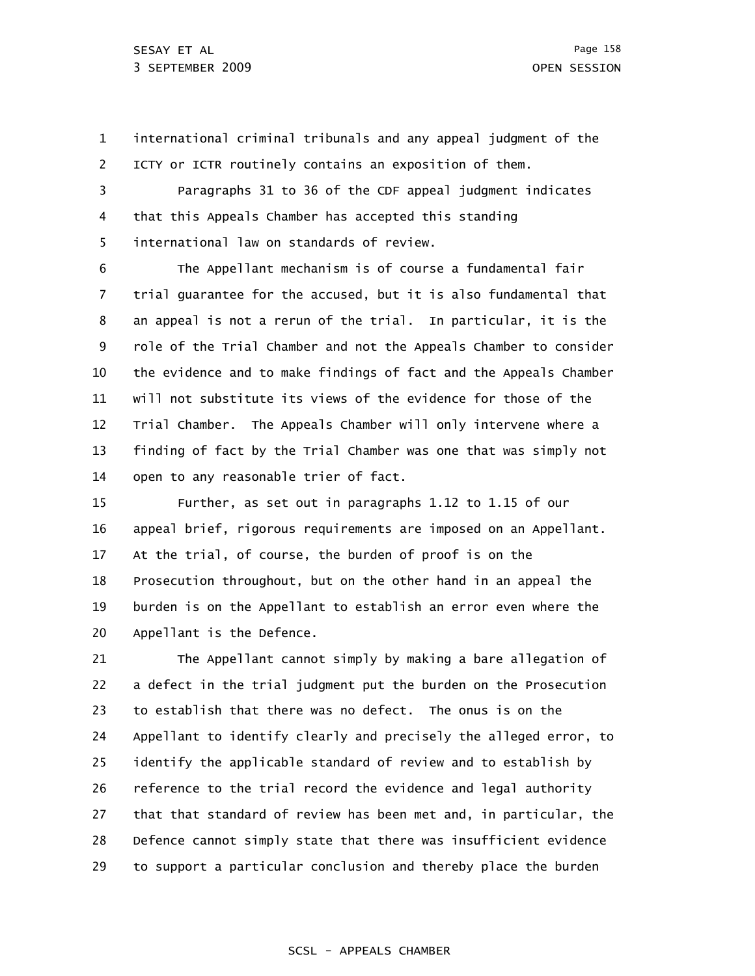1 2 international criminal tribunals and any appeal judgment of the ICTY or ICTR routinely contains an exposition of them.

3 4 5 Paragraphs 31 to 36 of the CDF appeal judgment indicates that this Appeals Chamber has accepted this standing international law on standards of review.

6 7 8 9 10 11 12 13 14 The Appellant mechanism is of course a fundamental fair trial guarantee for the accused, but it is also fundamental that an appeal is not a rerun of the trial. In particular, it is the role of the Trial Chamber and not the Appeals Chamber to consider the evidence and to make findings of fact and the Appeals Chamber will not substitute its views of the evidence for those of the Trial Chamber. The Appeals Chamber will only intervene where a finding of fact by the Trial Chamber was one that was simply not open to any reasonable trier of fact.

15 16 17 18 19 20 Further, as set out in paragraphs 1.12 to 1.15 of our appeal brief, rigorous requirements are imposed on an Appellant. At the trial, of course, the burden of proof is on the Prosecution throughout, but on the other hand in an appeal the burden is on the Appellant to establish an error even where the Appellant is the Defence.

21 22 23 24 25 26 27 28 29 The Appellant cannot simply by making a bare allegation of a defect in the trial judgment put the burden on the Prosecution to establish that there was no defect. The onus is on the Appellant to identify clearly and precisely the alleged error, to identify the applicable standard of review and to establish by reference to the trial record the evidence and legal authority that that standard of review has been met and, in particular, the Defence cannot simply state that there was insufficient evidence to support a particular conclusion and thereby place the burden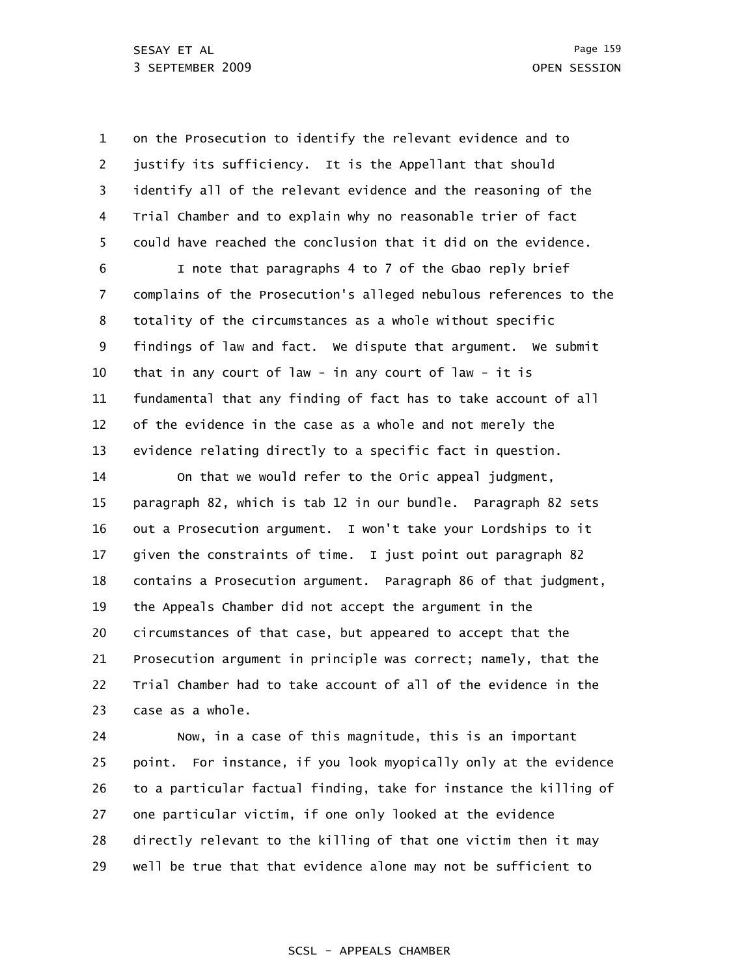1 2 3 4 5 6 7 8 9 10 11 12 13 14 15 16 17 18 19 20 21 22 23 on the Prosecution to identify the relevant evidence and to justify its sufficiency. It is the Appellant that should identify all of the relevant evidence and the reasoning of the Trial Chamber and to explain why no reasonable trier of fact could have reached the conclusion that it did on the evidence. I note that paragraphs 4 to 7 of the Gbao reply brief complains of the Prosecution's alleged nebulous references to the totality of the circumstances as a whole without specific findings of law and fact. We dispute that argument. We submit that in any court of law - in any court of law - it is fundamental that any finding of fact has to take account of all of the evidence in the case as a whole and not merely the evidence relating directly to a specific fact in question. On that we would refer to the Oric appeal judgment, paragraph 82, which is tab 12 in our bundle. Paragraph 82 sets out a Prosecution argument. I won't take your Lordships to it given the constraints of time. I just point out paragraph 82 contains a Prosecution argument. Paragraph 86 of that judgment, the Appeals Chamber did not accept the argument in the circumstances of that case, but appeared to accept that the Prosecution argument in principle was correct; namely, that the Trial Chamber had to take account of all of the evidence in the case as a whole.

24 25 26 27 28 29 Now, in a case of this magnitude, this is an important point. For instance, if you look myopically only at the evidence to a particular factual finding, take for instance the killing of one particular victim, if one only looked at the evidence directly relevant to the killing of that one victim then it may well be true that that evidence alone may not be sufficient to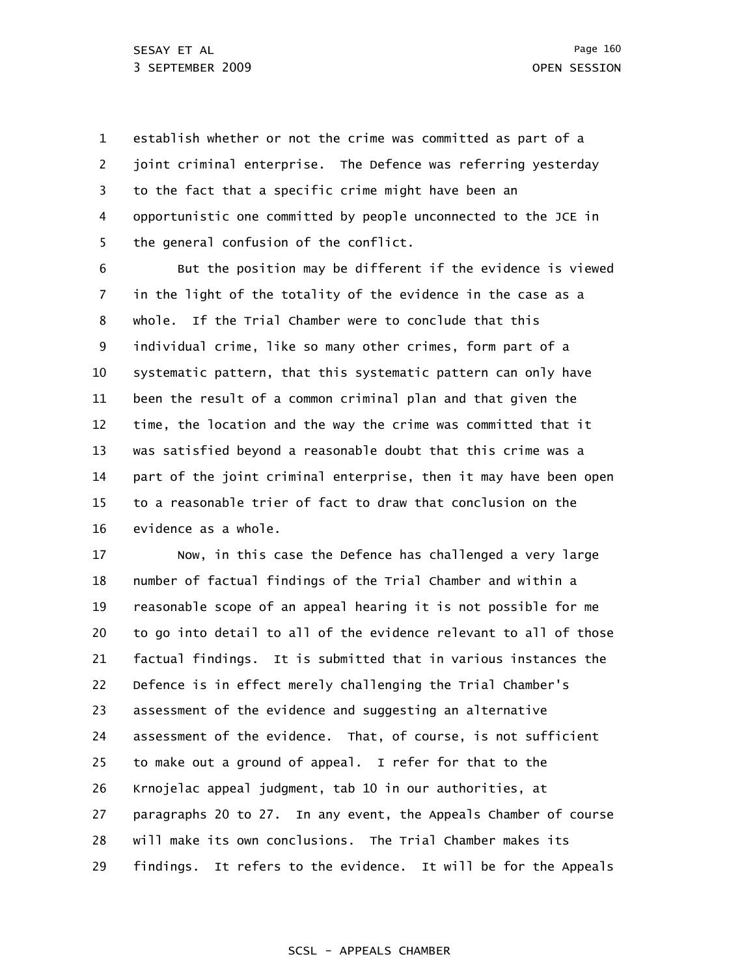1 2 3 4 5 establish whether or not the crime was committed as part of a joint criminal enterprise. The Defence was referring yesterday to the fact that a specific crime might have been an opportunistic one committed by people unconnected to the JCE in the general confusion of the conflict.

6 7 8 9 10 11 12 13 14 15 16 But the position may be different if the evidence is viewed in the light of the totality of the evidence in the case as a whole. If the Trial Chamber were to conclude that this individual crime, like so many other crimes, form part of a systematic pattern, that this systematic pattern can only have been the result of a common criminal plan and that given the time, the location and the way the crime was committed that it was satisfied beyond a reasonable doubt that this crime was a part of the joint criminal enterprise, then it may have been open to a reasonable trier of fact to draw that conclusion on the evidence as a whole.

17 18 19 20 21 22 23 24 25 26 27 28 29 Now, in this case the Defence has challenged a very large number of factual findings of the Trial Chamber and within a reasonable scope of an appeal hearing it is not possible for me to go into detail to all of the evidence relevant to all of those factual findings. It is submitted that in various instances the Defence is in effect merely challenging the Trial Chamber's assessment of the evidence and suggesting an alternative assessment of the evidence. That, of course, is not sufficient to make out a ground of appeal. I refer for that to the Krnojelac appeal judgment, tab 10 in our authorities, at paragraphs 20 to 27. In any event, the Appeals Chamber of course will make its own conclusions. The Trial Chamber makes its findings. It refers to the evidence. It will be for the Appeals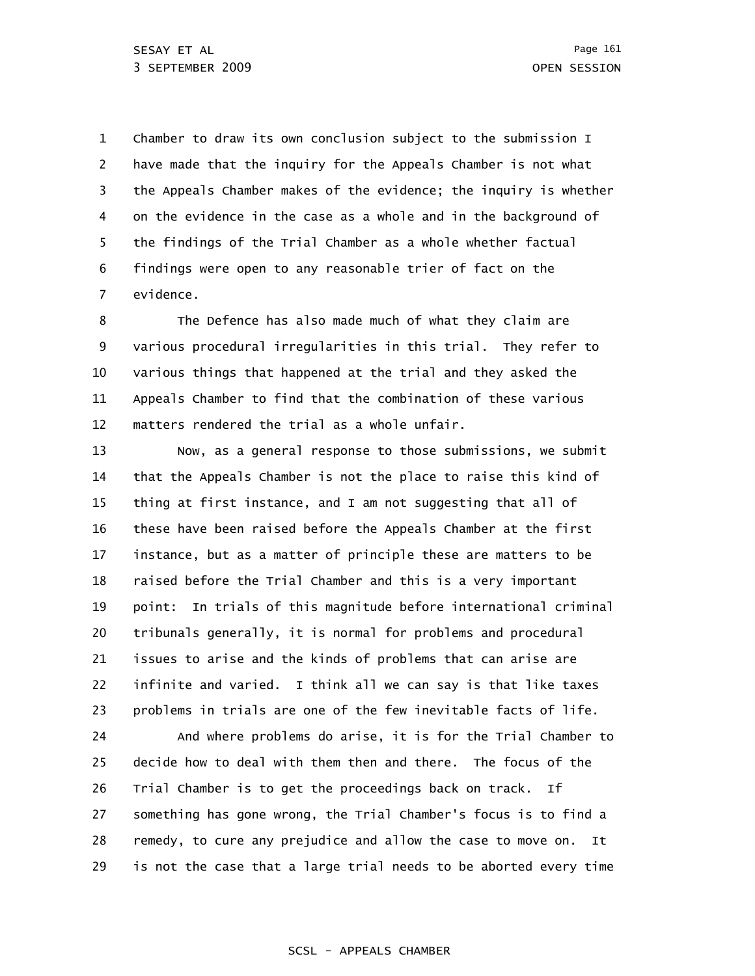1 2 3 4 5 6 7 Chamber to draw its own conclusion subject to the submission I have made that the inquiry for the Appeals Chamber is not what the Appeals Chamber makes of the evidence; the inquiry is whether on the evidence in the case as a whole and in the background of the findings of the Trial Chamber as a whole whether factual findings were open to any reasonable trier of fact on the evidence.

8 9 10 11 12 The Defence has also made much of what they claim are various procedural irregularities in this trial. They refer to various things that happened at the trial and they asked the Appeals Chamber to find that the combination of these various matters rendered the trial as a whole unfair.

13 14 15 16 17 18 19 20 21 22 23 24 25 26 Now, as a general response to those submissions, we submit that the Appeals Chamber is not the place to raise this kind of thing at first instance, and I am not suggesting that all of these have been raised before the Appeals Chamber at the first instance, but as a matter of principle these are matters to be raised before the Trial Chamber and this is a very important point: In trials of this magnitude before international criminal tribunals generally, it is normal for problems and procedural issues to arise and the kinds of problems that can arise are infinite and varied. I think all we can say is that like taxes problems in trials are one of the few inevitable facts of life. And where problems do arise, it is for the Trial Chamber to decide how to deal with them then and there. The focus of the Trial Chamber is to get the proceedings back on track. If

27 28 29 something has gone wrong, the Trial Chamber's focus is to find a remedy, to cure any prejudice and allow the case to move on. It is not the case that a large trial needs to be aborted every time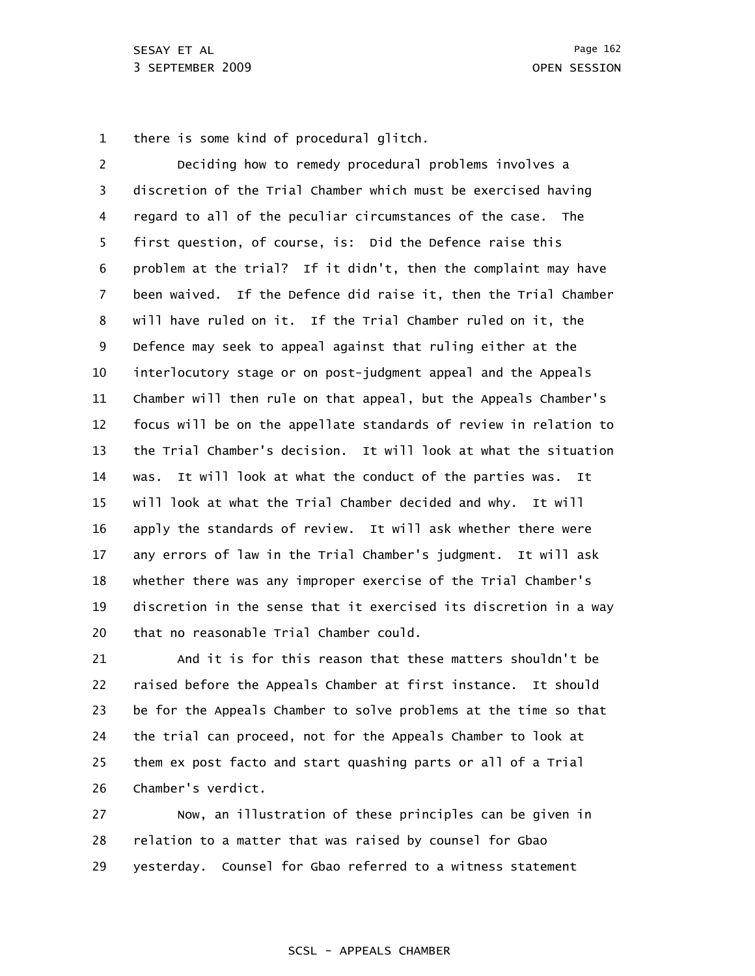1 there is some kind of procedural glitch.

2 3 4 5 6 7 8 9 10 11 12 13 14 15 16 17 18 19 20 Deciding how to remedy procedural problems involves a discretion of the Trial Chamber which must be exercised having regard to all of the peculiar circumstances of the case. The first question, of course, is: Did the Defence raise this problem at the trial? If it didn't, then the complaint may have been waived. If the Defence did raise it, then the Trial Chamber will have ruled on it. If the Trial Chamber ruled on it, the Defence may seek to appeal against that ruling either at the interlocutory stage or on post-judgment appeal and the Appeals Chamber will then rule on that appeal, but the Appeals Chamber's focus will be on the appellate standards of review in relation to the Trial Chamber's decision. It will look at what the situation was. It will look at what the conduct of the parties was. It will look at what the Trial Chamber decided and why. It will apply the standards of review. It will ask whether there were any errors of law in the Trial Chamber's judgment. It will ask whether there was any improper exercise of the Trial Chamber's discretion in the sense that it exercised its discretion in a way that no reasonable Trial Chamber could.

21 22 23 24 25 26 And it is for this reason that these matters shouldn't be raised before the Appeals Chamber at first instance. It should be for the Appeals Chamber to solve problems at the time so that the trial can proceed, not for the Appeals Chamber to look at them ex post facto and start quashing parts or all of a Trial Chamber's verdict.

27 28 29 Now, an illustration of these principles can be given in relation to a matter that was raised by counsel for Gbao yesterday. Counsel for Gbao referred to a witness statement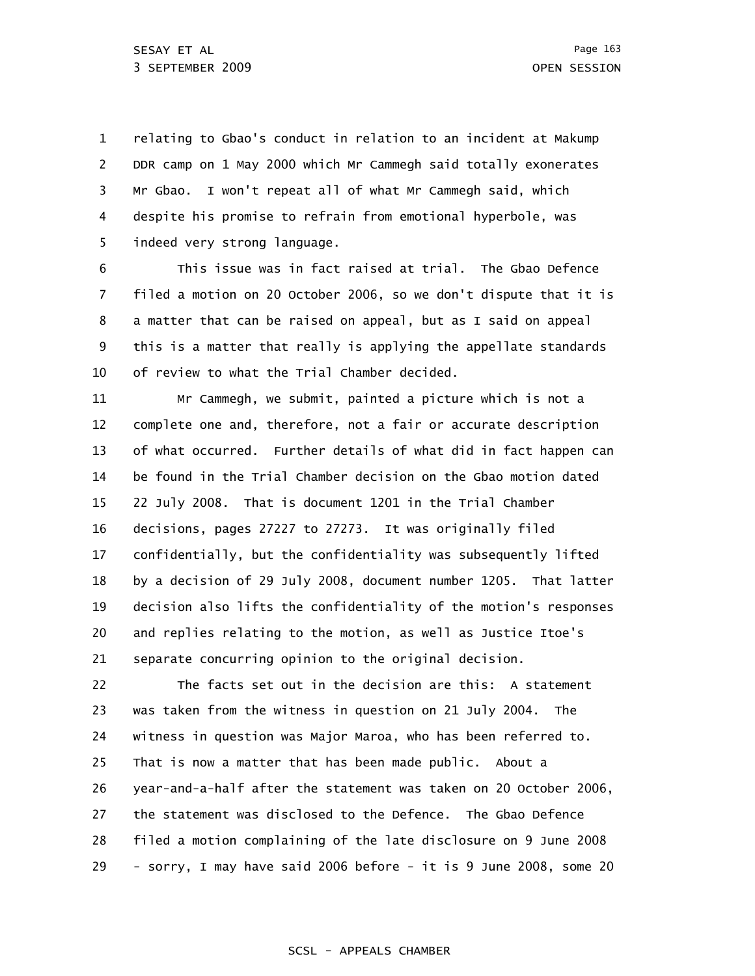1 2 3 4 5 relating to Gbao's conduct in relation to an incident at Makump DDR camp on 1 May 2000 which Mr Cammegh said totally exonerates Mr Gbao. I won't repeat all of what Mr Cammegh said, which despite his promise to refrain from emotional hyperbole, was indeed very strong language.

6 7 8 9 10 This issue was in fact raised at trial. The Gbao Defence filed a motion on 20 October 2006, so we don't dispute that it is a matter that can be raised on appeal, but as I said on appeal this is a matter that really is applying the appellate standards of review to what the Trial Chamber decided.

11 12 13 14 15 16 17 18 19 20 21 Mr Cammegh, we submit, painted a picture which is not a complete one and, therefore, not a fair or accurate description of what occurred. Further details of what did in fact happen can be found in the Trial Chamber decision on the Gbao motion dated 22 July 2008. That is document 1201 in the Trial Chamber decisions, pages 27227 to 27273. It was originally filed confidentially, but the confidentiality was subsequently lifted by a decision of 29 July 2008, document number 1205. That latter decision also lifts the confidentiality of the motion's responses and replies relating to the motion, as well as Justice Itoe's separate concurring opinion to the original decision.

22 23 24 25 26 27 28 29 The facts set out in the decision are this: A statement was taken from the witness in question on 21 July 2004. The witness in question was Major Maroa, who has been referred to. That is now a matter that has been made public. About a year-and-a-half after the statement was taken on 20 October 2006, the statement was disclosed to the Defence. The Gbao Defence filed a motion complaining of the late disclosure on 9 June 2008 - sorry, I may have said 2006 before - it is 9 June 2008, some 20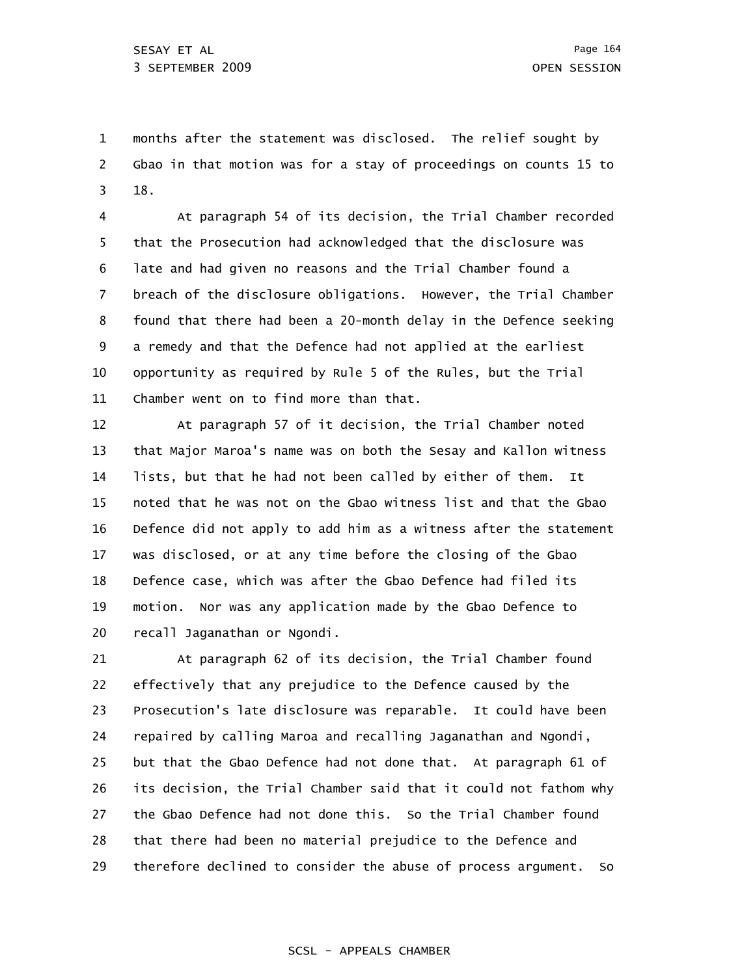1 2 3 months after the statement was disclosed. The relief sought by Gbao in that motion was for a stay of proceedings on counts 15 to 18.

4 5 6 7 8 9 10 11 At paragraph 54 of its decision, the Trial Chamber recorded that the Prosecution had acknowledged that the disclosure was late and had given no reasons and the Trial Chamber found a breach of the disclosure obligations. However, the Trial Chamber found that there had been a 20-month delay in the Defence seeking a remedy and that the Defence had not applied at the earliest opportunity as required by Rule 5 of the Rules, but the Trial Chamber went on to find more than that.

12 13 14 15 16 17 18 19 20 At paragraph 57 of it decision, the Trial Chamber noted that Major Maroa's name was on both the Sesay and Kallon witness lists, but that he had not been called by either of them. It noted that he was not on the Gbao witness list and that the Gbao Defence did not apply to add him as a witness after the statement was disclosed, or at any time before the closing of the Gbao Defence case, which was after the Gbao Defence had filed its motion. Nor was any application made by the Gbao Defence to recall Jaganathan or Ngondi.

21 22 23 24 25 26 27 28 29 At paragraph 62 of its decision, the Trial Chamber found effectively that any prejudice to the Defence caused by the Prosecution's late disclosure was reparable. It could have been repaired by calling Maroa and recalling Jaganathan and Ngondi, but that the Gbao Defence had not done that. At paragraph 61 of its decision, the Trial Chamber said that it could not fathom why the Gbao Defence had not done this. So the Trial Chamber found that there had been no material prejudice to the Defence and therefore declined to consider the abuse of process argument. So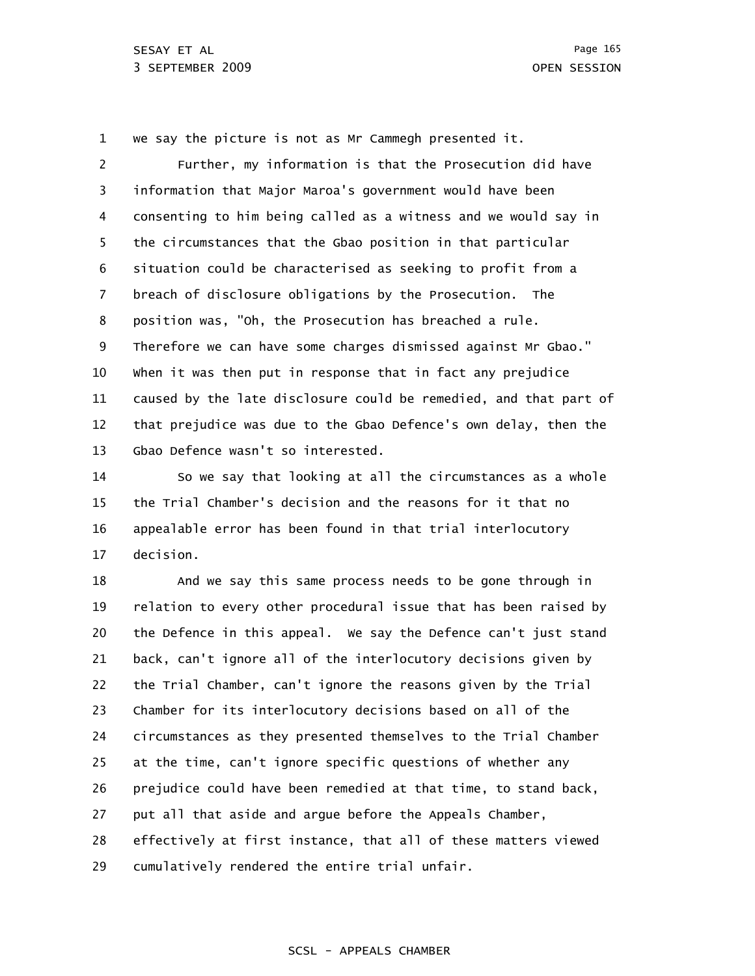1 we say the picture is not as Mr Cammegh presented it.

2 3 4 5 6 7 8 9 10 11 12 13 Further, my information is that the Prosecution did have information that Major Maroa's government would have been consenting to him being called as a witness and we would say in the circumstances that the Gbao position in that particular situation could be characterised as seeking to profit from a breach of disclosure obligations by the Prosecution. The position was, "Oh, the Prosecution has breached a rule. Therefore we can have some charges dismissed against Mr Gbao." When it was then put in response that in fact any prejudice caused by the late disclosure could be remedied, and that part of that prejudice was due to the Gbao Defence's own delay, then the Gbao Defence wasn't so interested.

14 15 16 17 So we say that looking at all the circumstances as a whole the Trial Chamber's decision and the reasons for it that no appealable error has been found in that trial interlocutory decision.

18 19 20 21 22 23 24 25 26 27 28 29 And we say this same process needs to be gone through in relation to every other procedural issue that has been raised by the Defence in this appeal. We say the Defence can't just stand back, can't ignore all of the interlocutory decisions given by the Trial Chamber, can't ignore the reasons given by the Trial Chamber for its interlocutory decisions based on all of the circumstances as they presented themselves to the Trial Chamber at the time, can't ignore specific questions of whether any prejudice could have been remedied at that time, to stand back, put all that aside and argue before the Appeals Chamber, effectively at first instance, that all of these matters viewed cumulatively rendered the entire trial unfair.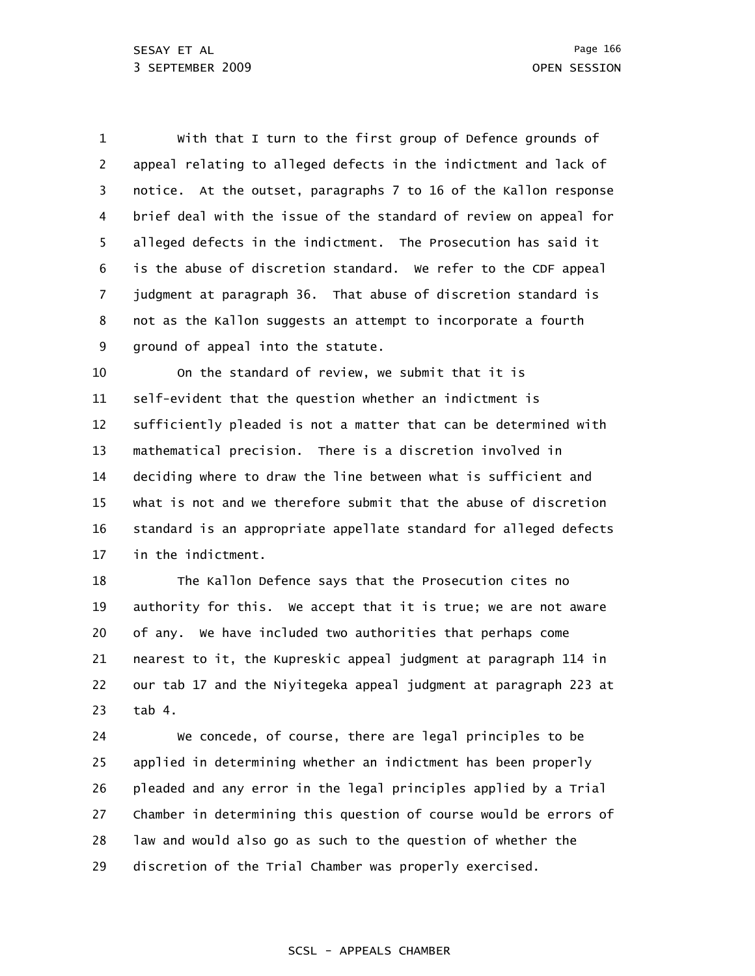1 2 3 4 5 6 7 8 9 With that I turn to the first group of Defence grounds of appeal relating to alleged defects in the indictment and lack of notice. At the outset, paragraphs 7 to 16 of the Kallon response brief deal with the issue of the standard of review on appeal for alleged defects in the indictment. The Prosecution has said it is the abuse of discretion standard. We refer to the CDF appeal judgment at paragraph 36. That abuse of discretion standard is not as the Kallon suggests an attempt to incorporate a fourth ground of appeal into the statute.

10 11 12 13 14 15 16 17 On the standard of review, we submit that it is self-evident that the question whether an indictment is sufficiently pleaded is not a matter that can be determined with mathematical precision. There is a discretion involved in deciding where to draw the line between what is sufficient and what is not and we therefore submit that the abuse of discretion standard is an appropriate appellate standard for alleged defects in the indictment.

18 19 20 21 22 23 The Kallon Defence says that the Prosecution cites no authority for this. We accept that it is true; we are not aware of any. We have included two authorities that perhaps come nearest to it, the Kupreskic appeal judgment at paragraph 114 in our tab 17 and the Niyitegeka appeal judgment at paragraph 223 at tab 4.

24 25 26 27 28 29 We concede, of course, there are legal principles to be applied in determining whether an indictment has been properly pleaded and any error in the legal principles applied by a Trial Chamber in determining this question of course would be errors of law and would also go as such to the question of whether the discretion of the Trial Chamber was properly exercised.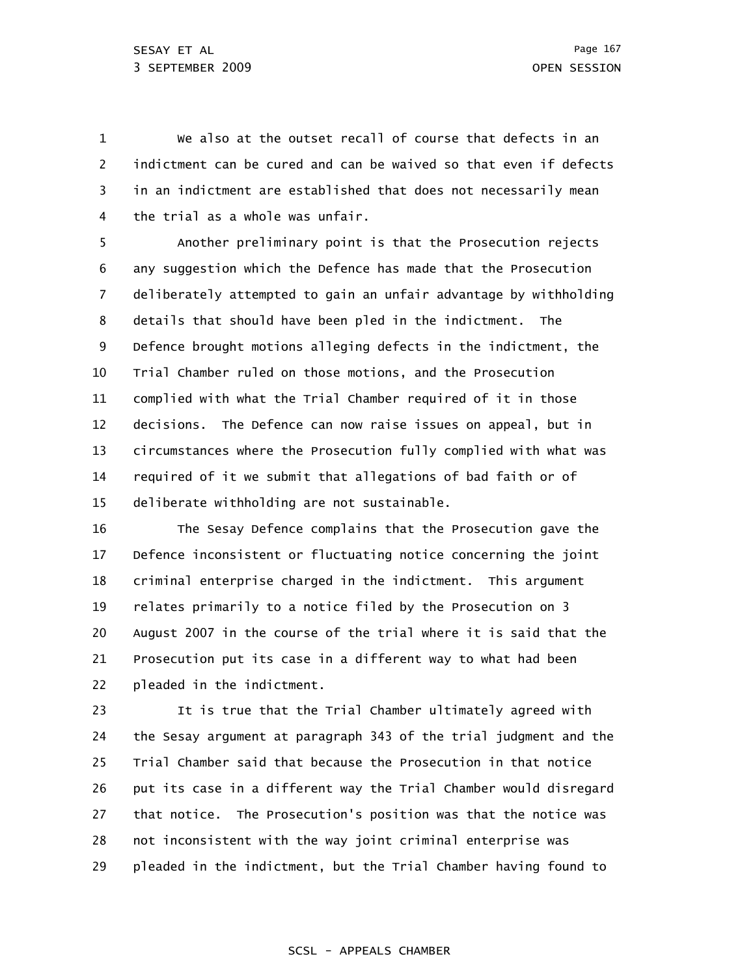1 2 3 4 We also at the outset recall of course that defects in an indictment can be cured and can be waived so that even if defects in an indictment are established that does not necessarily mean the trial as a whole was unfair.

5 6 7 8 9 10 11 12 13 14 15 Another preliminary point is that the Prosecution rejects any suggestion which the Defence has made that the Prosecution deliberately attempted to gain an unfair advantage by withholding details that should have been pled in the indictment. The Defence brought motions alleging defects in the indictment, the Trial Chamber ruled on those motions, and the Prosecution complied with what the Trial Chamber required of it in those decisions. The Defence can now raise issues on appeal, but in circumstances where the Prosecution fully complied with what was required of it we submit that allegations of bad faith or of deliberate withholding are not sustainable.

16 17 18 19 20 21 22 The Sesay Defence complains that the Prosecution gave the Defence inconsistent or fluctuating notice concerning the joint criminal enterprise charged in the indictment. This argument relates primarily to a notice filed by the Prosecution on 3 August 2007 in the course of the trial where it is said that the Prosecution put its case in a different way to what had been pleaded in the indictment.

23 24 25 26 27 28 29 It is true that the Trial Chamber ultimately agreed with the Sesay argument at paragraph 343 of the trial judgment and the Trial Chamber said that because the Prosecution in that notice put its case in a different way the Trial Chamber would disregard that notice. The Prosecution's position was that the notice was not inconsistent with the way joint criminal enterprise was pleaded in the indictment, but the Trial Chamber having found to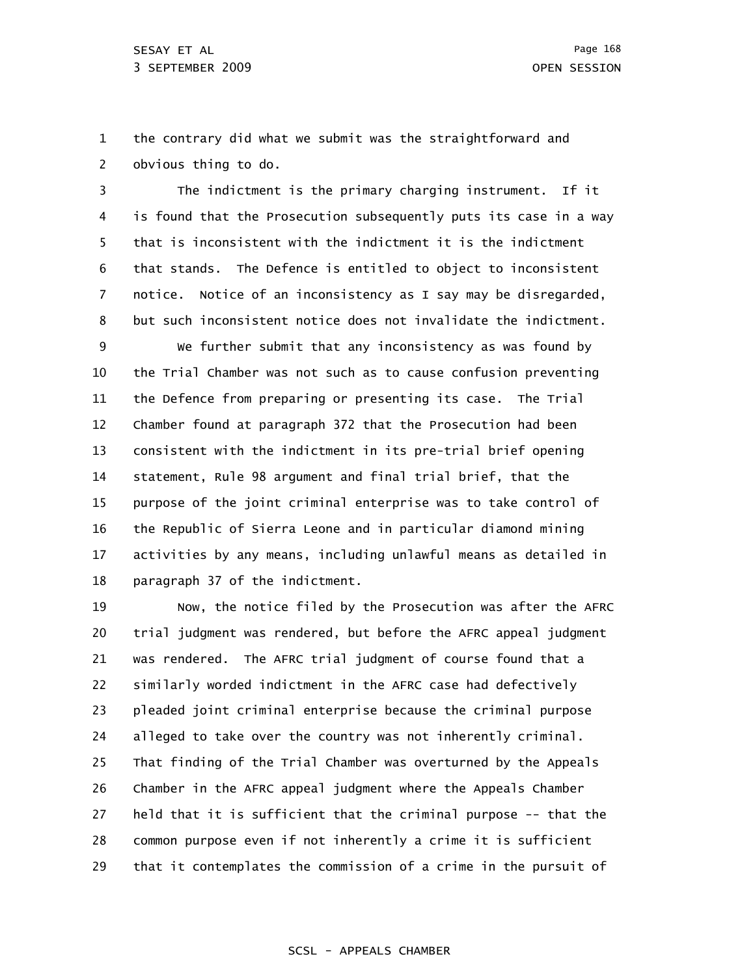1 2 the contrary did what we submit was the straightforward and obvious thing to do.

3 4 5 6 7 8 The indictment is the primary charging instrument. If it is found that the Prosecution subsequently puts its case in a way that is inconsistent with the indictment it is the indictment that stands. The Defence is entitled to object to inconsistent notice. Notice of an inconsistency as I say may be disregarded, but such inconsistent notice does not invalidate the indictment.

9 10 11 12 13 14 15 16 17 18 We further submit that any inconsistency as was found by the Trial Chamber was not such as to cause confusion preventing the Defence from preparing or presenting its case. The Trial Chamber found at paragraph 372 that the Prosecution had been consistent with the indictment in its pre-trial brief opening statement, Rule 98 argument and final trial brief, that the purpose of the joint criminal enterprise was to take control of the Republic of Sierra Leone and in particular diamond mining activities by any means, including unlawful means as detailed in paragraph 37 of the indictment.

19 20 21 22 23 24 25 26 27 28 29 Now, the notice filed by the Prosecution was after the AFRC trial judgment was rendered, but before the AFRC appeal judgment was rendered. The AFRC trial judgment of course found that a similarly worded indictment in the AFRC case had defectively pleaded joint criminal enterprise because the criminal purpose alleged to take over the country was not inherently criminal. That finding of the Trial Chamber was overturned by the Appeals Chamber in the AFRC appeal judgment where the Appeals Chamber held that it is sufficient that the criminal purpose -- that the common purpose even if not inherently a crime it is sufficient that it contemplates the commission of a crime in the pursuit of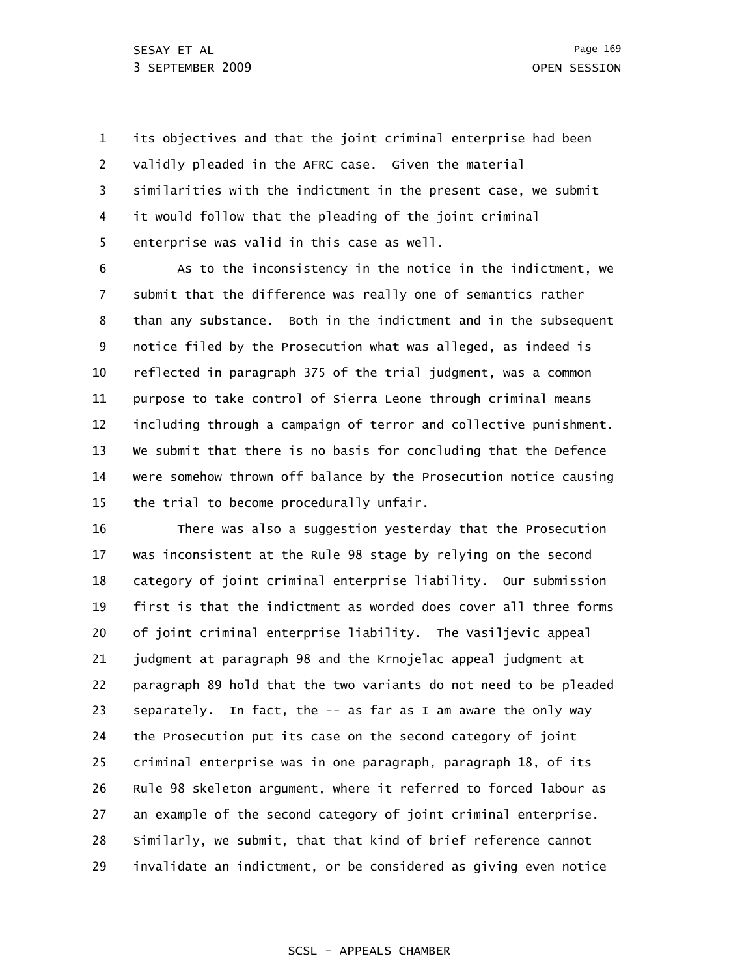1 2 3 4 5 its objectives and that the joint criminal enterprise had been validly pleaded in the AFRC case. Given the material similarities with the indictment in the present case, we submit it would follow that the pleading of the joint criminal enterprise was valid in this case as well.

6 7 8 9 10 11 12 13 14 15 As to the inconsistency in the notice in the indictment, we submit that the difference was really one of semantics rather than any substance. Both in the indictment and in the subsequent notice filed by the Prosecution what was alleged, as indeed is reflected in paragraph 375 of the trial judgment, was a common purpose to take control of Sierra Leone through criminal means including through a campaign of terror and collective punishment. We submit that there is no basis for concluding that the Defence were somehow thrown off balance by the Prosecution notice causing the trial to become procedurally unfair.

16 17 18 19 20 21 22 23 24 25 26 27 28 29 There was also a suggestion yesterday that the Prosecution was inconsistent at the Rule 98 stage by relying on the second category of joint criminal enterprise liability. Our submission first is that the indictment as worded does cover all three forms of joint criminal enterprise liability. The Vasiljevic appeal judgment at paragraph 98 and the Krnojelac appeal judgment at paragraph 89 hold that the two variants do not need to be pleaded separately. In fact, the -- as far as I am aware the only way the Prosecution put its case on the second category of joint criminal enterprise was in one paragraph, paragraph 18, of its Rule 98 skeleton argument, where it referred to forced labour as an example of the second category of joint criminal enterprise. Similarly, we submit, that that kind of brief reference cannot invalidate an indictment, or be considered as giving even notice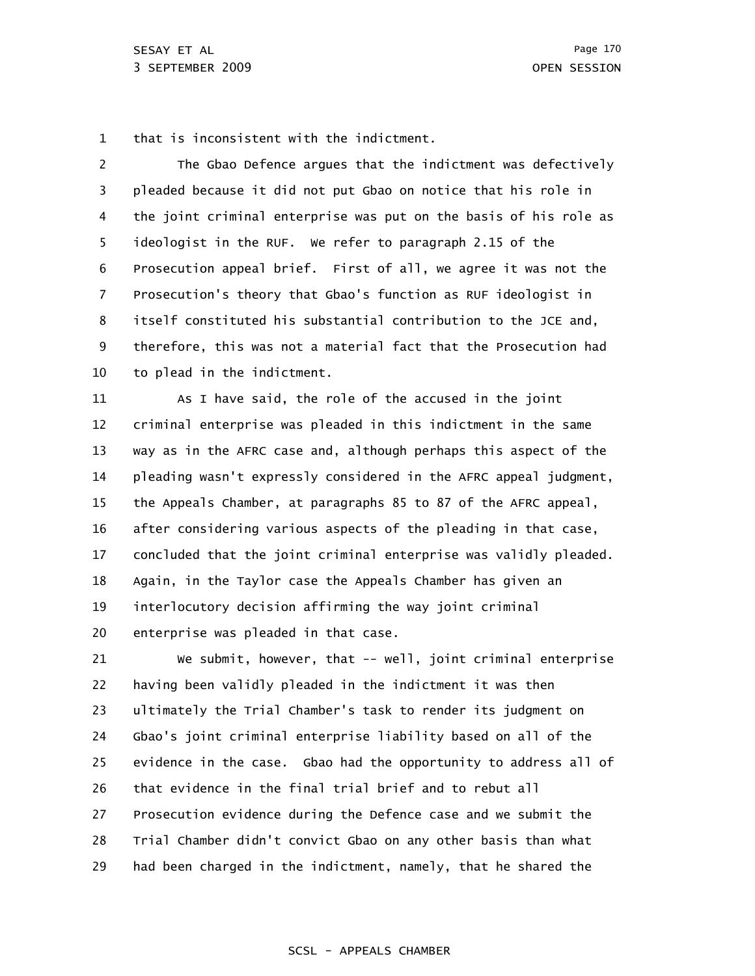1 that is inconsistent with the indictment.

2 3 4 5 6 7 8 9 10 The Gbao Defence argues that the indictment was defectively pleaded because it did not put Gbao on notice that his role in the joint criminal enterprise was put on the basis of his role as ideologist in the RUF. We refer to paragraph 2.15 of the Prosecution appeal brief. First of all, we agree it was not the Prosecution's theory that Gbao's function as RUF ideologist in itself constituted his substantial contribution to the JCE and, therefore, this was not a material fact that the Prosecution had to plead in the indictment.

11 12 13 14 15 16 17 18 19 20 As I have said, the role of the accused in the joint criminal enterprise was pleaded in this indictment in the same way as in the AFRC case and, although perhaps this aspect of the pleading wasn't expressly considered in the AFRC appeal judgment, the Appeals Chamber, at paragraphs 85 to 87 of the AFRC appeal, after considering various aspects of the pleading in that case, concluded that the joint criminal enterprise was validly pleaded. Again, in the Taylor case the Appeals Chamber has given an interlocutory decision affirming the way joint criminal enterprise was pleaded in that case.

21 22 23 24 25 26 27 28 29 We submit, however, that -- well, joint criminal enterprise having been validly pleaded in the indictment it was then ultimately the Trial Chamber's task to render its judgment on Gbao's joint criminal enterprise liability based on all of the evidence in the case. Gbao had the opportunity to address all of that evidence in the final trial brief and to rebut all Prosecution evidence during the Defence case and we submit the Trial Chamber didn't convict Gbao on any other basis than what had been charged in the indictment, namely, that he shared the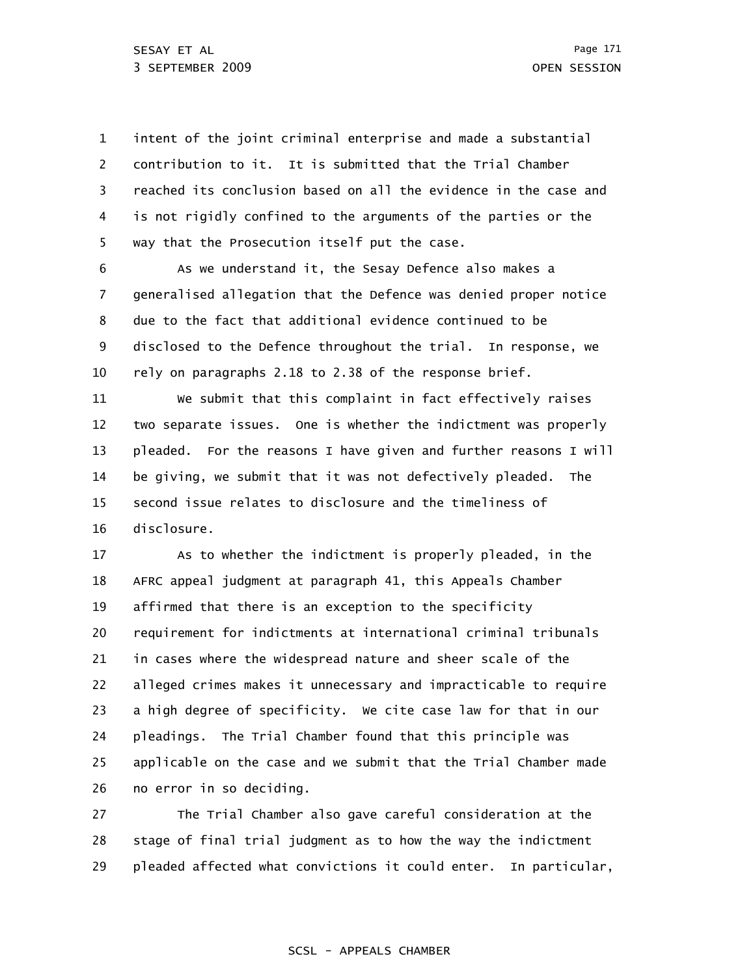1 2 3 4 5 intent of the joint criminal enterprise and made a substantial contribution to it. It is submitted that the Trial Chamber reached its conclusion based on all the evidence in the case and is not rigidly confined to the arguments of the parties or the way that the Prosecution itself put the case.

6 7 8 9 10 As we understand it, the Sesay Defence also makes a generalised allegation that the Defence was denied proper notice due to the fact that additional evidence continued to be disclosed to the Defence throughout the trial. In response, we rely on paragraphs 2.18 to 2.38 of the response brief.

11 12 13 14 15 16 We submit that this complaint in fact effectively raises two separate issues. One is whether the indictment was properly pleaded. For the reasons I have given and further reasons I will be giving, we submit that it was not defectively pleaded. The second issue relates to disclosure and the timeliness of disclosure.

17 18 19 20 21 22 23 24 25 26 As to whether the indictment is properly pleaded, in the AFRC appeal judgment at paragraph 41, this Appeals Chamber affirmed that there is an exception to the specificity requirement for indictments at international criminal tribunals in cases where the widespread nature and sheer scale of the alleged crimes makes it unnecessary and impracticable to require a high degree of specificity. We cite case law for that in our pleadings. The Trial Chamber found that this principle was applicable on the case and we submit that the Trial Chamber made no error in so deciding.

27 28 29 The Trial Chamber also gave careful consideration at the stage of final trial judgment as to how the way the indictment pleaded affected what convictions it could enter. In particular,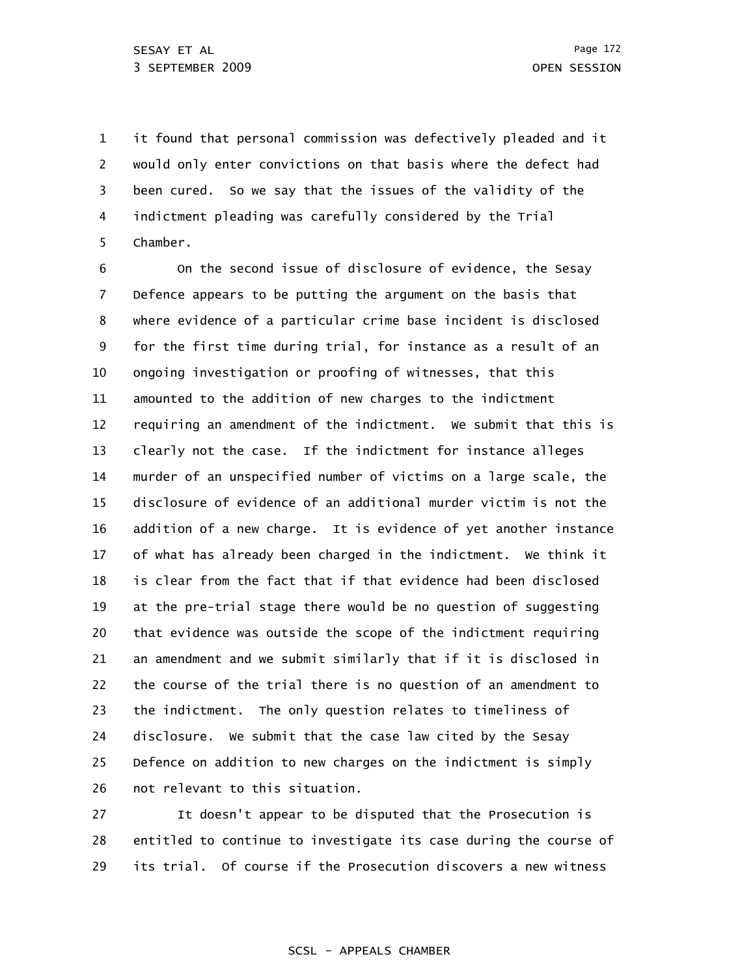1 2 3 4 5 it found that personal commission was defectively pleaded and it would only enter convictions on that basis where the defect had been cured. So we say that the issues of the validity of the indictment pleading was carefully considered by the Trial Chamber.

6 7 8 9 10 11 12 13 14 15 16 17 18 19 20 21 22 23 24 25 26 On the second issue of disclosure of evidence, the Sesay Defence appears to be putting the argument on the basis that where evidence of a particular crime base incident is disclosed for the first time during trial, for instance as a result of an ongoing investigation or proofing of witnesses, that this amounted to the addition of new charges to the indictment requiring an amendment of the indictment. We submit that this is clearly not the case. If the indictment for instance alleges murder of an unspecified number of victims on a large scale, the disclosure of evidence of an additional murder victim is not the addition of a new charge. It is evidence of yet another instance of what has already been charged in the indictment. We think it is clear from the fact that if that evidence had been disclosed at the pre-trial stage there would be no question of suggesting that evidence was outside the scope of the indictment requiring an amendment and we submit similarly that if it is disclosed in the course of the trial there is no question of an amendment to the indictment. The only question relates to timeliness of disclosure. We submit that the case law cited by the Sesay Defence on addition to new charges on the indictment is simply not relevant to this situation.

27 28 29 It doesn't appear to be disputed that the Prosecution is entitled to continue to investigate its case during the course of its trial. Of course if the Prosecution discovers a new witness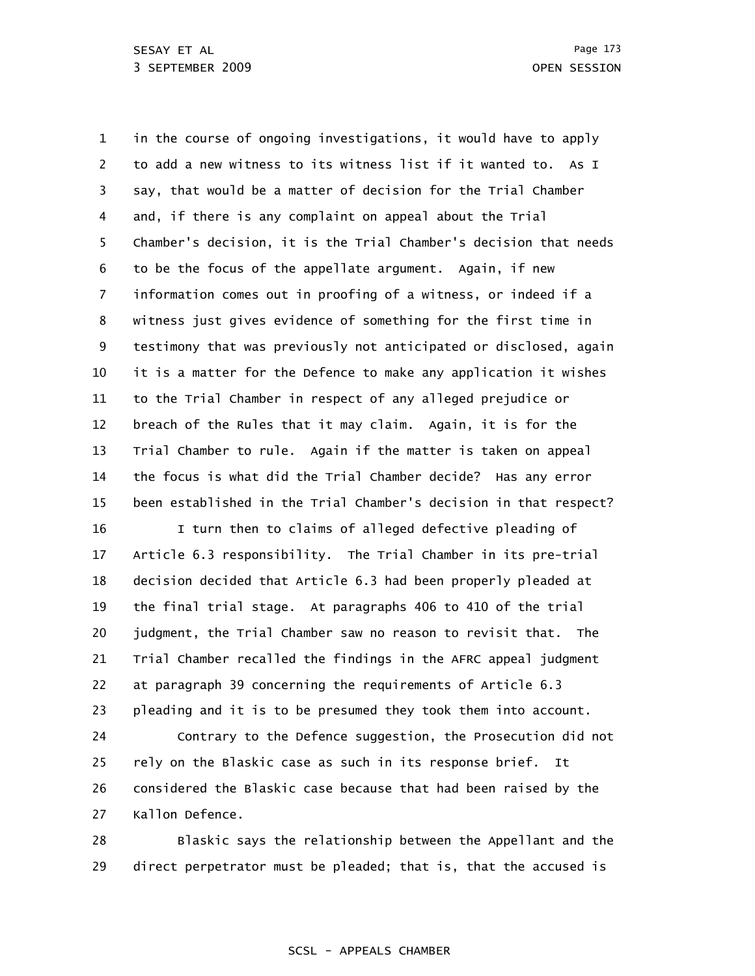1 2 3 4 5 6 7 8 9 10 11 12 13 14 15 16 17 18 19 20 21 22 23 in the course of ongoing investigations, it would have to apply to add a new witness to its witness list if it wanted to. As I say, that would be a matter of decision for the Trial Chamber and, if there is any complaint on appeal about the Trial Chamber's decision, it is the Trial Chamber's decision that needs to be the focus of the appellate argument. Again, if new information comes out in proofing of a witness, or indeed if a witness just gives evidence of something for the first time in testimony that was previously not anticipated or disclosed, again it is a matter for the Defence to make any application it wishes to the Trial Chamber in respect of any alleged prejudice or breach of the Rules that it may claim. Again, it is for the Trial Chamber to rule. Again if the matter is taken on appeal the focus is what did the Trial Chamber decide? Has any error been established in the Trial Chamber's decision in that respect? I turn then to claims of alleged defective pleading of Article 6.3 responsibility. The Trial Chamber in its pre-trial decision decided that Article 6.3 had been properly pleaded at the final trial stage. At paragraphs 406 to 410 of the trial judgment, the Trial Chamber saw no reason to revisit that. The Trial Chamber recalled the findings in the AFRC appeal judgment at paragraph 39 concerning the requirements of Article 6.3 pleading and it is to be presumed they took them into account.

24 25 26 27 Contrary to the Defence suggestion, the Prosecution did not rely on the Blaskic case as such in its response brief. It considered the Blaskic case because that had been raised by the Kallon Defence.

28 29 Blaskic says the relationship between the Appellant and the direct perpetrator must be pleaded; that is, that the accused is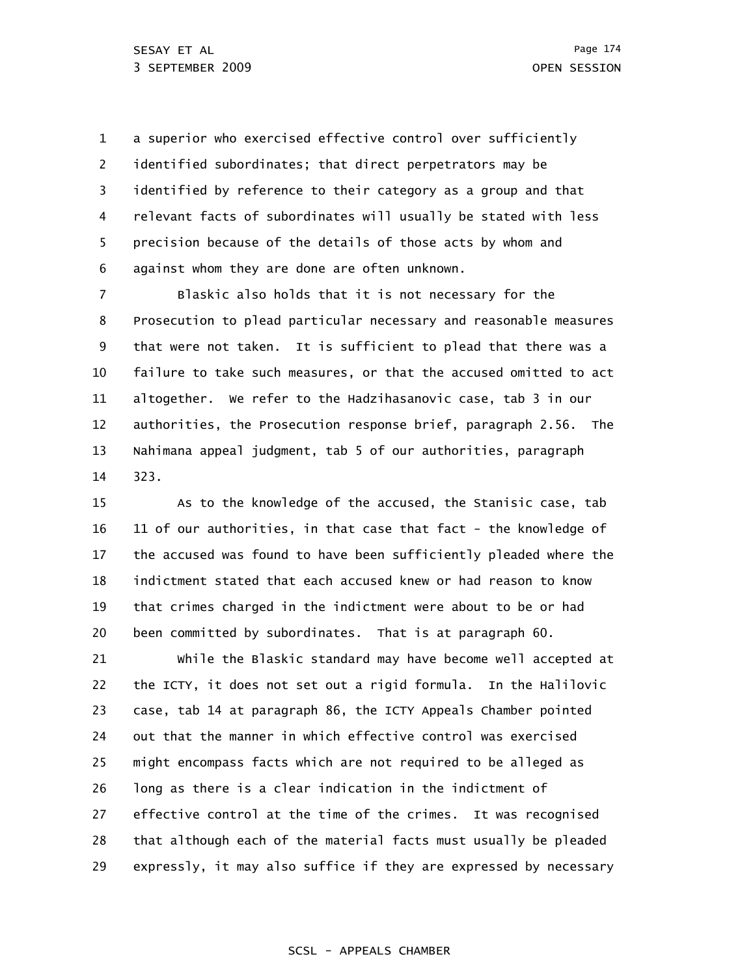1 2 3 4 5 6 a superior who exercised effective control over sufficiently identified subordinates; that direct perpetrators may be identified by reference to their category as a group and that relevant facts of subordinates will usually be stated with less precision because of the details of those acts by whom and against whom they are done are often unknown.

7 8 9 10 11 12 13 14 Blaskic also holds that it is not necessary for the Prosecution to plead particular necessary and reasonable measures that were not taken. It is sufficient to plead that there was a failure to take such measures, or that the accused omitted to act altogether. We refer to the Hadzihasanovic case, tab 3 in our authorities, the Prosecution response brief, paragraph 2.56. The Nahimana appeal judgment, tab 5 of our authorities, paragraph 323.

15 16 17 18 19 20 As to the knowledge of the accused, the Stanisic case, tab 11 of our authorities, in that case that fact - the knowledge of the accused was found to have been sufficiently pleaded where the indictment stated that each accused knew or had reason to know that crimes charged in the indictment were about to be or had been committed by subordinates. That is at paragraph 60.

21 22 23 24 25 26 27 28 29 While the Blaskic standard may have become well accepted at the ICTY, it does not set out a rigid formula. In the Halilovic case, tab 14 at paragraph 86, the ICTY Appeals Chamber pointed out that the manner in which effective control was exercised might encompass facts which are not required to be alleged as long as there is a clear indication in the indictment of effective control at the time of the crimes. It was recognised that although each of the material facts must usually be pleaded expressly, it may also suffice if they are expressed by necessary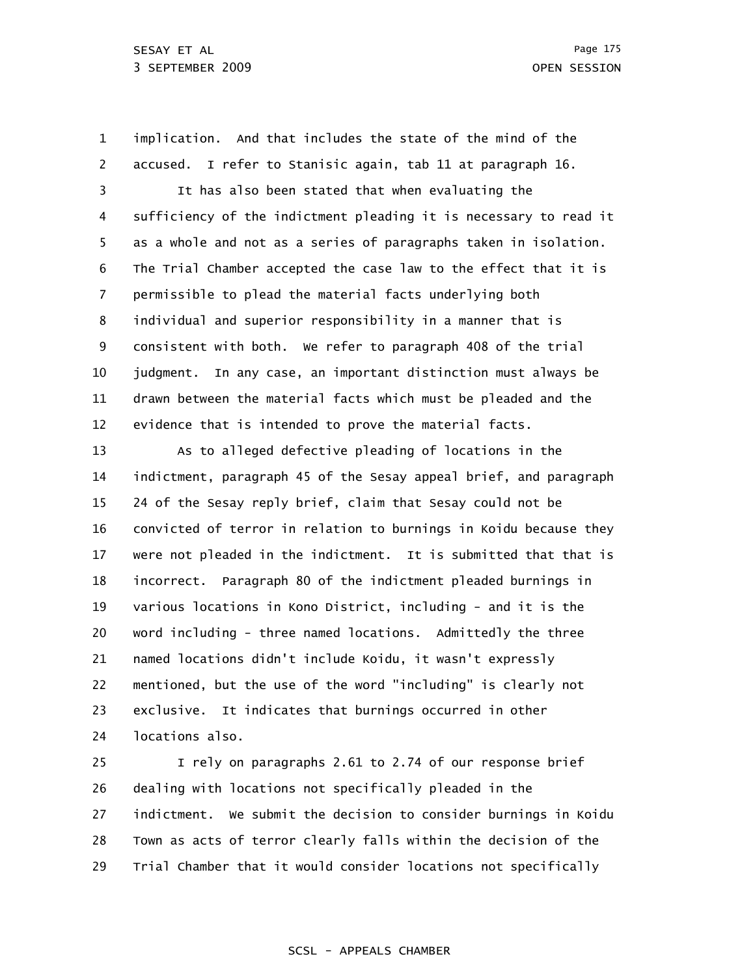1 2 3 4 5 6 7 8 9 10 11 12 13 14 15 16 17 18 19 20 21 22 23 implication. And that includes the state of the mind of the accused. I refer to Stanisic again, tab 11 at paragraph 16. It has also been stated that when evaluating the sufficiency of the indictment pleading it is necessary to read it as a whole and not as a series of paragraphs taken in isolation. The Trial Chamber accepted the case law to the effect that it is permissible to plead the material facts underlying both individual and superior responsibility in a manner that is consistent with both. We refer to paragraph 408 of the trial judgment. In any case, an important distinction must always be drawn between the material facts which must be pleaded and the evidence that is intended to prove the material facts. As to alleged defective pleading of locations in the indictment, paragraph 45 of the Sesay appeal brief, and paragraph 24 of the Sesay reply brief, claim that Sesay could not be convicted of terror in relation to burnings in Koidu because they were not pleaded in the indictment. It is submitted that that is incorrect. Paragraph 80 of the indictment pleaded burnings in various locations in Kono District, including - and it is the word including - three named locations. Admittedly the three named locations didn't include Koidu, it wasn't expressly mentioned, but the use of the word "including" is clearly not exclusive. It indicates that burnings occurred in other

24 locations also.

25 26 27 28 29 I rely on paragraphs 2.61 to 2.74 of our response brief dealing with locations not specifically pleaded in the indictment. We submit the decision to consider burnings in Koidu Town as acts of terror clearly falls within the decision of the Trial Chamber that it would consider locations not specifically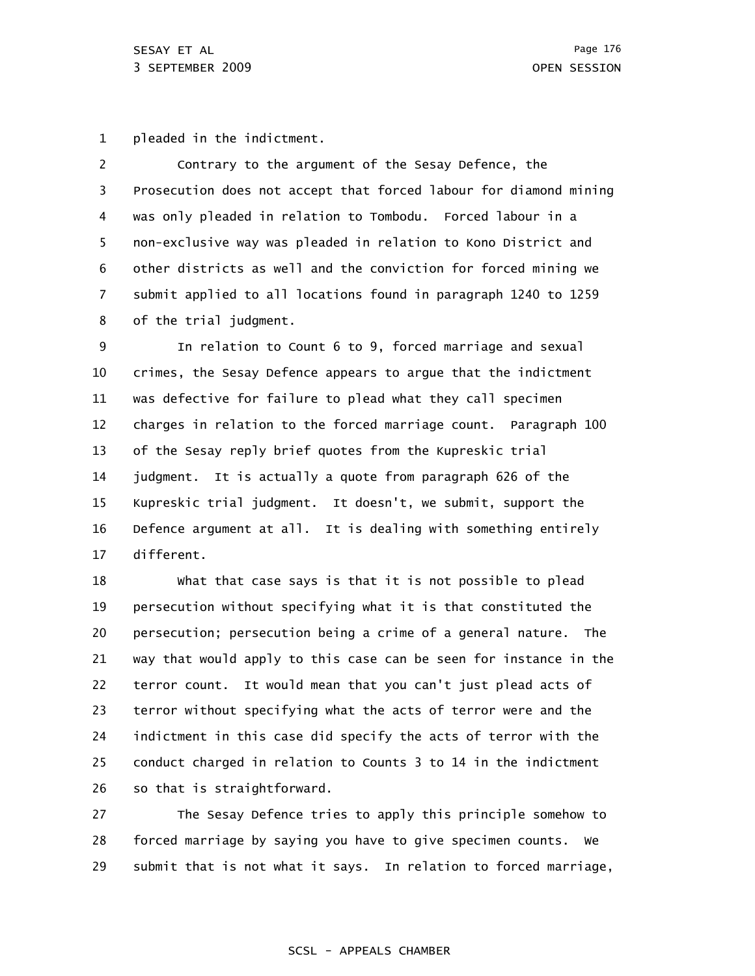1 pleaded in the indictment.

2 3 4 5 6 7 8 Contrary to the argument of the Sesay Defence, the Prosecution does not accept that forced labour for diamond mining was only pleaded in relation to Tombodu. Forced labour in a non-exclusive way was pleaded in relation to Kono District and other districts as well and the conviction for forced mining we submit applied to all locations found in paragraph 1240 to 1259 of the trial judgment.

9 10 11 12 13 14 15 16 17 In relation to Count 6 to 9, forced marriage and sexual crimes, the Sesay Defence appears to argue that the indictment was defective for failure to plead what they call specimen charges in relation to the forced marriage count. Paragraph 100 of the Sesay reply brief quotes from the Kupreskic trial judgment. It is actually a quote from paragraph 626 of the Kupreskic trial judgment. It doesn't, we submit, support the Defence argument at all. It is dealing with something entirely different.

18 19 20 21 22 23 24 25 26 What that case says is that it is not possible to plead persecution without specifying what it is that constituted the persecution; persecution being a crime of a general nature. The way that would apply to this case can be seen for instance in the terror count. It would mean that you can't just plead acts of terror without specifying what the acts of terror were and the indictment in this case did specify the acts of terror with the conduct charged in relation to Counts 3 to 14 in the indictment so that is straightforward.

27 28 29 The Sesay Defence tries to apply this principle somehow to forced marriage by saying you have to give specimen counts. We submit that is not what it says. In relation to forced marriage,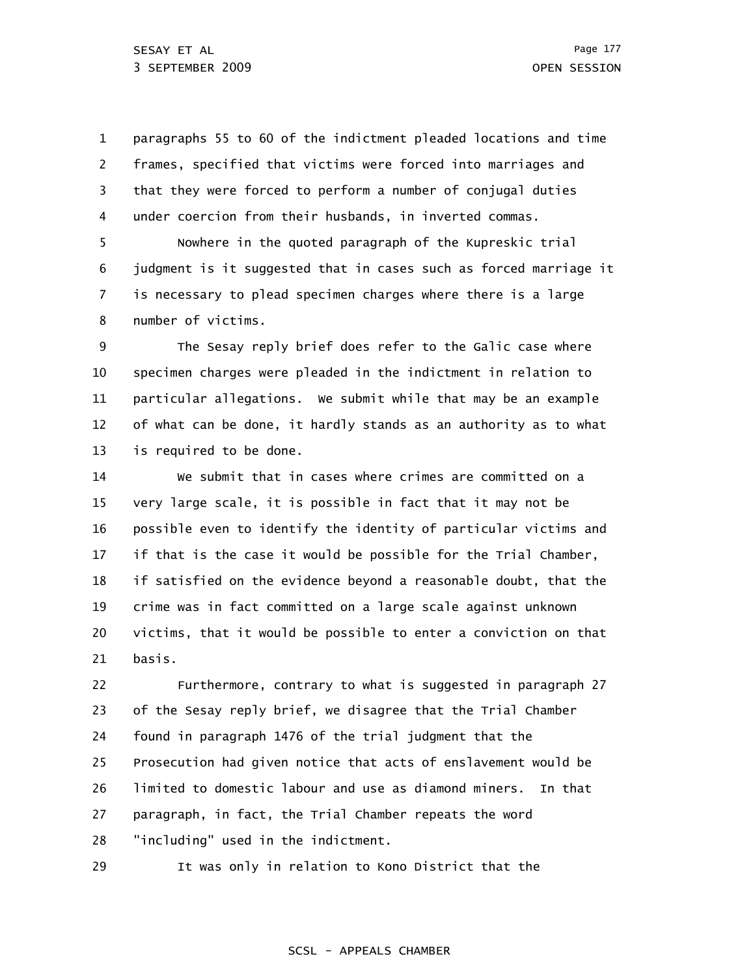1 2 3 4 paragraphs 55 to 60 of the indictment pleaded locations and time frames, specified that victims were forced into marriages and that they were forced to perform a number of conjugal duties under coercion from their husbands, in inverted commas.

5 6 7 8 Nowhere in the quoted paragraph of the Kupreskic trial judgment is it suggested that in cases such as forced marriage it is necessary to plead specimen charges where there is a large number of victims.

9 10 11 12 13 The Sesay reply brief does refer to the Galic case where specimen charges were pleaded in the indictment in relation to particular allegations. We submit while that may be an example of what can be done, it hardly stands as an authority as to what is required to be done.

14 15 16 17 18 19 20 21 We submit that in cases where crimes are committed on a very large scale, it is possible in fact that it may not be possible even to identify the identity of particular victims and if that is the case it would be possible for the Trial Chamber, if satisfied on the evidence beyond a reasonable doubt, that the crime was in fact committed on a large scale against unknown victims, that it would be possible to enter a conviction on that basis.

22 23 24 25 26 27 28 Furthermore, contrary to what is suggested in paragraph 27 of the Sesay reply brief, we disagree that the Trial Chamber found in paragraph 1476 of the trial judgment that the Prosecution had given notice that acts of enslavement would be limited to domestic labour and use as diamond miners. In that paragraph, in fact, the Trial Chamber repeats the word "including" used in the indictment.

29 It was only in relation to Kono District that the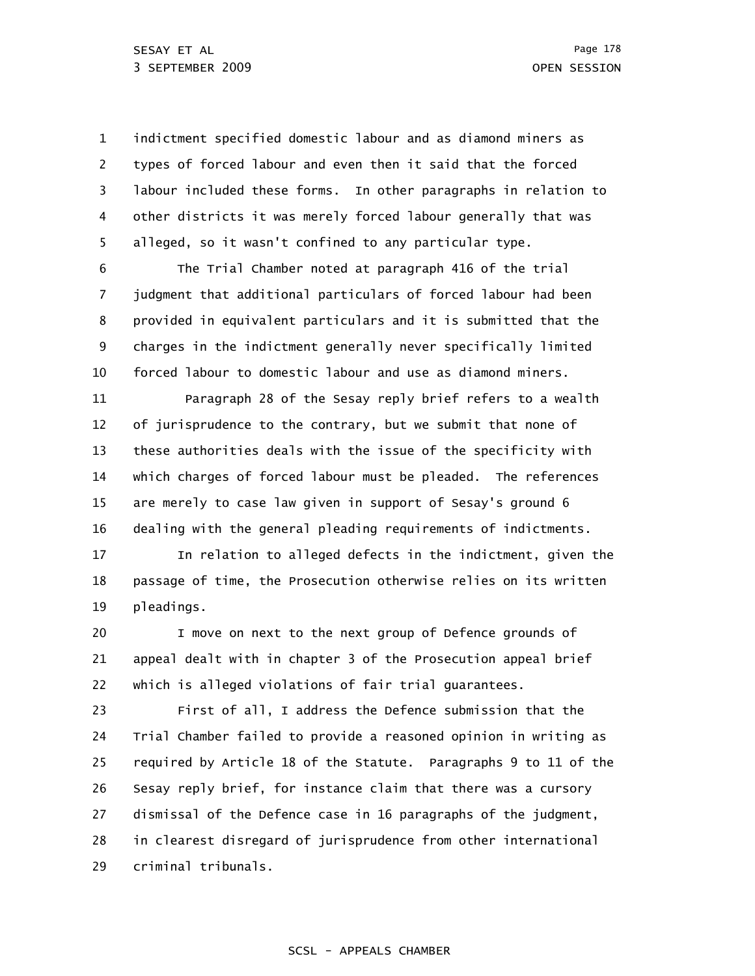1 2 3 4 5 indictment specified domestic labour and as diamond miners as types of forced labour and even then it said that the forced labour included these forms. In other paragraphs in relation to other districts it was merely forced labour generally that was alleged, so it wasn't confined to any particular type.

6 7 8 9 10 The Trial Chamber noted at paragraph 416 of the trial judgment that additional particulars of forced labour had been provided in equivalent particulars and it is submitted that the charges in the indictment generally never specifically limited forced labour to domestic labour and use as diamond miners.

11 12 13 14 15 16 Paragraph 28 of the Sesay reply brief refers to a wealth of jurisprudence to the contrary, but we submit that none of these authorities deals with the issue of the specificity with which charges of forced labour must be pleaded. The references are merely to case law given in support of Sesay's ground 6 dealing with the general pleading requirements of indictments.

17 18 19 In relation to alleged defects in the indictment, given the passage of time, the Prosecution otherwise relies on its written pleadings.

20 21 22 I move on next to the next group of Defence grounds of appeal dealt with in chapter 3 of the Prosecution appeal brief which is alleged violations of fair trial guarantees.

23 24 25 26 27 28 29 First of all, I address the Defence submission that the Trial Chamber failed to provide a reasoned opinion in writing as required by Article 18 of the Statute. Paragraphs 9 to 11 of the Sesay reply brief, for instance claim that there was a cursory dismissal of the Defence case in 16 paragraphs of the judgment, in clearest disregard of jurisprudence from other international criminal tribunals.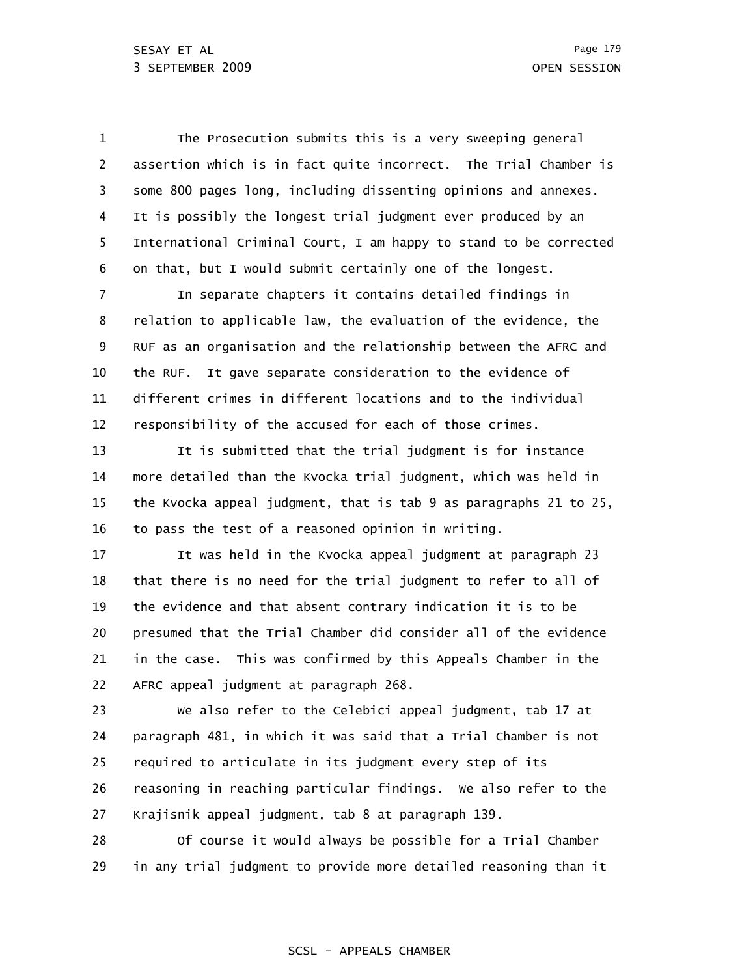1 2 3 4 5 6 The Prosecution submits this is a very sweeping general assertion which is in fact quite incorrect. The Trial Chamber is some 800 pages long, including dissenting opinions and annexes. It is possibly the longest trial judgment ever produced by an International Criminal Court, I am happy to stand to be corrected on that, but I would submit certainly one of the longest.

7 8 9 10 11 12 In separate chapters it contains detailed findings in relation to applicable law, the evaluation of the evidence, the RUF as an organisation and the relationship between the AFRC and the RUF. It gave separate consideration to the evidence of different crimes in different locations and to the individual responsibility of the accused for each of those crimes.

13 14 15 16 It is submitted that the trial judgment is for instance more detailed than the Kvocka trial judgment, which was held in the Kvocka appeal judgment, that is tab 9 as paragraphs 21 to 25, to pass the test of a reasoned opinion in writing.

17 18 19 20 21 22 It was held in the Kvocka appeal judgment at paragraph 23 that there is no need for the trial judgment to refer to all of the evidence and that absent contrary indication it is to be presumed that the Trial Chamber did consider all of the evidence in the case. This was confirmed by this Appeals Chamber in the AFRC appeal judgment at paragraph 268.

23 24 25 26 27 We also refer to the Celebici appeal judgment, tab 17 at paragraph 481, in which it was said that a Trial Chamber is not required to articulate in its judgment every step of its reasoning in reaching particular findings. We also refer to the Krajisnik appeal judgment, tab 8 at paragraph 139.

28 29 Of course it would always be possible for a Trial Chamber in any trial judgment to provide more detailed reasoning than it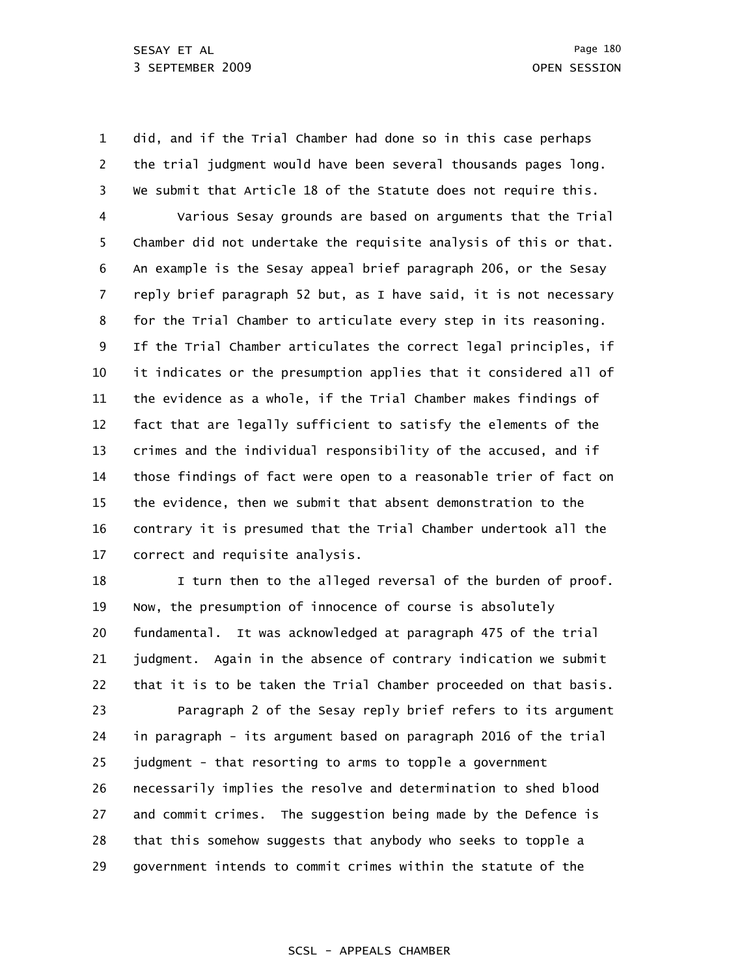1 2 3 did, and if the Trial Chamber had done so in this case perhaps the trial judgment would have been several thousands pages long. We submit that Article 18 of the Statute does not require this.

4 5 6 7 8 9 10 11 12 13 14 15 16 17 Various Sesay grounds are based on arguments that the Trial Chamber did not undertake the requisite analysis of this or that. An example is the Sesay appeal brief paragraph 206, or the Sesay reply brief paragraph 52 but, as I have said, it is not necessary for the Trial Chamber to articulate every step in its reasoning. If the Trial Chamber articulates the correct legal principles, if it indicates or the presumption applies that it considered all of the evidence as a whole, if the Trial Chamber makes findings of fact that are legally sufficient to satisfy the elements of the crimes and the individual responsibility of the accused, and if those findings of fact were open to a reasonable trier of fact on the evidence, then we submit that absent demonstration to the contrary it is presumed that the Trial Chamber undertook all the correct and requisite analysis.

18 19 20 21 22 23 24 25 26 27 28 29 I turn then to the alleged reversal of the burden of proof. Now, the presumption of innocence of course is absolutely fundamental. It was acknowledged at paragraph 475 of the trial judgment. Again in the absence of contrary indication we submit that it is to be taken the Trial Chamber proceeded on that basis. Paragraph 2 of the Sesay reply brief refers to its argument in paragraph - its argument based on paragraph 2016 of the trial judgment - that resorting to arms to topple a government necessarily implies the resolve and determination to shed blood and commit crimes. The suggestion being made by the Defence is that this somehow suggests that anybody who seeks to topple a government intends to commit crimes within the statute of the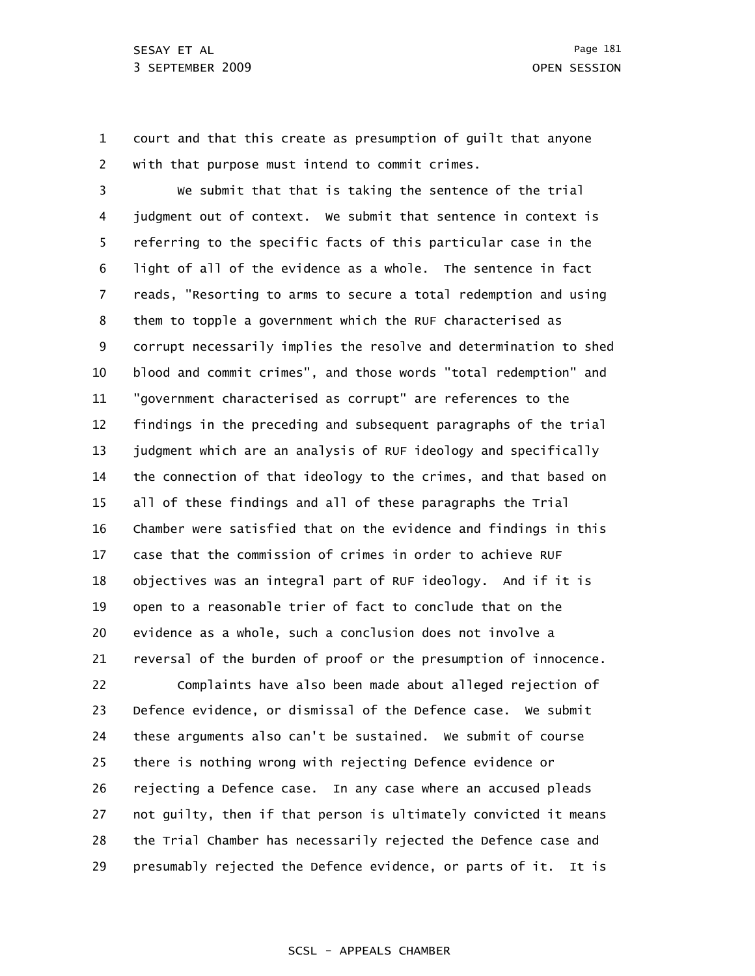1 2 court and that this create as presumption of guilt that anyone with that purpose must intend to commit crimes.

3 4 5 6 7 8 9 10 11 12 13 14 15 16 17 18 19 20 21 22 We submit that that is taking the sentence of the trial judgment out of context. We submit that sentence in context is referring to the specific facts of this particular case in the light of all of the evidence as a whole. The sentence in fact reads, "Resorting to arms to secure a total redemption and using them to topple a government which the RUF characterised as corrupt necessarily implies the resolve and determination to shed blood and commit crimes", and those words "total redemption" and "government characterised as corrupt" are references to the findings in the preceding and subsequent paragraphs of the trial judgment which are an analysis of RUF ideology and specifically the connection of that ideology to the crimes, and that based on all of these findings and all of these paragraphs the Trial Chamber were satisfied that on the evidence and findings in this case that the commission of crimes in order to achieve RUF objectives was an integral part of RUF ideology. And if it is open to a reasonable trier of fact to conclude that on the evidence as a whole, such a conclusion does not involve a reversal of the burden of proof or the presumption of innocence. Complaints have also been made about alleged rejection of

23 24 25 26 27 28 29 Defence evidence, or dismissal of the Defence case. We submit these arguments also can't be sustained. We submit of course there is nothing wrong with rejecting Defence evidence or rejecting a Defence case. In any case where an accused pleads not guilty, then if that person is ultimately convicted it means the Trial Chamber has necessarily rejected the Defence case and presumably rejected the Defence evidence, or parts of it. It is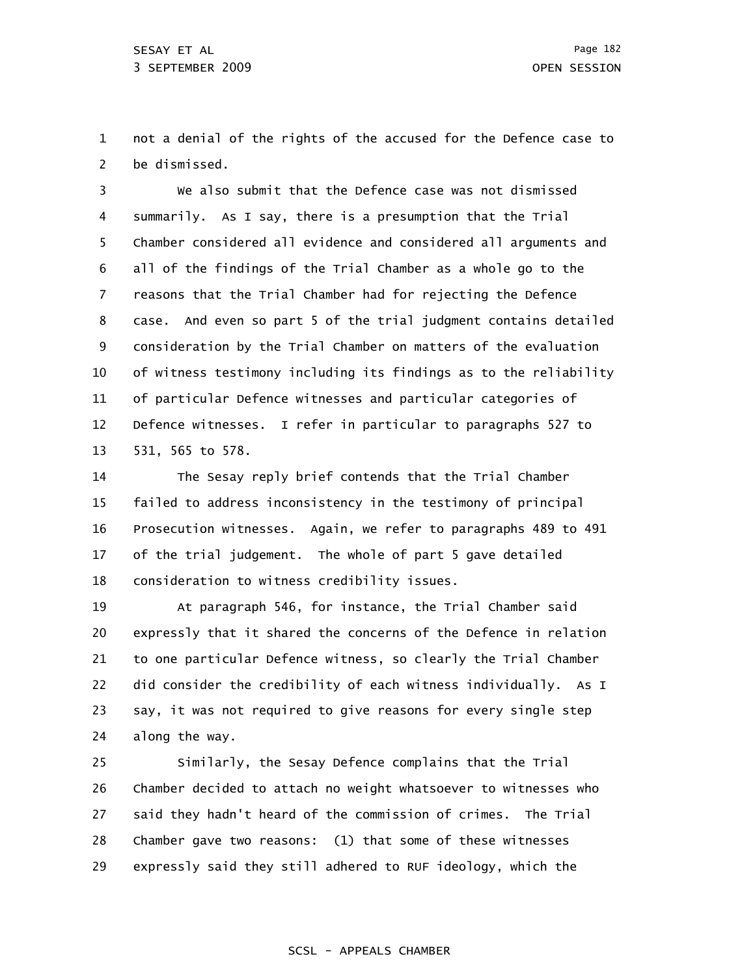1 2 not a denial of the rights of the accused for the Defence case to be dismissed.

3 4 5 6 7 8 9 10 11 12 13 We also submit that the Defence case was not dismissed summarily. As I say, there is a presumption that the Trial Chamber considered all evidence and considered all arguments and all of the findings of the Trial Chamber as a whole go to the reasons that the Trial Chamber had for rejecting the Defence case. And even so part 5 of the trial judgment contains detailed consideration by the Trial Chamber on matters of the evaluation of witness testimony including its findings as to the reliability of particular Defence witnesses and particular categories of Defence witnesses. I refer in particular to paragraphs 527 to 531, 565 to 578.

14 15 16 17 18 The Sesay reply brief contends that the Trial Chamber failed to address inconsistency in the testimony of principal Prosecution witnesses. Again, we refer to paragraphs 489 to 491 of the trial judgement. The whole of part 5 gave detailed consideration to witness credibility issues.

19 20 21 22 23 24 At paragraph 546, for instance, the Trial Chamber said expressly that it shared the concerns of the Defence in relation to one particular Defence witness, so clearly the Trial Chamber did consider the credibility of each witness individually. As I say, it was not required to give reasons for every single step along the way.

25 26 27 28 29 Similarly, the Sesay Defence complains that the Trial Chamber decided to attach no weight whatsoever to witnesses who said they hadn't heard of the commission of crimes. The Trial Chamber gave two reasons: (1) that some of these witnesses expressly said they still adhered to RUF ideology, which the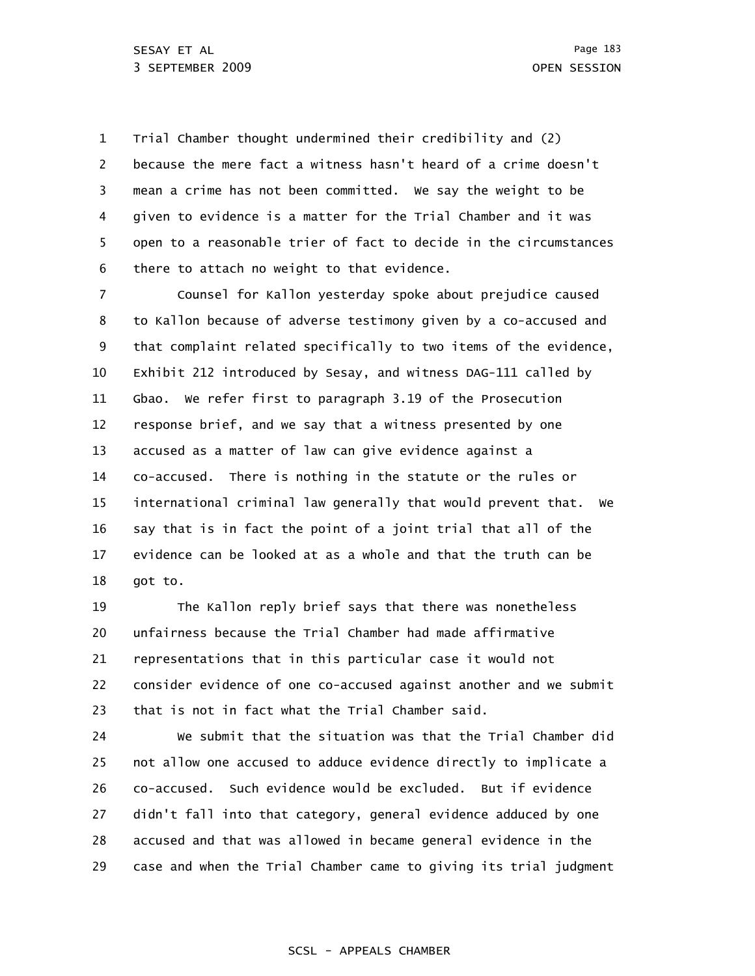1 2 3 4 5 6 Trial Chamber thought undermined their credibility and (2) because the mere fact a witness hasn't heard of a crime doesn't mean a crime has not been committed. We say the weight to be given to evidence is a matter for the Trial Chamber and it was open to a reasonable trier of fact to decide in the circumstances there to attach no weight to that evidence.

7 8 9 10 11 12 13 14 15 16 17 18 Counsel for Kallon yesterday spoke about prejudice caused to Kallon because of adverse testimony given by a co-accused and that complaint related specifically to two items of the evidence, Exhibit 212 introduced by Sesay, and witness DAG-111 called by Gbao. We refer first to paragraph 3.19 of the Prosecution response brief, and we say that a witness presented by one accused as a matter of law can give evidence against a co-accused. There is nothing in the statute or the rules or international criminal law generally that would prevent that. We say that is in fact the point of a joint trial that all of the evidence can be looked at as a whole and that the truth can be got to.

19 20 21 22 23 The Kallon reply brief says that there was nonetheless unfairness because the Trial Chamber had made affirmative representations that in this particular case it would not consider evidence of one co-accused against another and we submit that is not in fact what the Trial Chamber said.

24 25 26 27 28 29 We submit that the situation was that the Trial Chamber did not allow one accused to adduce evidence directly to implicate a co-accused. Such evidence would be excluded. But if evidence didn't fall into that category, general evidence adduced by one accused and that was allowed in became general evidence in the case and when the Trial Chamber came to giving its trial judgment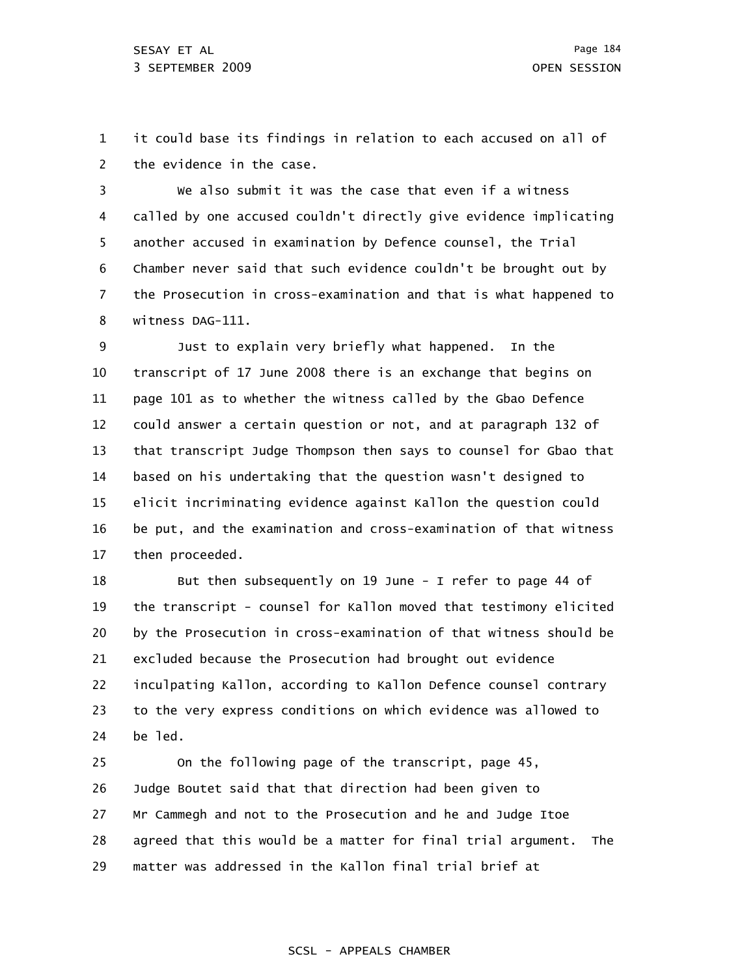1 2 it could base its findings in relation to each accused on all of the evidence in the case.

3 4 5 6 7 8 We also submit it was the case that even if a witness called by one accused couldn't directly give evidence implicating another accused in examination by Defence counsel, the Trial Chamber never said that such evidence couldn't be brought out by the Prosecution in cross-examination and that is what happened to witness DAG-111.

9 10 11 12 13 14 15 16 17 Just to explain very briefly what happened. In the transcript of 17 June 2008 there is an exchange that begins on page 101 as to whether the witness called by the Gbao Defence could answer a certain question or not, and at paragraph 132 of that transcript Judge Thompson then says to counsel for Gbao that based on his undertaking that the question wasn't designed to elicit incriminating evidence against Kallon the question could be put, and the examination and cross-examination of that witness then proceeded.

18 19 20 21 22 23 24 But then subsequently on 19 June - I refer to page 44 of the transcript - counsel for Kallon moved that testimony elicited by the Prosecution in cross-examination of that witness should be excluded because the Prosecution had brought out evidence inculpating Kallon, according to Kallon Defence counsel contrary to the very express conditions on which evidence was allowed to be led.

25 26 27 28 29 On the following page of the transcript, page 45, Judge Boutet said that that direction had been given to Mr Cammegh and not to the Prosecution and he and Judge Itoe agreed that this would be a matter for final trial argument. The matter was addressed in the Kallon final trial brief at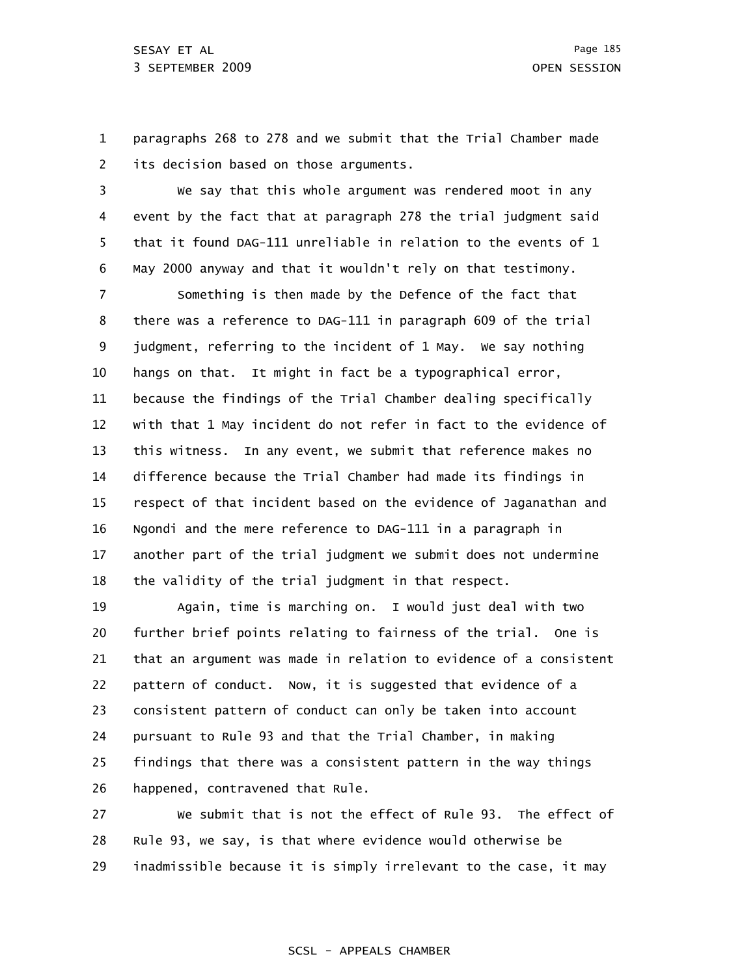1 2 paragraphs 268 to 278 and we submit that the Trial Chamber made its decision based on those arguments.

3 4 5 6 We say that this whole argument was rendered moot in any event by the fact that at paragraph 278 the trial judgment said that it found DAG-111 unreliable in relation to the events of 1 May 2000 anyway and that it wouldn't rely on that testimony.

7 8 9 10 11 12 13 14 15 16 17 18 Something is then made by the Defence of the fact that there was a reference to DAG-111 in paragraph 609 of the trial judgment, referring to the incident of 1 May. We say nothing hangs on that. It might in fact be a typographical error, because the findings of the Trial Chamber dealing specifically with that 1 May incident do not refer in fact to the evidence of this witness. In any event, we submit that reference makes no difference because the Trial Chamber had made its findings in respect of that incident based on the evidence of Jaganathan and Ngondi and the mere reference to DAG-111 in a paragraph in another part of the trial judgment we submit does not undermine the validity of the trial judgment in that respect.

19 20 21 22 23 24 25 26 Again, time is marching on. I would just deal with two further brief points relating to fairness of the trial. One is that an argument was made in relation to evidence of a consistent pattern of conduct. Now, it is suggested that evidence of a consistent pattern of conduct can only be taken into account pursuant to Rule 93 and that the Trial Chamber, in making findings that there was a consistent pattern in the way things happened, contravened that Rule.

27 28 29 We submit that is not the effect of Rule 93. The effect of Rule 93, we say, is that where evidence would otherwise be inadmissible because it is simply irrelevant to the case, it may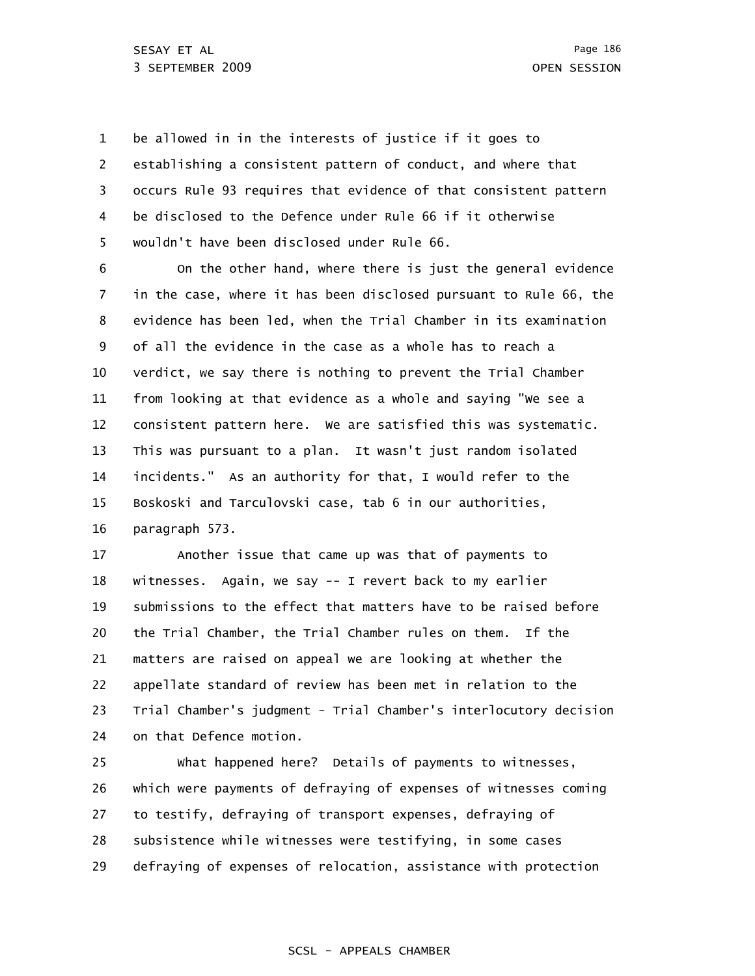1 2 3 4 5 be allowed in in the interests of justice if it goes to establishing a consistent pattern of conduct, and where that occurs Rule 93 requires that evidence of that consistent pattern be disclosed to the Defence under Rule 66 if it otherwise wouldn't have been disclosed under Rule 66.

6 7 8 9 10 11 12 13 14 15 16 On the other hand, where there is just the general evidence in the case, where it has been disclosed pursuant to Rule 66, the evidence has been led, when the Trial Chamber in its examination of all the evidence in the case as a whole has to reach a verdict, we say there is nothing to prevent the Trial Chamber from looking at that evidence as a whole and saying "We see a consistent pattern here. We are satisfied this was systematic. This was pursuant to a plan. It wasn't just random isolated incidents." As an authority for that, I would refer to the Boskoski and Tarculovski case, tab 6 in our authorities, paragraph 573.

17 18 19 20 21 22 23 24 Another issue that came up was that of payments to witnesses. Again, we say -- I revert back to my earlier submissions to the effect that matters have to be raised before the Trial Chamber, the Trial Chamber rules on them. If the matters are raised on appeal we are looking at whether the appellate standard of review has been met in relation to the Trial Chamber's judgment - Trial Chamber's interlocutory decision on that Defence motion.

25 26 27 28 29 What happened here? Details of payments to witnesses, which were payments of defraying of expenses of witnesses coming to testify, defraying of transport expenses, defraying of subsistence while witnesses were testifying, in some cases defraying of expenses of relocation, assistance with protection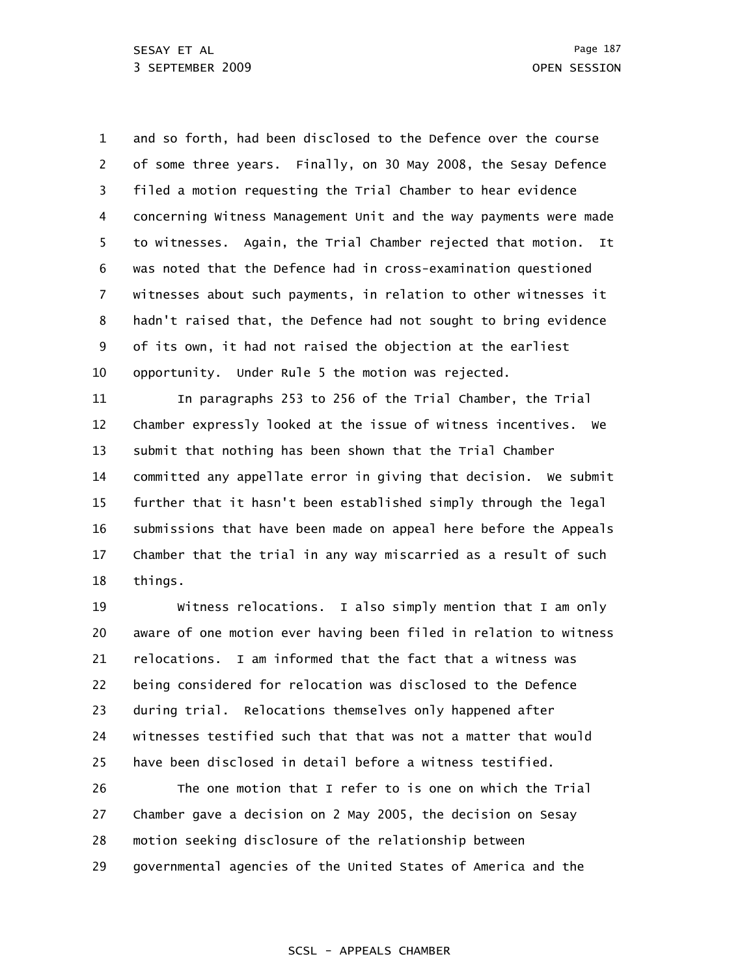1 2 3 4 5 6 7 8 9 10 11 12 and so forth, had been disclosed to the Defence over the course of some three years. Finally, on 30 May 2008, the Sesay Defence filed a motion requesting the Trial Chamber to hear evidence concerning Witness Management Unit and the way payments were made to witnesses. Again, the Trial Chamber rejected that motion. It was noted that the Defence had in cross-examination questioned witnesses about such payments, in relation to other witnesses it hadn't raised that, the Defence had not sought to bring evidence of its own, it had not raised the objection at the earliest opportunity. Under Rule 5 the motion was rejected. In paragraphs 253 to 256 of the Trial Chamber, the Trial Chamber expressly looked at the issue of witness incentives. We

13 14 15 16 17 18 submit that nothing has been shown that the Trial Chamber committed any appellate error in giving that decision. We submit further that it hasn't been established simply through the legal submissions that have been made on appeal here before the Appeals Chamber that the trial in any way miscarried as a result of such things.

19 20 21 22 23 24 25 Witness relocations. I also simply mention that I am only aware of one motion ever having been filed in relation to witness relocations. I am informed that the fact that a witness was being considered for relocation was disclosed to the Defence during trial. Relocations themselves only happened after witnesses testified such that that was not a matter that would have been disclosed in detail before a witness testified.

26 27 28 29 The one motion that I refer to is one on which the Trial Chamber gave a decision on 2 May 2005, the decision on Sesay motion seeking disclosure of the relationship between governmental agencies of the United States of America and the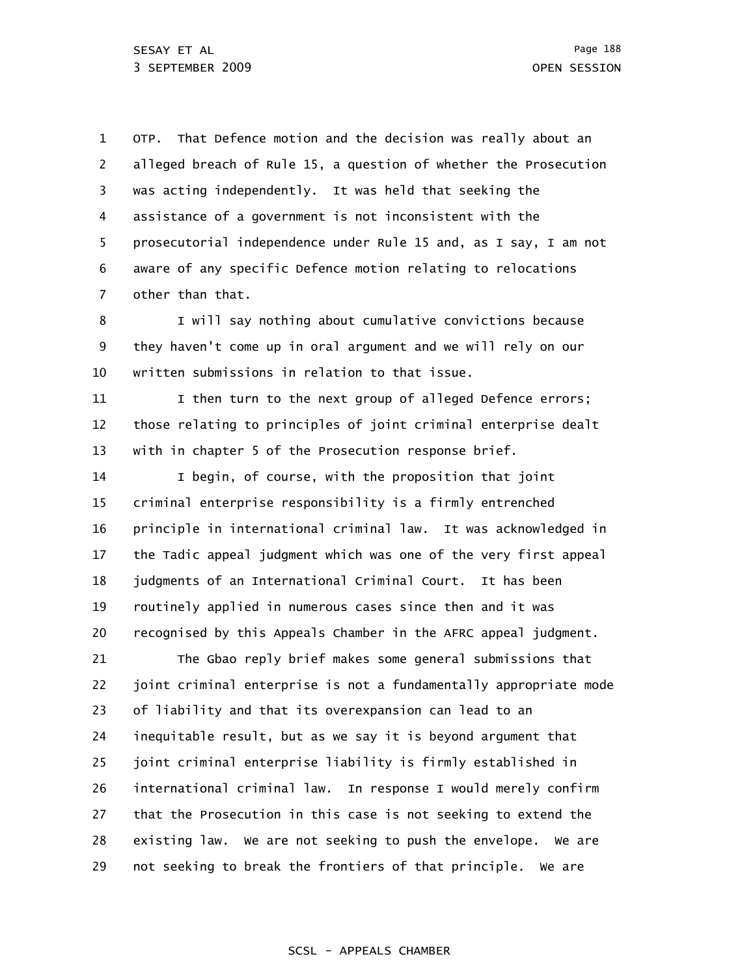1 2 3 4 5 6 7 OTP. That Defence motion and the decision was really about an alleged breach of Rule 15, a question of whether the Prosecution was acting independently. It was held that seeking the assistance of a government is not inconsistent with the prosecutorial independence under Rule 15 and, as I say, I am not aware of any specific Defence motion relating to relocations other than that.

8 9 10 I will say nothing about cumulative convictions because they haven't come up in oral argument and we will rely on our written submissions in relation to that issue.

11 12 13 I then turn to the next group of alleged Defence errors; those relating to principles of joint criminal enterprise dealt with in chapter 5 of the Prosecution response brief.

14 15 16 17 18 19 20 I begin, of course, with the proposition that joint criminal enterprise responsibility is a firmly entrenched principle in international criminal law. It was acknowledged in the Tadic appeal judgment which was one of the very first appeal judgments of an International Criminal Court. It has been routinely applied in numerous cases since then and it was recognised by this Appeals Chamber in the AFRC appeal judgment.

21 22 23 24 25 26 27 28 29 The Gbao reply brief makes some general submissions that joint criminal enterprise is not a fundamentally appropriate mode of liability and that its overexpansion can lead to an inequitable result, but as we say it is beyond argument that joint criminal enterprise liability is firmly established in international criminal law. In response I would merely confirm that the Prosecution in this case is not seeking to extend the existing law. We are not seeking to push the envelope. We are not seeking to break the frontiers of that principle. We are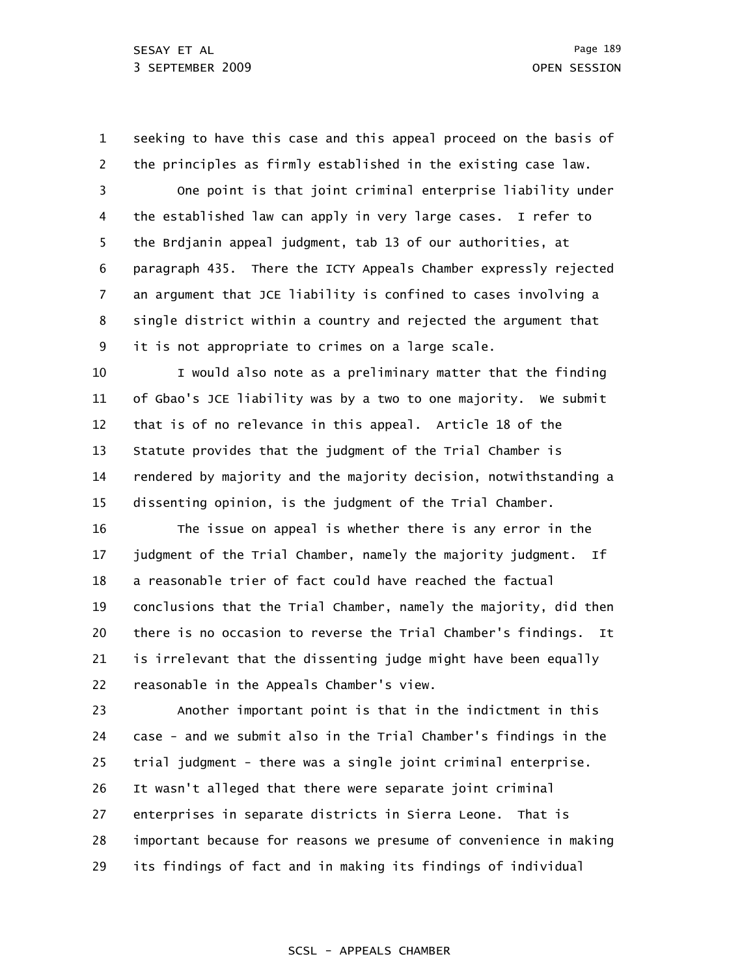1 2 seeking to have this case and this appeal proceed on the basis of the principles as firmly established in the existing case law.

3 4 5 6 7 8 9 One point is that joint criminal enterprise liability under the established law can apply in very large cases. I refer to the Brdjanin appeal judgment, tab 13 of our authorities, at paragraph 435. There the ICTY Appeals Chamber expressly rejected an argument that JCE liability is confined to cases involving a single district within a country and rejected the argument that it is not appropriate to crimes on a large scale.

10 11 12 13 14 15 I would also note as a preliminary matter that the finding of Gbao's JCE liability was by a two to one majority. We submit that is of no relevance in this appeal. Article 18 of the Statute provides that the judgment of the Trial Chamber is rendered by majority and the majority decision, notwithstanding a dissenting opinion, is the judgment of the Trial Chamber.

16 17 18 19 20 21 22 The issue on appeal is whether there is any error in the judgment of the Trial Chamber, namely the majority judgment. If a reasonable trier of fact could have reached the factual conclusions that the Trial Chamber, namely the majority, did then there is no occasion to reverse the Trial Chamber's findings. It is irrelevant that the dissenting judge might have been equally reasonable in the Appeals Chamber's view.

23 24 25 26 27 28 29 Another important point is that in the indictment in this case - and we submit also in the Trial Chamber's findings in the trial judgment - there was a single joint criminal enterprise. It wasn't alleged that there were separate joint criminal enterprises in separate districts in Sierra Leone. That is important because for reasons we presume of convenience in making its findings of fact and in making its findings of individual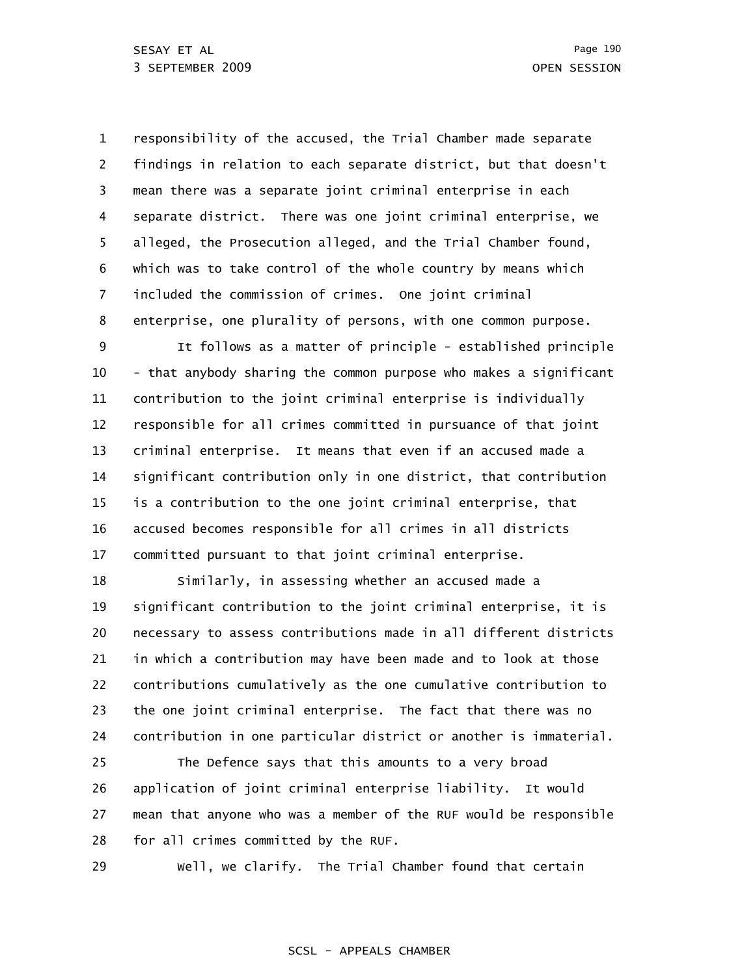1 2 3 4 5 6 7 8 responsibility of the accused, the Trial Chamber made separate findings in relation to each separate district, but that doesn't mean there was a separate joint criminal enterprise in each separate district. There was one joint criminal enterprise, we alleged, the Prosecution alleged, and the Trial Chamber found, which was to take control of the whole country by means which included the commission of crimes. One joint criminal enterprise, one plurality of persons, with one common purpose.

9 10 11 12 13 14 15 16 17 It follows as a matter of principle - established principle - that anybody sharing the common purpose who makes a significant contribution to the joint criminal enterprise is individually responsible for all crimes committed in pursuance of that joint criminal enterprise. It means that even if an accused made a significant contribution only in one district, that contribution is a contribution to the one joint criminal enterprise, that accused becomes responsible for all crimes in all districts committed pursuant to that joint criminal enterprise.

18 19 20 21 22 23 24 Similarly, in assessing whether an accused made a significant contribution to the joint criminal enterprise, it is necessary to assess contributions made in all different districts in which a contribution may have been made and to look at those contributions cumulatively as the one cumulative contribution to the one joint criminal enterprise. The fact that there was no contribution in one particular district or another is immaterial.

25 26 27 28 The Defence says that this amounts to a very broad application of joint criminal enterprise liability. It would mean that anyone who was a member of the RUF would be responsible for all crimes committed by the RUF.

29

Well, we clarify. The Trial Chamber found that certain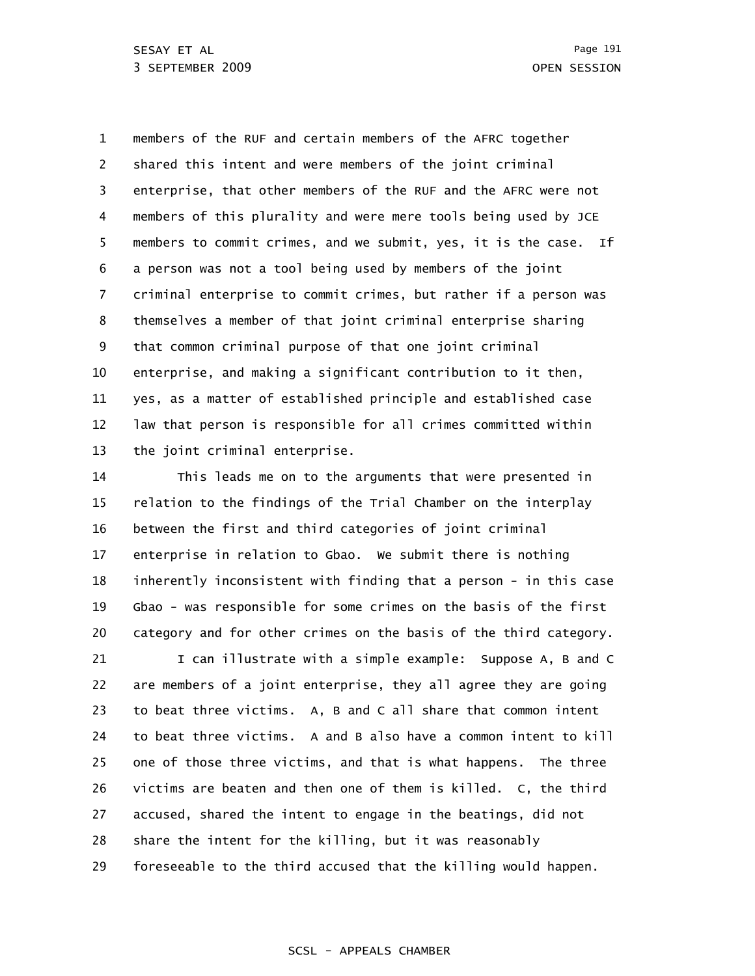1 2 3 4 5 6 7 8 9 10 11 12 13 members of the RUF and certain members of the AFRC together shared this intent and were members of the joint criminal enterprise, that other members of the RUF and the AFRC were not members of this plurality and were mere tools being used by JCE members to commit crimes, and we submit, yes, it is the case. If a person was not a tool being used by members of the joint criminal enterprise to commit crimes, but rather if a person was themselves a member of that joint criminal enterprise sharing that common criminal purpose of that one joint criminal enterprise, and making a significant contribution to it then, yes, as a matter of established principle and established case law that person is responsible for all crimes committed within the joint criminal enterprise.

14 15 16 17 18 19 20 This leads me on to the arguments that were presented in relation to the findings of the Trial Chamber on the interplay between the first and third categories of joint criminal enterprise in relation to Gbao. We submit there is nothing inherently inconsistent with finding that a person - in this case Gbao - was responsible for some crimes on the basis of the first category and for other crimes on the basis of the third category.

21 22 23 24 25 26 27 28 29 I can illustrate with a simple example: Suppose A, B and C are members of a joint enterprise, they all agree they are going to beat three victims. A, B and C all share that common intent to beat three victims. A and B also have a common intent to kill one of those three victims, and that is what happens. The three victims are beaten and then one of them is killed. C, the third accused, shared the intent to engage in the beatings, did not share the intent for the killing, but it was reasonably foreseeable to the third accused that the killing would happen.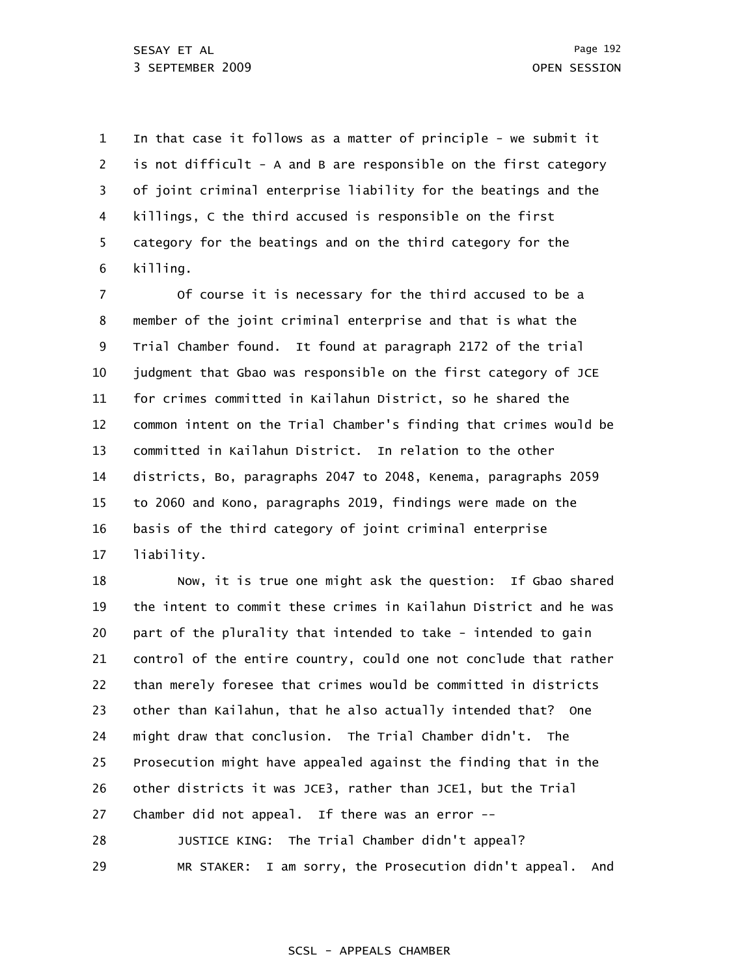1 2 3 4 5 6 In that case it follows as a matter of principle - we submit it is not difficult - A and B are responsible on the first category of joint criminal enterprise liability for the beatings and the killings, C the third accused is responsible on the first category for the beatings and on the third category for the killing.

7 8 9 10 11 12 13 14 15 16 17 Of course it is necessary for the third accused to be a member of the joint criminal enterprise and that is what the Trial Chamber found. It found at paragraph 2172 of the trial judgment that Gbao was responsible on the first category of JCE for crimes committed in Kailahun District, so he shared the common intent on the Trial Chamber's finding that crimes would be committed in Kailahun District. In relation to the other districts, Bo, paragraphs 2047 to 2048, Kenema, paragraphs 2059 to 2060 and Kono, paragraphs 2019, findings were made on the basis of the third category of joint criminal enterprise liability.

18 19 20 21 22 23 24 25 26 27 28 29 Now, it is true one might ask the question: If Gbao shared the intent to commit these crimes in Kailahun District and he was part of the plurality that intended to take - intended to gain control of the entire country, could one not conclude that rather than merely foresee that crimes would be committed in districts other than Kailahun, that he also actually intended that? One might draw that conclusion. The Trial Chamber didn't. The Prosecution might have appealed against the finding that in the other districts it was JCE3, rather than JCE1, but the Trial Chamber did not appeal. If there was an error -- JUSTICE KING: The Trial Chamber didn't appeal? MR STAKER: I am sorry, the Prosecution didn't appeal. And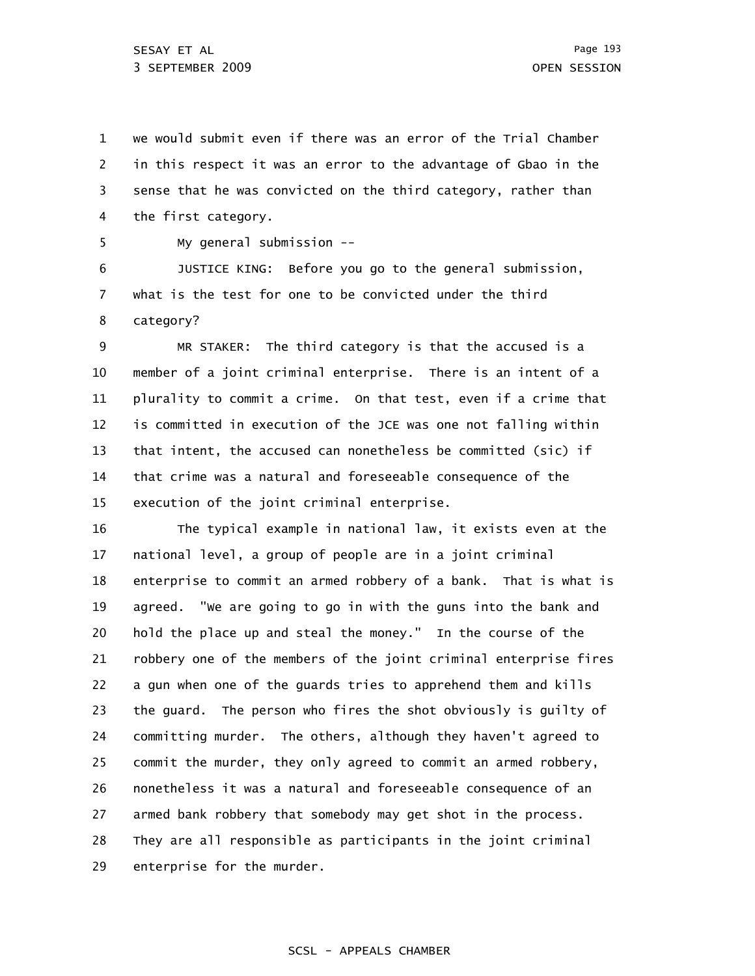1 2 3 4 we would submit even if there was an error of the Trial Chamber in this respect it was an error to the advantage of Gbao in the sense that he was convicted on the third category, rather than the first category.

5

My general submission --

6 7 8 JUSTICE KING: Before you go to the general submission, what is the test for one to be convicted under the third category?

9 10 11 12 13 14 15 MR STAKER: The third category is that the accused is a member of a joint criminal enterprise. There is an intent of a plurality to commit a crime. On that test, even if a crime that is committed in execution of the JCE was one not falling within that intent, the accused can nonetheless be committed (sic) if that crime was a natural and foreseeable consequence of the execution of the joint criminal enterprise.

16 17 18 19 20 21 22 23 24 25 26 27 28 29 The typical example in national law, it exists even at the national level, a group of people are in a joint criminal enterprise to commit an armed robbery of a bank. That is what is agreed. "We are going to go in with the guns into the bank and hold the place up and steal the money." In the course of the robbery one of the members of the joint criminal enterprise fires a gun when one of the guards tries to apprehend them and kills the guard. The person who fires the shot obviously is guilty of committing murder. The others, although they haven't agreed to commit the murder, they only agreed to commit an armed robbery, nonetheless it was a natural and foreseeable consequence of an armed bank robbery that somebody may get shot in the process. They are all responsible as participants in the joint criminal enterprise for the murder.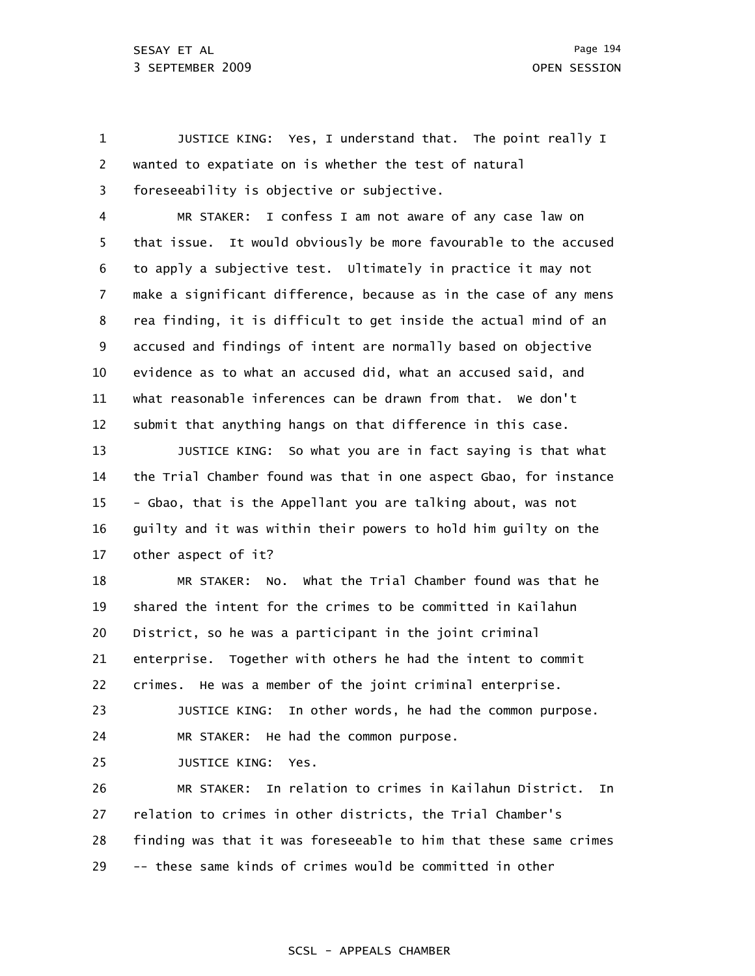1 2 3 JUSTICE KING: Yes, I understand that. The point really I wanted to expatiate on is whether the test of natural foreseeability is objective or subjective.

4 5 6 7 8 9 10 11 12 MR STAKER: I confess I am not aware of any case law on that issue. It would obviously be more favourable to the accused to apply a subjective test. Ultimately in practice it may not make a significant difference, because as in the case of any mens rea finding, it is difficult to get inside the actual mind of an accused and findings of intent are normally based on objective evidence as to what an accused did, what an accused said, and what reasonable inferences can be drawn from that. We don't submit that anything hangs on that difference in this case.

13 14 15 16 17 JUSTICE KING: So what you are in fact saying is that what the Trial Chamber found was that in one aspect Gbao, for instance - Gbao, that is the Appellant you are talking about, was not guilty and it was within their powers to hold him guilty on the other aspect of it?

18 19 20 21 22 23 24 25 MR STAKER: No. What the Trial Chamber found was that he shared the intent for the crimes to be committed in Kailahun District, so he was a participant in the joint criminal enterprise. Together with others he had the intent to commit crimes. He was a member of the joint criminal enterprise. JUSTICE KING: In other words, he had the common purpose. MR STAKER: He had the common purpose. JUSTICE KING: Yes.

26 27 28 29 MR STAKER: In relation to crimes in Kailahun District. In relation to crimes in other districts, the Trial Chamber's finding was that it was foreseeable to him that these same crimes -- these same kinds of crimes would be committed in other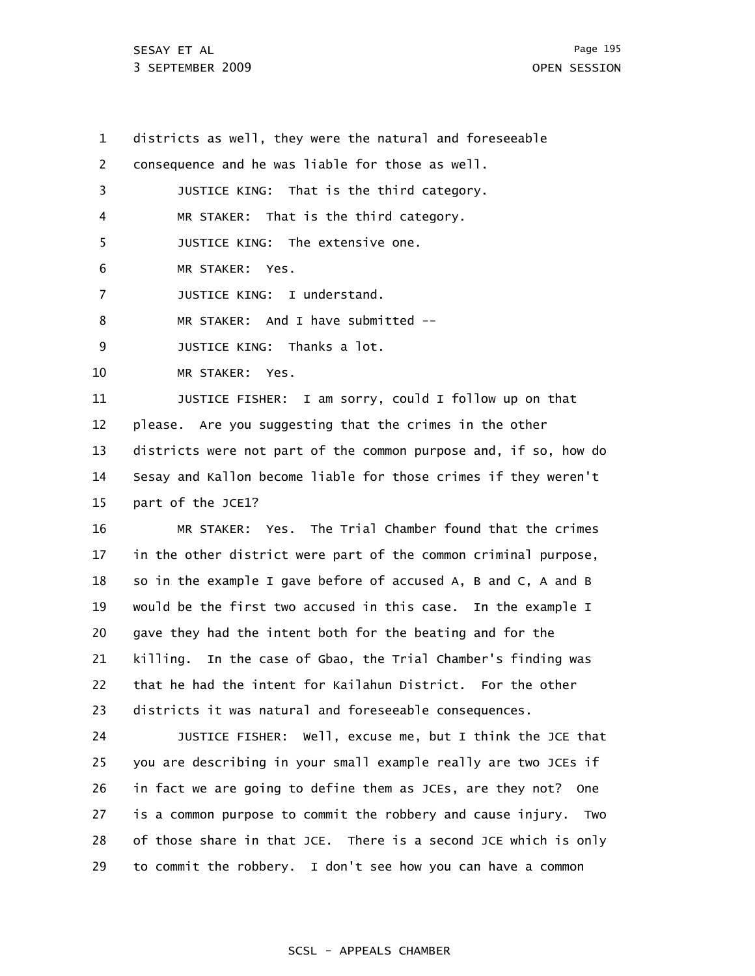1 2 3 4 5 6 7 8 9 10 11 12 13 14 15 16 17 18 19 20 21 22 23 districts as well, they were the natural and foreseeable consequence and he was liable for those as well. JUSTICE KING: That is the third category. MR STAKER: That is the third category. JUSTICE KING: The extensive one. MR STAKER: Yes. JUSTICE KING: I understand. MR STAKER: And I have submitted -- JUSTICE KING: Thanks a lot. MR STAKER: Yes. JUSTICE FISHER: I am sorry, could I follow up on that please. Are you suggesting that the crimes in the other districts were not part of the common purpose and, if so, how do Sesay and Kallon become liable for those crimes if they weren't part of the JCE1? MR STAKER: Yes. The Trial Chamber found that the crimes in the other district were part of the common criminal purpose, so in the example I gave before of accused A, B and C, A and B would be the first two accused in this case. In the example I gave they had the intent both for the beating and for the killing. In the case of Gbao, the Trial Chamber's finding was that he had the intent for Kailahun District. For the other districts it was natural and foreseeable consequences.

24 25 26 27 28 29 JUSTICE FISHER: Well, excuse me, but I think the JCE that you are describing in your small example really are two JCEs if in fact we are going to define them as JCEs, are they not? One is a common purpose to commit the robbery and cause injury. Two of those share in that JCE. There is a second JCE which is only to commit the robbery. I don't see how you can have a common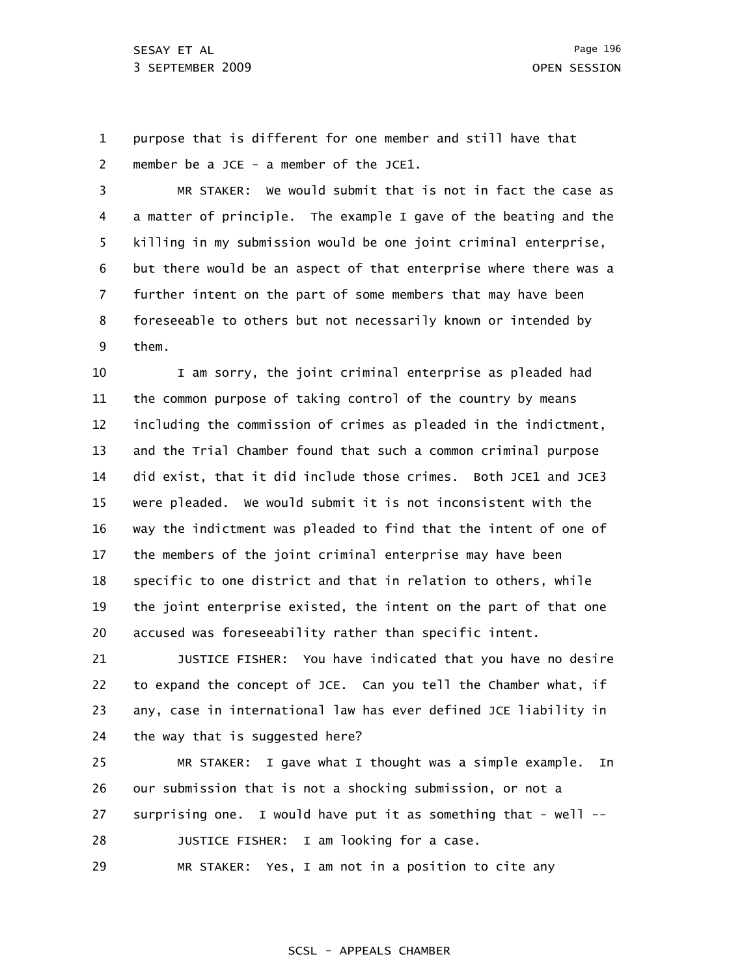1 2 purpose that is different for one member and still have that member be a JCE - a member of the JCE1.

3 4 5 6 7 8 9 MR STAKER: We would submit that is not in fact the case as a matter of principle. The example I gave of the beating and the killing in my submission would be one joint criminal enterprise, but there would be an aspect of that enterprise where there was a further intent on the part of some members that may have been foreseeable to others but not necessarily known or intended by them.

10 11 12 13 14 15 16 17 18 19 20 I am sorry, the joint criminal enterprise as pleaded had the common purpose of taking control of the country by means including the commission of crimes as pleaded in the indictment, and the Trial Chamber found that such a common criminal purpose did exist, that it did include those crimes. Both JCE1 and JCE3 were pleaded. We would submit it is not inconsistent with the way the indictment was pleaded to find that the intent of one of the members of the joint criminal enterprise may have been specific to one district and that in relation to others, while the joint enterprise existed, the intent on the part of that one accused was foreseeability rather than specific intent.

21 22 23 24 JUSTICE FISHER: You have indicated that you have no desire to expand the concept of JCE. Can you tell the Chamber what, if any, case in international law has ever defined JCE liability in the way that is suggested here?

25 26 27 28 29 MR STAKER: I gave what I thought was a simple example. In our submission that is not a shocking submission, or not a surprising one. I would have put it as something that - well  $-$ JUSTICE FISHER: I am looking for a case. MR STAKER: Yes, I am not in a position to cite any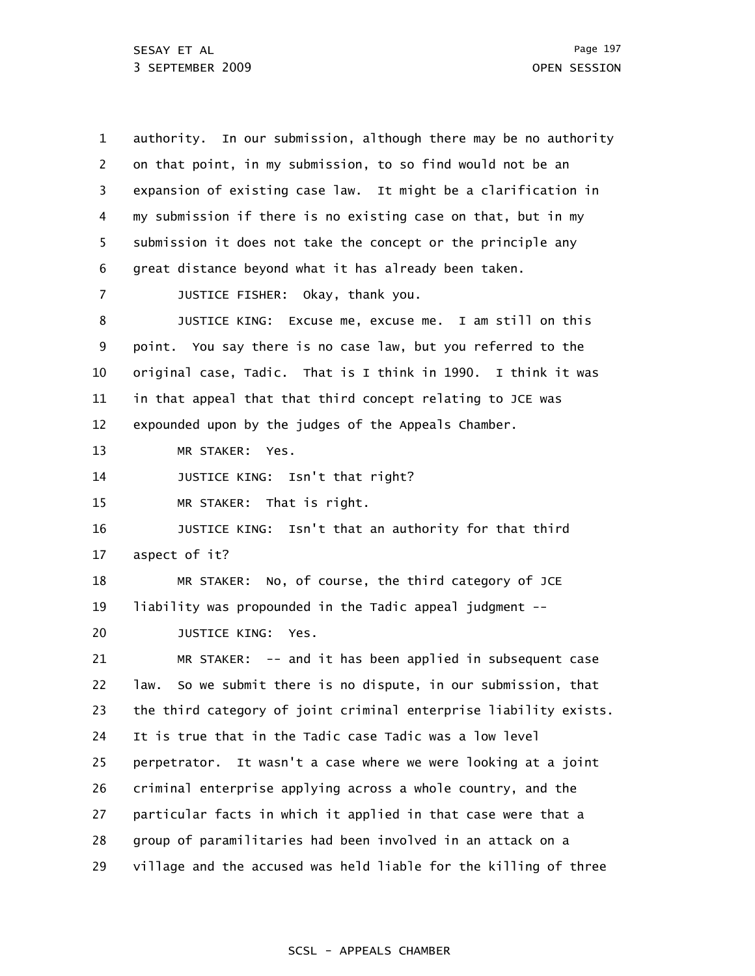SESAY ET AL 3 SEPTEMBER 2009 OPEN SESSION

1 2 3 4 5 6 7 8 9 10 11 12 13 14 15 16 17 18 19 20 21 22 23 24 25 26 27 28 29 authority. In our submission, although there may be no authority on that point, in my submission, to so find would not be an expansion of existing case law. It might be a clarification in my submission if there is no existing case on that, but in my submission it does not take the concept or the principle any great distance beyond what it has already been taken. JUSTICE FISHER: Okay, thank you. JUSTICE KING: Excuse me, excuse me. I am still on this point. You say there is no case law, but you referred to the original case, Tadic. That is I think in 1990. I think it was in that appeal that that third concept relating to JCE was expounded upon by the judges of the Appeals Chamber. MR STAKER: Yes. JUSTICE KING: Isn't that right? MR STAKER: That is right. JUSTICE KING: Isn't that an authority for that third aspect of it? MR STAKER: No, of course, the third category of JCE liability was propounded in the Tadic appeal judgment -- JUSTICE KING: Yes. MR STAKER: -- and it has been applied in subsequent case law. So we submit there is no dispute, in our submission, that the third category of joint criminal enterprise liability exists. It is true that in the Tadic case Tadic was a low level perpetrator. It wasn't a case where we were looking at a joint criminal enterprise applying across a whole country, and the particular facts in which it applied in that case were that a group of paramilitaries had been involved in an attack on a village and the accused was held liable for the killing of three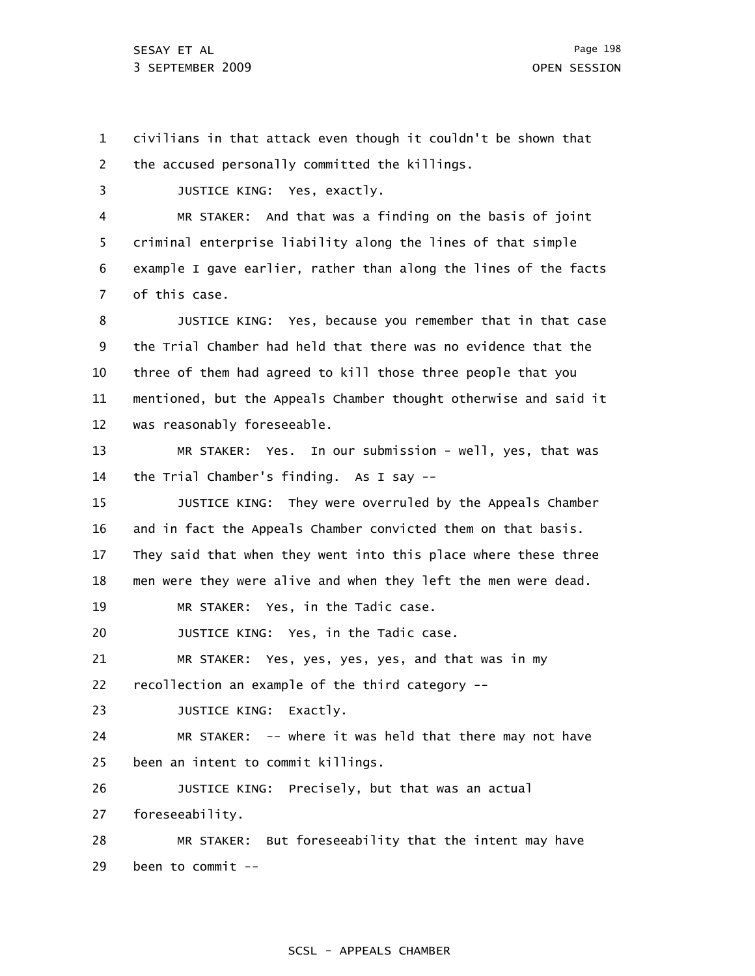1 2 civilians in that attack even though it couldn't be shown that the accused personally committed the killings.

3 JUSTICE KING: Yes, exactly.

4 5 6 7 MR STAKER: And that was a finding on the basis of joint criminal enterprise liability along the lines of that simple example I gave earlier, rather than along the lines of the facts of this case.

8 9 10 11 12 JUSTICE KING: Yes, because you remember that in that case the Trial Chamber had held that there was no evidence that the three of them had agreed to kill those three people that you mentioned, but the Appeals Chamber thought otherwise and said it was reasonably foreseeable.

13 14 MR STAKER: Yes. In our submission - well, yes, that was the Trial Chamber's finding. As I say --

15 16 17 18 JUSTICE KING: They were overruled by the Appeals Chamber and in fact the Appeals Chamber convicted them on that basis. They said that when they went into this place where these three men were they were alive and when they left the men were dead.

19 MR STAKER: Yes, in the Tadic case.

20 JUSTICE KING: Yes, in the Tadic case.

21 MR STAKER: Yes, yes, yes, yes, and that was in my

22 recollection an example of the third category --

23 JUSTICE KING: Exactly.

24 25 MR STAKER: -- where it was held that there may not have been an intent to commit killings.

26 27 JUSTICE KING: Precisely, but that was an actual foreseeability.

28 29 MR STAKER: But foreseeability that the intent may have been to commit --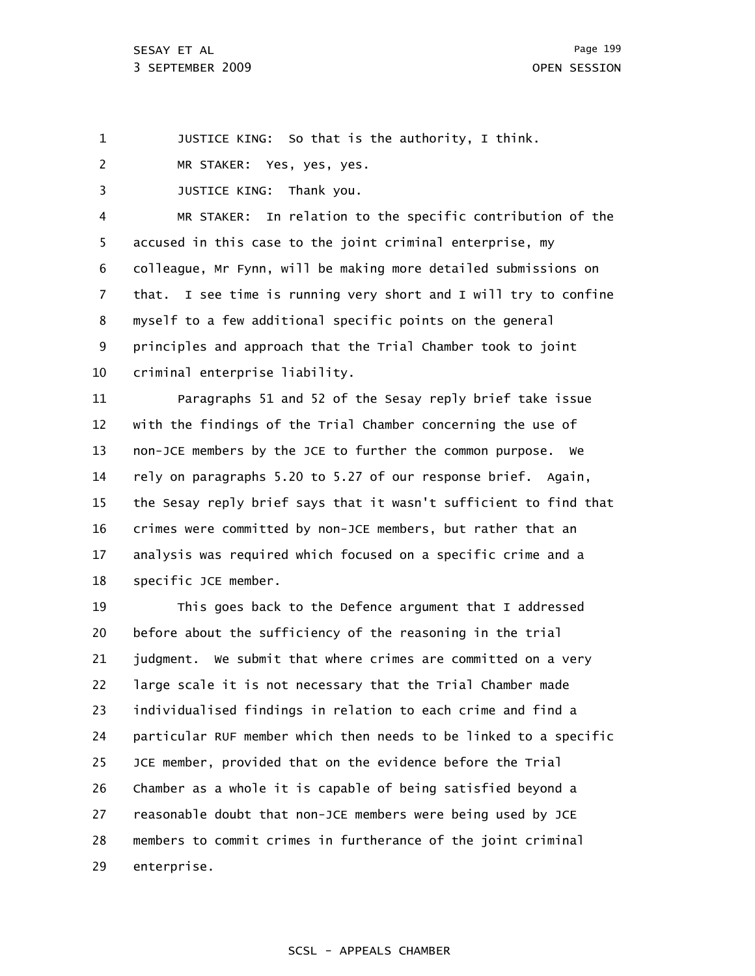1 JUSTICE KING: So that is the authority, I think.

2 MR STAKER: Yes, yes, yes.

3 JUSTICE KING: Thank you.

4 5 6 7 8 9 10 MR STAKER: In relation to the specific contribution of the accused in this case to the joint criminal enterprise, my colleague, Mr Fynn, will be making more detailed submissions on that. I see time is running very short and I will try to confine myself to a few additional specific points on the general principles and approach that the Trial Chamber took to joint criminal enterprise liability.

11 12 13 14 15 16 17 18 Paragraphs 51 and 52 of the Sesay reply brief take issue with the findings of the Trial Chamber concerning the use of non-JCE members by the JCE to further the common purpose. We rely on paragraphs 5.20 to 5.27 of our response brief. Again, the Sesay reply brief says that it wasn't sufficient to find that crimes were committed by non-JCE members, but rather that an analysis was required which focused on a specific crime and a specific JCE member.

19 20 21 22 23 24 25 26 27 28 29 This goes back to the Defence argument that I addressed before about the sufficiency of the reasoning in the trial judgment. We submit that where crimes are committed on a very large scale it is not necessary that the Trial Chamber made individualised findings in relation to each crime and find a particular RUF member which then needs to be linked to a specific JCE member, provided that on the evidence before the Trial Chamber as a whole it is capable of being satisfied beyond a reasonable doubt that non-JCE members were being used by JCE members to commit crimes in furtherance of the joint criminal enterprise.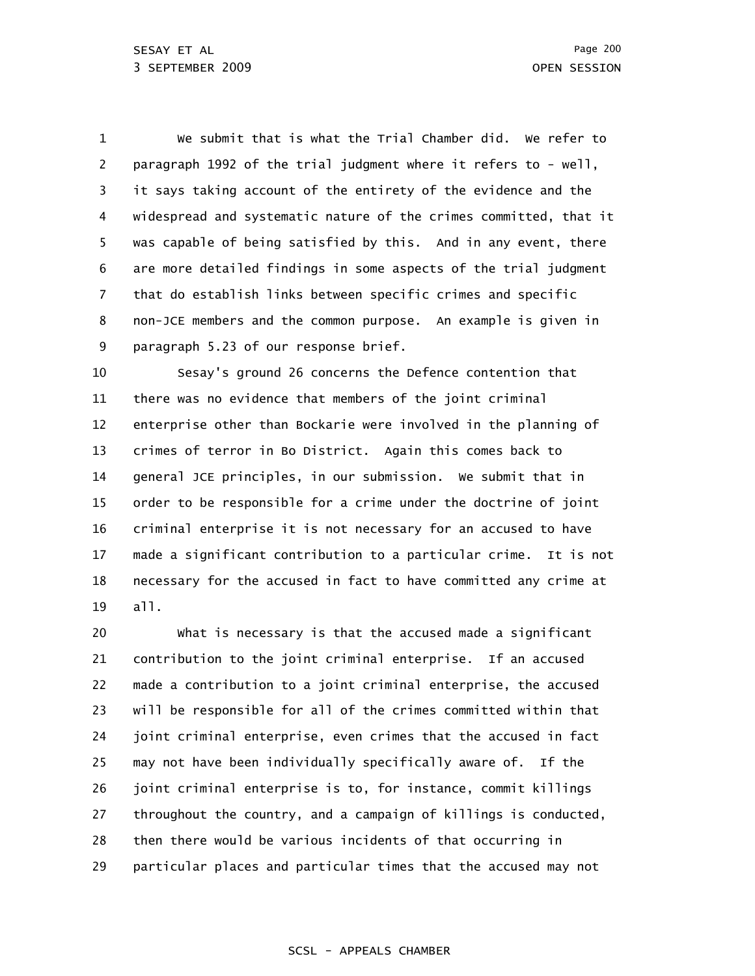1 2 3 4 5 6 7 8 9 We submit that is what the Trial Chamber did. We refer to paragraph 1992 of the trial judgment where it refers to - well, it says taking account of the entirety of the evidence and the widespread and systematic nature of the crimes committed, that it was capable of being satisfied by this. And in any event, there are more detailed findings in some aspects of the trial judgment that do establish links between specific crimes and specific non-JCE members and the common purpose. An example is given in paragraph 5.23 of our response brief.

10 11 12 13 14 15 16 17 18 19 Sesay's ground 26 concerns the Defence contention that there was no evidence that members of the joint criminal enterprise other than Bockarie were involved in the planning of crimes of terror in Bo District. Again this comes back to general JCE principles, in our submission. We submit that in order to be responsible for a crime under the doctrine of joint criminal enterprise it is not necessary for an accused to have made a significant contribution to a particular crime. It is not necessary for the accused in fact to have committed any crime at all.

20 21 22 23 24 25 26 27 28 29 What is necessary is that the accused made a significant contribution to the joint criminal enterprise. If an accused made a contribution to a joint criminal enterprise, the accused will be responsible for all of the crimes committed within that joint criminal enterprise, even crimes that the accused in fact may not have been individually specifically aware of. If the joint criminal enterprise is to, for instance, commit killings throughout the country, and a campaign of killings is conducted, then there would be various incidents of that occurring in particular places and particular times that the accused may not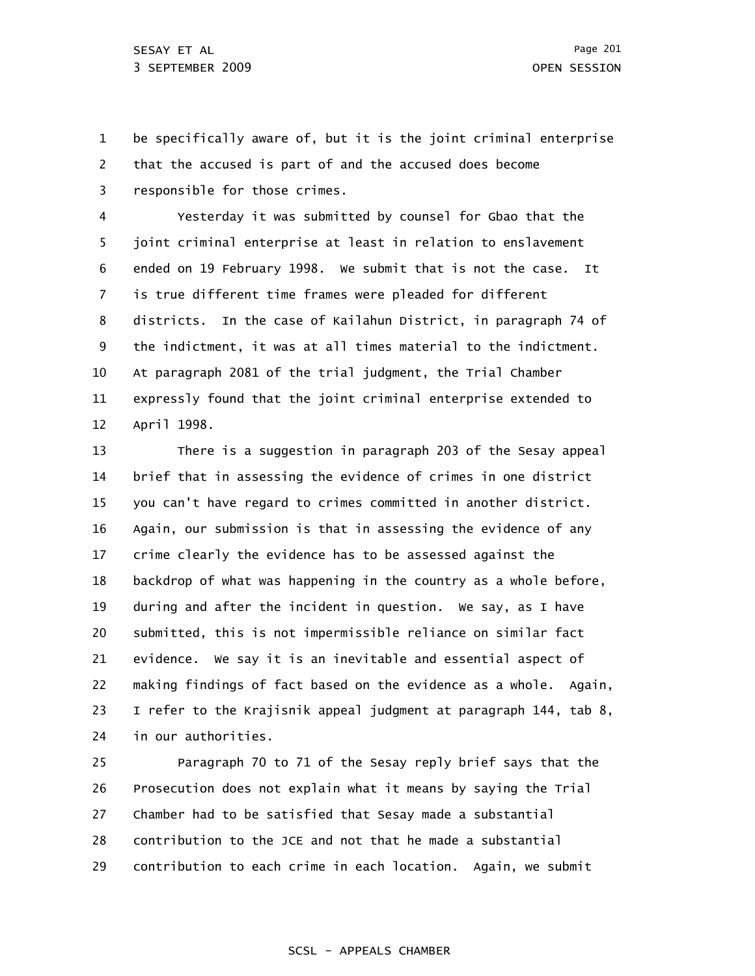1 2 3 be specifically aware of, but it is the joint criminal enterprise that the accused is part of and the accused does become responsible for those crimes.

4 5 6 7 8 9 10 11 12 Yesterday it was submitted by counsel for Gbao that the joint criminal enterprise at least in relation to enslavement ended on 19 February 1998. We submit that is not the case. It is true different time frames were pleaded for different districts. In the case of Kailahun District, in paragraph 74 of the indictment, it was at all times material to the indictment. At paragraph 2081 of the trial judgment, the Trial Chamber expressly found that the joint criminal enterprise extended to April 1998.

13 14 15 16 17 18 19 20 21 22 23 24 There is a suggestion in paragraph 203 of the Sesay appeal brief that in assessing the evidence of crimes in one district you can't have regard to crimes committed in another district. Again, our submission is that in assessing the evidence of any crime clearly the evidence has to be assessed against the backdrop of what was happening in the country as a whole before, during and after the incident in question. We say, as I have submitted, this is not impermissible reliance on similar fact evidence. We say it is an inevitable and essential aspect of making findings of fact based on the evidence as a whole. Again, I refer to the Krajisnik appeal judgment at paragraph 144, tab 8, in our authorities.

25 26 27 28 29 Paragraph 70 to 71 of the Sesay reply brief says that the Prosecution does not explain what it means by saying the Trial Chamber had to be satisfied that Sesay made a substantial contribution to the JCE and not that he made a substantial contribution to each crime in each location. Again, we submit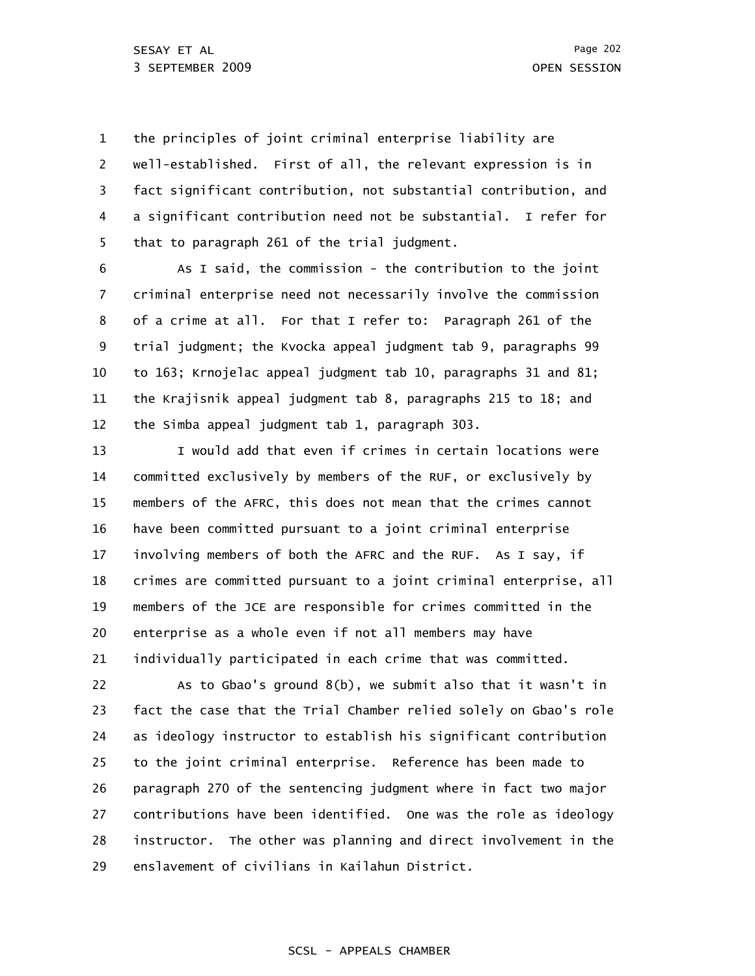1 2 3 4 5 the principles of joint criminal enterprise liability are well-established. First of all, the relevant expression is in fact significant contribution, not substantial contribution, and a significant contribution need not be substantial. I refer for that to paragraph 261 of the trial judgment.

6 7 8 9 10 11 12 As I said, the commission - the contribution to the joint criminal enterprise need not necessarily involve the commission of a crime at all. For that I refer to: Paragraph 261 of the trial judgment; the Kvocka appeal judgment tab 9, paragraphs 99 to 163; Krnojelac appeal judgment tab 10, paragraphs 31 and 81; the Krajisnik appeal judgment tab 8, paragraphs 215 to 18; and the Simba appeal judgment tab 1, paragraph 303.

13 14 15 16 17 18 19 20 21 I would add that even if crimes in certain locations were committed exclusively by members of the RUF, or exclusively by members of the AFRC, this does not mean that the crimes cannot have been committed pursuant to a joint criminal enterprise involving members of both the AFRC and the RUF. As I say, if crimes are committed pursuant to a joint criminal enterprise, all members of the JCE are responsible for crimes committed in the enterprise as a whole even if not all members may have individually participated in each crime that was committed.

22 23 24 25 26 27 28 29 As to Gbao's ground 8(b), we submit also that it wasn't in fact the case that the Trial Chamber relied solely on Gbao's role as ideology instructor to establish his significant contribution to the joint criminal enterprise. Reference has been made to paragraph 270 of the sentencing judgment where in fact two major contributions have been identified. One was the role as ideology instructor. The other was planning and direct involvement in the enslavement of civilians in Kailahun District.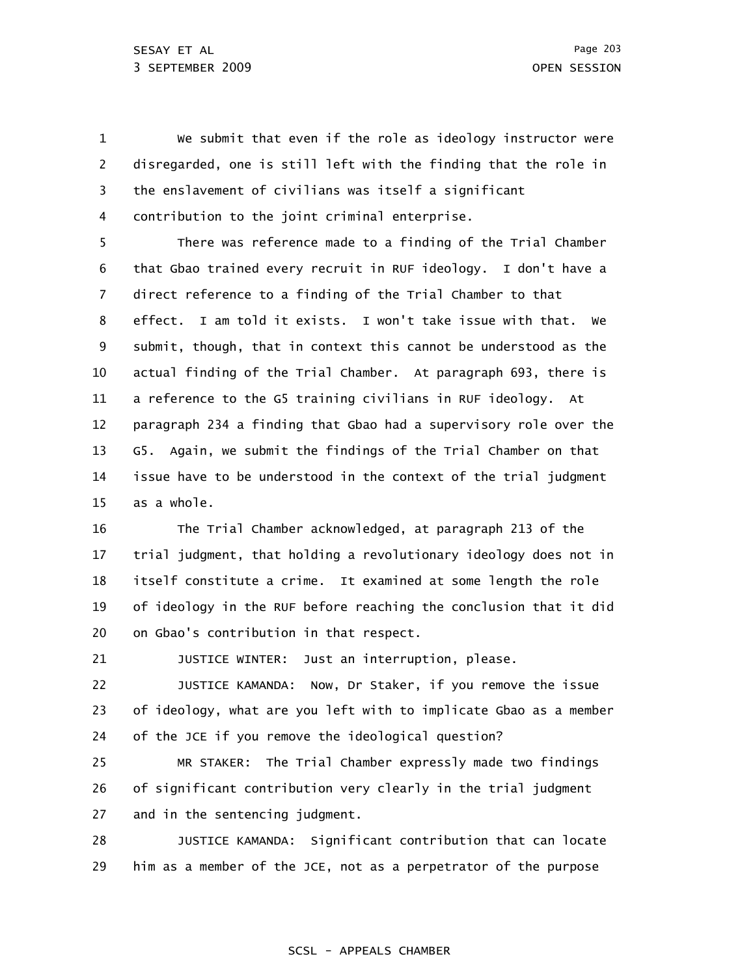1 2 3 4 We submit that even if the role as ideology instructor were disregarded, one is still left with the finding that the role in the enslavement of civilians was itself a significant contribution to the joint criminal enterprise.

5 6 7 8 9 10 11 12 13 14 15 There was reference made to a finding of the Trial Chamber that Gbao trained every recruit in RUF ideology. I don't have a direct reference to a finding of the Trial Chamber to that effect. I am told it exists. I won't take issue with that. We submit, though, that in context this cannot be understood as the actual finding of the Trial Chamber. At paragraph 693, there is a reference to the G5 training civilians in RUF ideology. At paragraph 234 a finding that Gbao had a supervisory role over the G5. Again, we submit the findings of the Trial Chamber on that issue have to be understood in the context of the trial judgment as a whole.

16 17 18 19 20 The Trial Chamber acknowledged, at paragraph 213 of the trial judgment, that holding a revolutionary ideology does not in itself constitute a crime. It examined at some length the role of ideology in the RUF before reaching the conclusion that it did on Gbao's contribution in that respect.

21 JUSTICE WINTER: Just an interruption, please.

22 23 24 JUSTICE KAMANDA: Now, Dr Staker, if you remove the issue of ideology, what are you left with to implicate Gbao as a member of the JCE if you remove the ideological question?

25 26 27 MR STAKER: The Trial Chamber expressly made two findings of significant contribution very clearly in the trial judgment and in the sentencing judgment.

28 29 JUSTICE KAMANDA: Significant contribution that can locate him as a member of the JCE, not as a perpetrator of the purpose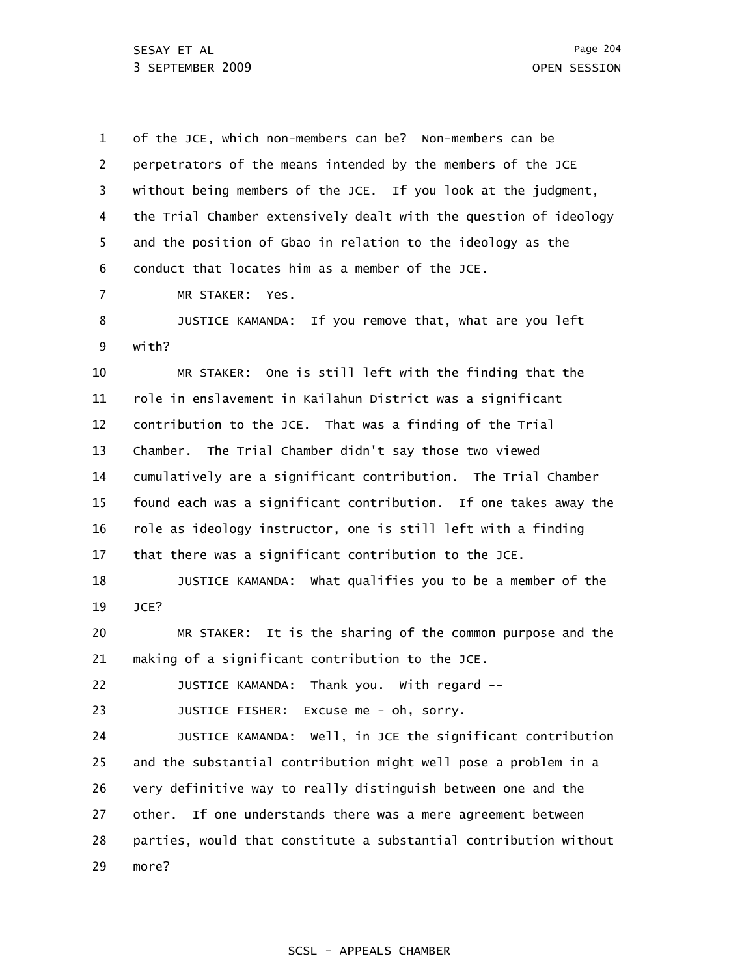| $\mathbf{1}$ | of the JCE, which non-members can be? Non-members can be          |
|--------------|-------------------------------------------------------------------|
| 2            | perpetrators of the means intended by the members of the JCE      |
| 3            | without being members of the JCE. If you look at the judgment,    |
| 4            | the Trial Chamber extensively dealt with the question of ideology |
| 5            | and the position of Gbao in relation to the ideology as the       |
| 6            | conduct that locates him as a member of the JCE.                  |
| 7            | MR STAKER:<br>Yes.                                                |
| 8            | JUSTICE KAMANDA: If you remove that, what are you left            |
| 9            | with?                                                             |
| 10           | MR STAKER: One is still left with the finding that the            |
| 11           | role in enslavement in Kailahun District was a significant        |
| 12           | contribution to the JCE. That was a finding of the Trial          |
| 13           | Chamber. The Trial Chamber didn't say those two viewed            |
| 14           | cumulatively are a significant contribution. The Trial Chamber    |
| 15           | found each was a significant contribution. If one takes away the  |
| 16           | role as ideology instructor, one is still left with a finding     |
| 17           | that there was a significant contribution to the JCE.             |
| 18           | JUSTICE KAMANDA: what qualifies you to be a member of the         |
| 19           | JCE?                                                              |
| 20           | It is the sharing of the common purpose and the<br>MR STAKER:     |
| 21           | making of a significant contribution to the JCE.                  |
| 22           | JUSTICE KAMANDA: Thank you. With regard --                        |
| 23           | Excuse me - oh, sorry.<br>JUSTICE FISHER:                         |
| 24           | JUSTICE KAMANDA: Well, in JCE the significant contribution        |
| 25           | and the substantial contribution might well pose a problem in a   |
| 26           | very definitive way to really distinguish between one and the     |
| 27           | other. If one understands there was a mere agreement between      |
| 28           | parties, would that constitute a substantial contribution without |
| 29           | more?                                                             |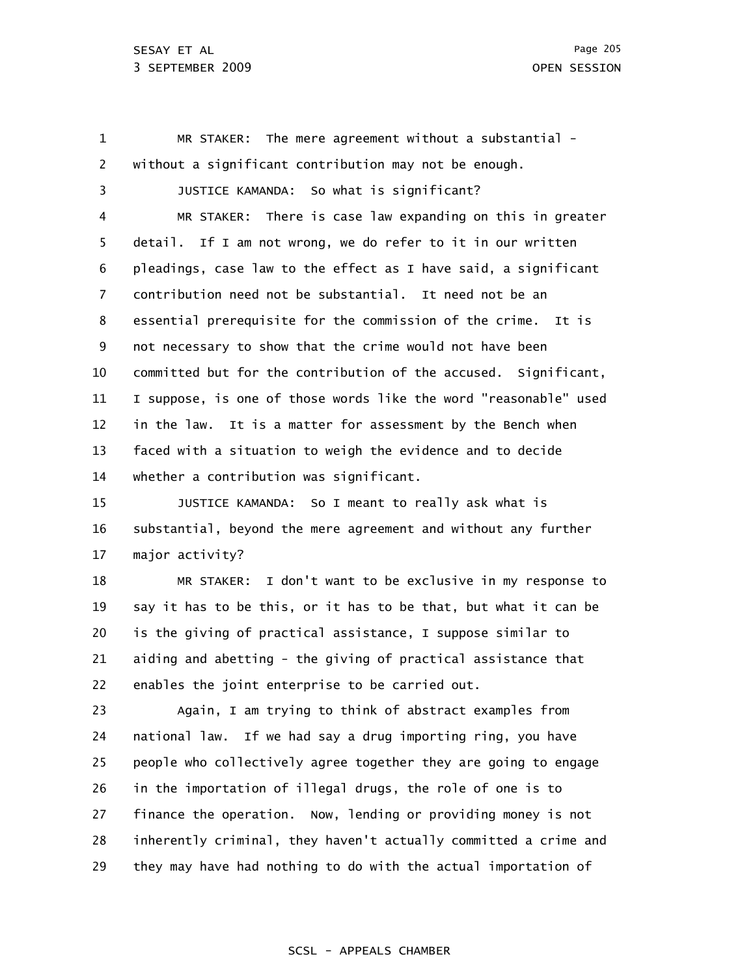1 2 3 4 5 6 7 8 9 10 11 12 13 14 15 16 17 18 19 20 21 22 23 24 25 26 27 28 29 MR STAKER: The mere agreement without a substantial without a significant contribution may not be enough. JUSTICE KAMANDA: So what is significant? MR STAKER: There is case law expanding on this in greater detail. If I am not wrong, we do refer to it in our written pleadings, case law to the effect as I have said, a significant contribution need not be substantial. It need not be an essential prerequisite for the commission of the crime. It is not necessary to show that the crime would not have been committed but for the contribution of the accused. Significant, I suppose, is one of those words like the word "reasonable" used in the law. It is a matter for assessment by the Bench when faced with a situation to weigh the evidence and to decide whether a contribution was significant. JUSTICE KAMANDA: So I meant to really ask what is substantial, beyond the mere agreement and without any further major activity? MR STAKER: I don't want to be exclusive in my response to say it has to be this, or it has to be that, but what it can be is the giving of practical assistance, I suppose similar to aiding and abetting - the giving of practical assistance that enables the joint enterprise to be carried out. Again, I am trying to think of abstract examples from national law. If we had say a drug importing ring, you have people who collectively agree together they are going to engage in the importation of illegal drugs, the role of one is to finance the operation. Now, lending or providing money is not inherently criminal, they haven't actually committed a crime and they may have had nothing to do with the actual importation of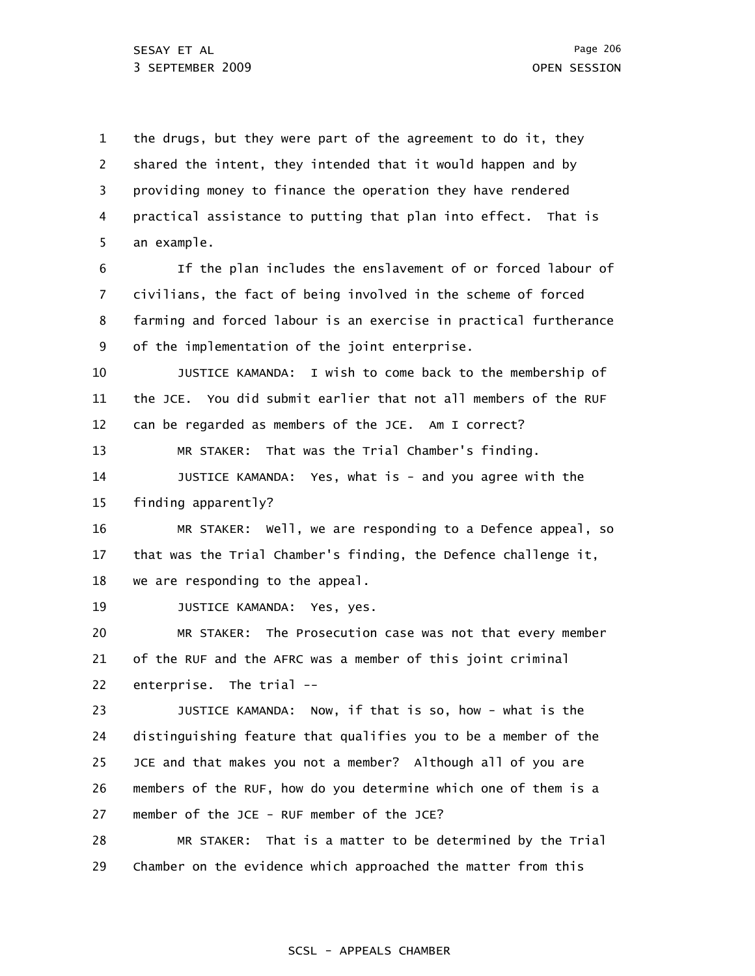29

1 2 3 4 5 6 7 8 9 10 11 12 13 14 15 16 17 18 19 20 21 22 23 24 25 26 27 28 the drugs, but they were part of the agreement to do it, they shared the intent, they intended that it would happen and by providing money to finance the operation they have rendered practical assistance to putting that plan into effect. That is an example. If the plan includes the enslavement of or forced labour of civilians, the fact of being involved in the scheme of forced farming and forced labour is an exercise in practical furtherance of the implementation of the joint enterprise. JUSTICE KAMANDA: I wish to come back to the membership of the JCE. You did submit earlier that not all members of the RUF can be regarded as members of the JCE. Am I correct? MR STAKER: That was the Trial Chamber's finding. JUSTICE KAMANDA: Yes, what is - and you agree with the finding apparently? MR STAKER: Well, we are responding to a Defence appeal, so that was the Trial Chamber's finding, the Defence challenge it, we are responding to the appeal. JUSTICE KAMANDA: Yes, yes. MR STAKER: The Prosecution case was not that every member of the RUF and the AFRC was a member of this joint criminal enterprise. The trial -- JUSTICE KAMANDA: Now, if that is so, how - what is the distinguishing feature that qualifies you to be a member of the JCE and that makes you not a member? Although all of you are members of the RUF, how do you determine which one of them is a member of the JCE - RUF member of the JCE? MR STAKER: That is a matter to be determined by the Trial

# SCSL - APPEALS CHAMBER

Chamber on the evidence which approached the matter from this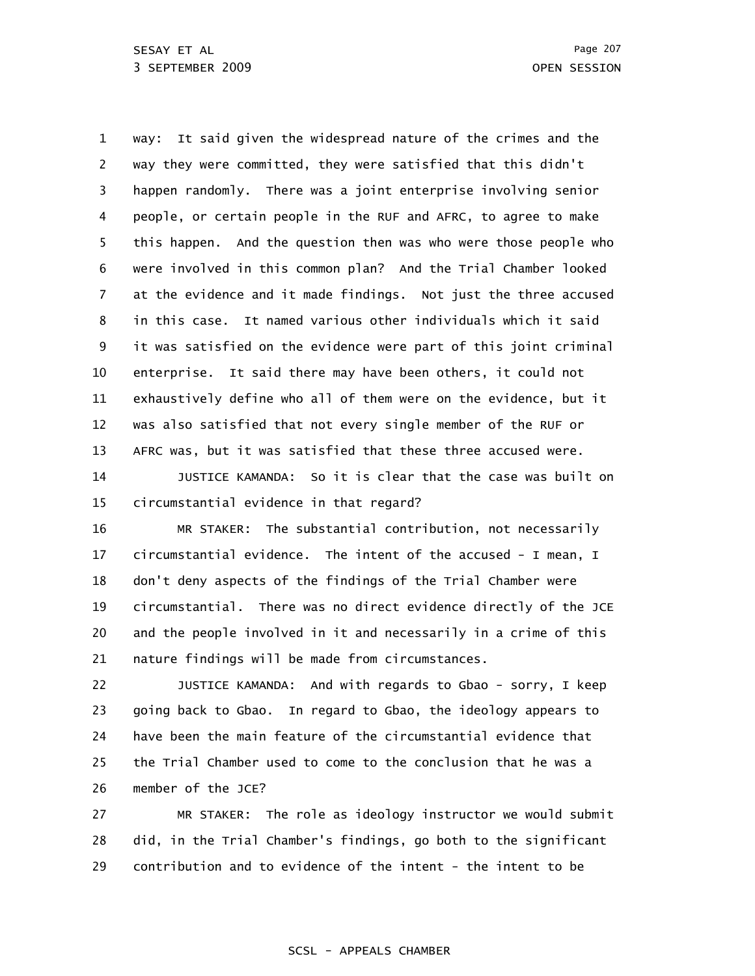1 2 3 4 5 6 7 8 9 10 11 12 13 way: It said given the widespread nature of the crimes and the way they were committed, they were satisfied that this didn't happen randomly. There was a joint enterprise involving senior people, or certain people in the RUF and AFRC, to agree to make this happen. And the question then was who were those people who were involved in this common plan? And the Trial Chamber looked at the evidence and it made findings. Not just the three accused in this case. It named various other individuals which it said it was satisfied on the evidence were part of this joint criminal enterprise. It said there may have been others, it could not exhaustively define who all of them were on the evidence, but it was also satisfied that not every single member of the RUF or AFRC was, but it was satisfied that these three accused were.

14 15 JUSTICE KAMANDA: So it is clear that the case was built on circumstantial evidence in that regard?

16 17 18 19 20 21 MR STAKER: The substantial contribution, not necessarily circumstantial evidence. The intent of the accused - I mean, I don't deny aspects of the findings of the Trial Chamber were circumstantial. There was no direct evidence directly of the JCE and the people involved in it and necessarily in a crime of this nature findings will be made from circumstances.

22 23 24 25 26 JUSTICE KAMANDA: And with regards to Gbao - sorry, I keep going back to Gbao. In regard to Gbao, the ideology appears to have been the main feature of the circumstantial evidence that the Trial Chamber used to come to the conclusion that he was a member of the JCE?

27 28 29 MR STAKER: The role as ideology instructor we would submit did, in the Trial Chamber's findings, go both to the significant contribution and to evidence of the intent - the intent to be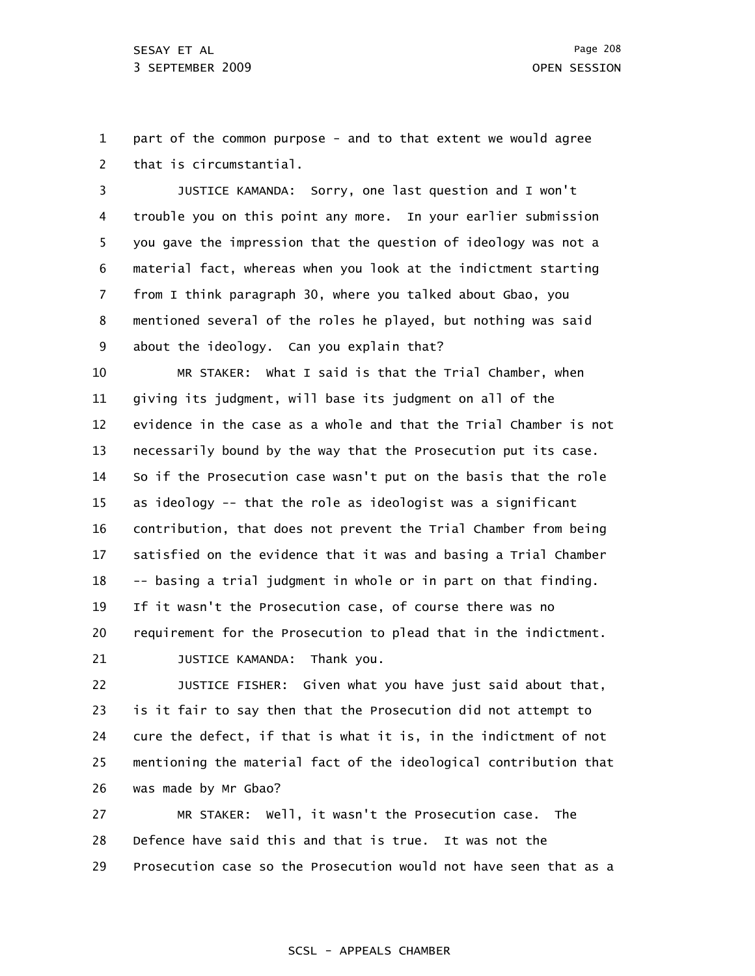1 2 part of the common purpose - and to that extent we would agree that is circumstantial.

3 4 5 6 7 8 9 JUSTICE KAMANDA: Sorry, one last question and I won't trouble you on this point any more. In your earlier submission you gave the impression that the question of ideology was not a material fact, whereas when you look at the indictment starting from I think paragraph 30, where you talked about Gbao, you mentioned several of the roles he played, but nothing was said about the ideology. Can you explain that?

10 11 12 13 14 15 16 17 18 19 20 21 MR STAKER: What I said is that the Trial Chamber, when giving its judgment, will base its judgment on all of the evidence in the case as a whole and that the Trial Chamber is not necessarily bound by the way that the Prosecution put its case. So if the Prosecution case wasn't put on the basis that the role as ideology -- that the role as ideologist was a significant contribution, that does not prevent the Trial Chamber from being satisfied on the evidence that it was and basing a Trial Chamber -- basing a trial judgment in whole or in part on that finding. If it wasn't the Prosecution case, of course there was no requirement for the Prosecution to plead that in the indictment. JUSTICE KAMANDA: Thank you.

22 23 24 25 26 JUSTICE FISHER: Given what you have just said about that, is it fair to say then that the Prosecution did not attempt to cure the defect, if that is what it is, in the indictment of not mentioning the material fact of the ideological contribution that was made by Mr Gbao?

27 28 29 MR STAKER: Well, it wasn't the Prosecution case. The Defence have said this and that is true. It was not the Prosecution case so the Prosecution would not have seen that as a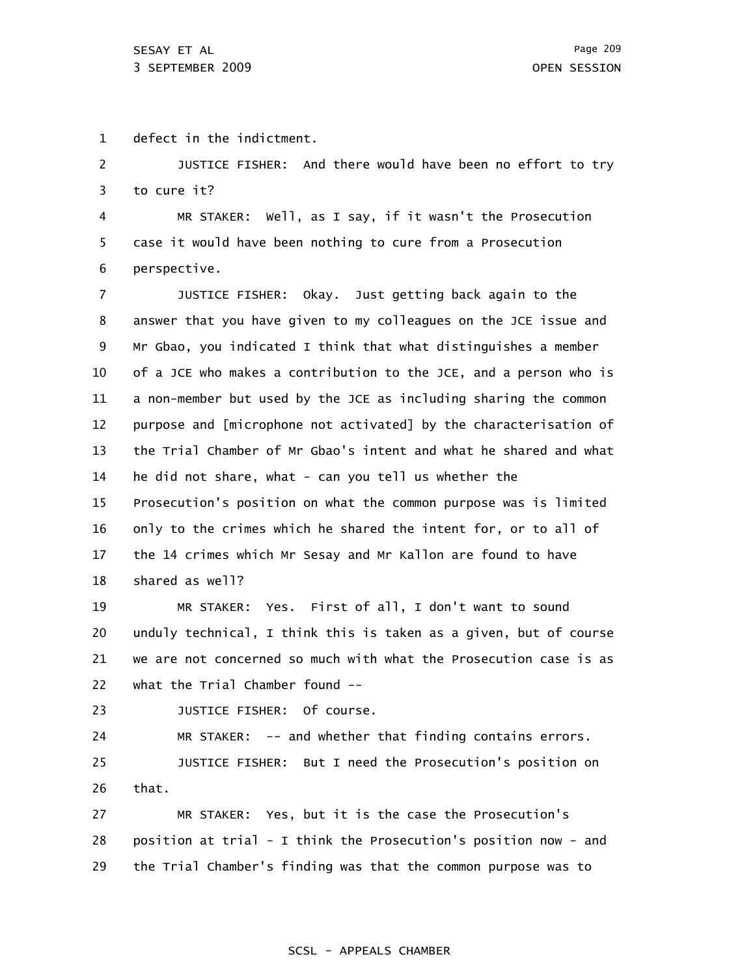1 defect in the indictment.

2 3 JUSTICE FISHER: And there would have been no effort to try to cure it?

4 5 6 MR STAKER: Well, as I say, if it wasn't the Prosecution case it would have been nothing to cure from a Prosecution perspective.

7 8 9 10 11 12 13 14 15 16 17 18 JUSTICE FISHER: Okay. Just getting back again to the answer that you have given to my colleagues on the JCE issue and Mr Gbao, you indicated I think that what distinguishes a member of a JCE who makes a contribution to the JCE, and a person who is a non-member but used by the JCE as including sharing the common purpose and [microphone not activated] by the characterisation of the Trial Chamber of Mr Gbao's intent and what he shared and what he did not share, what - can you tell us whether the Prosecution's position on what the common purpose was is limited only to the crimes which he shared the intent for, or to all of the 14 crimes which Mr Sesay and Mr Kallon are found to have shared as well?

19 20 21 22 MR STAKER: Yes. First of all, I don't want to sound unduly technical, I think this is taken as a given, but of course we are not concerned so much with what the Prosecution case is as what the Trial Chamber found --

23 JUSTICE FISHER: Of course.

24 25 26 MR STAKER: -- and whether that finding contains errors. JUSTICE FISHER: But I need the Prosecution's position on that.

27 28 29 MR STAKER: Yes, but it is the case the Prosecution's position at trial - I think the Prosecution's position now - and the Trial Chamber's finding was that the common purpose was to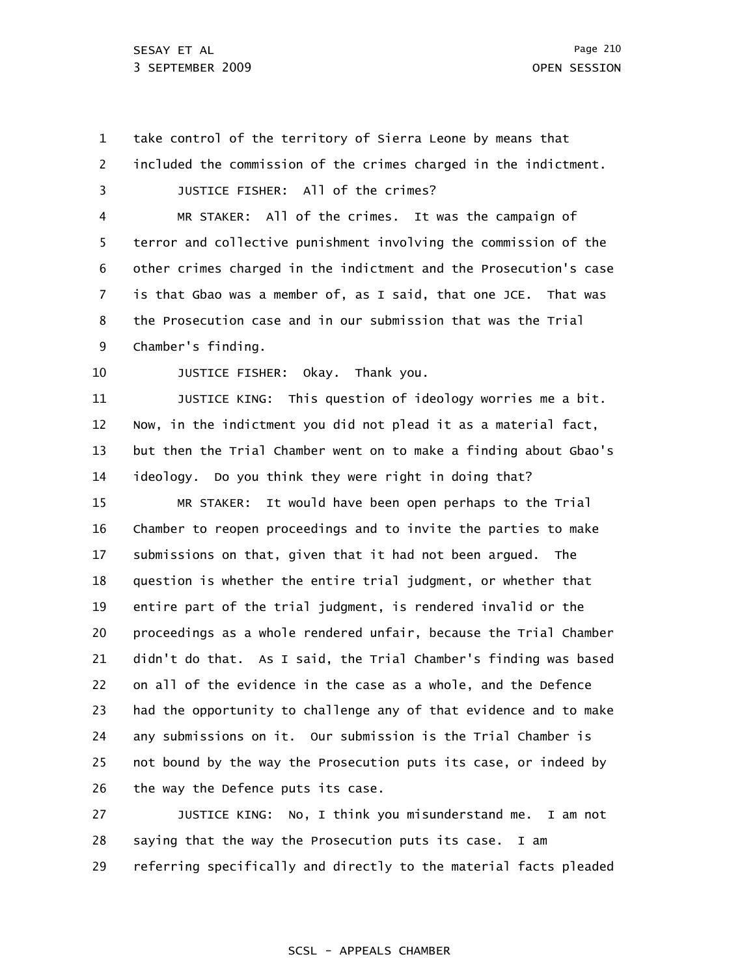1 2 3 4 5 6 7 8 9 10 11 12 13 14 15 16 17 18 19 20 21 22 23 24 25 26 27 take control of the territory of Sierra Leone by means that included the commission of the crimes charged in the indictment. JUSTICE FISHER: All of the crimes? MR STAKER: All of the crimes. It was the campaign of terror and collective punishment involving the commission of the other crimes charged in the indictment and the Prosecution's case is that Gbao was a member of, as I said, that one JCE. That was the Prosecution case and in our submission that was the Trial Chamber's finding. JUSTICE FISHER: Okay. Thank you. JUSTICE KING: This question of ideology worries me a bit. Now, in the indictment you did not plead it as a material fact, but then the Trial Chamber went on to make a finding about Gbao's ideology. Do you think they were right in doing that? MR STAKER: It would have been open perhaps to the Trial Chamber to reopen proceedings and to invite the parties to make submissions on that, given that it had not been argued. The question is whether the entire trial judgment, or whether that entire part of the trial judgment, is rendered invalid or the proceedings as a whole rendered unfair, because the Trial Chamber didn't do that. As I said, the Trial Chamber's finding was based on all of the evidence in the case as a whole, and the Defence had the opportunity to challenge any of that evidence and to make any submissions on it. Our submission is the Trial Chamber is not bound by the way the Prosecution puts its case, or indeed by the way the Defence puts its case. JUSTICE KING: No, I think you misunderstand me. I am not

28 29 saying that the way the Prosecution puts its case. I am referring specifically and directly to the material facts pleaded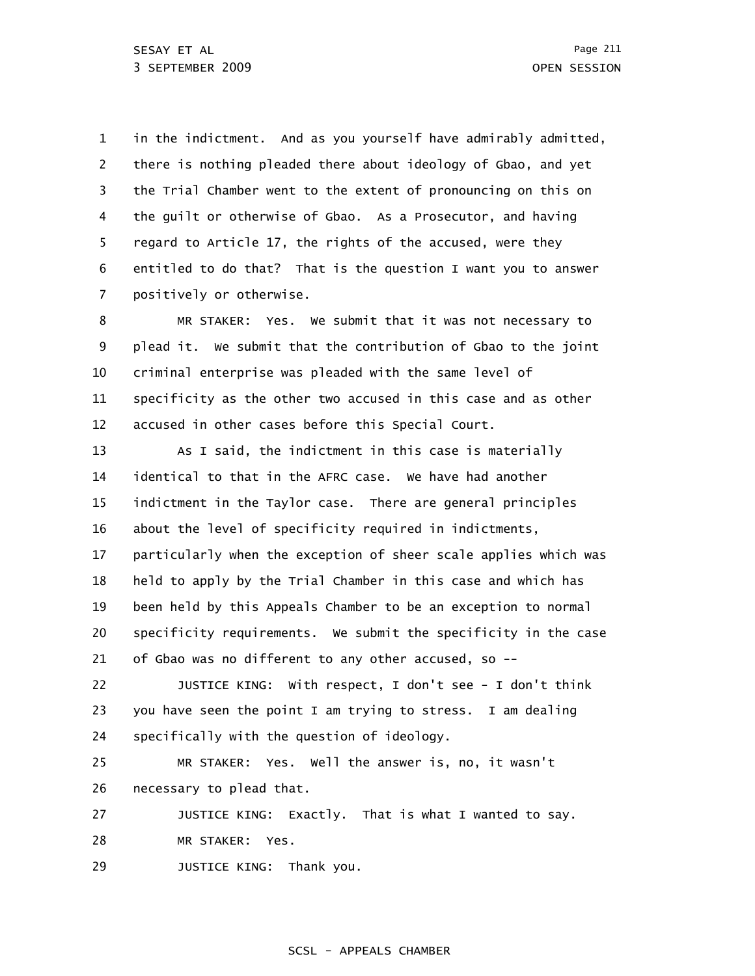1 2 3 4 5 6 7 in the indictment. And as you yourself have admirably admitted, there is nothing pleaded there about ideology of Gbao, and yet the Trial Chamber went to the extent of pronouncing on this on the guilt or otherwise of Gbao. As a Prosecutor, and having regard to Article 17, the rights of the accused, were they entitled to do that? That is the question I want you to answer positively or otherwise.

8 9 10 11 12 MR STAKER: Yes. We submit that it was not necessary to plead it. We submit that the contribution of Gbao to the joint criminal enterprise was pleaded with the same level of specificity as the other two accused in this case and as other accused in other cases before this Special Court.

13 14 15 16 17 18 19 20 21 As I said, the indictment in this case is materially identical to that in the AFRC case. We have had another indictment in the Taylor case. There are general principles about the level of specificity required in indictments, particularly when the exception of sheer scale applies which was held to apply by the Trial Chamber in this case and which has been held by this Appeals Chamber to be an exception to normal specificity requirements. We submit the specificity in the case of Gbao was no different to any other accused, so --

22 23 24 JUSTICE KING: With respect, I don't see - I don't think you have seen the point I am trying to stress. I am dealing specifically with the question of ideology.

25 26 MR STAKER: Yes. Well the answer is, no, it wasn't necessary to plead that.

27 JUSTICE KING: Exactly. That is what I wanted to say.

28 MR STAKER: Yes.

29 JUSTICE KING: Thank you.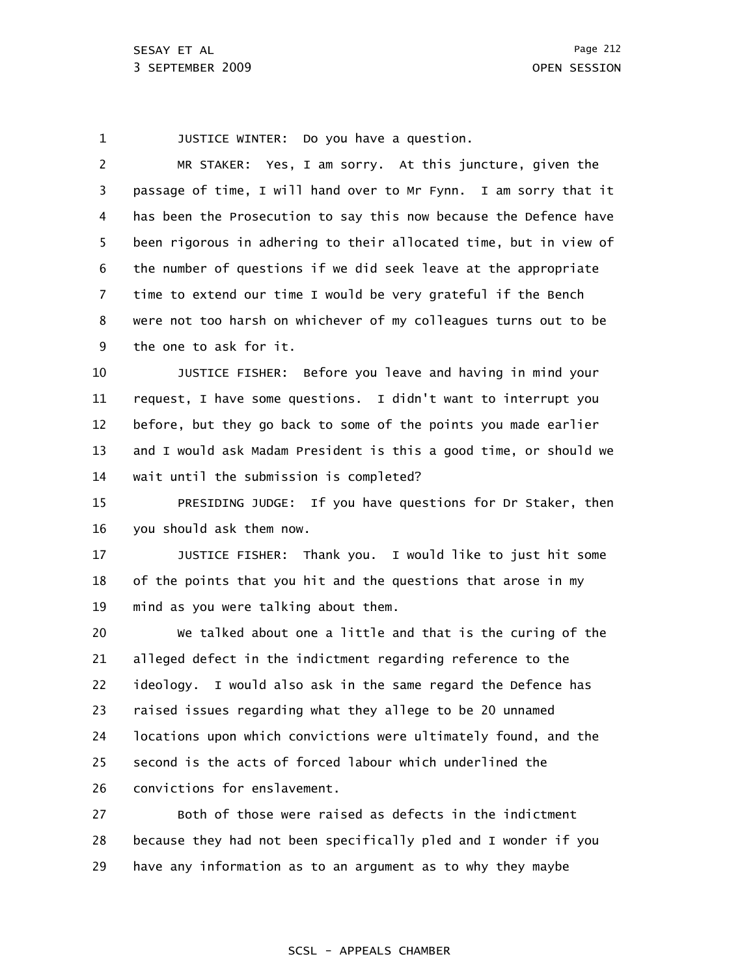1 JUSTICE WINTER: Do you have a question.

2 3 4 5 6 7 8 9 MR STAKER: Yes, I am sorry. At this juncture, given the passage of time, I will hand over to Mr Fynn. I am sorry that it has been the Prosecution to say this now because the Defence have been rigorous in adhering to their allocated time, but in view of the number of questions if we did seek leave at the appropriate time to extend our time I would be very grateful if the Bench were not too harsh on whichever of my colleagues turns out to be the one to ask for it.

10 11 12 13 14 JUSTICE FISHER: Before you leave and having in mind your request, I have some questions. I didn't want to interrupt you before, but they go back to some of the points you made earlier and I would ask Madam President is this a good time, or should we wait until the submission is completed?

15 16 PRESIDING JUDGE: If you have questions for Dr Staker, then you should ask them now.

17 18 19 JUSTICE FISHER: Thank you. I would like to just hit some of the points that you hit and the questions that arose in my mind as you were talking about them.

20 21 22 23 24 25 26 We talked about one a little and that is the curing of the alleged defect in the indictment regarding reference to the ideology. I would also ask in the same regard the Defence has raised issues regarding what they allege to be 20 unnamed locations upon which convictions were ultimately found, and the second is the acts of forced labour which underlined the convictions for enslavement.

27 28 29 Both of those were raised as defects in the indictment because they had not been specifically pled and I wonder if you have any information as to an argument as to why they maybe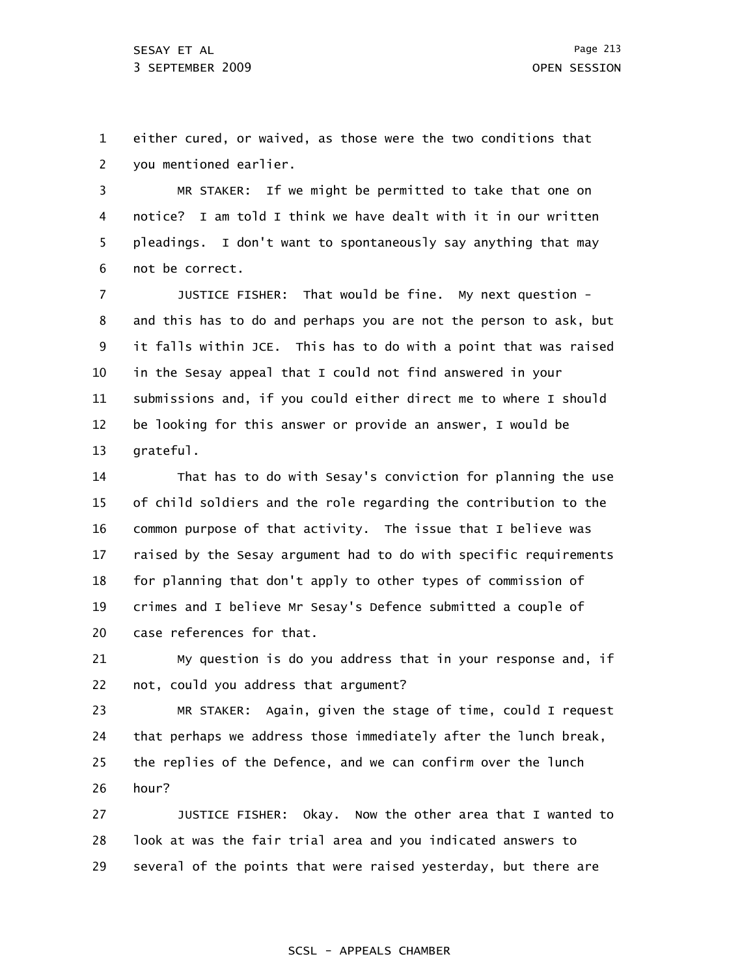1 2 either cured, or waived, as those were the two conditions that you mentioned earlier.

3 4 5 6 MR STAKER: If we might be permitted to take that one on notice? I am told I think we have dealt with it in our written pleadings. I don't want to spontaneously say anything that may not be correct.

7 8 9 10 11 12 13 JUSTICE FISHER: That would be fine. My next question and this has to do and perhaps you are not the person to ask, but it falls within JCE. This has to do with a point that was raised in the Sesay appeal that I could not find answered in your submissions and, if you could either direct me to where I should be looking for this answer or provide an answer, I would be grateful.

14 15 16 17 18 19 20 That has to do with Sesay's conviction for planning the use of child soldiers and the role regarding the contribution to the common purpose of that activity. The issue that I believe was raised by the Sesay argument had to do with specific requirements for planning that don't apply to other types of commission of crimes and I believe Mr Sesay's Defence submitted a couple of case references for that.

21 22 My question is do you address that in your response and, if not, could you address that argument?

23 24 25 26 MR STAKER: Again, given the stage of time, could I request that perhaps we address those immediately after the lunch break, the replies of the Defence, and we can confirm over the lunch hour?

27 28 29 JUSTICE FISHER: Okay. Now the other area that I wanted to look at was the fair trial area and you indicated answers to several of the points that were raised yesterday, but there are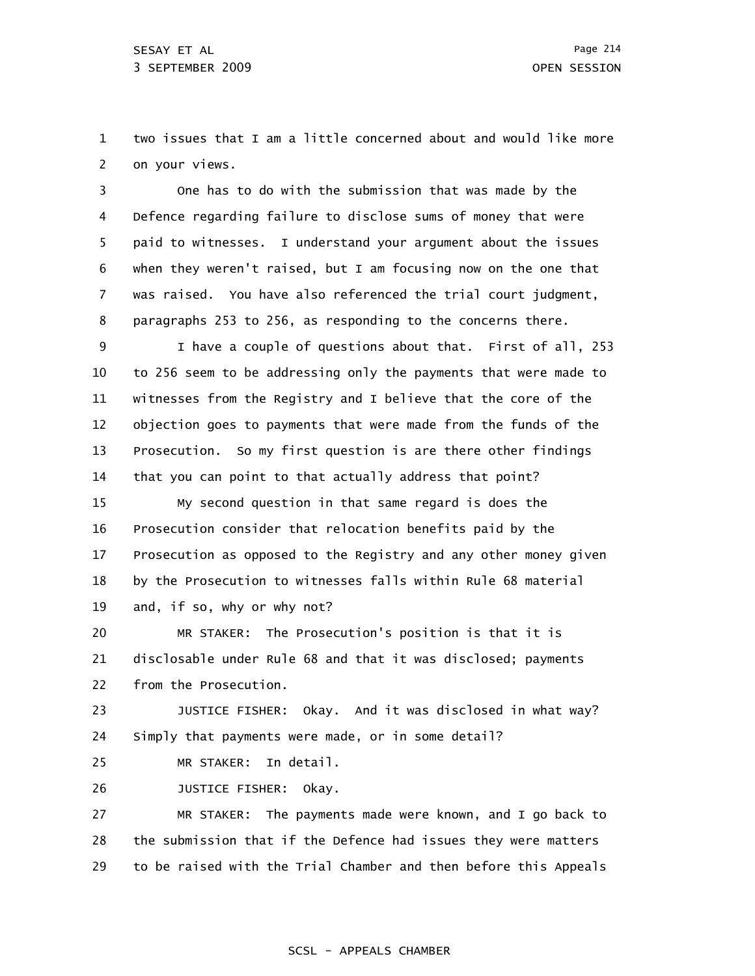1 2 two issues that I am a little concerned about and would like more on your views.

3 4 5 6 7 8 One has to do with the submission that was made by the Defence regarding failure to disclose sums of money that were paid to witnesses. I understand your argument about the issues when they weren't raised, but I am focusing now on the one that was raised. You have also referenced the trial court judgment, paragraphs 253 to 256, as responding to the concerns there.

9 10 11 12 13 14 I have a couple of questions about that. First of all, 253 to 256 seem to be addressing only the payments that were made to witnesses from the Registry and I believe that the core of the objection goes to payments that were made from the funds of the Prosecution. So my first question is are there other findings that you can point to that actually address that point?

15 16 17 18 19 My second question in that same regard is does the Prosecution consider that relocation benefits paid by the Prosecution as opposed to the Registry and any other money given by the Prosecution to witnesses falls within Rule 68 material and, if so, why or why not?

20 21 22 MR STAKER: The Prosecution's position is that it is disclosable under Rule 68 and that it was disclosed; payments from the Prosecution.

23 24 JUSTICE FISHER: Okay. And it was disclosed in what way? Simply that payments were made, or in some detail?

25 MR STAKER: In detail.

26 JUSTICE FISHER: Okay.

27 28 29 MR STAKER: The payments made were known, and I go back to the submission that if the Defence had issues they were matters to be raised with the Trial Chamber and then before this Appeals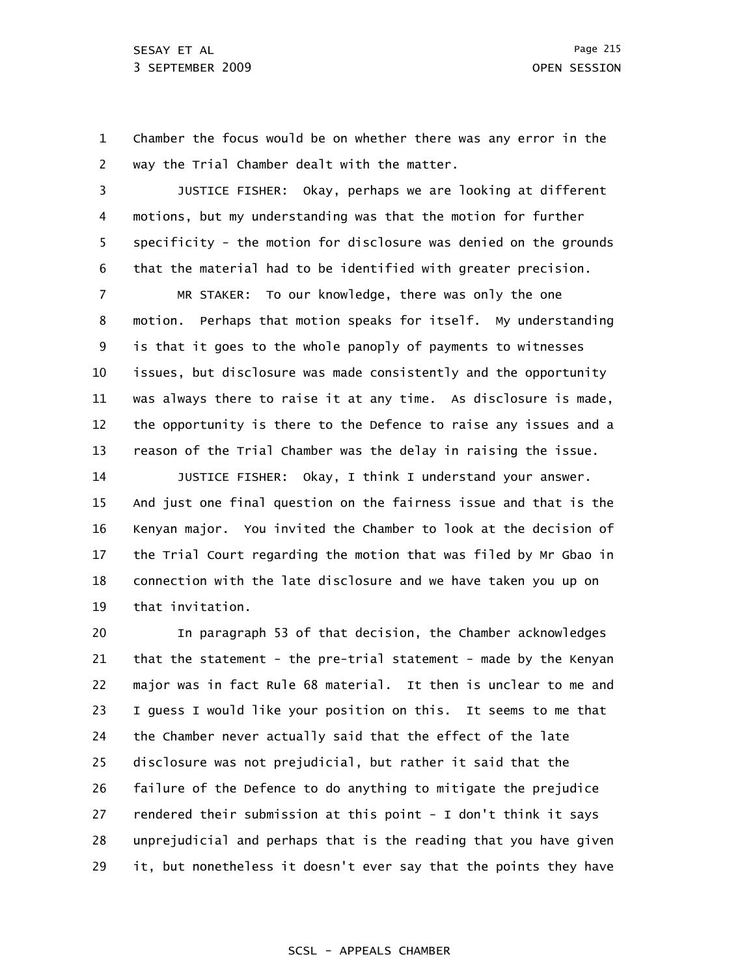1 2 Chamber the focus would be on whether there was any error in the way the Trial Chamber dealt with the matter.

3 4 5 6 JUSTICE FISHER: Okay, perhaps we are looking at different motions, but my understanding was that the motion for further specificity - the motion for disclosure was denied on the grounds that the material had to be identified with greater precision.

7 8 9 10 11 12 13 MR STAKER: To our knowledge, there was only the one motion. Perhaps that motion speaks for itself. My understanding is that it goes to the whole panoply of payments to witnesses issues, but disclosure was made consistently and the opportunity was always there to raise it at any time. As disclosure is made, the opportunity is there to the Defence to raise any issues and a reason of the Trial Chamber was the delay in raising the issue.

14 15 16 17 18 19 JUSTICE FISHER: Okay, I think I understand your answer. And just one final question on the fairness issue and that is the Kenyan major. You invited the Chamber to look at the decision of the Trial Court regarding the motion that was filed by Mr Gbao in connection with the late disclosure and we have taken you up on that invitation.

20 21 22 23 24 25 26 27 28 29 In paragraph 53 of that decision, the Chamber acknowledges that the statement - the pre-trial statement - made by the Kenyan major was in fact Rule 68 material. It then is unclear to me and I guess I would like your position on this. It seems to me that the Chamber never actually said that the effect of the late disclosure was not prejudicial, but rather it said that the failure of the Defence to do anything to mitigate the prejudice rendered their submission at this point - I don't think it says unprejudicial and perhaps that is the reading that you have given it, but nonetheless it doesn't ever say that the points they have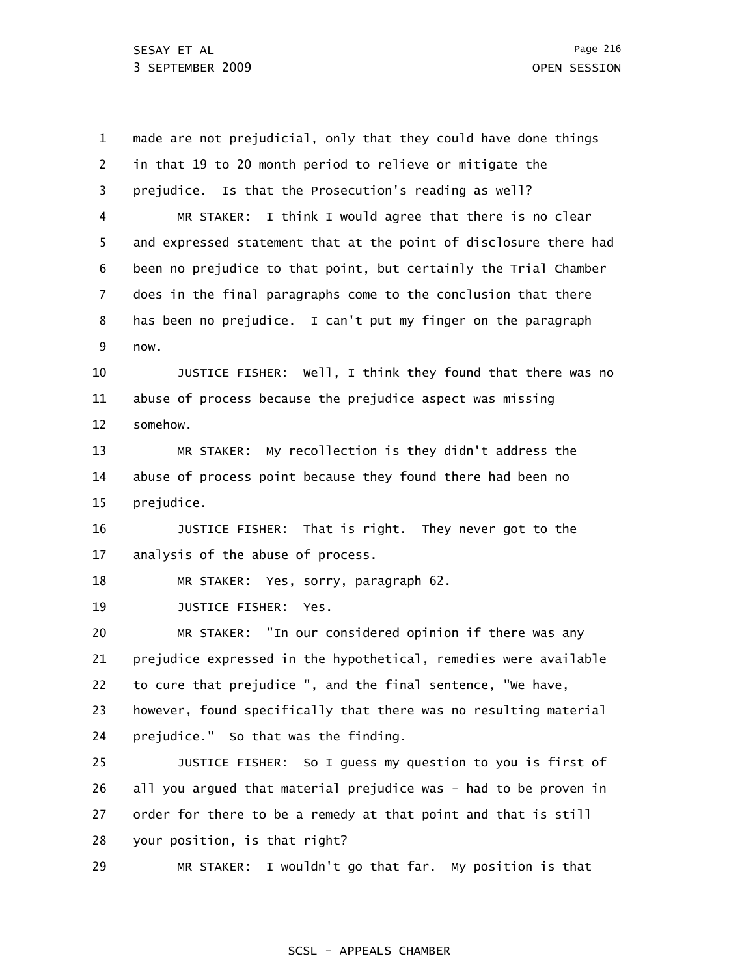1 2 3 4 5 6 7 8 9 10 11 12 13 14 15 16 17 18 19 20 21 22 23 24 25 26 27 28 29 made are not prejudicial, only that they could have done things in that 19 to 20 month period to relieve or mitigate the prejudice. Is that the Prosecution's reading as well? MR STAKER: I think I would agree that there is no clear and expressed statement that at the point of disclosure there had been no prejudice to that point, but certainly the Trial Chamber does in the final paragraphs come to the conclusion that there has been no prejudice. I can't put my finger on the paragraph now. JUSTICE FISHER: Well, I think they found that there was no abuse of process because the prejudice aspect was missing somehow. MR STAKER: My recollection is they didn't address the abuse of process point because they found there had been no prejudice. JUSTICE FISHER: That is right. They never got to the analysis of the abuse of process. MR STAKER: Yes, sorry, paragraph 62. JUSTICE FISHER: Yes. MR STAKER: "In our considered opinion if there was any prejudice expressed in the hypothetical, remedies were available to cure that prejudice ", and the final sentence, "We have, however, found specifically that there was no resulting material prejudice." So that was the finding. JUSTICE FISHER: So I guess my question to you is first of all you argued that material prejudice was - had to be proven in order for there to be a remedy at that point and that is still your position, is that right? MR STAKER: I wouldn't go that far. My position is that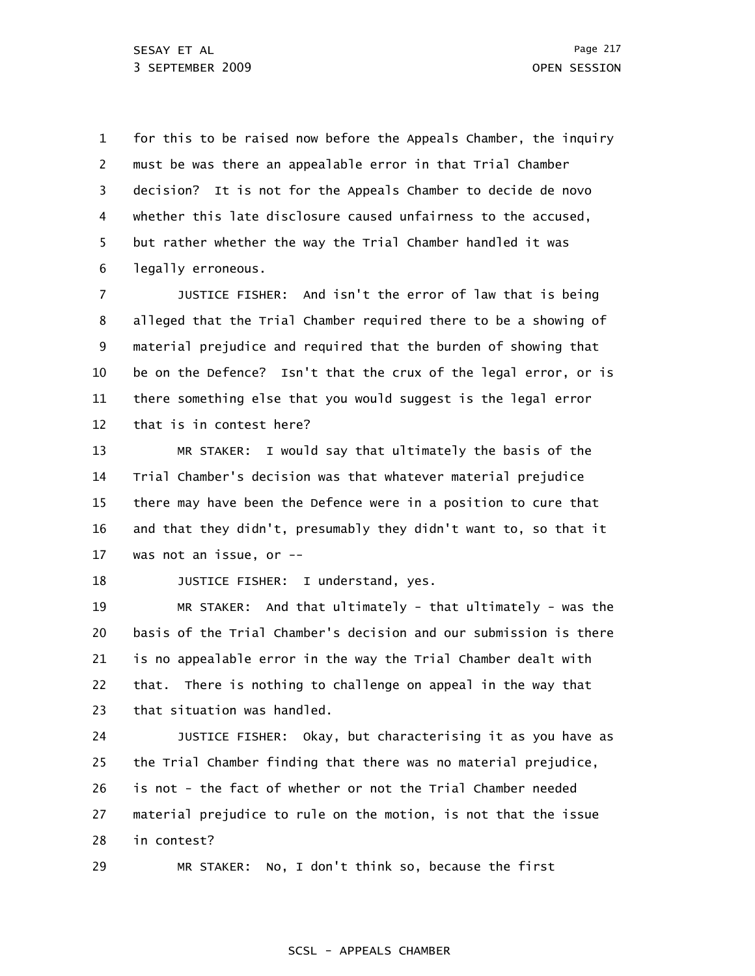1 2 3 4 5 6 for this to be raised now before the Appeals Chamber, the inquiry must be was there an appealable error in that Trial Chamber decision? It is not for the Appeals Chamber to decide de novo whether this late disclosure caused unfairness to the accused, but rather whether the way the Trial Chamber handled it was legally erroneous.

7 8 9 10 11 12 JUSTICE FISHER: And isn't the error of law that is being alleged that the Trial Chamber required there to be a showing of material prejudice and required that the burden of showing that be on the Defence? Isn't that the crux of the legal error, or is there something else that you would suggest is the legal error that is in contest here?

13 14 15 16 17 MR STAKER: I would say that ultimately the basis of the Trial Chamber's decision was that whatever material prejudice there may have been the Defence were in a position to cure that and that they didn't, presumably they didn't want to, so that it was not an issue, or --

18

JUSTICE FISHER: I understand, yes.

19 20 21 22 23 MR STAKER: And that ultimately - that ultimately - was the basis of the Trial Chamber's decision and our submission is there is no appealable error in the way the Trial Chamber dealt with that. There is nothing to challenge on appeal in the way that that situation was handled.

24 25 26 27 28 JUSTICE FISHER: Okay, but characterising it as you have as the Trial Chamber finding that there was no material prejudice, is not - the fact of whether or not the Trial Chamber needed material prejudice to rule on the motion, is not that the issue in contest?

29 MR STAKER: No, I don't think so, because the first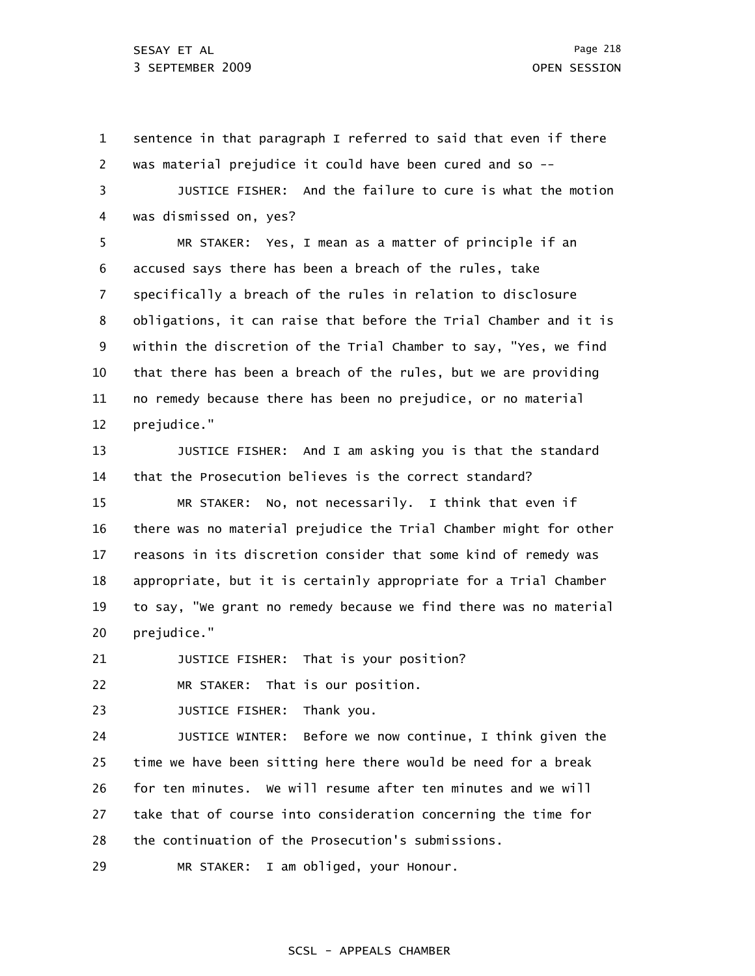1 2 sentence in that paragraph I referred to said that even if there was material prejudice it could have been cured and so --

3 4 JUSTICE FISHER: And the failure to cure is what the motion was dismissed on, yes?

5 6 7 8 9 10 11 12 MR STAKER: Yes, I mean as a matter of principle if an accused says there has been a breach of the rules, take specifically a breach of the rules in relation to disclosure obligations, it can raise that before the Trial Chamber and it is within the discretion of the Trial Chamber to say, "Yes, we find that there has been a breach of the rules, but we are providing no remedy because there has been no prejudice, or no material prejudice."

13 14 JUSTICE FISHER: And I am asking you is that the standard that the Prosecution believes is the correct standard?

15 16 17 18 19 20 MR STAKER: No, not necessarily. I think that even if there was no material prejudice the Trial Chamber might for other reasons in its discretion consider that some kind of remedy was appropriate, but it is certainly appropriate for a Trial Chamber to say, "We grant no remedy because we find there was no material prejudice."

21 JUSTICE FISHER: That is your position?

22 MR STAKER: That is our position.

23 JUSTICE FISHER: Thank you.

24 25 26 27 28 29 JUSTICE WINTER: Before we now continue, I think given the time we have been sitting here there would be need for a break for ten minutes. We will resume after ten minutes and we will take that of course into consideration concerning the time for the continuation of the Prosecution's submissions. MR STAKER: I am obliged, your Honour.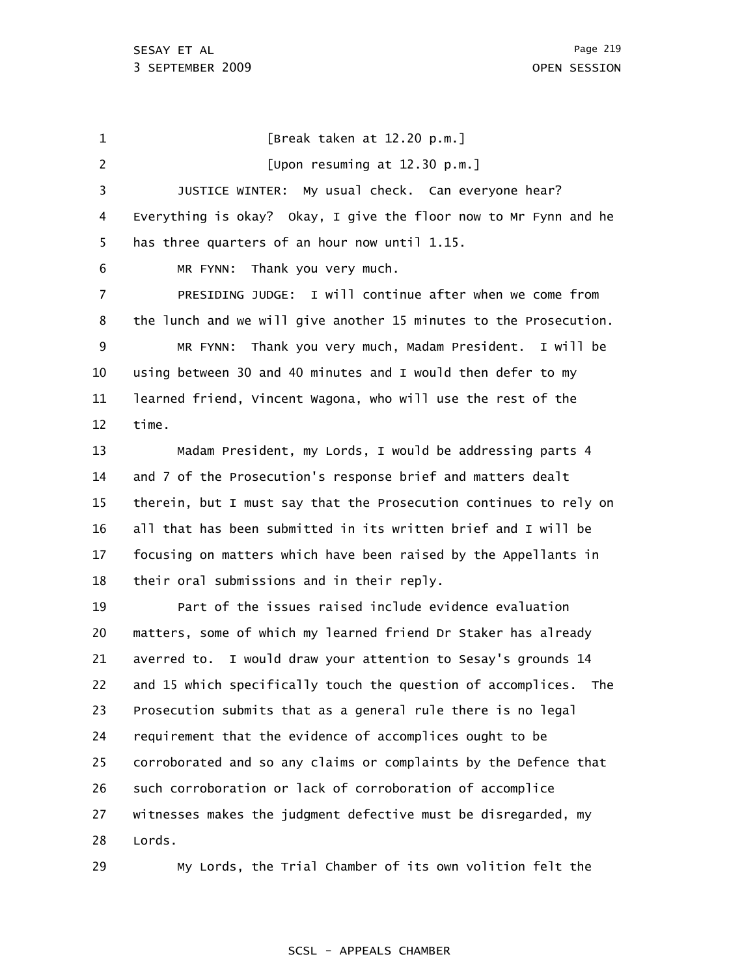29

1 2 3 4 5 6 7 8 9 10 11 12 13 14 15 16 17 18 19 20 21 22 23 24 25 26 27 28 [Break taken at 12.20 p.m.] [Upon resuming at 12.30 p.m.] JUSTICE WINTER: My usual check. Can everyone hear? Everything is okay? Okay, I give the floor now to Mr Fynn and he has three quarters of an hour now until 1.15. MR FYNN: Thank you very much. PRESIDING JUDGE: I will continue after when we come from the lunch and we will give another 15 minutes to the Prosecution. MR FYNN: Thank you very much, Madam President. I will be using between 30 and 40 minutes and I would then defer to my learned friend, Vincent Wagona, who will use the rest of the time. Madam President, my Lords, I would be addressing parts 4 and 7 of the Prosecution's response brief and matters dealt therein, but I must say that the Prosecution continues to rely on all that has been submitted in its written brief and I will be focusing on matters which have been raised by the Appellants in their oral submissions and in their reply. Part of the issues raised include evidence evaluation matters, some of which my learned friend Dr Staker has already averred to. I would draw your attention to Sesay's grounds 14 and 15 which specifically touch the question of accomplices. The Prosecution submits that as a general rule there is no legal requirement that the evidence of accomplices ought to be corroborated and so any claims or complaints by the Defence that such corroboration or lack of corroboration of accomplice witnesses makes the judgment defective must be disregarded, my Lords.

My Lords, the Trial Chamber of its own volition felt the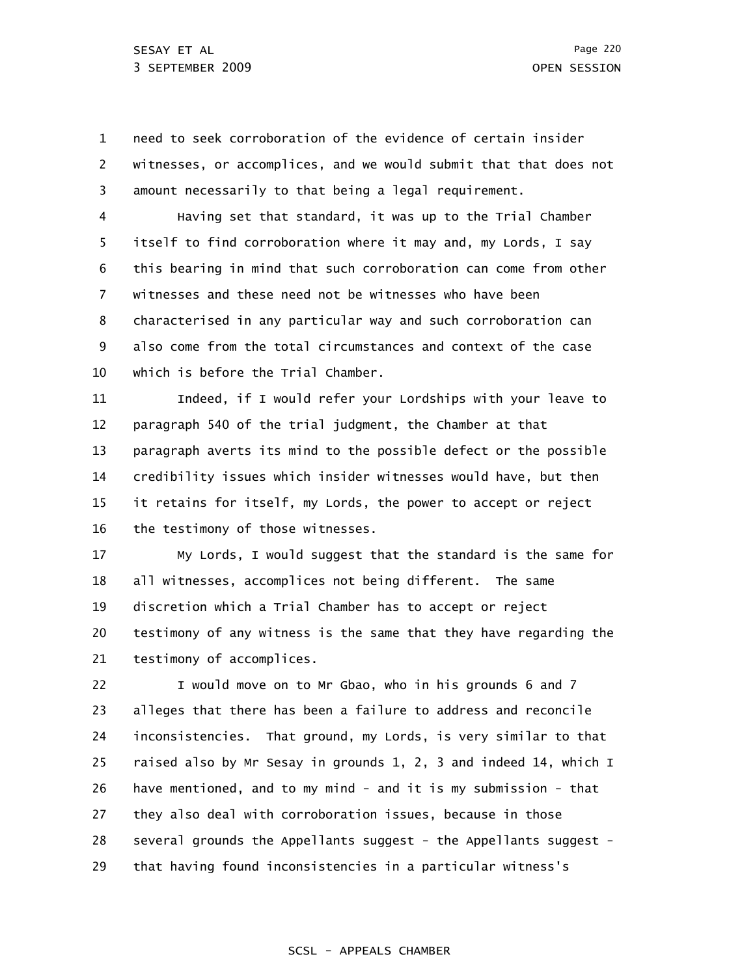1 2 3 need to seek corroboration of the evidence of certain insider witnesses, or accomplices, and we would submit that that does not amount necessarily to that being a legal requirement.

4 5 6 7 8 9 10 Having set that standard, it was up to the Trial Chamber itself to find corroboration where it may and, my Lords, I say this bearing in mind that such corroboration can come from other witnesses and these need not be witnesses who have been characterised in any particular way and such corroboration can also come from the total circumstances and context of the case which is before the Trial Chamber.

11 12 13 14 15 16 Indeed, if I would refer your Lordships with your leave to paragraph 540 of the trial judgment, the Chamber at that paragraph averts its mind to the possible defect or the possible credibility issues which insider witnesses would have, but then it retains for itself, my Lords, the power to accept or reject the testimony of those witnesses.

17 18 19 20 21 My Lords, I would suggest that the standard is the same for all witnesses, accomplices not being different. The same discretion which a Trial Chamber has to accept or reject testimony of any witness is the same that they have regarding the testimony of accomplices.

22 23 24 25 26 27 28 29 I would move on to Mr Gbao, who in his grounds 6 and 7 alleges that there has been a failure to address and reconcile inconsistencies. That ground, my Lords, is very similar to that raised also by Mr Sesay in grounds 1, 2, 3 and indeed 14, which I have mentioned, and to my mind - and it is my submission - that they also deal with corroboration issues, because in those several grounds the Appellants suggest - the Appellants suggest that having found inconsistencies in a particular witness's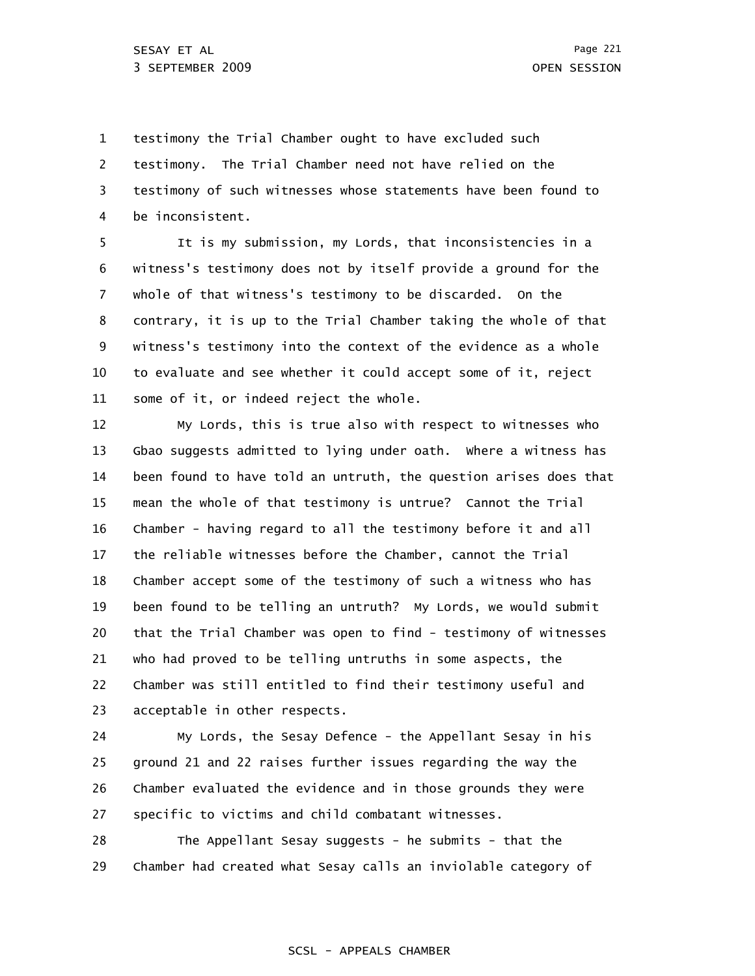1 2 3 4 testimony the Trial Chamber ought to have excluded such testimony. The Trial Chamber need not have relied on the testimony of such witnesses whose statements have been found to be inconsistent.

5 6 7 8 9 10 11 It is my submission, my Lords, that inconsistencies in a witness's testimony does not by itself provide a ground for the whole of that witness's testimony to be discarded. On the contrary, it is up to the Trial Chamber taking the whole of that witness's testimony into the context of the evidence as a whole to evaluate and see whether it could accept some of it, reject some of it, or indeed reject the whole.

12 13 14 15 16 17 18 19 20 21 22 23 My Lords, this is true also with respect to witnesses who Gbao suggests admitted to lying under oath. Where a witness has been found to have told an untruth, the question arises does that mean the whole of that testimony is untrue? Cannot the Trial Chamber - having regard to all the testimony before it and all the reliable witnesses before the Chamber, cannot the Trial Chamber accept some of the testimony of such a witness who has been found to be telling an untruth? My Lords, we would submit that the Trial Chamber was open to find - testimony of witnesses who had proved to be telling untruths in some aspects, the Chamber was still entitled to find their testimony useful and acceptable in other respects.

24 25 26 27 My Lords, the Sesay Defence - the Appellant Sesay in his ground 21 and 22 raises further issues regarding the way the Chamber evaluated the evidence and in those grounds they were specific to victims and child combatant witnesses.

28 29 The Appellant Sesay suggests - he submits - that the Chamber had created what Sesay calls an inviolable category of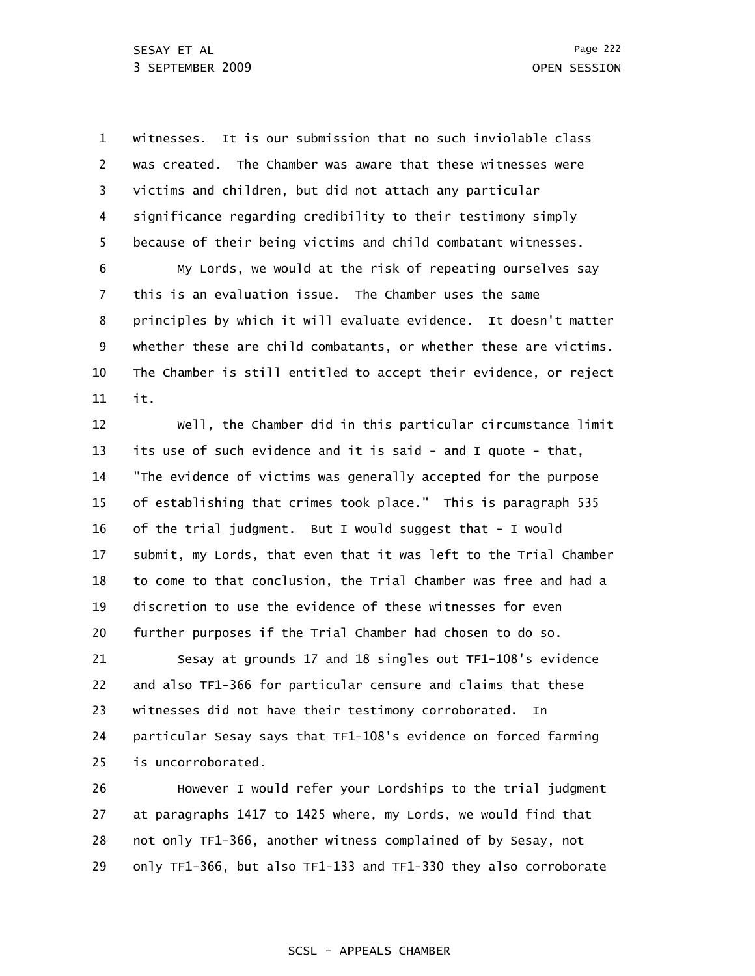1 2 3 4 5 witnesses. It is our submission that no such inviolable class was created. The Chamber was aware that these witnesses were victims and children, but did not attach any particular significance regarding credibility to their testimony simply because of their being victims and child combatant witnesses.

6 7 8 9 10 11 My Lords, we would at the risk of repeating ourselves say this is an evaluation issue. The Chamber uses the same principles by which it will evaluate evidence. It doesn't matter whether these are child combatants, or whether these are victims. The Chamber is still entitled to accept their evidence, or reject it.

12 13 14 15 16 17 18 19 20 Well, the Chamber did in this particular circumstance limit its use of such evidence and it is said - and I quote - that, "The evidence of victims was generally accepted for the purpose of establishing that crimes took place." This is paragraph 535 of the trial judgment. But I would suggest that - I would submit, my Lords, that even that it was left to the Trial Chamber to come to that conclusion, the Trial Chamber was free and had a discretion to use the evidence of these witnesses for even further purposes if the Trial Chamber had chosen to do so.

21 22 23 24 25 Sesay at grounds 17 and 18 singles out TF1-108's evidence and also TF1-366 for particular censure and claims that these witnesses did not have their testimony corroborated. In particular Sesay says that TF1-108's evidence on forced farming is uncorroborated.

26 27 28 29 However I would refer your Lordships to the trial judgment at paragraphs 1417 to 1425 where, my Lords, we would find that not only TF1-366, another witness complained of by Sesay, not only TF1-366, but also TF1-133 and TF1-330 they also corroborate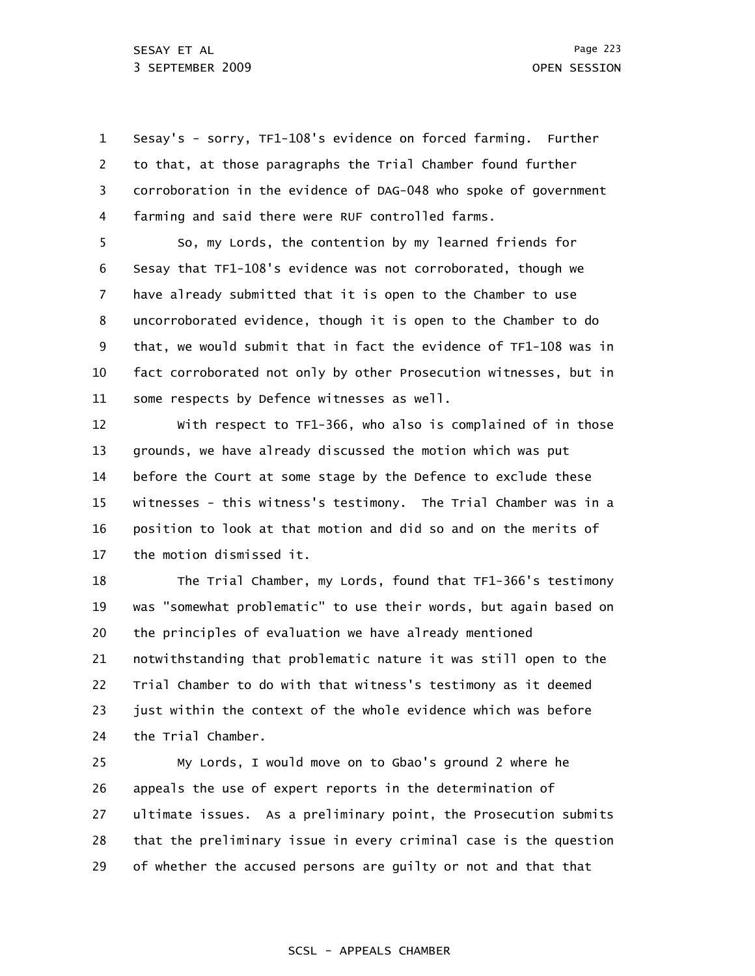1 2 3 4 Sesay's - sorry, TF1-108's evidence on forced farming. Further to that, at those paragraphs the Trial Chamber found further corroboration in the evidence of DAG-048 who spoke of government farming and said there were RUF controlled farms.

5 6 7 8 9 10 11 So, my Lords, the contention by my learned friends for Sesay that TF1-108's evidence was not corroborated, though we have already submitted that it is open to the Chamber to use uncorroborated evidence, though it is open to the Chamber to do that, we would submit that in fact the evidence of TF1-108 was in fact corroborated not only by other Prosecution witnesses, but in some respects by Defence witnesses as well.

12 13 14 15 16 17 With respect to TF1-366, who also is complained of in those grounds, we have already discussed the motion which was put before the Court at some stage by the Defence to exclude these witnesses - this witness's testimony. The Trial Chamber was in a position to look at that motion and did so and on the merits of the motion dismissed it.

18 19 20 21 22 23 24 The Trial Chamber, my Lords, found that TF1-366's testimony was "somewhat problematic" to use their words, but again based on the principles of evaluation we have already mentioned notwithstanding that problematic nature it was still open to the Trial Chamber to do with that witness's testimony as it deemed just within the context of the whole evidence which was before the Trial Chamber.

25 26 27 28 29 My Lords, I would move on to Gbao's ground 2 where he appeals the use of expert reports in the determination of ultimate issues. As a preliminary point, the Prosecution submits that the preliminary issue in every criminal case is the question of whether the accused persons are guilty or not and that that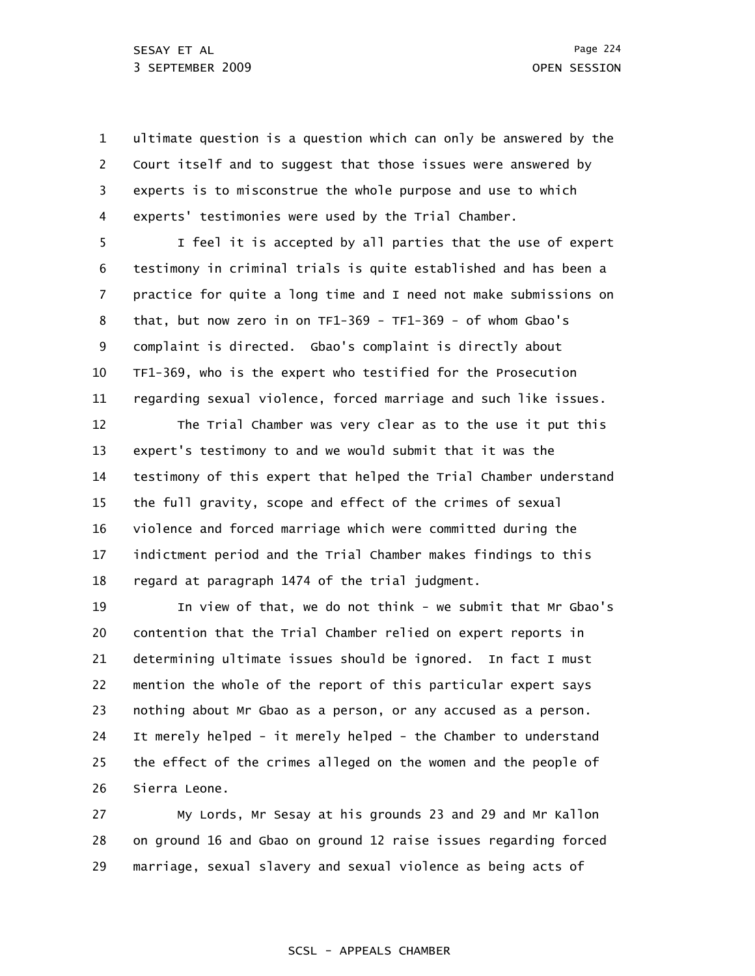1 2 3 4 ultimate question is a question which can only be answered by the Court itself and to suggest that those issues were answered by experts is to misconstrue the whole purpose and use to which experts' testimonies were used by the Trial Chamber.

5 6 7 8 9 10 11 I feel it is accepted by all parties that the use of expert testimony in criminal trials is quite established and has been a practice for quite a long time and I need not make submissions on that, but now zero in on TF1-369 - TF1-369 - of whom Gbao's complaint is directed. Gbao's complaint is directly about TF1-369, who is the expert who testified for the Prosecution regarding sexual violence, forced marriage and such like issues.

12 13 14 15 16 17 18 The Trial Chamber was very clear as to the use it put this expert's testimony to and we would submit that it was the testimony of this expert that helped the Trial Chamber understand the full gravity, scope and effect of the crimes of sexual violence and forced marriage which were committed during the indictment period and the Trial Chamber makes findings to this regard at paragraph 1474 of the trial judgment.

19 20 21 22 23 24 25 26 In view of that, we do not think - we submit that Mr Gbao's contention that the Trial Chamber relied on expert reports in determining ultimate issues should be ignored. In fact I must mention the whole of the report of this particular expert says nothing about Mr Gbao as a person, or any accused as a person. It merely helped - it merely helped - the Chamber to understand the effect of the crimes alleged on the women and the people of Sierra Leone.

27 28 29 My Lords, Mr Sesay at his grounds 23 and 29 and Mr Kallon on ground 16 and Gbao on ground 12 raise issues regarding forced marriage, sexual slavery and sexual violence as being acts of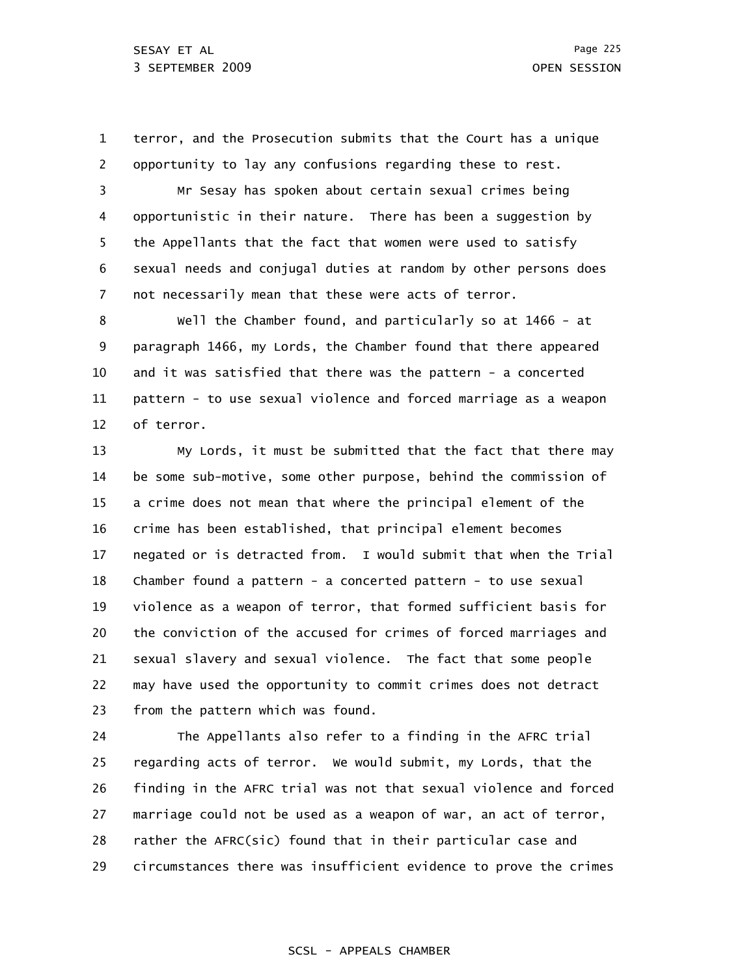1 2 terror, and the Prosecution submits that the Court has a unique opportunity to lay any confusions regarding these to rest.

3 4 5 6 7 Mr Sesay has spoken about certain sexual crimes being opportunistic in their nature. There has been a suggestion by the Appellants that the fact that women were used to satisfy sexual needs and conjugal duties at random by other persons does not necessarily mean that these were acts of terror.

8 9 10 11 12 Well the Chamber found, and particularly so at 1466 - at paragraph 1466, my Lords, the Chamber found that there appeared and it was satisfied that there was the pattern - a concerted pattern - to use sexual violence and forced marriage as a weapon of terror.

13 14 15 16 17 18 19 20 21 22 23 My Lords, it must be submitted that the fact that there may be some sub-motive, some other purpose, behind the commission of a crime does not mean that where the principal element of the crime has been established, that principal element becomes negated or is detracted from. I would submit that when the Trial Chamber found a pattern - a concerted pattern - to use sexual violence as a weapon of terror, that formed sufficient basis for the conviction of the accused for crimes of forced marriages and sexual slavery and sexual violence. The fact that some people may have used the opportunity to commit crimes does not detract from the pattern which was found.

24 25 26 27 28 29 The Appellants also refer to a finding in the AFRC trial regarding acts of terror. We would submit, my Lords, that the finding in the AFRC trial was not that sexual violence and forced marriage could not be used as a weapon of war, an act of terror, rather the AFRC(sic) found that in their particular case and circumstances there was insufficient evidence to prove the crimes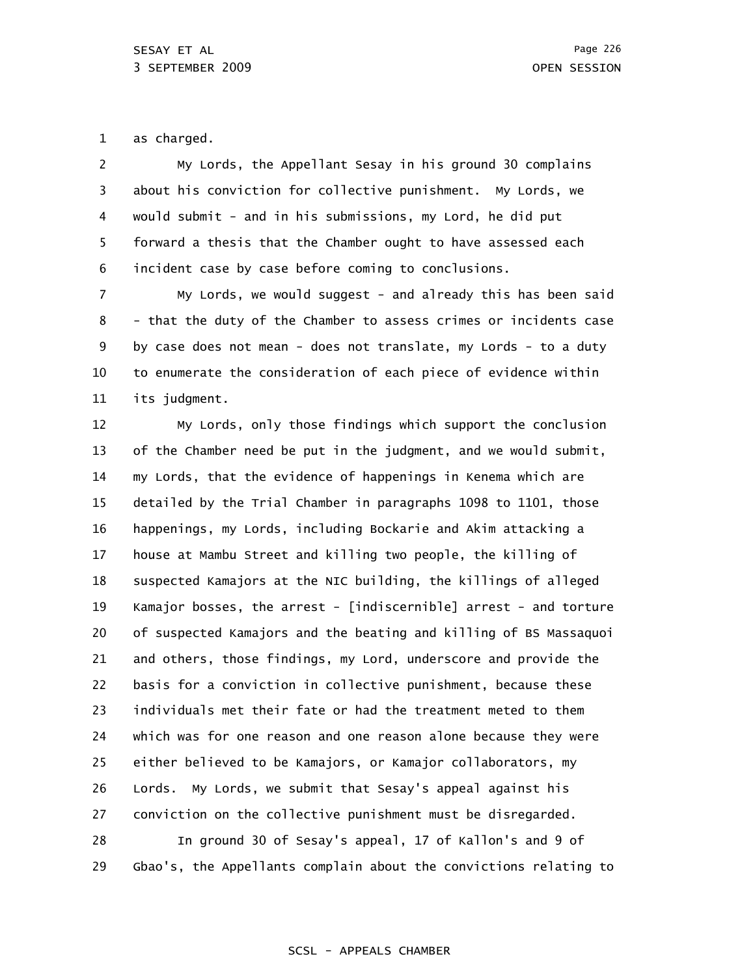1 as charged.

2 3 4 5 6 My Lords, the Appellant Sesay in his ground 30 complains about his conviction for collective punishment. My Lords, we would submit - and in his submissions, my Lord, he did put forward a thesis that the Chamber ought to have assessed each incident case by case before coming to conclusions.

7 8 9 10 11 My Lords, we would suggest - and already this has been said - that the duty of the Chamber to assess crimes or incidents case by case does not mean - does not translate, my Lords - to a duty to enumerate the consideration of each piece of evidence within its judgment.

12 13 14 15 16 17 18 19 20 21 22 23 24 25 26 27 28 29 My Lords, only those findings which support the conclusion of the Chamber need be put in the judgment, and we would submit, my Lords, that the evidence of happenings in Kenema which are detailed by the Trial Chamber in paragraphs 1098 to 1101, those happenings, my Lords, including Bockarie and Akim attacking a house at Mambu Street and killing two people, the killing of suspected Kamajors at the NIC building, the killings of alleged Kamajor bosses, the arrest - [indiscernible] arrest - and torture of suspected Kamajors and the beating and killing of BS Massaquoi and others, those findings, my Lord, underscore and provide the basis for a conviction in collective punishment, because these individuals met their fate or had the treatment meted to them which was for one reason and one reason alone because they were either believed to be Kamajors, or Kamajor collaborators, my Lords. My Lords, we submit that Sesay's appeal against his conviction on the collective punishment must be disregarded. In ground 30 of Sesay's appeal, 17 of Kallon's and 9 of Gbao's, the Appellants complain about the convictions relating to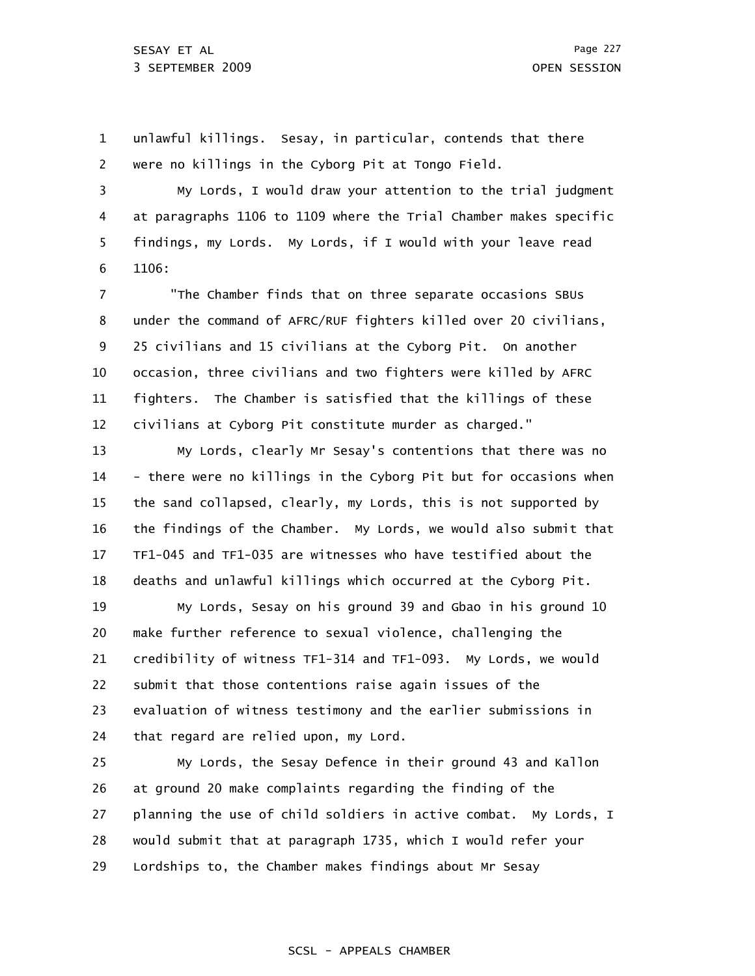1 2 unlawful killings. Sesay, in particular, contends that there were no killings in the Cyborg Pit at Tongo Field.

3 4 5 6 My Lords, I would draw your attention to the trial judgment at paragraphs 1106 to 1109 where the Trial Chamber makes specific findings, my Lords. My Lords, if I would with your leave read 1106:

7 8 9 10 11 12 "The Chamber finds that on three separate occasions SBUs under the command of AFRC/RUF fighters killed over 20 civilians, 25 civilians and 15 civilians at the Cyborg Pit. On another occasion, three civilians and two fighters were killed by AFRC fighters. The Chamber is satisfied that the killings of these civilians at Cyborg Pit constitute murder as charged."

13 14 15 16 17 18 My Lords, clearly Mr Sesay's contentions that there was no - there were no killings in the Cyborg Pit but for occasions when the sand collapsed, clearly, my Lords, this is not supported by the findings of the Chamber. My Lords, we would also submit that TF1-045 and TF1-035 are witnesses who have testified about the deaths and unlawful killings which occurred at the Cyborg Pit.

19 20 21 22 23 24 My Lords, Sesay on his ground 39 and Gbao in his ground 10 make further reference to sexual violence, challenging the credibility of witness TF1-314 and TF1-093. My Lords, we would submit that those contentions raise again issues of the evaluation of witness testimony and the earlier submissions in that regard are relied upon, my Lord.

25 26 27 28 29 My Lords, the Sesay Defence in their ground 43 and Kallon at ground 20 make complaints regarding the finding of the planning the use of child soldiers in active combat. My Lords, I would submit that at paragraph 1735, which I would refer your Lordships to, the Chamber makes findings about Mr Sesay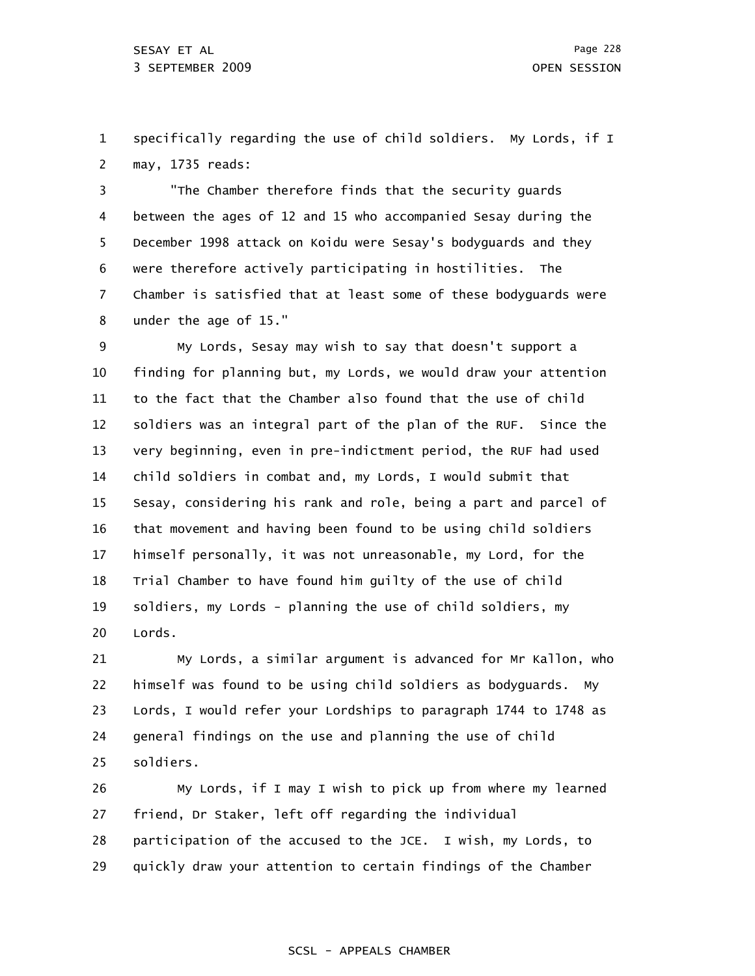1 2 specifically regarding the use of child soldiers. My Lords, if I may, 1735 reads:

3 4 5 6 7 8 "The Chamber therefore finds that the security guards between the ages of 12 and 15 who accompanied Sesay during the December 1998 attack on Koidu were Sesay's bodyguards and they were therefore actively participating in hostilities. The Chamber is satisfied that at least some of these bodyguards were under the age of 15."

9 10 11 12 13 14 15 16 17 18 19 20 My Lords, Sesay may wish to say that doesn't support a finding for planning but, my Lords, we would draw your attention to the fact that the Chamber also found that the use of child soldiers was an integral part of the plan of the RUF. Since the very beginning, even in pre-indictment period, the RUF had used child soldiers in combat and, my Lords, I would submit that Sesay, considering his rank and role, being a part and parcel of that movement and having been found to be using child soldiers himself personally, it was not unreasonable, my Lord, for the Trial Chamber to have found him guilty of the use of child soldiers, my Lords - planning the use of child soldiers, my Lords.

21 22 23 24 25 My Lords, a similar argument is advanced for Mr Kallon, who himself was found to be using child soldiers as bodyguards. My Lords, I would refer your Lordships to paragraph 1744 to 1748 as general findings on the use and planning the use of child soldiers.

26 27 28 29 My Lords, if I may I wish to pick up from where my learned friend, Dr Staker, left off regarding the individual participation of the accused to the JCE. I wish, my Lords, to quickly draw your attention to certain findings of the Chamber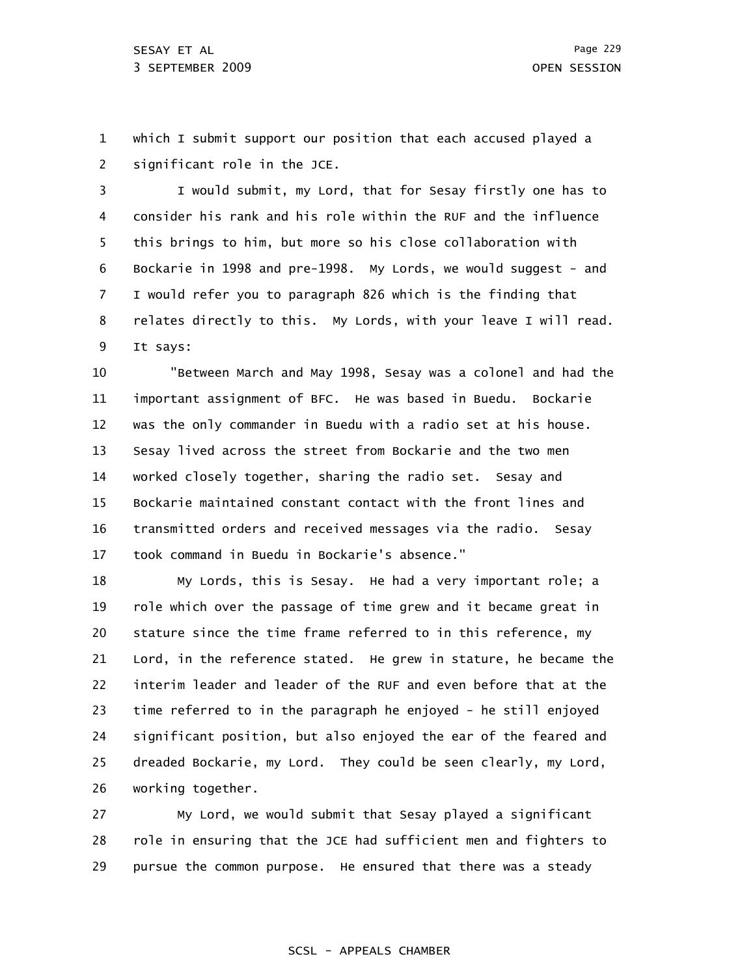1 2 which I submit support our position that each accused played a significant role in the JCE.

3 4 5 6 7 8 9 I would submit, my Lord, that for Sesay firstly one has to consider his rank and his role within the RUF and the influence this brings to him, but more so his close collaboration with Bockarie in 1998 and pre-1998. My Lords, we would suggest - and I would refer you to paragraph 826 which is the finding that relates directly to this. My Lords, with your leave I will read. It says:

10 11 12 13 14 15 16 17 "Between March and May 1998, Sesay was a colonel and had the important assignment of BFC. He was based in Buedu. Bockarie was the only commander in Buedu with a radio set at his house. Sesay lived across the street from Bockarie and the two men worked closely together, sharing the radio set. Sesay and Bockarie maintained constant contact with the front lines and transmitted orders and received messages via the radio. Sesay took command in Buedu in Bockarie's absence."

18 19 20 21 22 23 24 25 26 My Lords, this is Sesay. He had a very important role; a role which over the passage of time grew and it became great in stature since the time frame referred to in this reference, my Lord, in the reference stated. He grew in stature, he became the interim leader and leader of the RUF and even before that at the time referred to in the paragraph he enjoyed - he still enjoyed significant position, but also enjoyed the ear of the feared and dreaded Bockarie, my Lord. They could be seen clearly, my Lord, working together.

27 28 29 My Lord, we would submit that Sesay played a significant role in ensuring that the JCE had sufficient men and fighters to pursue the common purpose. He ensured that there was a steady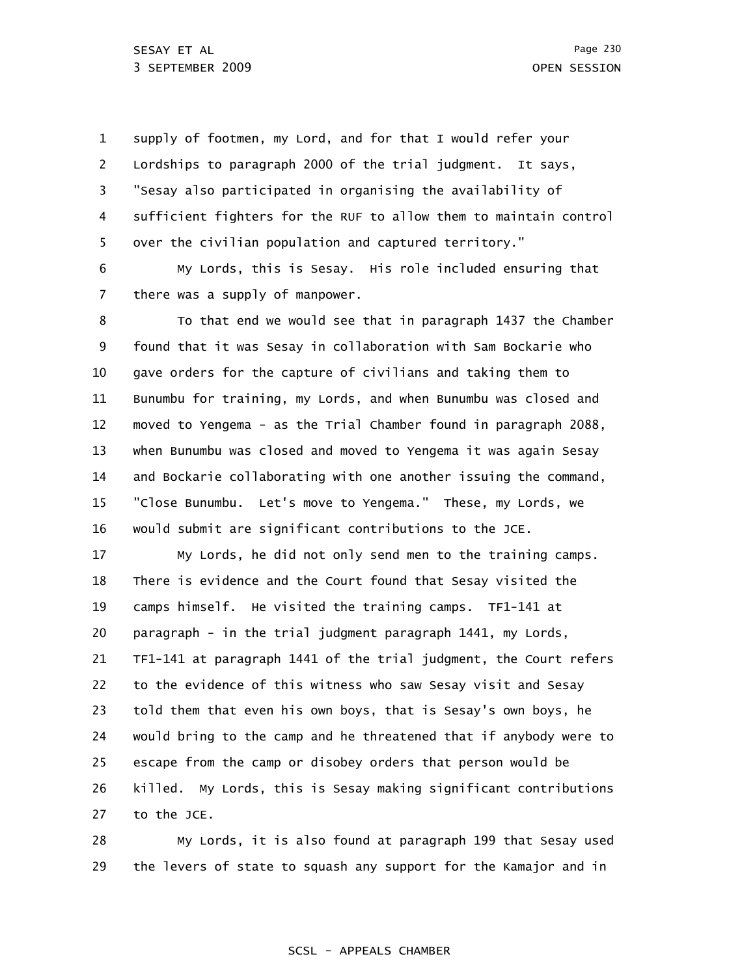1 2 3 4 5 supply of footmen, my Lord, and for that I would refer your Lordships to paragraph 2000 of the trial judgment. It says, "Sesay also participated in organising the availability of sufficient fighters for the RUF to allow them to maintain control over the civilian population and captured territory."

6 7 My Lords, this is Sesay. His role included ensuring that there was a supply of manpower.

8 9 10 11 12 13 14 15 16 To that end we would see that in paragraph 1437 the Chamber found that it was Sesay in collaboration with Sam Bockarie who gave orders for the capture of civilians and taking them to Bunumbu for training, my Lords, and when Bunumbu was closed and moved to Yengema - as the Trial Chamber found in paragraph 2088, when Bunumbu was closed and moved to Yengema it was again Sesay and Bockarie collaborating with one another issuing the command, "Close Bunumbu. Let's move to Yengema." These, my Lords, we would submit are significant contributions to the JCE.

17 18 19 20 21 22 23 24 25 26 27 My Lords, he did not only send men to the training camps. There is evidence and the Court found that Sesay visited the camps himself. He visited the training camps. TF1-141 at paragraph - in the trial judgment paragraph 1441, my Lords, TF1-141 at paragraph 1441 of the trial judgment, the Court refers to the evidence of this witness who saw Sesay visit and Sesay told them that even his own boys, that is Sesay's own boys, he would bring to the camp and he threatened that if anybody were to escape from the camp or disobey orders that person would be killed. My Lords, this is Sesay making significant contributions to the JCE.

28 29 My Lords, it is also found at paragraph 199 that Sesay used the levers of state to squash any support for the Kamajor and in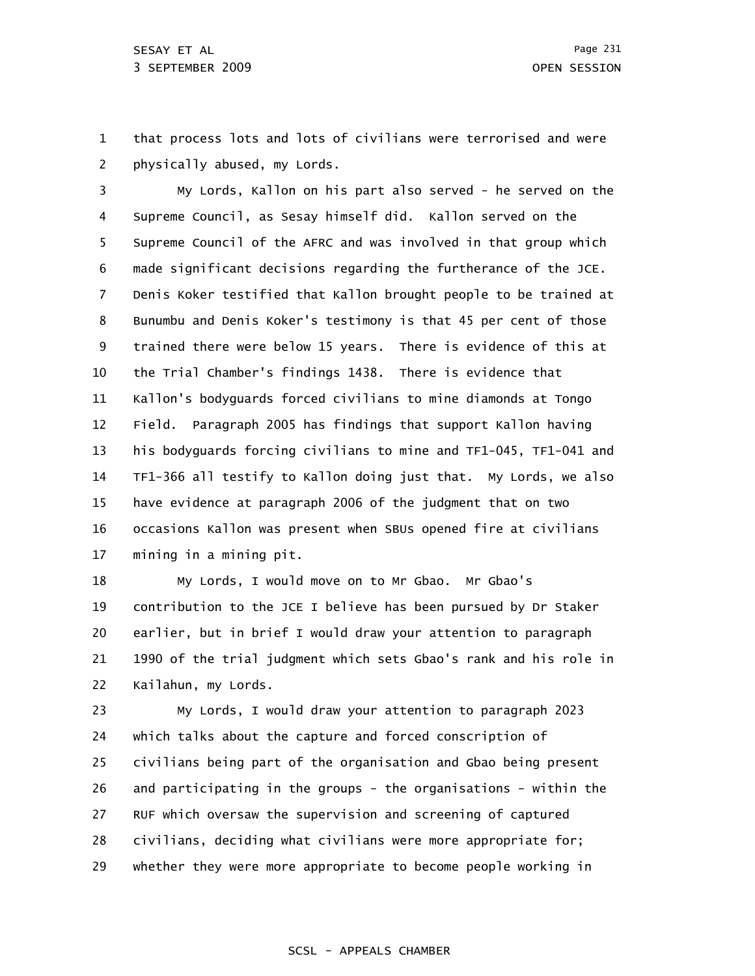1 2 that process lots and lots of civilians were terrorised and were physically abused, my Lords.

3 4 5 6 7 8 9 10 11 12 13 14 15 16 17 My Lords, Kallon on his part also served - he served on the Supreme Council, as Sesay himself did. Kallon served on the Supreme Council of the AFRC and was involved in that group which made significant decisions regarding the furtherance of the JCE. Denis Koker testified that Kallon brought people to be trained at Bunumbu and Denis Koker's testimony is that 45 per cent of those trained there were below 15 years. There is evidence of this at the Trial Chamber's findings 1438. There is evidence that Kallon's bodyguards forced civilians to mine diamonds at Tongo Field. Paragraph 2005 has findings that support Kallon having his bodyguards forcing civilians to mine and TF1-045, TF1-041 and TF1-366 all testify to Kallon doing just that. My Lords, we also have evidence at paragraph 2006 of the judgment that on two occasions Kallon was present when SBUs opened fire at civilians mining in a mining pit.

18 19 20 21 22 My Lords, I would move on to Mr Gbao. Mr Gbao's contribution to the JCE I believe has been pursued by Dr Staker earlier, but in brief I would draw your attention to paragraph 1990 of the trial judgment which sets Gbao's rank and his role in Kailahun, my Lords.

23 24 25 26 27 28 29 My Lords, I would draw your attention to paragraph 2023 which talks about the capture and forced conscription of civilians being part of the organisation and Gbao being present and participating in the groups - the organisations - within the RUF which oversaw the supervision and screening of captured civilians, deciding what civilians were more appropriate for; whether they were more appropriate to become people working in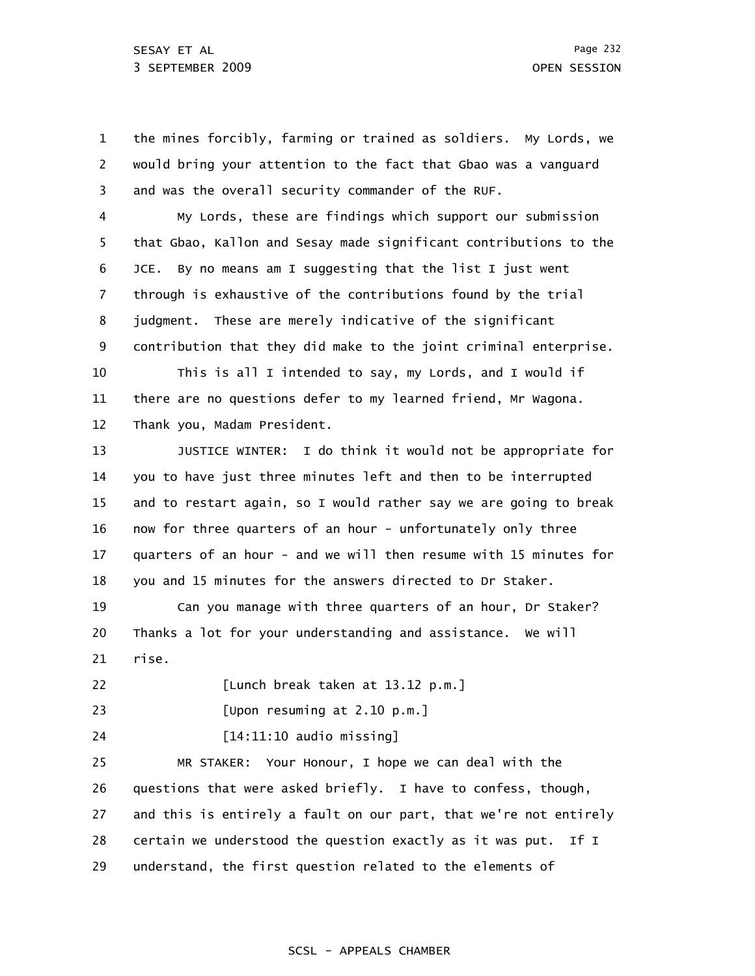1 2 3 the mines forcibly, farming or trained as soldiers. My Lords, we would bring your attention to the fact that Gbao was a vanguard and was the overall security commander of the RUF.

4 5 6 7 8 9 10 11 My Lords, these are findings which support our submission that Gbao, Kallon and Sesay made significant contributions to the JCE. By no means am I suggesting that the list I just went through is exhaustive of the contributions found by the trial judgment. These are merely indicative of the significant contribution that they did make to the joint criminal enterprise. This is all I intended to say, my Lords, and I would if there are no questions defer to my learned friend, Mr Wagona.

12 Thank you, Madam President.

13 14 15 16 17 18 JUSTICE WINTER: I do think it would not be appropriate for you to have just three minutes left and then to be interrupted and to restart again, so I would rather say we are going to break now for three quarters of an hour - unfortunately only three quarters of an hour - and we will then resume with 15 minutes for you and 15 minutes for the answers directed to Dr Staker.

19 20 21 Can you manage with three quarters of an hour, Dr Staker? Thanks a lot for your understanding and assistance. We will rise.

22 [Lunch break taken at 13.12 p.m.]

23 [Upon resuming at 2.10 p.m.]

24 [14:11:10 audio missing]

25 26 27 28 29 MR STAKER: Your Honour, I hope we can deal with the questions that were asked briefly. I have to confess, though, and this is entirely a fault on our part, that we're not entirely certain we understood the question exactly as it was put. If I understand, the first question related to the elements of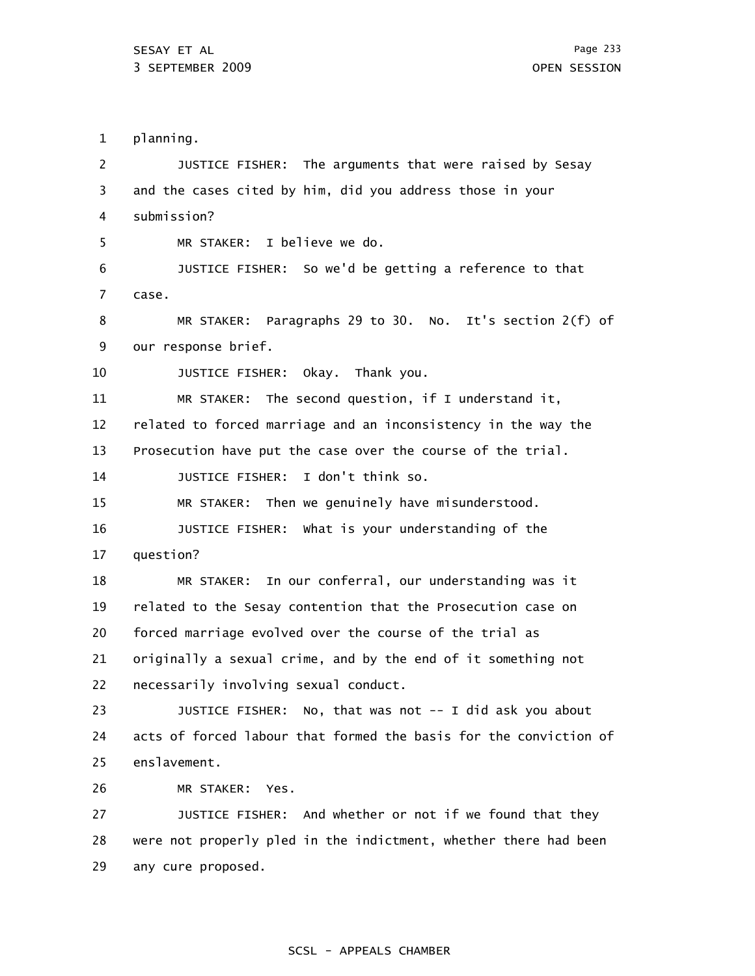1 planning.

| 2              | JUSTICE FISHER: The arguments that were raised by Sesay              |
|----------------|----------------------------------------------------------------------|
| 3              | and the cases cited by him, did you address those in your            |
| 4              | submission?                                                          |
| 5              | MR STAKER: I believe we do.                                          |
| 6              | JUSTICE FISHER: So we'd be getting a reference to that               |
| $\overline{7}$ | case.                                                                |
| 8              | MR STAKER: Paragraphs 29 to 30. No. It's section 2(f) of             |
| 9              | our response brief.                                                  |
| 10             | JUSTICE FISHER: Okay. Thank you.                                     |
| 11             | MR STAKER: The second question, if I understand it,                  |
| 12             | related to forced marriage and an inconsistency in the way the       |
| 13             | Prosecution have put the case over the course of the trial.          |
| 14             | I don't think so.<br><b>JUSTICE FISHER:</b>                          |
| 15             | MR STAKER: Then we genuinely have misunderstood.                     |
| 16             | JUSTICE FISHER: What is your understanding of the                    |
| 17             | question?                                                            |
| 18             | MR STAKER: In our conferral, our understanding was it                |
| 19             | related to the Sesay contention that the Prosecution case on         |
| 20             | forced marriage evolved over the course of the trial as              |
| 21             | originally a sexual crime, and by the end of it something not        |
| 22             | necessarily involving sexual conduct.                                |
| 23             | No, that was not $-$ - I did ask you about<br><b>JUSTICE FISHER:</b> |
| 24             | acts of forced labour that formed the basis for the conviction of    |
| 25             | enslavement.                                                         |
| 26             | MR STAKER:<br>Yes.                                                   |
| 27             | And whether or not if we found that they<br>JUSTICE FISHER:          |
| 28             | were not properly pled in the indictment, whether there had been     |
| 29             | any cure proposed.                                                   |
|                |                                                                      |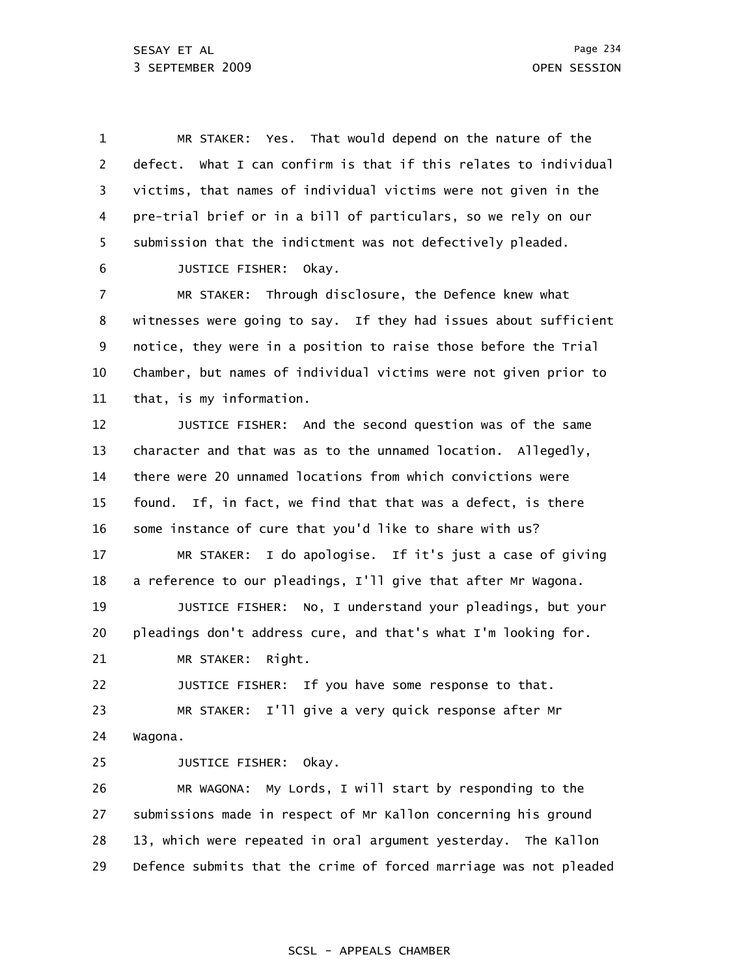1 2 3 4 5 6 7 8 9 10 11 12 13 14 15 16 17 18 19 20 21 22 23 24 25 26 MR STAKER: Yes. That would depend on the nature of the defect. What I can confirm is that if this relates to individual victims, that names of individual victims were not given in the pre-trial brief or in a bill of particulars, so we rely on our submission that the indictment was not defectively pleaded. JUSTICE FISHER: Okay. MR STAKER: Through disclosure, the Defence knew what witnesses were going to say. If they had issues about sufficient notice, they were in a position to raise those before the Trial Chamber, but names of individual victims were not given prior to that, is my information. JUSTICE FISHER: And the second question was of the same character and that was as to the unnamed location. Allegedly, there were 20 unnamed locations from which convictions were found. If, in fact, we find that that was a defect, is there some instance of cure that you'd like to share with us? MR STAKER: I do apologise. If it's just a case of giving a reference to our pleadings, I'll give that after Mr Wagona. JUSTICE FISHER: No, I understand your pleadings, but your pleadings don't address cure, and that's what I'm looking for. MR STAKER: Right. JUSTICE FISHER: If you have some response to that. MR STAKER: I'll give a very quick response after Mr Wagona. JUSTICE FISHER: Okay. MR WAGONA: My Lords, I will start by responding to the

27 28 29 submissions made in respect of Mr Kallon concerning his ground 13, which were repeated in oral argument yesterday. The Kallon Defence submits that the crime of forced marriage was not pleaded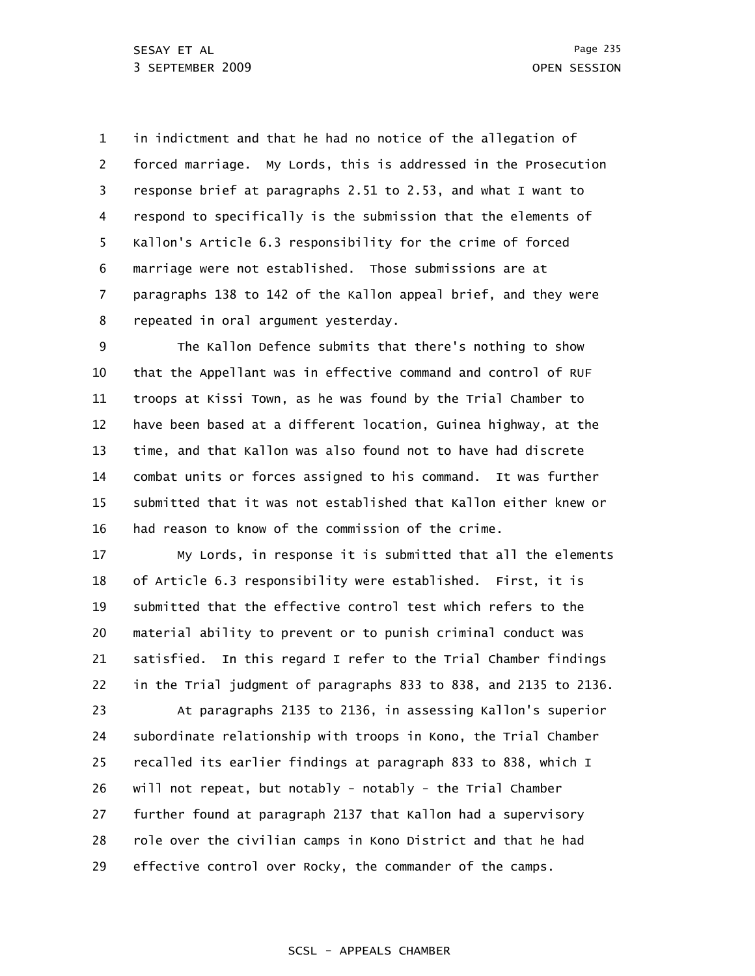1 2 3 4 5 6 7 8 in indictment and that he had no notice of the allegation of forced marriage. My Lords, this is addressed in the Prosecution response brief at paragraphs 2.51 to 2.53, and what I want to respond to specifically is the submission that the elements of Kallon's Article 6.3 responsibility for the crime of forced marriage were not established. Those submissions are at paragraphs 138 to 142 of the Kallon appeal brief, and they were repeated in oral argument yesterday.

9 10 11 12 13 14 15 16 The Kallon Defence submits that there's nothing to show that the Appellant was in effective command and control of RUF troops at Kissi Town, as he was found by the Trial Chamber to have been based at a different location, Guinea highway, at the time, and that Kallon was also found not to have had discrete combat units or forces assigned to his command. It was further submitted that it was not established that Kallon either knew or had reason to know of the commission of the crime.

17 18 19 20 21 22 23 24 25 26 27 28 29 My Lords, in response it is submitted that all the elements of Article 6.3 responsibility were established. First, it is submitted that the effective control test which refers to the material ability to prevent or to punish criminal conduct was satisfied. In this regard I refer to the Trial Chamber findings in the Trial judgment of paragraphs 833 to 838, and 2135 to 2136. At paragraphs 2135 to 2136, in assessing Kallon's superior subordinate relationship with troops in Kono, the Trial Chamber recalled its earlier findings at paragraph 833 to 838, which I will not repeat, but notably - notably - the Trial Chamber further found at paragraph 2137 that Kallon had a supervisory role over the civilian camps in Kono District and that he had effective control over Rocky, the commander of the camps.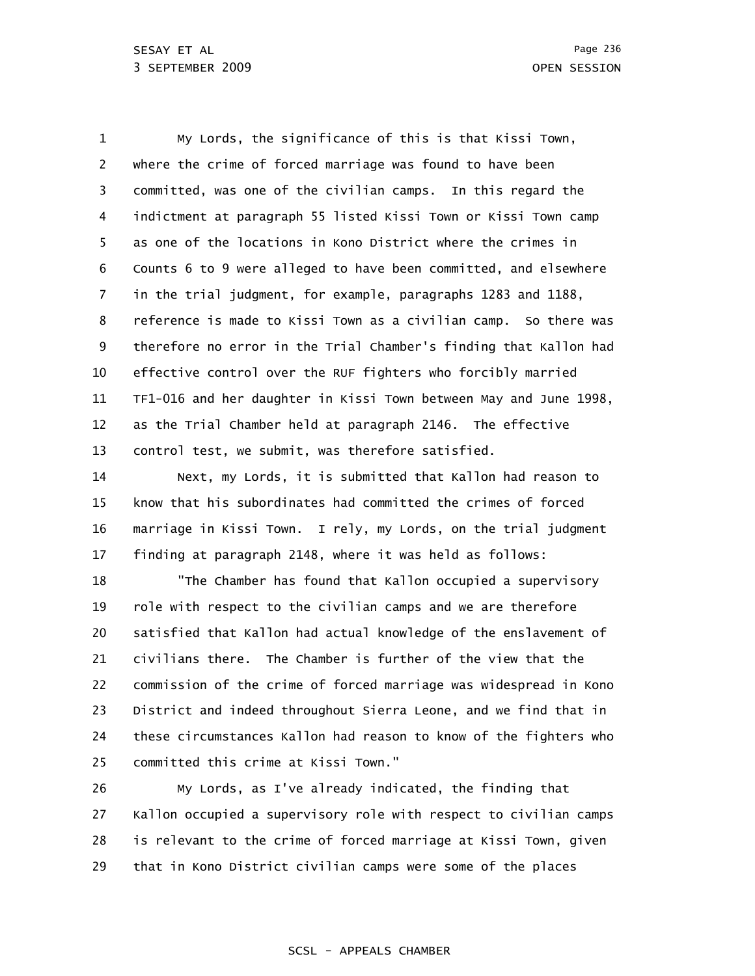1 2 3 4 5 6 7 8 9 10 11 12 13 My Lords, the significance of this is that Kissi Town, where the crime of forced marriage was found to have been committed, was one of the civilian camps. In this regard the indictment at paragraph 55 listed Kissi Town or Kissi Town camp as one of the locations in Kono District where the crimes in Counts 6 to 9 were alleged to have been committed, and elsewhere in the trial judgment, for example, paragraphs 1283 and 1188, reference is made to Kissi Town as a civilian camp. So there was therefore no error in the Trial Chamber's finding that Kallon had effective control over the RUF fighters who forcibly married TF1-016 and her daughter in Kissi Town between May and June 1998, as the Trial Chamber held at paragraph 2146. The effective control test, we submit, was therefore satisfied.

14 15 16 17 Next, my Lords, it is submitted that Kallon had reason to know that his subordinates had committed the crimes of forced marriage in Kissi Town. I rely, my Lords, on the trial judgment finding at paragraph 2148, where it was held as follows:

18 19 20 21 22 23 24 25 "The Chamber has found that Kallon occupied a supervisory role with respect to the civilian camps and we are therefore satisfied that Kallon had actual knowledge of the enslavement of civilians there. The Chamber is further of the view that the commission of the crime of forced marriage was widespread in Kono District and indeed throughout Sierra Leone, and we find that in these circumstances Kallon had reason to know of the fighters who committed this crime at Kissi Town."

26 27 28 29 My Lords, as I've already indicated, the finding that Kallon occupied a supervisory role with respect to civilian camps is relevant to the crime of forced marriage at Kissi Town, given that in Kono District civilian camps were some of the places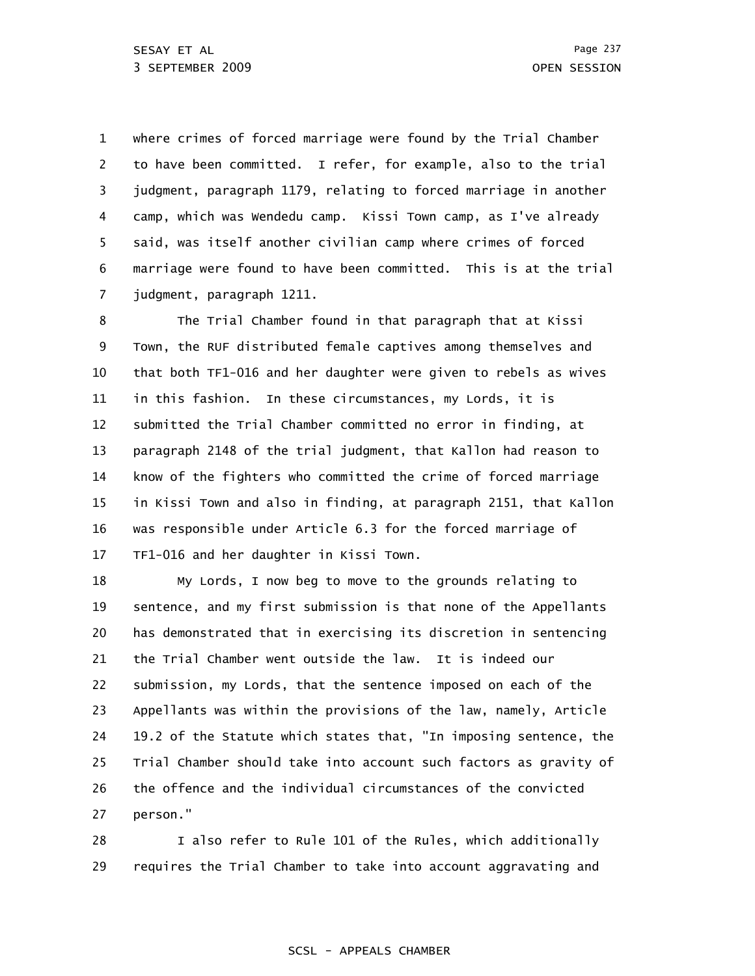1 2 3 4 5 6 7 where crimes of forced marriage were found by the Trial Chamber to have been committed. I refer, for example, also to the trial judgment, paragraph 1179, relating to forced marriage in another camp, which was Wendedu camp. Kissi Town camp, as I've already said, was itself another civilian camp where crimes of forced marriage were found to have been committed. This is at the trial judgment, paragraph 1211.

8 9 10 11 12 13 14 15 16 17 The Trial Chamber found in that paragraph that at Kissi Town, the RUF distributed female captives among themselves and that both TF1-016 and her daughter were given to rebels as wives in this fashion. In these circumstances, my Lords, it is submitted the Trial Chamber committed no error in finding, at paragraph 2148 of the trial judgment, that Kallon had reason to know of the fighters who committed the crime of forced marriage in Kissi Town and also in finding, at paragraph 2151, that Kallon was responsible under Article 6.3 for the forced marriage of TF1-016 and her daughter in Kissi Town.

18 19 20 21 22 23 24 25 26 27 My Lords, I now beg to move to the grounds relating to sentence, and my first submission is that none of the Appellants has demonstrated that in exercising its discretion in sentencing the Trial Chamber went outside the law. It is indeed our submission, my Lords, that the sentence imposed on each of the Appellants was within the provisions of the law, namely, Article 19.2 of the Statute which states that, "In imposing sentence, the Trial Chamber should take into account such factors as gravity of the offence and the individual circumstances of the convicted person."

28 29 I also refer to Rule 101 of the Rules, which additionally requires the Trial Chamber to take into account aggravating and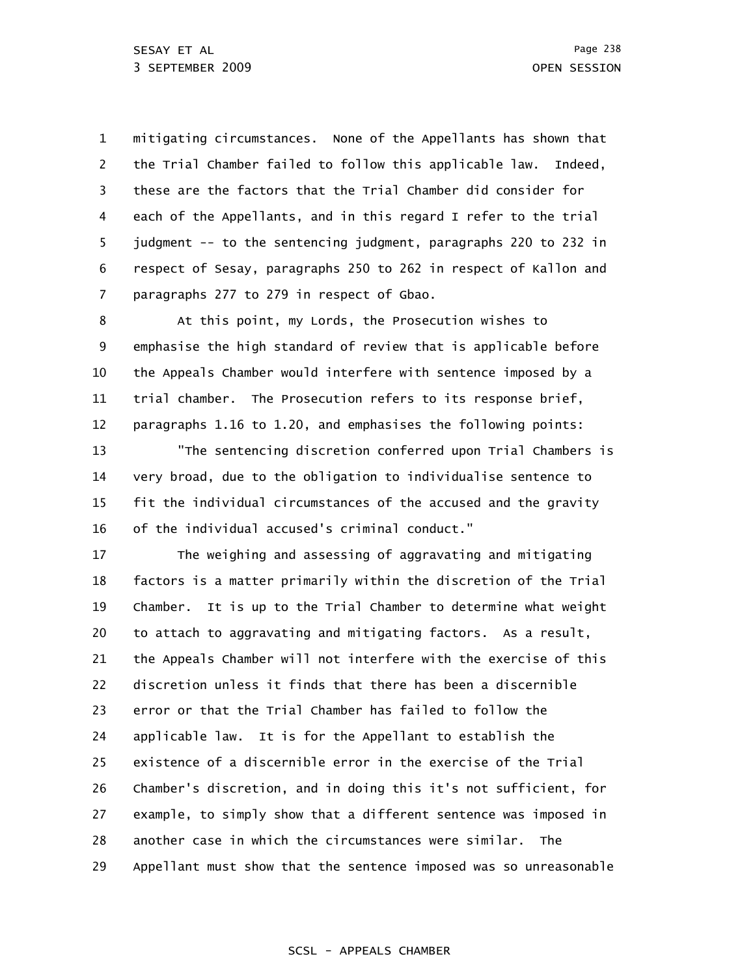1 2 3 4 5 6 7 mitigating circumstances. None of the Appellants has shown that the Trial Chamber failed to follow this applicable law. Indeed, these are the factors that the Trial Chamber did consider for each of the Appellants, and in this regard I refer to the trial judgment -- to the sentencing judgment, paragraphs 220 to 232 in respect of Sesay, paragraphs 250 to 262 in respect of Kallon and paragraphs 277 to 279 in respect of Gbao.

8 9 10 11 12 At this point, my Lords, the Prosecution wishes to emphasise the high standard of review that is applicable before the Appeals Chamber would interfere with sentence imposed by a trial chamber. The Prosecution refers to its response brief, paragraphs 1.16 to 1.20, and emphasises the following points:

13 14 15 16 "The sentencing discretion conferred upon Trial Chambers is very broad, due to the obligation to individualise sentence to fit the individual circumstances of the accused and the gravity of the individual accused's criminal conduct."

17 18 19 20 21 22 23 24 25 26 27 28 29 The weighing and assessing of aggravating and mitigating factors is a matter primarily within the discretion of the Trial Chamber. It is up to the Trial Chamber to determine what weight to attach to aggravating and mitigating factors. As a result, the Appeals Chamber will not interfere with the exercise of this discretion unless it finds that there has been a discernible error or that the Trial Chamber has failed to follow the applicable law. It is for the Appellant to establish the existence of a discernible error in the exercise of the Trial Chamber's discretion, and in doing this it's not sufficient, for example, to simply show that a different sentence was imposed in another case in which the circumstances were similar. The Appellant must show that the sentence imposed was so unreasonable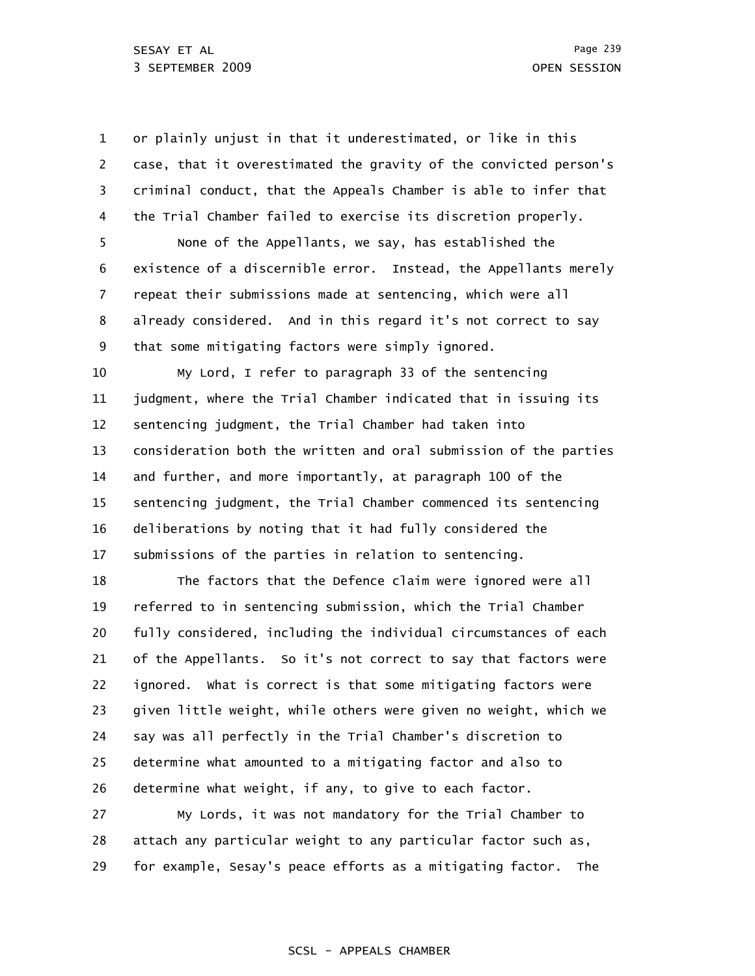29

1 2 3 4 5 6 7 8 9 10 11 12 13 14 15 16 17 18 19 20 21 22 23 24 25 26 27 28 or plainly unjust in that it underestimated, or like in this case, that it overestimated the gravity of the convicted person's criminal conduct, that the Appeals Chamber is able to infer that the Trial Chamber failed to exercise its discretion properly. None of the Appellants, we say, has established the existence of a discernible error. Instead, the Appellants merely repeat their submissions made at sentencing, which were all already considered. And in this regard it's not correct to say that some mitigating factors were simply ignored. My Lord, I refer to paragraph 33 of the sentencing judgment, where the Trial Chamber indicated that in issuing its sentencing judgment, the Trial Chamber had taken into consideration both the written and oral submission of the parties and further, and more importantly, at paragraph 100 of the sentencing judgment, the Trial Chamber commenced its sentencing deliberations by noting that it had fully considered the submissions of the parties in relation to sentencing. The factors that the Defence claim were ignored were all referred to in sentencing submission, which the Trial Chamber fully considered, including the individual circumstances of each of the Appellants. So it's not correct to say that factors were ignored. What is correct is that some mitigating factors were given little weight, while others were given no weight, which we say was all perfectly in the Trial Chamber's discretion to determine what amounted to a mitigating factor and also to determine what weight, if any, to give to each factor. My Lords, it was not mandatory for the Trial Chamber to attach any particular weight to any particular factor such as,

SCSL - APPEALS CHAMBER

for example, Sesay's peace efforts as a mitigating factor. The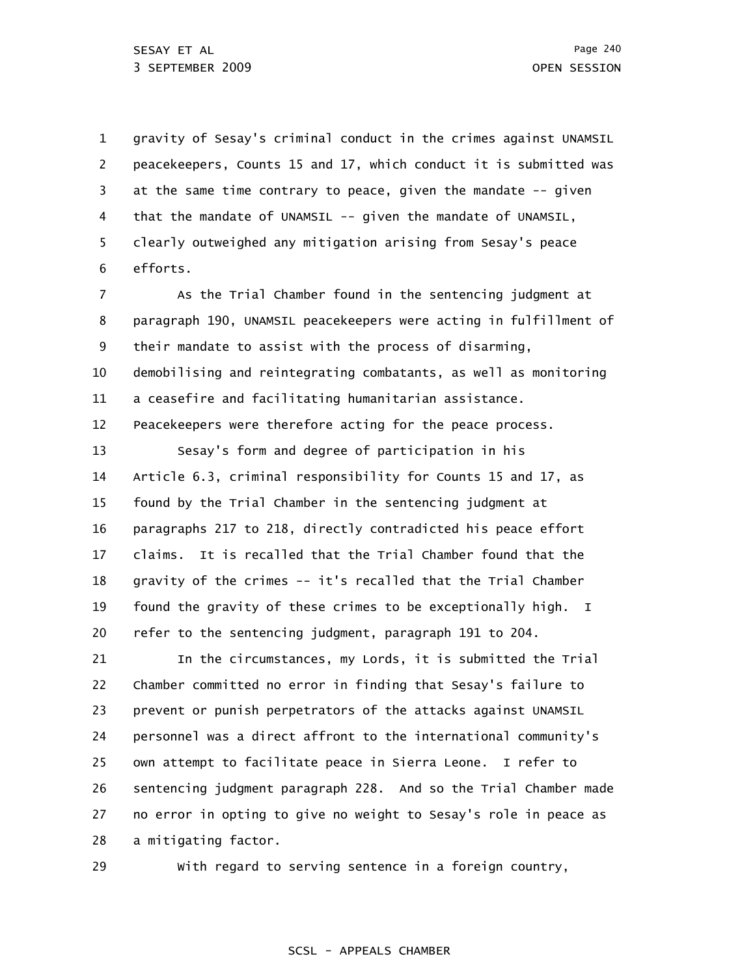1 2 3 4 5 6 gravity of Sesay's criminal conduct in the crimes against UNAMSIL peacekeepers, Counts 15 and 17, which conduct it is submitted was at the same time contrary to peace, given the mandate -- given that the mandate of UNAMSIL -- given the mandate of UNAMSIL, clearly outweighed any mitigation arising from Sesay's peace efforts.

7 8 9 10 11 12 As the Trial Chamber found in the sentencing judgment at paragraph 190, UNAMSIL peacekeepers were acting in fulfillment of their mandate to assist with the process of disarming, demobilising and reintegrating combatants, as well as monitoring a ceasefire and facilitating humanitarian assistance. Peacekeepers were therefore acting for the peace process.

13 14 15 16 17 18 19 20 Sesay's form and degree of participation in his Article 6.3, criminal responsibility for Counts 15 and 17, as found by the Trial Chamber in the sentencing judgment at paragraphs 217 to 218, directly contradicted his peace effort claims. It is recalled that the Trial Chamber found that the gravity of the crimes -- it's recalled that the Trial Chamber found the gravity of these crimes to be exceptionally high. I refer to the sentencing judgment, paragraph 191 to 204.

21 22 23 24 25 26 27 28 In the circumstances, my Lords, it is submitted the Trial Chamber committed no error in finding that Sesay's failure to prevent or punish perpetrators of the attacks against UNAMSIL personnel was a direct affront to the international community's own attempt to facilitate peace in Sierra Leone. I refer to sentencing judgment paragraph 228. And so the Trial Chamber made no error in opting to give no weight to Sesay's role in peace as a mitigating factor.

29

With regard to serving sentence in a foreign country,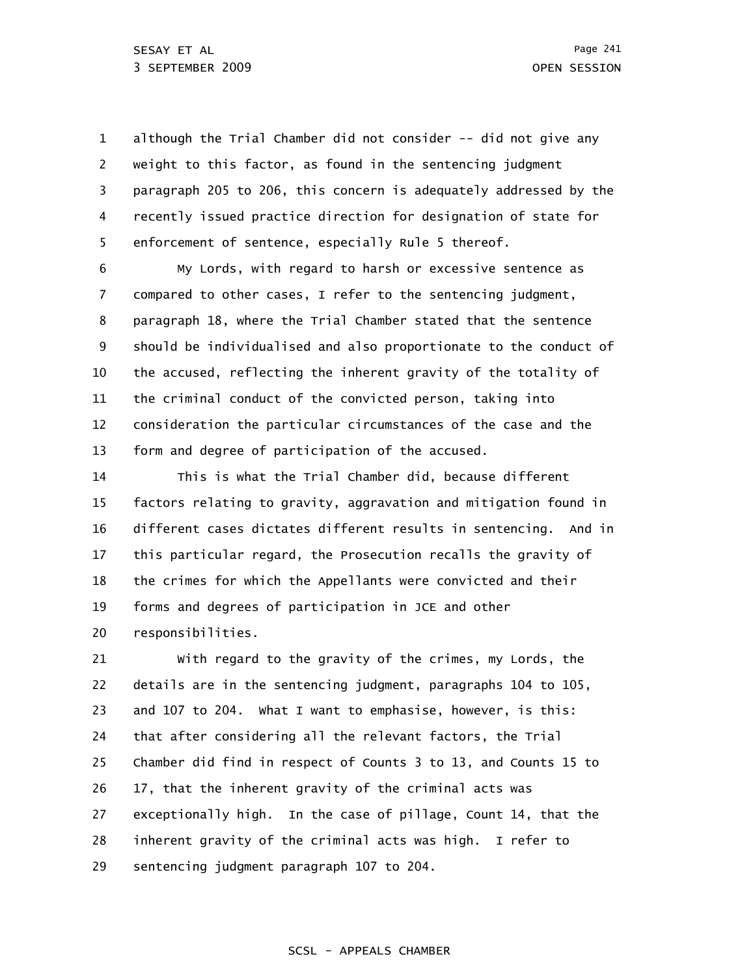1 2 3 4 5 although the Trial Chamber did not consider -- did not give any weight to this factor, as found in the sentencing judgment paragraph 205 to 206, this concern is adequately addressed by the recently issued practice direction for designation of state for enforcement of sentence, especially Rule 5 thereof.

6 7 8 9 10 11 12 13 My Lords, with regard to harsh or excessive sentence as compared to other cases, I refer to the sentencing judgment, paragraph 18, where the Trial Chamber stated that the sentence should be individualised and also proportionate to the conduct of the accused, reflecting the inherent gravity of the totality of the criminal conduct of the convicted person, taking into consideration the particular circumstances of the case and the form and degree of participation of the accused.

14 15 16 17 18 19 20 This is what the Trial Chamber did, because different factors relating to gravity, aggravation and mitigation found in different cases dictates different results in sentencing. And in this particular regard, the Prosecution recalls the gravity of the crimes for which the Appellants were convicted and their forms and degrees of participation in JCE and other responsibilities.

21 22 23 24 25 26 27 28 29 With regard to the gravity of the crimes, my Lords, the details are in the sentencing judgment, paragraphs 104 to 105, and 107 to 204. What I want to emphasise, however, is this: that after considering all the relevant factors, the Trial Chamber did find in respect of Counts 3 to 13, and Counts 15 to 17, that the inherent gravity of the criminal acts was exceptionally high. In the case of pillage, Count 14, that the inherent gravity of the criminal acts was high. I refer to sentencing judgment paragraph 107 to 204.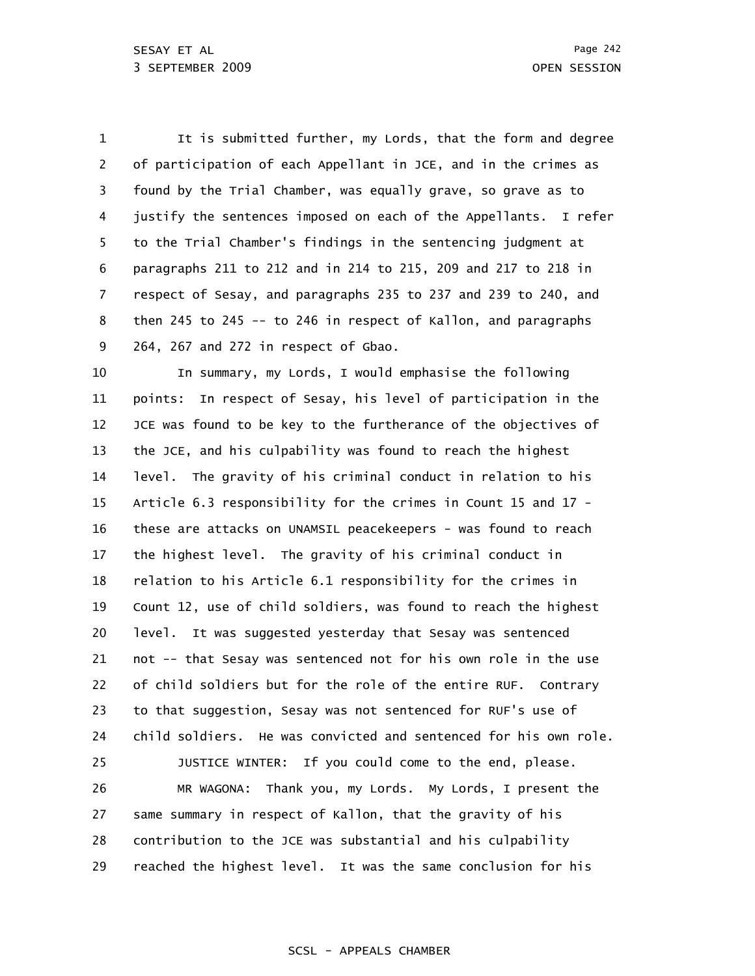1 2 3 4 5 6 7 8 9 It is submitted further, my Lords, that the form and degree of participation of each Appellant in JCE, and in the crimes as found by the Trial Chamber, was equally grave, so grave as to justify the sentences imposed on each of the Appellants. I refer to the Trial Chamber's findings in the sentencing judgment at paragraphs 211 to 212 and in 214 to 215, 209 and 217 to 218 in respect of Sesay, and paragraphs 235 to 237 and 239 to 240, and then 245 to 245 -- to 246 in respect of Kallon, and paragraphs 264, 267 and 272 in respect of Gbao.

10 11 12 13 14 15 16 17 18 19 20 21 22 23 24 25 26 27 28 29 In summary, my Lords, I would emphasise the following points: In respect of Sesay, his level of participation in the JCE was found to be key to the furtherance of the objectives of the JCE, and his culpability was found to reach the highest level. The gravity of his criminal conduct in relation to his Article 6.3 responsibility for the crimes in Count 15 and 17 these are attacks on UNAMSIL peacekeepers - was found to reach the highest level. The gravity of his criminal conduct in relation to his Article 6.1 responsibility for the crimes in Count 12, use of child soldiers, was found to reach the highest level. It was suggested yesterday that Sesay was sentenced not -- that Sesay was sentenced not for his own role in the use of child soldiers but for the role of the entire RUF. Contrary to that suggestion, Sesay was not sentenced for RUF's use of child soldiers. He was convicted and sentenced for his own role. JUSTICE WINTER: If you could come to the end, please. MR WAGONA: Thank you, my Lords. My Lords, I present the same summary in respect of Kallon, that the gravity of his contribution to the JCE was substantial and his culpability reached the highest level. It was the same conclusion for his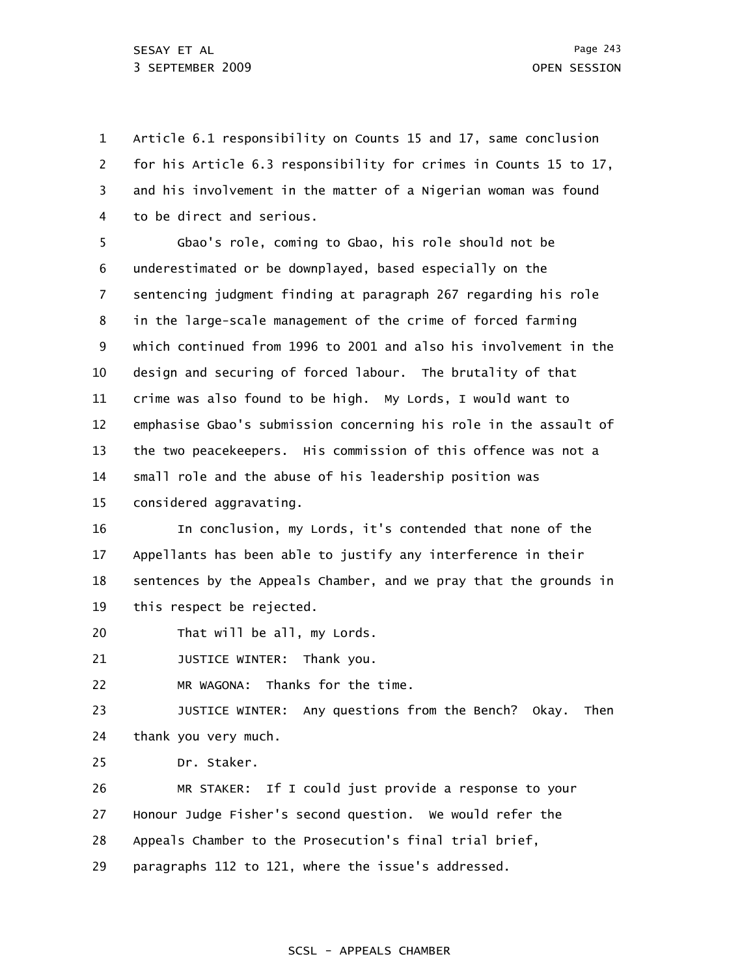1 2 3 4 Article 6.1 responsibility on Counts 15 and 17, same conclusion for his Article 6.3 responsibility for crimes in Counts 15 to 17, and his involvement in the matter of a Nigerian woman was found to be direct and serious.

5 6 7 8 9 10 11 12 13 14 15 Gbao's role, coming to Gbao, his role should not be underestimated or be downplayed, based especially on the sentencing judgment finding at paragraph 267 regarding his role in the large-scale management of the crime of forced farming which continued from 1996 to 2001 and also his involvement in the design and securing of forced labour. The brutality of that crime was also found to be high. My Lords, I would want to emphasise Gbao's submission concerning his role in the assault of the two peacekeepers. His commission of this offence was not a small role and the abuse of his leadership position was considered aggravating.

16 17 18 19 In conclusion, my Lords, it's contended that none of the Appellants has been able to justify any interference in their sentences by the Appeals Chamber, and we pray that the grounds in this respect be rejected.

20 That will be all, my Lords.

21 JUSTICE WINTER: Thank you.

22 MR WAGONA: Thanks for the time.

23 24 JUSTICE WINTER: Any questions from the Bench? Okay. Then thank you very much.

25 Dr. Staker.

26 27 28 29 MR STAKER: If I could just provide a response to your Honour Judge Fisher's second question. We would refer the Appeals Chamber to the Prosecution's final trial brief, paragraphs 112 to 121, where the issue's addressed.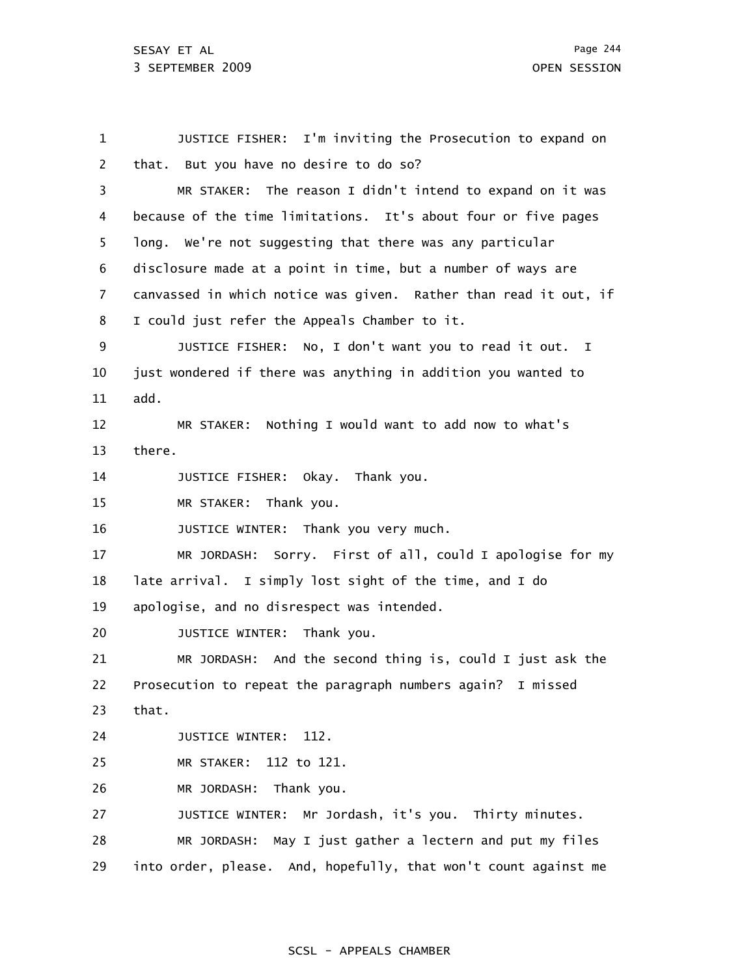1 2 3 4 5 6 7 8 9 10 11 12 13 14 15 16 17 18 19 20 21 22 23 24 25 26 27 28 29 JUSTICE FISHER: I'm inviting the Prosecution to expand on that. But you have no desire to do so? MR STAKER: The reason I didn't intend to expand on it was because of the time limitations. It's about four or five pages long. We're not suggesting that there was any particular disclosure made at a point in time, but a number of ways are canvassed in which notice was given. Rather than read it out, if I could just refer the Appeals Chamber to it. JUSTICE FISHER: No, I don't want you to read it out. I just wondered if there was anything in addition you wanted to add. MR STAKER: Nothing I would want to add now to what's there. JUSTICE FISHER: Okay. Thank you. MR STAKER: Thank you. JUSTICE WINTER: Thank you very much. MR JORDASH: Sorry. First of all, could I apologise for my late arrival. I simply lost sight of the time, and I do apologise, and no disrespect was intended. JUSTICE WINTER: Thank you. MR JORDASH: And the second thing is, could I just ask the Prosecution to repeat the paragraph numbers again? I missed that. JUSTICE WINTER: 112. MR STAKER: 112 to 121. MR JORDASH: Thank you. JUSTICE WINTER: Mr Jordash, it's you. Thirty minutes. MR JORDASH: May I just gather a lectern and put my files into order, please. And, hopefully, that won't count against me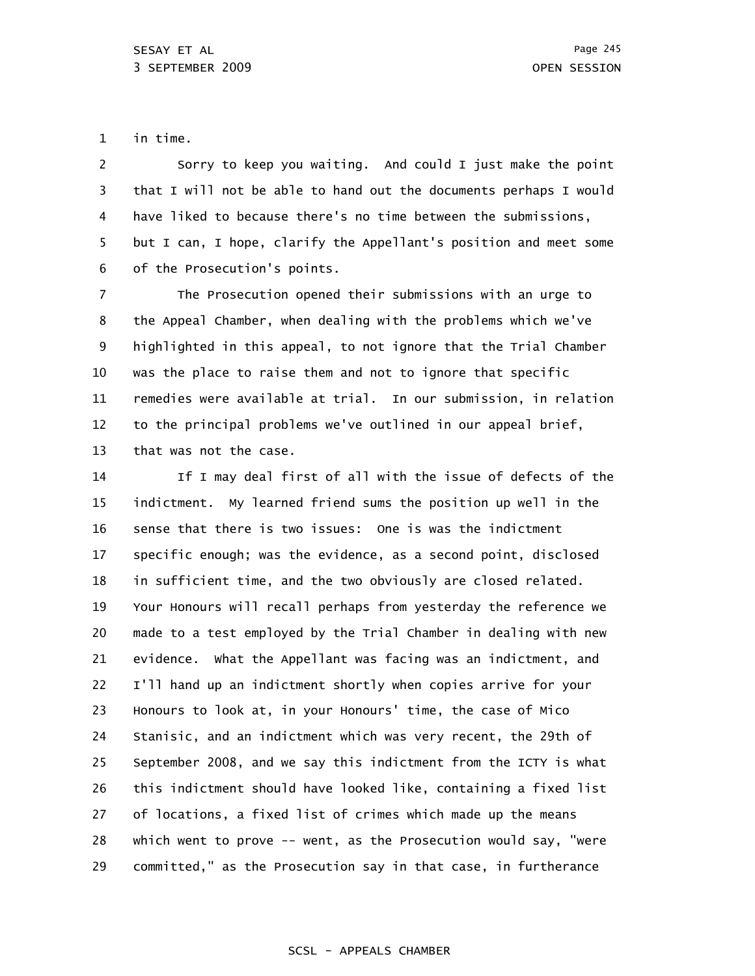1 in time.

2 3 4 5 6 Sorry to keep you waiting. And could I just make the point that I will not be able to hand out the documents perhaps I would have liked to because there's no time between the submissions, but I can, I hope, clarify the Appellant's position and meet some of the Prosecution's points.

7 8 9 10 11 12 13 The Prosecution opened their submissions with an urge to the Appeal Chamber, when dealing with the problems which we've highlighted in this appeal, to not ignore that the Trial Chamber was the place to raise them and not to ignore that specific remedies were available at trial. In our submission, in relation to the principal problems we've outlined in our appeal brief, that was not the case.

14 15 16 17 18 19 20 21 22 23 24 25 26 27 28 29 If I may deal first of all with the issue of defects of the indictment. My learned friend sums the position up well in the sense that there is two issues: One is was the indictment specific enough; was the evidence, as a second point, disclosed in sufficient time, and the two obviously are closed related. Your Honours will recall perhaps from yesterday the reference we made to a test employed by the Trial Chamber in dealing with new evidence. What the Appellant was facing was an indictment, and I'll hand up an indictment shortly when copies arrive for your Honours to look at, in your Honours' time, the case of Mico Stanisic, and an indictment which was very recent, the 29th of September 2008, and we say this indictment from the ICTY is what this indictment should have looked like, containing a fixed list of locations, a fixed list of crimes which made up the means which went to prove -- went, as the Prosecution would say, "were committed," as the Prosecution say in that case, in furtherance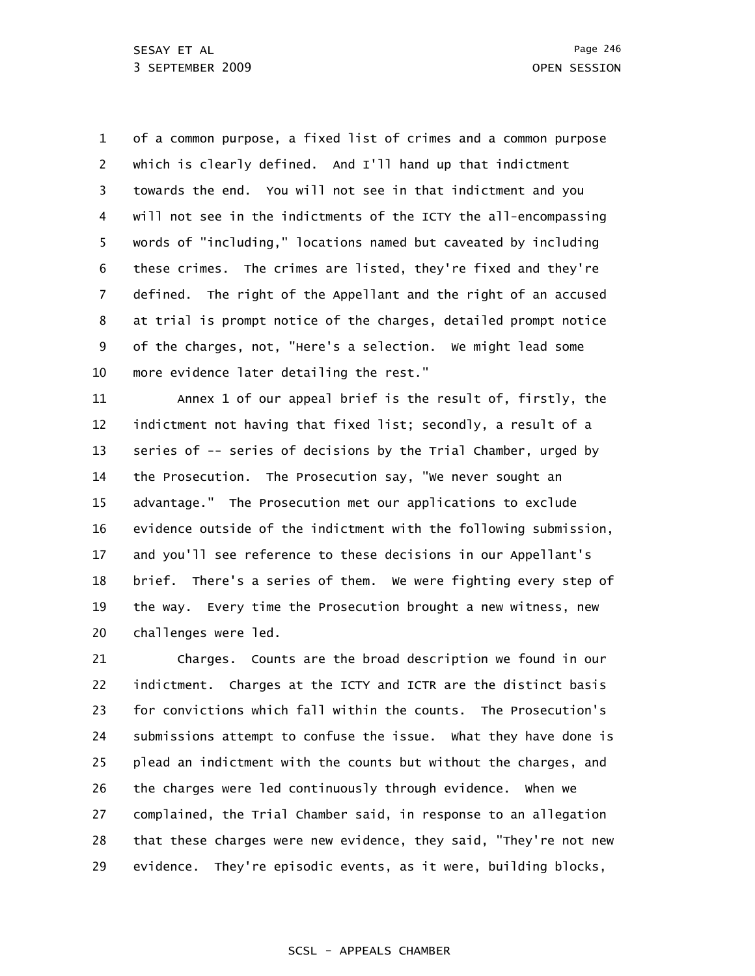1 2 3 4 5 6 7 8 9 10 of a common purpose, a fixed list of crimes and a common purpose which is clearly defined. And I'll hand up that indictment towards the end. You will not see in that indictment and you will not see in the indictments of the ICTY the all-encompassing words of "including," locations named but caveated by including these crimes. The crimes are listed, they're fixed and they're defined. The right of the Appellant and the right of an accused at trial is prompt notice of the charges, detailed prompt notice of the charges, not, "Here's a selection. We might lead some more evidence later detailing the rest."

11 12 13 14 15 16 17 18 19 20 Annex 1 of our appeal brief is the result of, firstly, the indictment not having that fixed list; secondly, a result of a series of -- series of decisions by the Trial Chamber, urged by the Prosecution. The Prosecution say, "We never sought an advantage." The Prosecution met our applications to exclude evidence outside of the indictment with the following submission, and you'll see reference to these decisions in our Appellant's brief. There's a series of them. We were fighting every step of the way. Every time the Prosecution brought a new witness, new challenges were led.

21 22 23 24 25 26 27 28 29 Charges. Counts are the broad description we found in our indictment. Charges at the ICTY and ICTR are the distinct basis for convictions which fall within the counts. The Prosecution's submissions attempt to confuse the issue. What they have done is plead an indictment with the counts but without the charges, and the charges were led continuously through evidence. When we complained, the Trial Chamber said, in response to an allegation that these charges were new evidence, they said, "They're not new evidence. They're episodic events, as it were, building blocks,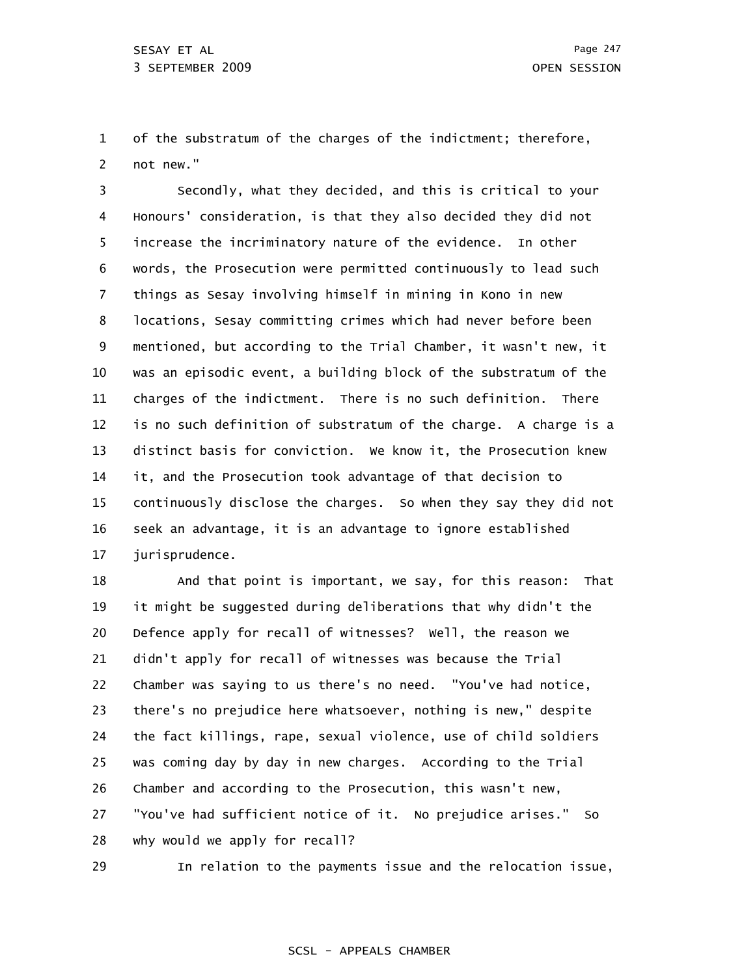1 2 of the substratum of the charges of the indictment; therefore, not new."

3 4 5 6 7 8 9 10 11 12 13 14 15 16 17 Secondly, what they decided, and this is critical to your Honours' consideration, is that they also decided they did not increase the incriminatory nature of the evidence. In other words, the Prosecution were permitted continuously to lead such things as Sesay involving himself in mining in Kono in new locations, Sesay committing crimes which had never before been mentioned, but according to the Trial Chamber, it wasn't new, it was an episodic event, a building block of the substratum of the charges of the indictment. There is no such definition. There is no such definition of substratum of the charge. A charge is a distinct basis for conviction. We know it, the Prosecution knew it, and the Prosecution took advantage of that decision to continuously disclose the charges. So when they say they did not seek an advantage, it is an advantage to ignore established jurisprudence.

18 19 20 21 22 23 24 25 26 27 28 And that point is important, we say, for this reason: That it might be suggested during deliberations that why didn't the Defence apply for recall of witnesses? Well, the reason we didn't apply for recall of witnesses was because the Trial Chamber was saying to us there's no need. "You've had notice, there's no prejudice here whatsoever, nothing is new," despite the fact killings, rape, sexual violence, use of child soldiers was coming day by day in new charges. According to the Trial Chamber and according to the Prosecution, this wasn't new, "You've had sufficient notice of it. No prejudice arises." So why would we apply for recall?

29

In relation to the payments issue and the relocation issue,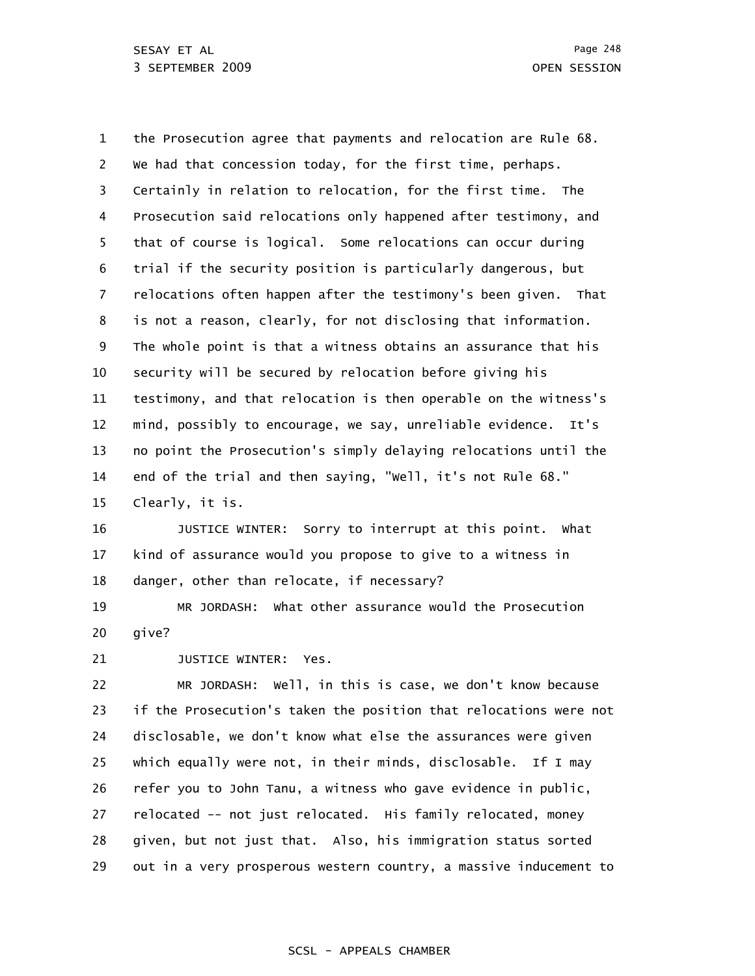1 2 3 4 5 6 7 8 9 10 11 12 13 14 15 the Prosecution agree that payments and relocation are Rule 68. We had that concession today, for the first time, perhaps. Certainly in relation to relocation, for the first time. The Prosecution said relocations only happened after testimony, and that of course is logical. Some relocations can occur during trial if the security position is particularly dangerous, but relocations often happen after the testimony's been given. That is not a reason, clearly, for not disclosing that information. The whole point is that a witness obtains an assurance that his security will be secured by relocation before giving his testimony, and that relocation is then operable on the witness's mind, possibly to encourage, we say, unreliable evidence. It's no point the Prosecution's simply delaying relocations until the end of the trial and then saying, "Well, it's not Rule 68." Clearly, it is.

16 17 18 JUSTICE WINTER: Sorry to interrupt at this point. What kind of assurance would you propose to give to a witness in danger, other than relocate, if necessary?

19 20 MR JORDASH: What other assurance would the Prosecution give?

21 JUSTICE WINTER: Yes.

22 23 24 25 26 27 28 29 MR JORDASH: Well, in this is case, we don't know because if the Prosecution's taken the position that relocations were not disclosable, we don't know what else the assurances were given which equally were not, in their minds, disclosable. If I may refer you to John Tanu, a witness who gave evidence in public, relocated -- not just relocated. His family relocated, money given, but not just that. Also, his immigration status sorted out in a very prosperous western country, a massive inducement to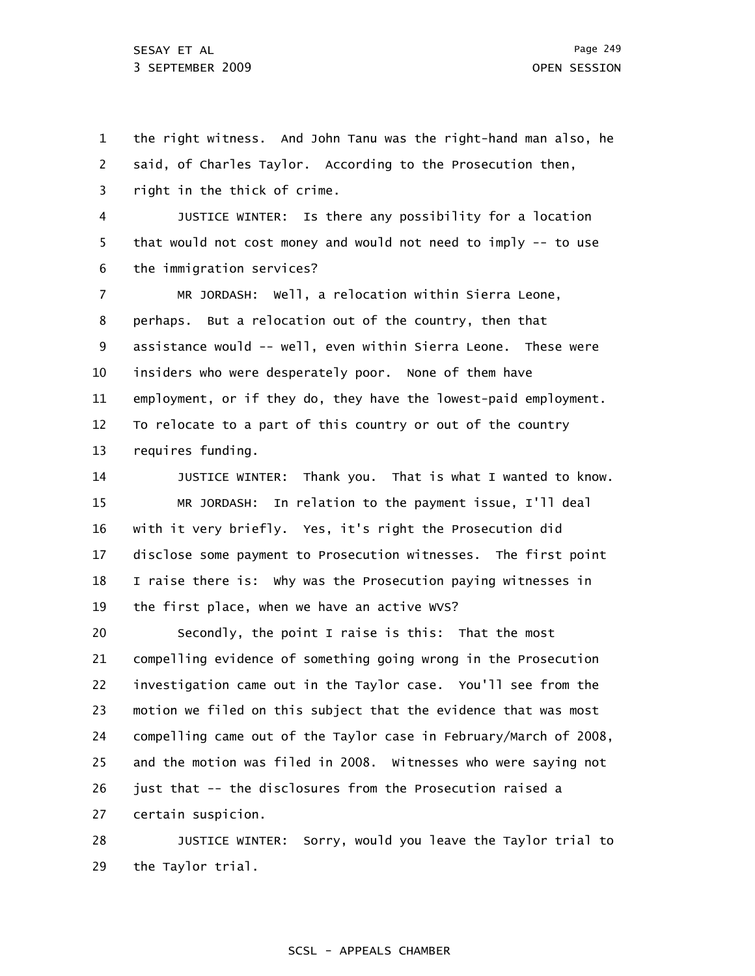1 2 3 the right witness. And John Tanu was the right-hand man also, he said, of Charles Taylor. According to the Prosecution then, right in the thick of crime.

4 5 6 JUSTICE WINTER: Is there any possibility for a location that would not cost money and would not need to imply -- to use the immigration services?

7 8 9 10 11 12 13 MR JORDASH: Well, a relocation within Sierra Leone, perhaps. But a relocation out of the country, then that assistance would -- well, even within Sierra Leone. These were insiders who were desperately poor. None of them have employment, or if they do, they have the lowest-paid employment. To relocate to a part of this country or out of the country requires funding.

14 15 16 17 18 19 JUSTICE WINTER: Thank you. That is what I wanted to know. MR JORDASH: In relation to the payment issue, I'll deal with it very briefly. Yes, it's right the Prosecution did disclose some payment to Prosecution witnesses. The first point I raise there is: Why was the Prosecution paying witnesses in the first place, when we have an active WVS?

20 21 22 23 24 25 26 27 Secondly, the point I raise is this: That the most compelling evidence of something going wrong in the Prosecution investigation came out in the Taylor case. You'll see from the motion we filed on this subject that the evidence that was most compelling came out of the Taylor case in February/March of 2008, and the motion was filed in 2008. Witnesses who were saying not just that -- the disclosures from the Prosecution raised a certain suspicion.

28 29 JUSTICE WINTER: Sorry, would you leave the Taylor trial to the Taylor trial.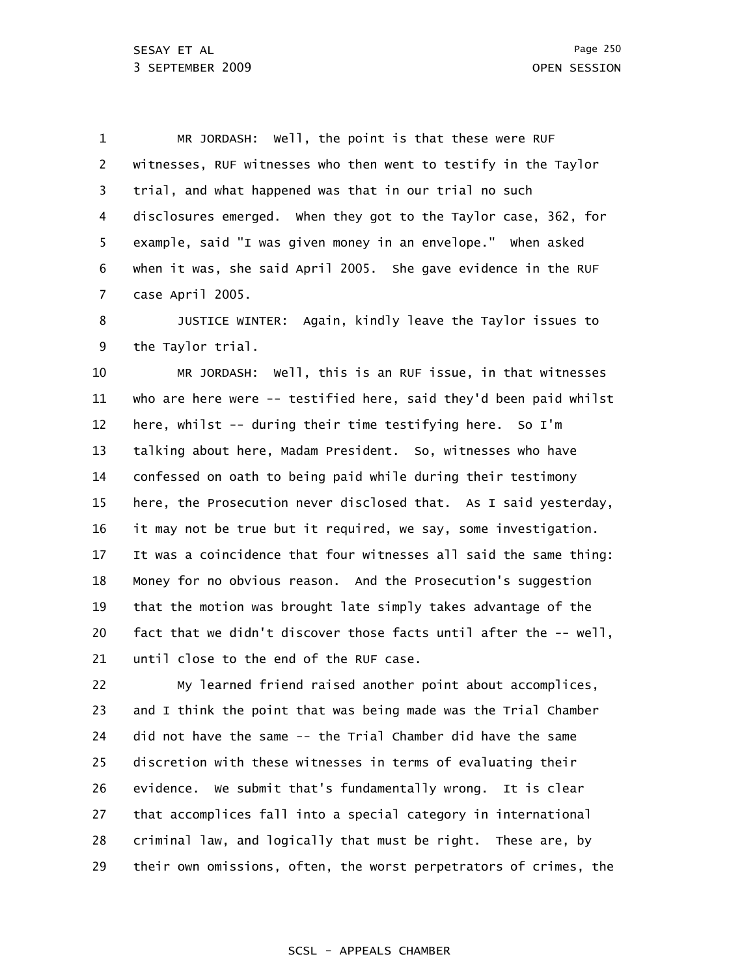1 2 3 4 5 6 7 MR JORDASH: Well, the point is that these were RUF witnesses, RUF witnesses who then went to testify in the Taylor trial, and what happened was that in our trial no such disclosures emerged. When they got to the Taylor case, 362, for example, said "I was given money in an envelope." When asked when it was, she said April 2005. She gave evidence in the RUF case April 2005.

8 9 JUSTICE WINTER: Again, kindly leave the Taylor issues to the Taylor trial.

10 11 12 13 14 15 16 17 18 19 20 21 MR JORDASH: Well, this is an RUF issue, in that witnesses who are here were -- testified here, said they'd been paid whilst here, whilst -- during their time testifying here. So I'm talking about here, Madam President. So, witnesses who have confessed on oath to being paid while during their testimony here, the Prosecution never disclosed that. As I said yesterday, it may not be true but it required, we say, some investigation. It was a coincidence that four witnesses all said the same thing: Money for no obvious reason. And the Prosecution's suggestion that the motion was brought late simply takes advantage of the fact that we didn't discover those facts until after the -- well, until close to the end of the RUF case.

22 23 24 25 26 27 28 29 My learned friend raised another point about accomplices, and I think the point that was being made was the Trial Chamber did not have the same -- the Trial Chamber did have the same discretion with these witnesses in terms of evaluating their evidence. We submit that's fundamentally wrong. It is clear that accomplices fall into a special category in international criminal law, and logically that must be right. These are, by their own omissions, often, the worst perpetrators of crimes, the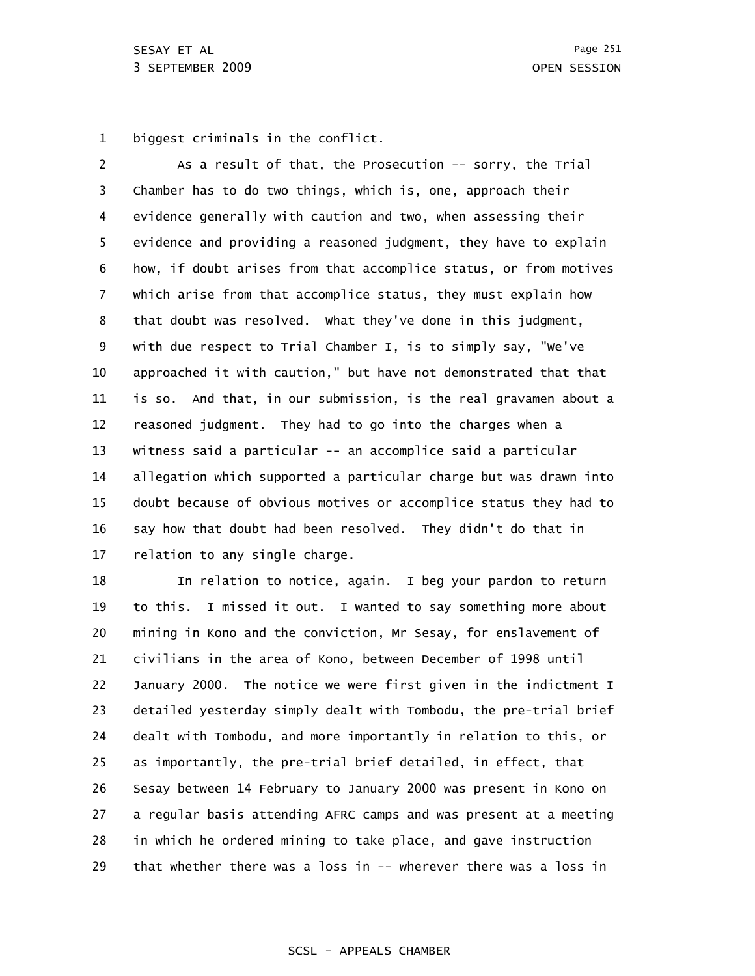1 biggest criminals in the conflict.

2 3 4 5 6 7 8 9 10 11 12 13 14 15 16 17 As a result of that, the Prosecution -- sorry, the Trial Chamber has to do two things, which is, one, approach their evidence generally with caution and two, when assessing their evidence and providing a reasoned judgment, they have to explain how, if doubt arises from that accomplice status, or from motives which arise from that accomplice status, they must explain how that doubt was resolved. What they've done in this judgment, with due respect to Trial Chamber I, is to simply say, "We've approached it with caution," but have not demonstrated that that is so. And that, in our submission, is the real gravamen about a reasoned judgment. They had to go into the charges when a witness said a particular -- an accomplice said a particular allegation which supported a particular charge but was drawn into doubt because of obvious motives or accomplice status they had to say how that doubt had been resolved. They didn't do that in relation to any single charge.

18 19 20 21 22 23 24 25 26 27 28 29 In relation to notice, again. I beg your pardon to return to this. I missed it out. I wanted to say something more about mining in Kono and the conviction, Mr Sesay, for enslavement of civilians in the area of Kono, between December of 1998 until January 2000. The notice we were first given in the indictment I detailed yesterday simply dealt with Tombodu, the pre-trial brief dealt with Tombodu, and more importantly in relation to this, or as importantly, the pre-trial brief detailed, in effect, that Sesay between 14 February to January 2000 was present in Kono on a regular basis attending AFRC camps and was present at a meeting in which he ordered mining to take place, and gave instruction that whether there was a loss in -- wherever there was a loss in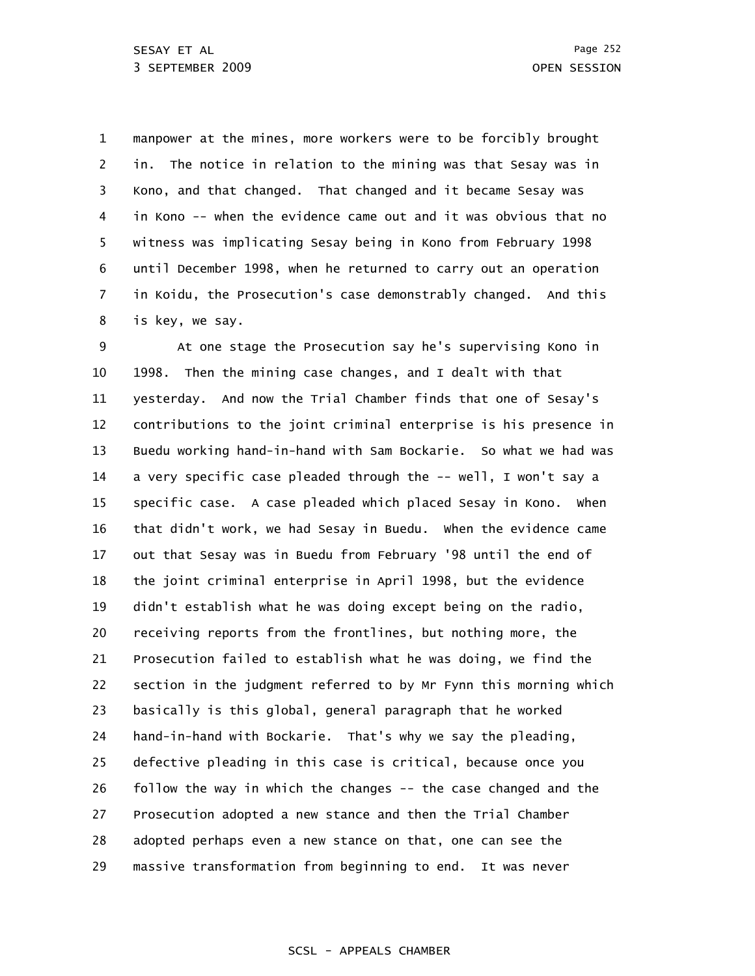1 2 3 4 5 6 7 8 manpower at the mines, more workers were to be forcibly brought in. The notice in relation to the mining was that Sesay was in Kono, and that changed. That changed and it became Sesay was in Kono -- when the evidence came out and it was obvious that no witness was implicating Sesay being in Kono from February 1998 until December 1998, when he returned to carry out an operation in Koidu, the Prosecution's case demonstrably changed. And this is key, we say.

9 10 11 12 13 14 15 16 17 18 19 20 21 22 23 24 25 26 27 28 29 At one stage the Prosecution say he's supervising Kono in 1998. Then the mining case changes, and I dealt with that yesterday. And now the Trial Chamber finds that one of Sesay's contributions to the joint criminal enterprise is his presence in Buedu working hand-in-hand with Sam Bockarie. So what we had was a very specific case pleaded through the -- well, I won't say a specific case. A case pleaded which placed Sesay in Kono. When that didn't work, we had Sesay in Buedu. When the evidence came out that Sesay was in Buedu from February '98 until the end of the joint criminal enterprise in April 1998, but the evidence didn't establish what he was doing except being on the radio, receiving reports from the frontlines, but nothing more, the Prosecution failed to establish what he was doing, we find the section in the judgment referred to by Mr Fynn this morning which basically is this global, general paragraph that he worked hand-in-hand with Bockarie. That's why we say the pleading, defective pleading in this case is critical, because once you follow the way in which the changes -- the case changed and the Prosecution adopted a new stance and then the Trial Chamber adopted perhaps even a new stance on that, one can see the massive transformation from beginning to end. It was never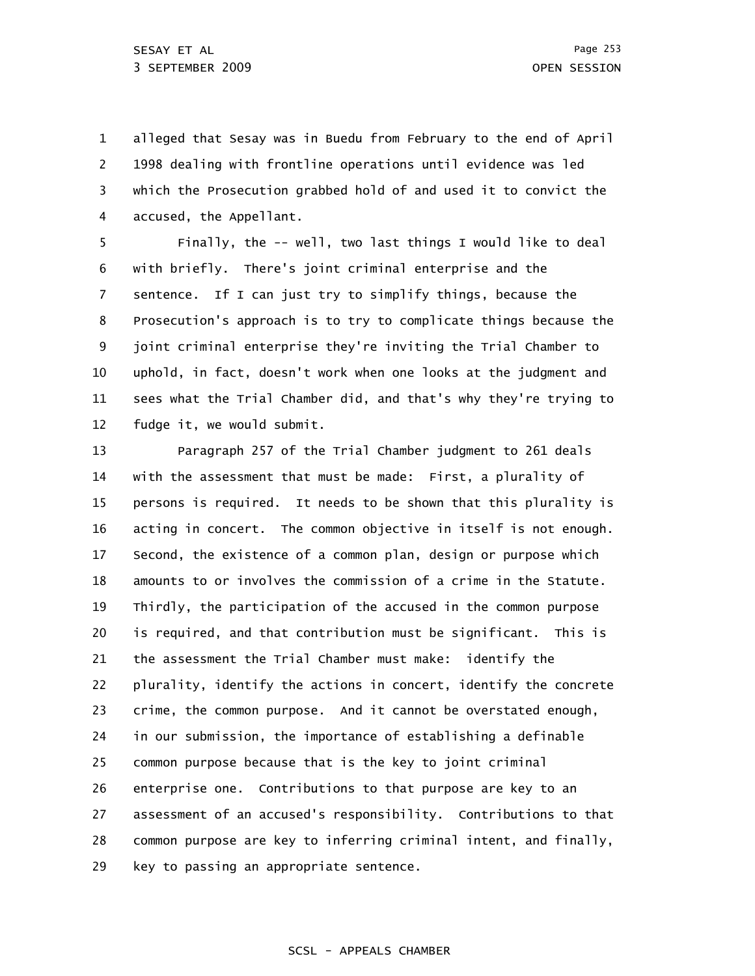1 2 3 4 alleged that Sesay was in Buedu from February to the end of April 1998 dealing with frontline operations until evidence was led which the Prosecution grabbed hold of and used it to convict the accused, the Appellant.

5 6 7 8 9 10 11 12 Finally, the -- well, two last things I would like to deal with briefly. There's joint criminal enterprise and the sentence. If I can just try to simplify things, because the Prosecution's approach is to try to complicate things because the joint criminal enterprise they're inviting the Trial Chamber to uphold, in fact, doesn't work when one looks at the judgment and sees what the Trial Chamber did, and that's why they're trying to fudge it, we would submit.

13 14 15 16 17 18 19 20 21 22 23 24 25 26 27 28 29 Paragraph 257 of the Trial Chamber judgment to 261 deals with the assessment that must be made: First, a plurality of persons is required. It needs to be shown that this plurality is acting in concert. The common objective in itself is not enough. Second, the existence of a common plan, design or purpose which amounts to or involves the commission of a crime in the Statute. Thirdly, the participation of the accused in the common purpose is required, and that contribution must be significant. This is the assessment the Trial Chamber must make: identify the plurality, identify the actions in concert, identify the concrete crime, the common purpose. And it cannot be overstated enough, in our submission, the importance of establishing a definable common purpose because that is the key to joint criminal enterprise one. Contributions to that purpose are key to an assessment of an accused's responsibility. Contributions to that common purpose are key to inferring criminal intent, and finally, key to passing an appropriate sentence.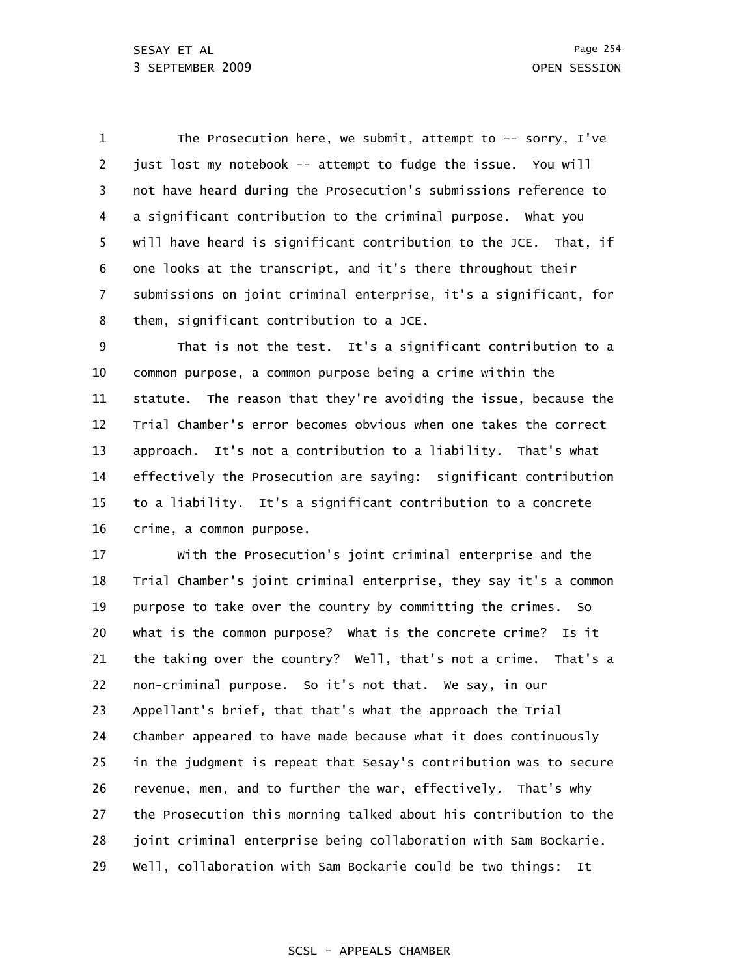1 2 3 4 5 6 7 8 The Prosecution here, we submit, attempt to -- sorry, I've just lost my notebook -- attempt to fudge the issue. You will not have heard during the Prosecution's submissions reference to a significant contribution to the criminal purpose. What you will have heard is significant contribution to the JCE. That, if one looks at the transcript, and it's there throughout their submissions on joint criminal enterprise, it's a significant, for them, significant contribution to a JCE.

9 10 11 12 13 14 15 16 That is not the test. It's a significant contribution to a common purpose, a common purpose being a crime within the statute. The reason that they're avoiding the issue, because the Trial Chamber's error becomes obvious when one takes the correct approach. It's not a contribution to a liability. That's what effectively the Prosecution are saying: significant contribution to a liability. It's a significant contribution to a concrete crime, a common purpose.

17 18 19 20 21 22 23 24 25 26 27 28 29 With the Prosecution's joint criminal enterprise and the Trial Chamber's joint criminal enterprise, they say it's a common purpose to take over the country by committing the crimes. So what is the common purpose? What is the concrete crime? Is it the taking over the country? Well, that's not a crime. That's a non-criminal purpose. So it's not that. We say, in our Appellant's brief, that that's what the approach the Trial Chamber appeared to have made because what it does continuously in the judgment is repeat that Sesay's contribution was to secure revenue, men, and to further the war, effectively. That's why the Prosecution this morning talked about his contribution to the joint criminal enterprise being collaboration with Sam Bockarie. Well, collaboration with Sam Bockarie could be two things: It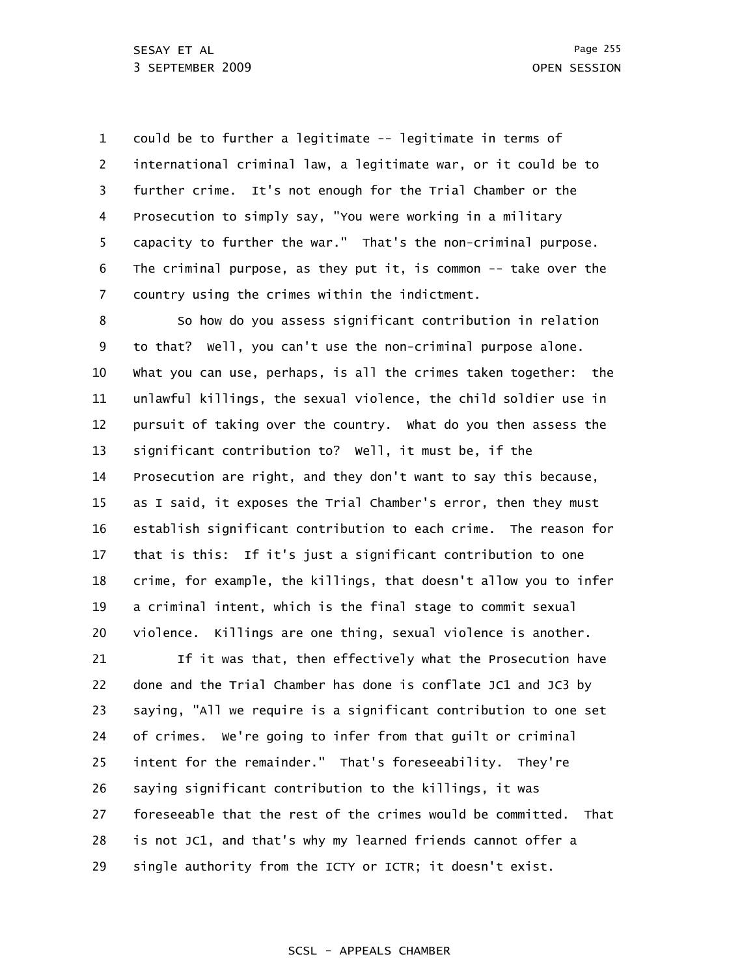1 2 3 4 5 6 7 could be to further a legitimate -- legitimate in terms of international criminal law, a legitimate war, or it could be to further crime. It's not enough for the Trial Chamber or the Prosecution to simply say, "You were working in a military capacity to further the war." That's the non-criminal purpose. The criminal purpose, as they put it, is common -- take over the country using the crimes within the indictment.

8 9 10 11 12 13 14 15 16 17 18 19 20 So how do you assess significant contribution in relation to that? Well, you can't use the non-criminal purpose alone. What you can use, perhaps, is all the crimes taken together: the unlawful killings, the sexual violence, the child soldier use in pursuit of taking over the country. What do you then assess the significant contribution to? Well, it must be, if the Prosecution are right, and they don't want to say this because, as I said, it exposes the Trial Chamber's error, then they must establish significant contribution to each crime. The reason for that is this: If it's just a significant contribution to one crime, for example, the killings, that doesn't allow you to infer a criminal intent, which is the final stage to commit sexual violence. Killings are one thing, sexual violence is another.

21 22 23 24 25 26 27 28 29 If it was that, then effectively what the Prosecution have done and the Trial Chamber has done is conflate JC1 and JC3 by saying, "All we require is a significant contribution to one set of crimes. We're going to infer from that guilt or criminal intent for the remainder." That's foreseeability. They're saying significant contribution to the killings, it was foreseeable that the rest of the crimes would be committed. That is not JC1, and that's why my learned friends cannot offer a single authority from the ICTY or ICTR; it doesn't exist.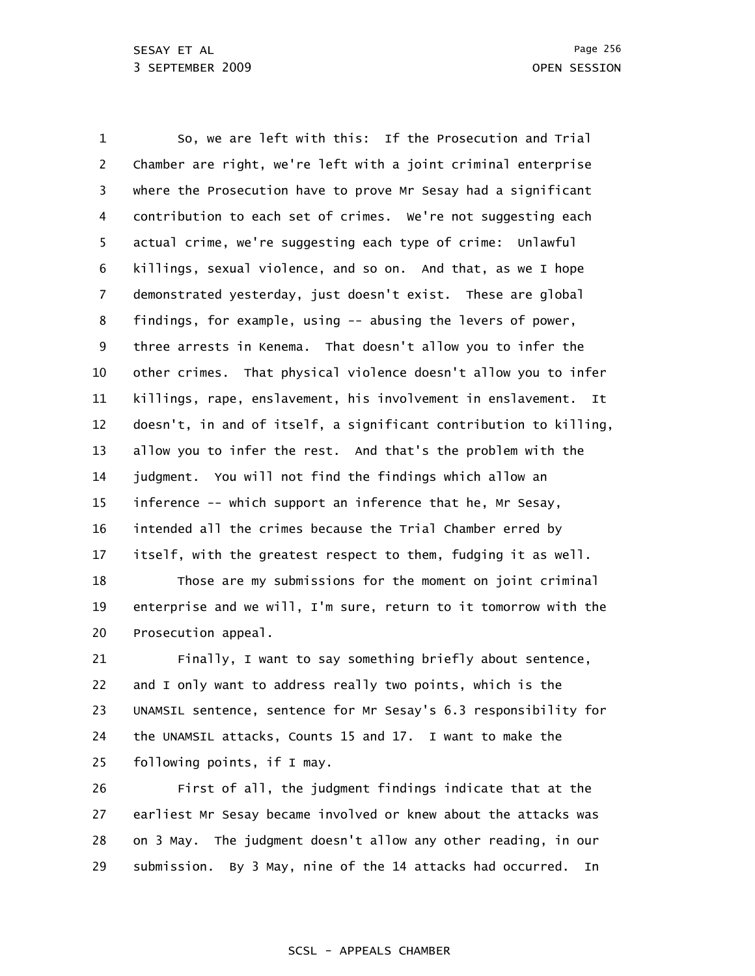1 2 3 4 5 6 7 8 9 10 11 12 13 14 15 16 17 18 19 20 21 So, we are left with this: If the Prosecution and Trial Chamber are right, we're left with a joint criminal enterprise where the Prosecution have to prove Mr Sesay had a significant contribution to each set of crimes. We're not suggesting each actual crime, we're suggesting each type of crime: Unlawful killings, sexual violence, and so on. And that, as we I hope demonstrated yesterday, just doesn't exist. These are global findings, for example, using -- abusing the levers of power, three arrests in Kenema. That doesn't allow you to infer the other crimes. That physical violence doesn't allow you to infer killings, rape, enslavement, his involvement in enslavement. It doesn't, in and of itself, a significant contribution to killing, allow you to infer the rest. And that's the problem with the judgment. You will not find the findings which allow an inference -- which support an inference that he, Mr Sesay, intended all the crimes because the Trial Chamber erred by itself, with the greatest respect to them, fudging it as well. Those are my submissions for the moment on joint criminal enterprise and we will, I'm sure, return to it tomorrow with the Prosecution appeal. Finally, I want to say something briefly about sentence,

22 23 24 25 and I only want to address really two points, which is the UNAMSIL sentence, sentence for Mr Sesay's 6.3 responsibility for the UNAMSIL attacks, Counts 15 and 17. I want to make the following points, if I may.

26 27 28 29 First of all, the judgment findings indicate that at the earliest Mr Sesay became involved or knew about the attacks was on 3 May. The judgment doesn't allow any other reading, in our submission. By 3 May, nine of the 14 attacks had occurred. In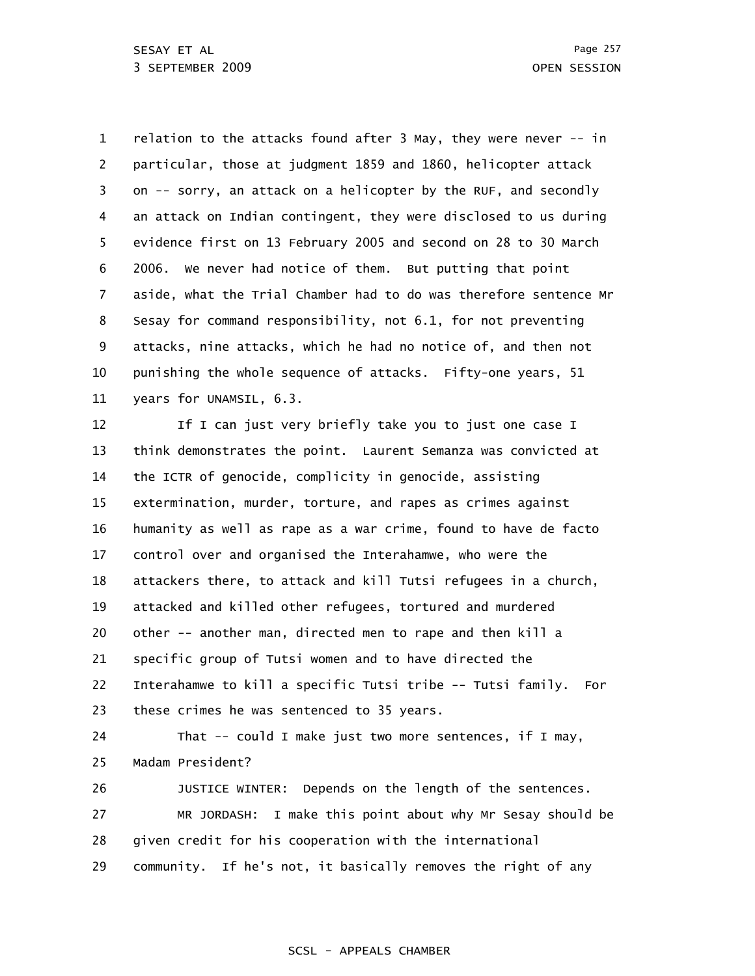1 2 3 4 5 6 7 8 9 10 11 relation to the attacks found after 3 May, they were never -- in particular, those at judgment 1859 and 1860, helicopter attack on -- sorry, an attack on a helicopter by the RUF, and secondly an attack on Indian contingent, they were disclosed to us during evidence first on 13 February 2005 and second on 28 to 30 March 2006. We never had notice of them. But putting that point aside, what the Trial Chamber had to do was therefore sentence Mr Sesay for command responsibility, not 6.1, for not preventing attacks, nine attacks, which he had no notice of, and then not punishing the whole sequence of attacks. Fifty-one years, 51 years for UNAMSIL, 6.3.

12 13 14 15 16 17 18 19 20 21 22 23 24 25 26 27 If I can just very briefly take you to just one case I think demonstrates the point. Laurent Semanza was convicted at the ICTR of genocide, complicity in genocide, assisting extermination, murder, torture, and rapes as crimes against humanity as well as rape as a war crime, found to have de facto control over and organised the Interahamwe, who were the attackers there, to attack and kill Tutsi refugees in a church, attacked and killed other refugees, tortured and murdered other -- another man, directed men to rape and then kill a specific group of Tutsi women and to have directed the Interahamwe to kill a specific Tutsi tribe -- Tutsi family. For these crimes he was sentenced to 35 years. That -- could I make just two more sentences, if I may, Madam President? JUSTICE WINTER: Depends on the length of the sentences. MR JORDASH: I make this point about why Mr Sesay should be

28 given credit for his cooperation with the international

29 community. If he's not, it basically removes the right of any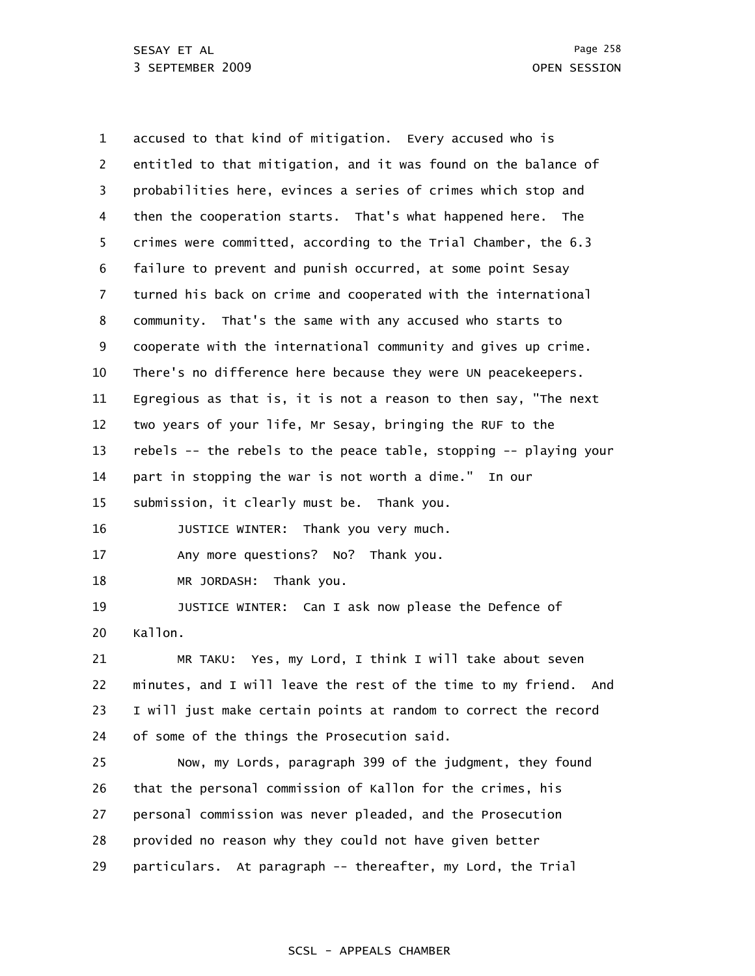1 2 3 4 5 6 7 8 9 10 11 12 13 14 15 16 17 18 19 20 21 22 23 24 25 26 27 28 29 accused to that kind of mitigation. Every accused who is entitled to that mitigation, and it was found on the balance of probabilities here, evinces a series of crimes which stop and then the cooperation starts. That's what happened here. The crimes were committed, according to the Trial Chamber, the 6.3 failure to prevent and punish occurred, at some point Sesay turned his back on crime and cooperated with the international community. That's the same with any accused who starts to cooperate with the international community and gives up crime. There's no difference here because they were UN peacekeepers. Egregious as that is, it is not a reason to then say, "The next two years of your life, Mr Sesay, bringing the RUF to the rebels -- the rebels to the peace table, stopping -- playing your part in stopping the war is not worth a dime." In our submission, it clearly must be. Thank you. JUSTICE WINTER: Thank you very much. Any more questions? No? Thank you. MR JORDASH: Thank you. JUSTICE WINTER: Can I ask now please the Defence of Kallon. MR TAKU: Yes, my Lord, I think I will take about seven minutes, and I will leave the rest of the time to my friend. And I will just make certain points at random to correct the record of some of the things the Prosecution said. Now, my Lords, paragraph 399 of the judgment, they found that the personal commission of Kallon for the crimes, his personal commission was never pleaded, and the Prosecution provided no reason why they could not have given better particulars. At paragraph -- thereafter, my Lord, the Trial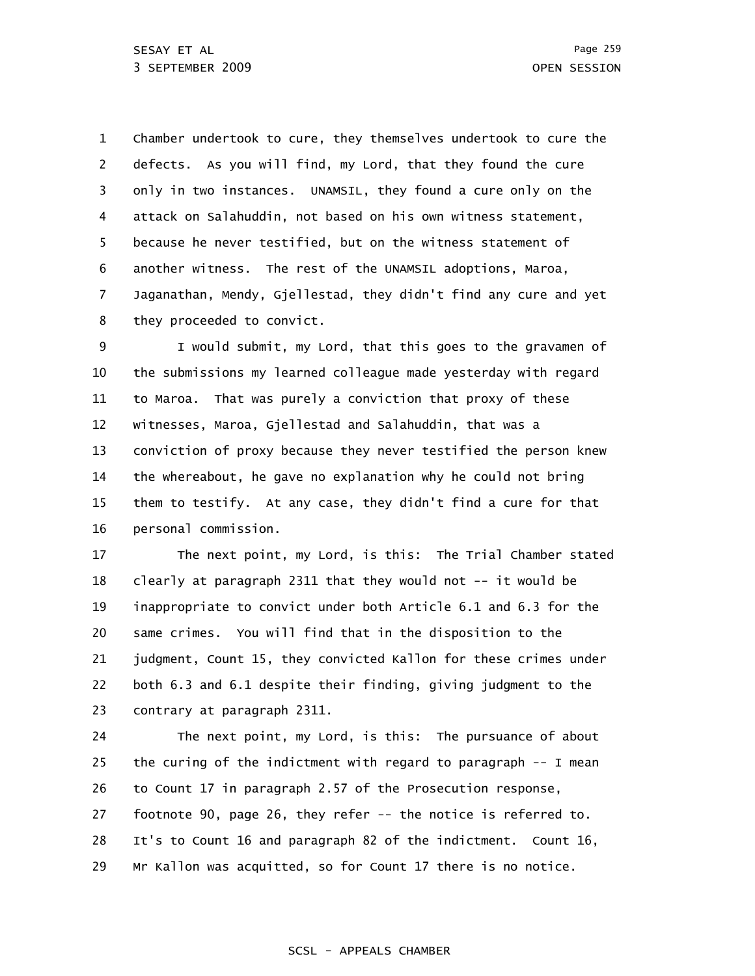1 2 3 4 5 6 7 8 Chamber undertook to cure, they themselves undertook to cure the defects. As you will find, my Lord, that they found the cure only in two instances. UNAMSIL, they found a cure only on the attack on Salahuddin, not based on his own witness statement, because he never testified, but on the witness statement of another witness. The rest of the UNAMSIL adoptions, Maroa, Jaganathan, Mendy, Gjellestad, they didn't find any cure and yet they proceeded to convict.

9 10 11 12 13 14 15 16 I would submit, my Lord, that this goes to the gravamen of the submissions my learned colleague made yesterday with regard to Maroa. That was purely a conviction that proxy of these witnesses, Maroa, Gjellestad and Salahuddin, that was a conviction of proxy because they never testified the person knew the whereabout, he gave no explanation why he could not bring them to testify. At any case, they didn't find a cure for that personal commission.

17 18 19 20 21 22 23 The next point, my Lord, is this: The Trial Chamber stated clearly at paragraph 2311 that they would not -- it would be inappropriate to convict under both Article 6.1 and 6.3 for the same crimes. You will find that in the disposition to the judgment, Count 15, they convicted Kallon for these crimes under both 6.3 and 6.1 despite their finding, giving judgment to the contrary at paragraph 2311.

24 25 26 27 28 29 The next point, my Lord, is this: The pursuance of about the curing of the indictment with regard to paragraph -- I mean to Count 17 in paragraph 2.57 of the Prosecution response, footnote 90, page 26, they refer -- the notice is referred to. It's to Count 16 and paragraph 82 of the indictment. Count 16, Mr Kallon was acquitted, so for Count 17 there is no notice.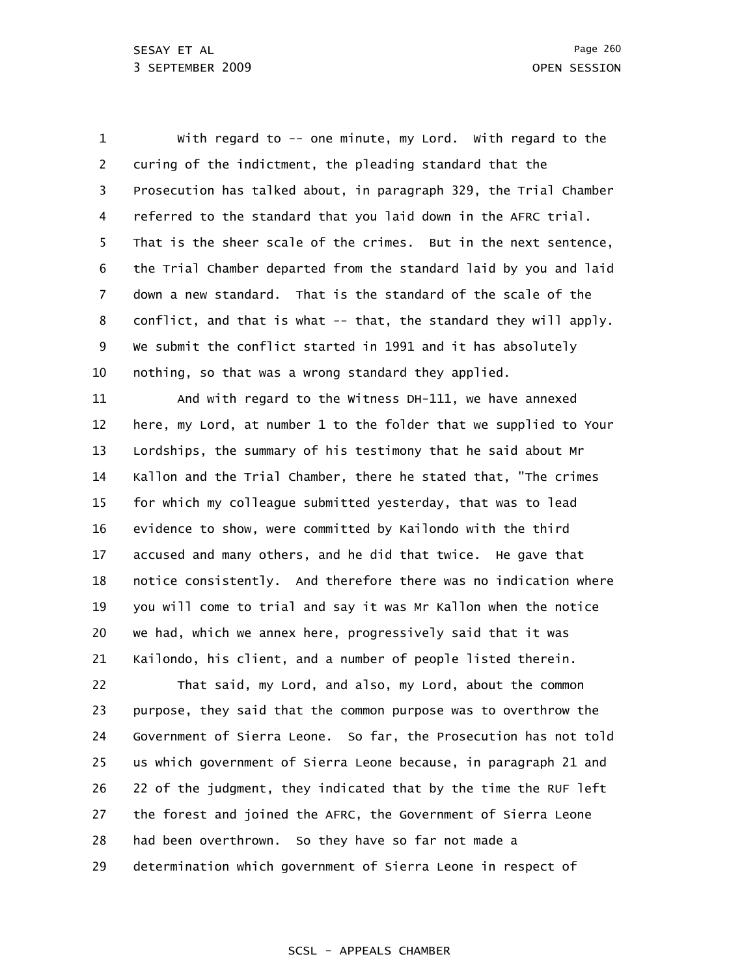1 2 3 4 5 6 7 8 9 10 With regard to -- one minute, my Lord. With regard to the curing of the indictment, the pleading standard that the Prosecution has talked about, in paragraph 329, the Trial Chamber referred to the standard that you laid down in the AFRC trial. That is the sheer scale of the crimes. But in the next sentence, the Trial Chamber departed from the standard laid by you and laid down a new standard. That is the standard of the scale of the conflict, and that is what -- that, the standard they will apply. We submit the conflict started in 1991 and it has absolutely nothing, so that was a wrong standard they applied.

11 12 13 14 15 16 17 18 19 20 21 And with regard to the Witness DH-111, we have annexed here, my Lord, at number 1 to the folder that we supplied to Your Lordships, the summary of his testimony that he said about Mr Kallon and the Trial Chamber, there he stated that, "The crimes for which my colleague submitted yesterday, that was to lead evidence to show, were committed by Kailondo with the third accused and many others, and he did that twice. He gave that notice consistently. And therefore there was no indication where you will come to trial and say it was Mr Kallon when the notice we had, which we annex here, progressively said that it was Kailondo, his client, and a number of people listed therein.

22 23 24 25 26 27 28 29 That said, my Lord, and also, my Lord, about the common purpose, they said that the common purpose was to overthrow the Government of Sierra Leone. So far, the Prosecution has not told us which government of Sierra Leone because, in paragraph 21 and 22 of the judgment, they indicated that by the time the RUF left the forest and joined the AFRC, the Government of Sierra Leone had been overthrown. So they have so far not made a determination which government of Sierra Leone in respect of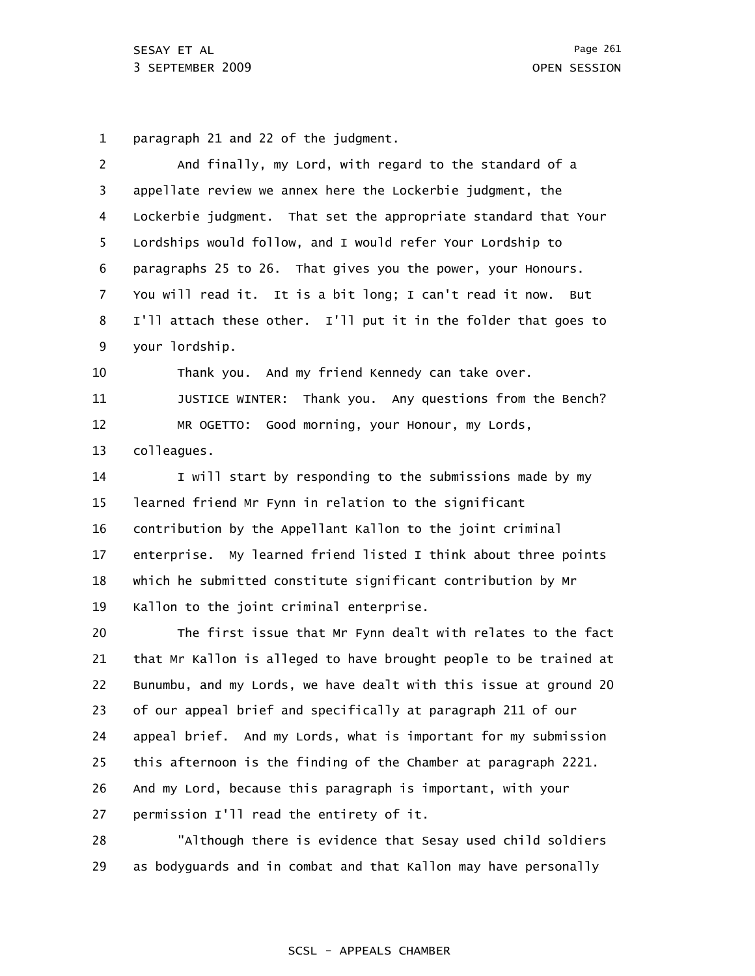1 paragraph 21 and 22 of the judgment.

| $\overline{2}$ | And finally, my Lord, with regard to the standard of a            |
|----------------|-------------------------------------------------------------------|
| 3              | appellate review we annex here the Lockerbie judgment, the        |
| 4              | Lockerbie judgment. That set the appropriate standard that Your   |
| 5              | Lordships would follow, and I would refer Your Lordship to        |
| 6              | paragraphs 25 to 26. That gives you the power, your Honours.      |
| 7              | You will read it. It is a bit long; I can't read it now.<br>But   |
| 8              | I'll attach these other. I'll put it in the folder that goes to   |
| 9              | your lordship.                                                    |
| 10             | Thank you. And my friend Kennedy can take over.                   |
| 11             | JUSTICE WINTER: Thank you. Any questions from the Bench?          |
| 12             | MR OGETTO: Good morning, your Honour, my Lords,                   |
| 13             | colleagues.                                                       |
| 14             | I will start by responding to the submissions made by my          |
| 15             | learned friend Mr Fynn in relation to the significant             |
| 16             | contribution by the Appellant Kallon to the joint criminal        |
| 17             | enterprise. My learned friend listed I think about three points   |
| 18             | which he submitted constitute significant contribution by Mr      |
| 19             | Kallon to the joint criminal enterprise.                          |
| 20             | The first issue that Mr Fynn dealt with relates to the fact       |
| 21             | that Mr Kallon is alleged to have brought people to be trained at |
| 22             | Bunumbu, and my Lords, we have dealt with this issue at ground 20 |
| 23             | of our appeal brief and specifically at paragraph 211 of our      |
| 24             | appeal brief. And my Lords, what is important for my submission   |
| 25             | this afternoon is the finding of the Chamber at paragraph 2221.   |
| 26             | And my Lord, because this paragraph is important, with your       |
| 27             | permission I'll read the entirety of it.                          |
|                |                                                                   |

28 29 "Although there is evidence that Sesay used child soldiers as bodyguards and in combat and that Kallon may have personally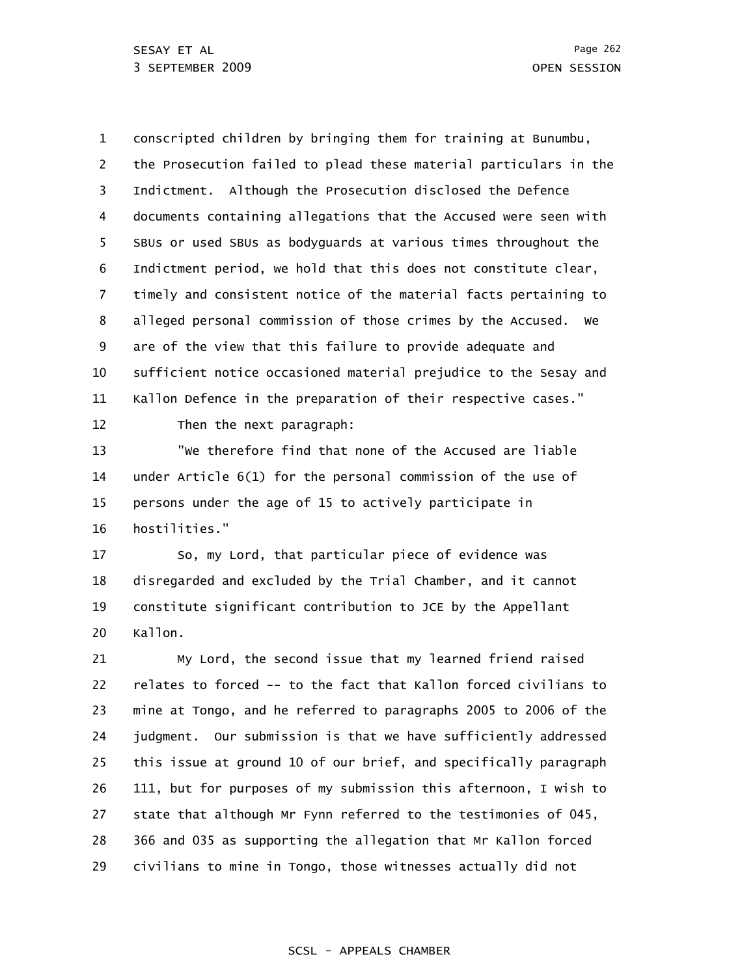1 2 3 4 5 6 7 8 9 10 11 conscripted children by bringing them for training at Bunumbu, the Prosecution failed to plead these material particulars in the Indictment. Although the Prosecution disclosed the Defence documents containing allegations that the Accused were seen with SBUs or used SBUs as bodyguards at various times throughout the Indictment period, we hold that this does not constitute clear, timely and consistent notice of the material facts pertaining to alleged personal commission of those crimes by the Accused. We are of the view that this failure to provide adequate and sufficient notice occasioned material prejudice to the Sesay and Kallon Defence in the preparation of their respective cases."

12 Then the next paragraph:

13 14 15 16 "We therefore find that none of the Accused are liable under Article 6(1) for the personal commission of the use of persons under the age of 15 to actively participate in hostilities."

17 18 19 20 So, my Lord, that particular piece of evidence was disregarded and excluded by the Trial Chamber, and it cannot constitute significant contribution to JCE by the Appellant Kallon.

21 22 23 24 25 26 27 28 29 My Lord, the second issue that my learned friend raised relates to forced -- to the fact that Kallon forced civilians to mine at Tongo, and he referred to paragraphs 2005 to 2006 of the judgment. Our submission is that we have sufficiently addressed this issue at ground 10 of our brief, and specifically paragraph 111, but for purposes of my submission this afternoon, I wish to state that although Mr Fynn referred to the testimonies of 045, 366 and 035 as supporting the allegation that Mr Kallon forced civilians to mine in Tongo, those witnesses actually did not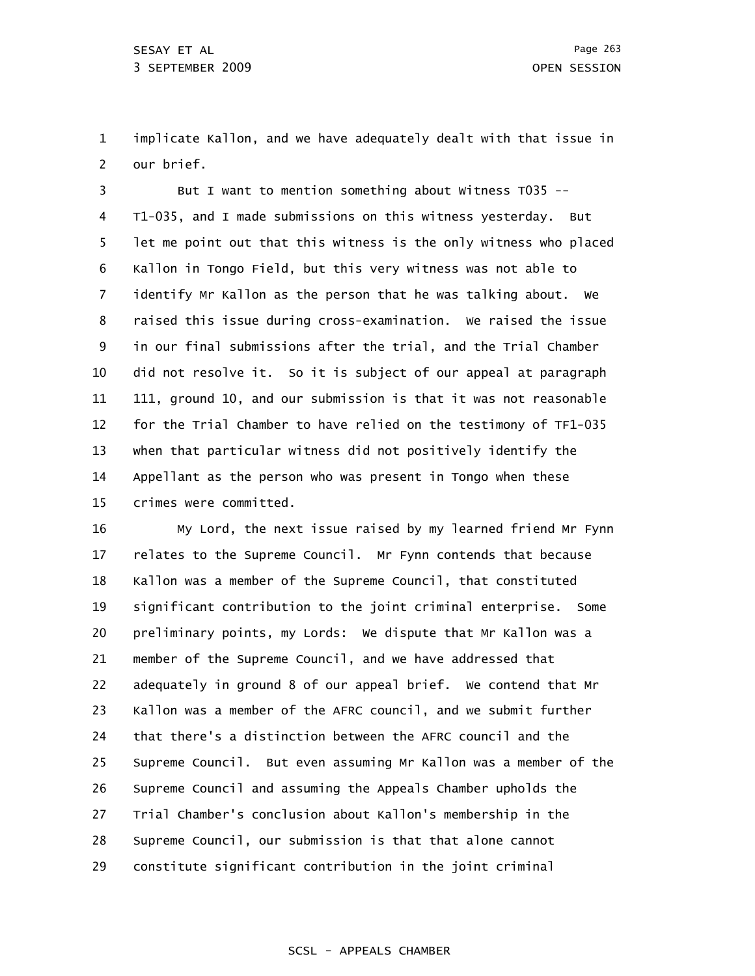1 2 implicate Kallon, and we have adequately dealt with that issue in our brief.

3 4 5 6 7 8 9 10 11 12 13 14 15 But I want to mention something about Witness T035 -- T1-035, and I made submissions on this witness yesterday. But let me point out that this witness is the only witness who placed Kallon in Tongo Field, but this very witness was not able to identify Mr Kallon as the person that he was talking about. We raised this issue during cross-examination. We raised the issue in our final submissions after the trial, and the Trial Chamber did not resolve it. So it is subject of our appeal at paragraph 111, ground 10, and our submission is that it was not reasonable for the Trial Chamber to have relied on the testimony of TF1-035 when that particular witness did not positively identify the Appellant as the person who was present in Tongo when these crimes were committed.

16 17 18 19 20 21 22 23 24 25 26 27 28 29 My Lord, the next issue raised by my learned friend Mr Fynn relates to the Supreme Council. Mr Fynn contends that because Kallon was a member of the Supreme Council, that constituted significant contribution to the joint criminal enterprise. Some preliminary points, my Lords: We dispute that Mr Kallon was a member of the Supreme Council, and we have addressed that adequately in ground 8 of our appeal brief. We contend that Mr Kallon was a member of the AFRC council, and we submit further that there's a distinction between the AFRC council and the Supreme Council. But even assuming Mr Kallon was a member of the Supreme Council and assuming the Appeals Chamber upholds the Trial Chamber's conclusion about Kallon's membership in the Supreme Council, our submission is that that alone cannot constitute significant contribution in the joint criminal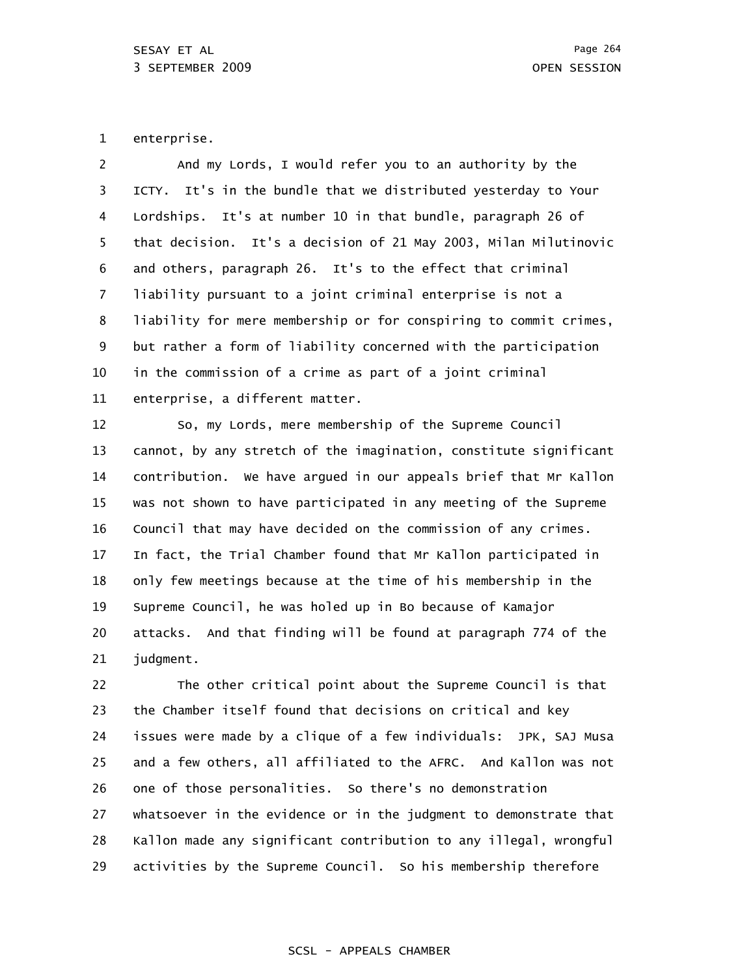1 enterprise.

| $\mathbf{2}$   | And my Lords, I would refer you to an authority by the            |
|----------------|-------------------------------------------------------------------|
| 3              | ICTY. It's in the bundle that we distributed yesterday to Your    |
| 4              | Lordships. It's at number 10 in that bundle, paragraph 26 of      |
| 5              | that decision. It's a decision of 21 May 2003, Milan Milutinovic  |
| 6              | and others, paragraph 26. It's to the effect that criminal        |
| $\overline{7}$ | liability pursuant to a joint criminal enterprise is not a        |
| 8              | liability for mere membership or for conspiring to commit crimes, |
| 9              | but rather a form of liability concerned with the participation   |
| 10             | in the commission of a crime as part of a joint criminal          |
| 11             | enterprise, a different matter.                                   |

12 13 14 15 16 17 18 19 20 21 So, my Lords, mere membership of the Supreme Council cannot, by any stretch of the imagination, constitute significant contribution. We have argued in our appeals brief that Mr Kallon was not shown to have participated in any meeting of the Supreme Council that may have decided on the commission of any crimes. In fact, the Trial Chamber found that Mr Kallon participated in only few meetings because at the time of his membership in the Supreme Council, he was holed up in Bo because of Kamajor attacks. And that finding will be found at paragraph 774 of the judgment.

22 23 24 25 26 27 28 29 The other critical point about the Supreme Council is that the Chamber itself found that decisions on critical and key issues were made by a clique of a few individuals: JPK, SAJ Musa and a few others, all affiliated to the AFRC. And Kallon was not one of those personalities. So there's no demonstration whatsoever in the evidence or in the judgment to demonstrate that Kallon made any significant contribution to any illegal, wrongful activities by the Supreme Council. So his membership therefore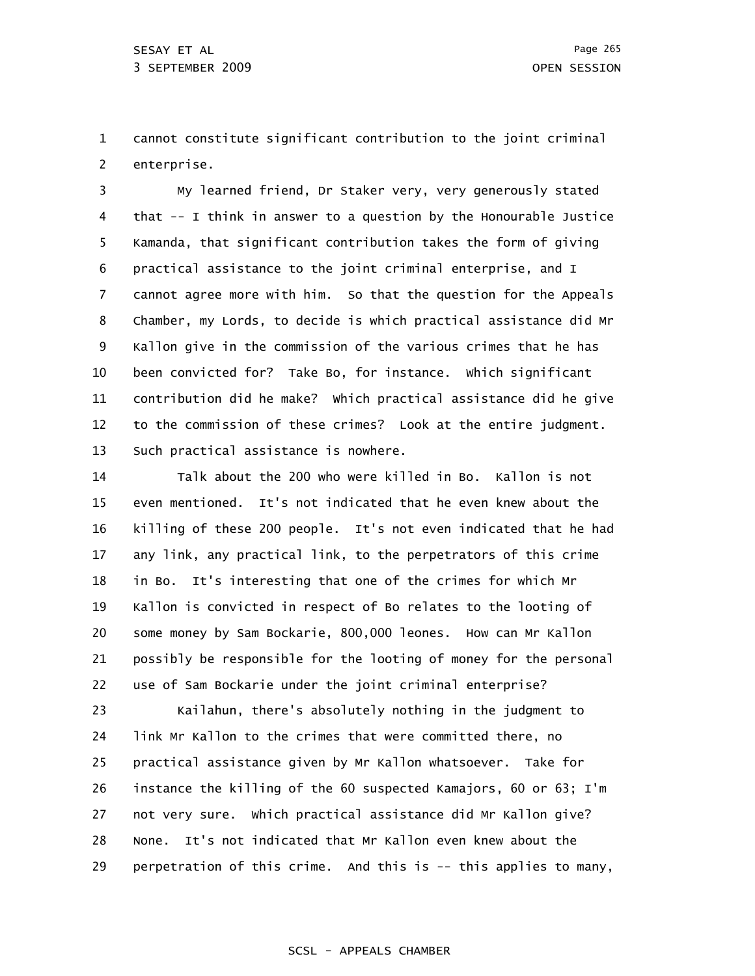1 2 cannot constitute significant contribution to the joint criminal enterprise.

3 4 5 6 7 8 9 10 11 12 13 My learned friend, Dr Staker very, very generously stated that -- I think in answer to a question by the Honourable Justice Kamanda, that significant contribution takes the form of giving practical assistance to the joint criminal enterprise, and I cannot agree more with him. So that the question for the Appeals Chamber, my Lords, to decide is which practical assistance did Mr Kallon give in the commission of the various crimes that he has been convicted for? Take Bo, for instance. Which significant contribution did he make? Which practical assistance did he give to the commission of these crimes? Look at the entire judgment. Such practical assistance is nowhere.

14 15 16 17 18 19 20 21 22 23 24 25 26 27 28 29 Talk about the 200 who were killed in Bo. Kallon is not even mentioned. It's not indicated that he even knew about the killing of these 200 people. It's not even indicated that he had any link, any practical link, to the perpetrators of this crime in Bo. It's interesting that one of the crimes for which Mr Kallon is convicted in respect of Bo relates to the looting of some money by Sam Bockarie, 800,000 leones. How can Mr Kallon possibly be responsible for the looting of money for the personal use of Sam Bockarie under the joint criminal enterprise? Kailahun, there's absolutely nothing in the judgment to link Mr Kallon to the crimes that were committed there, no practical assistance given by Mr Kallon whatsoever. Take for instance the killing of the 60 suspected Kamajors, 60 or 63; I'm not very sure. Which practical assistance did Mr Kallon give? None. It's not indicated that Mr Kallon even knew about the perpetration of this crime. And this is -- this applies to many,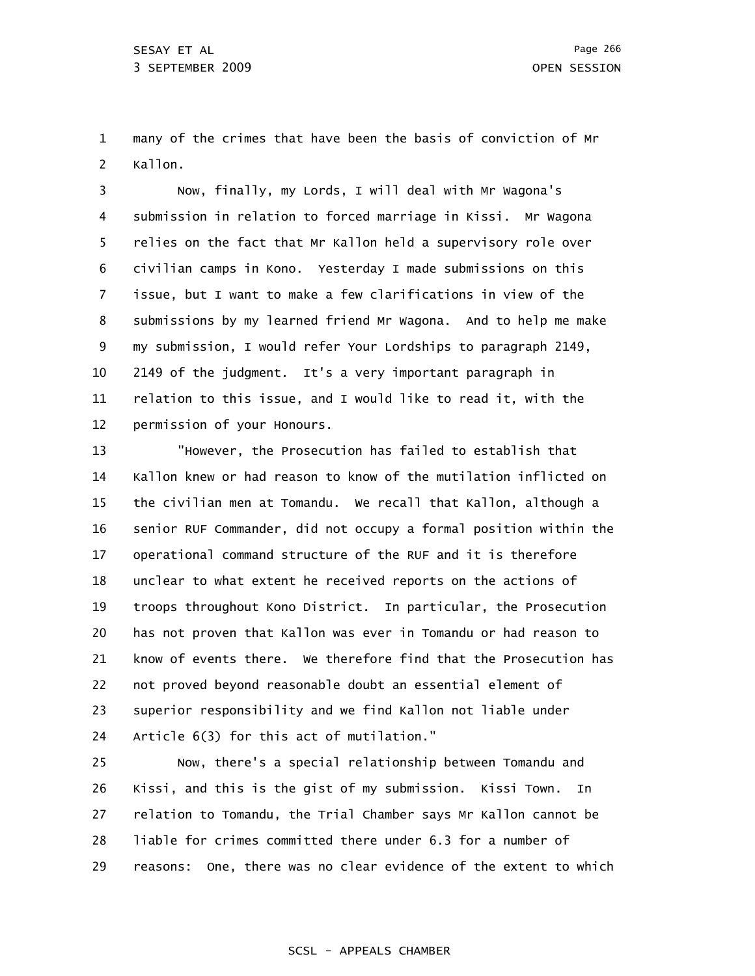1 2 many of the crimes that have been the basis of conviction of Mr Kallon.

3 4 5 6 7 8 9 10 11 12 Now, finally, my Lords, I will deal with Mr Wagona's submission in relation to forced marriage in Kissi. Mr Wagona relies on the fact that Mr Kallon held a supervisory role over civilian camps in Kono. Yesterday I made submissions on this issue, but I want to make a few clarifications in view of the submissions by my learned friend Mr Wagona. And to help me make my submission, I would refer Your Lordships to paragraph 2149, 2149 of the judgment. It's a very important paragraph in relation to this issue, and I would like to read it, with the permission of your Honours.

13 14 15 16 17 18 19 20 21 22 23 24 "However, the Prosecution has failed to establish that Kallon knew or had reason to know of the mutilation inflicted on the civilian men at Tomandu. We recall that Kallon, although a senior RUF Commander, did not occupy a formal position within the operational command structure of the RUF and it is therefore unclear to what extent he received reports on the actions of troops throughout Kono District. In particular, the Prosecution has not proven that Kallon was ever in Tomandu or had reason to know of events there. We therefore find that the Prosecution has not proved beyond reasonable doubt an essential element of superior responsibility and we find Kallon not liable under Article 6(3) for this act of mutilation."

25 26 27 28 29 Now, there's a special relationship between Tomandu and Kissi, and this is the gist of my submission. Kissi Town. In relation to Tomandu, the Trial Chamber says Mr Kallon cannot be liable for crimes committed there under 6.3 for a number of reasons: One, there was no clear evidence of the extent to which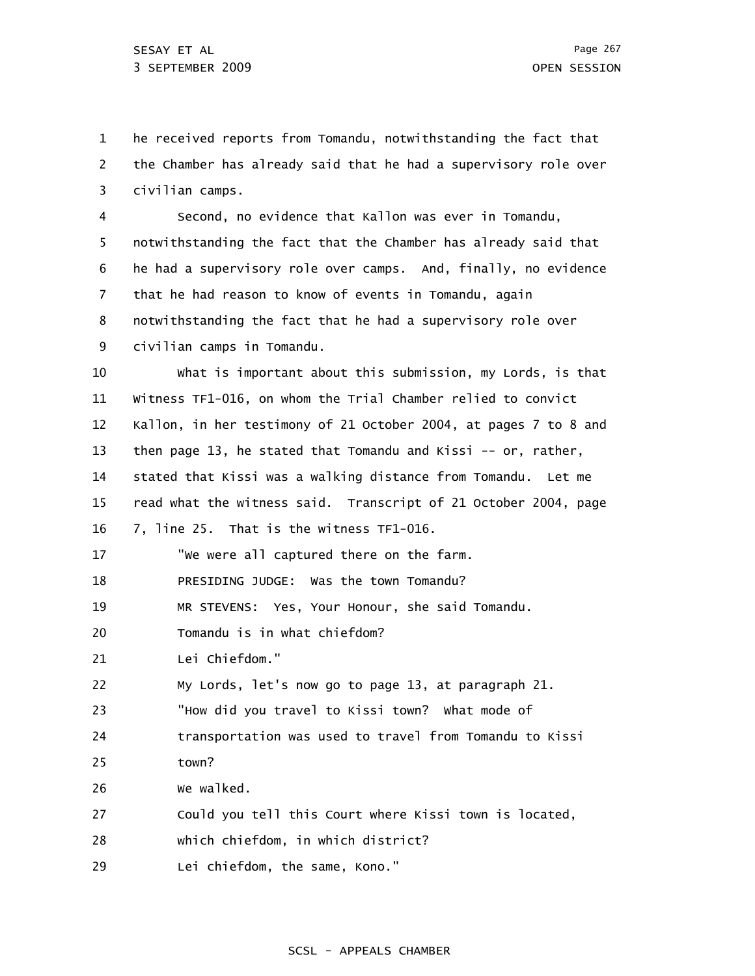1 2 3 he received reports from Tomandu, notwithstanding the fact that the Chamber has already said that he had a supervisory role over civilian camps.

4 5 6 7 8 9 Second, no evidence that Kallon was ever in Tomandu, notwithstanding the fact that the Chamber has already said that he had a supervisory role over camps. And, finally, no evidence that he had reason to know of events in Tomandu, again notwithstanding the fact that he had a supervisory role over civilian camps in Tomandu.

10 11 12 13 14 15 16 17 18 19 20 21 22 23 24 25 26 27 28 29 What is important about this submission, my Lords, is that Witness TF1-016, on whom the Trial Chamber relied to convict Kallon, in her testimony of 21 October 2004, at pages 7 to 8 and then page 13, he stated that Tomandu and Kissi -- or, rather, stated that Kissi was a walking distance from Tomandu. Let me read what the witness said. Transcript of 21 October 2004, page 7, line 25. That is the witness TF1-016. "We were all captured there on the farm. PRESIDING JUDGE: Was the town Tomandu? MR STEVENS: Yes, Your Honour, she said Tomandu. Tomandu is in what chiefdom? Lei Chiefdom." My Lords, let's now go to page 13, at paragraph 21. "How did you travel to Kissi town? What mode of transportation was used to travel from Tomandu to Kissi town? We walked. Could you tell this Court where Kissi town is located, which chiefdom, in which district? Lei chiefdom, the same, Kono."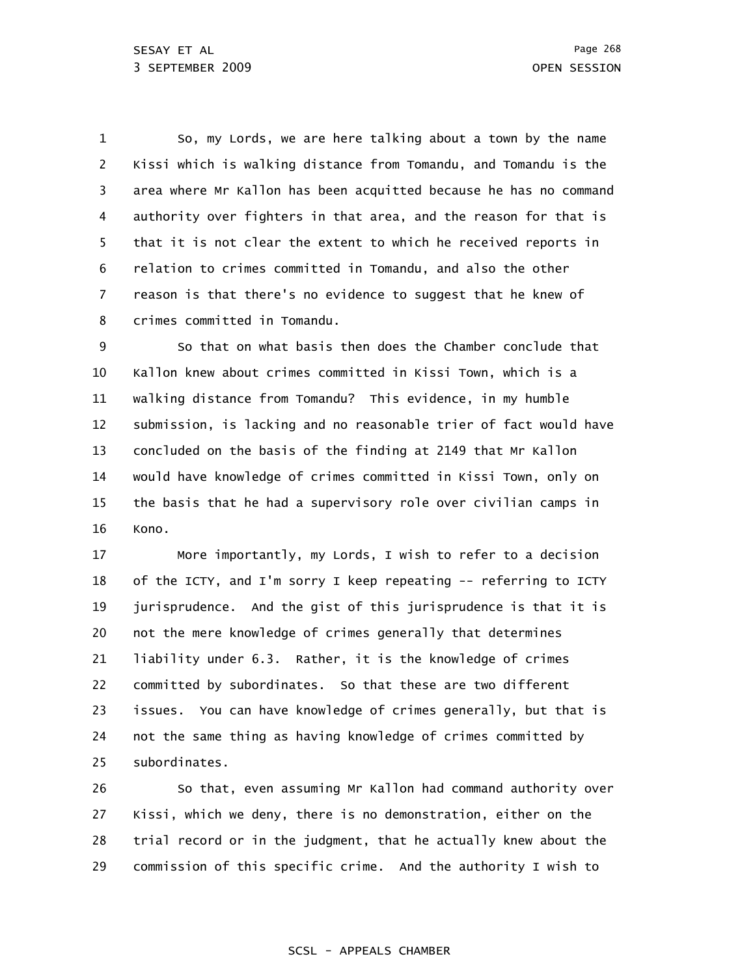1 2 3 4 5 6 7 8 So, my Lords, we are here talking about a town by the name Kissi which is walking distance from Tomandu, and Tomandu is the area where Mr Kallon has been acquitted because he has no command authority over fighters in that area, and the reason for that is that it is not clear the extent to which he received reports in relation to crimes committed in Tomandu, and also the other reason is that there's no evidence to suggest that he knew of crimes committed in Tomandu.

9 10 11 12 13 14 15 16 So that on what basis then does the Chamber conclude that Kallon knew about crimes committed in Kissi Town, which is a walking distance from Tomandu? This evidence, in my humble submission, is lacking and no reasonable trier of fact would have concluded on the basis of the finding at 2149 that Mr Kallon would have knowledge of crimes committed in Kissi Town, only on the basis that he had a supervisory role over civilian camps in Kono.

17 18 19 20 21 22 23 24 25 More importantly, my Lords, I wish to refer to a decision of the ICTY, and I'm sorry I keep repeating -- referring to ICTY jurisprudence. And the gist of this jurisprudence is that it is not the mere knowledge of crimes generally that determines liability under 6.3. Rather, it is the knowledge of crimes committed by subordinates. So that these are two different issues. You can have knowledge of crimes generally, but that is not the same thing as having knowledge of crimes committed by subordinates.

26 27 28 29 So that, even assuming Mr Kallon had command authority over Kissi, which we deny, there is no demonstration, either on the trial record or in the judgment, that he actually knew about the commission of this specific crime. And the authority I wish to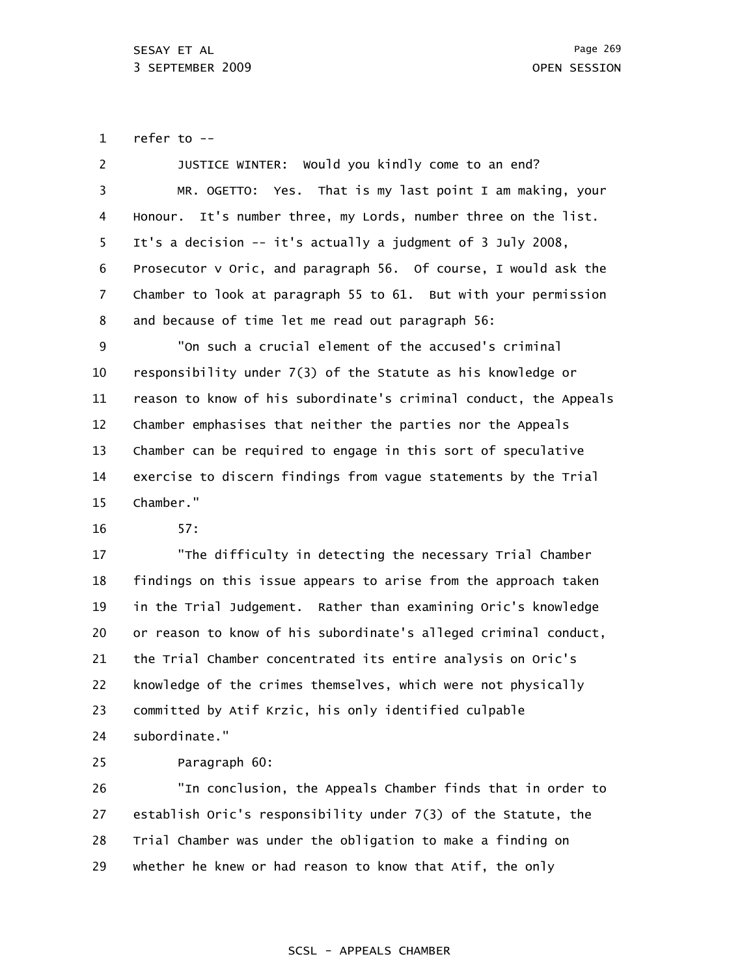1 refer to --

2 3 4 5 6 7 8 JUSTICE WINTER: Would you kindly come to an end? MR. OGETTO: Yes. That is my last point I am making, your Honour. It's number three, my Lords, number three on the list. It's a decision -- it's actually a judgment of 3 July 2008, Prosecutor v Oric, and paragraph 56. Of course, I would ask the Chamber to look at paragraph 55 to 61. But with your permission and because of time let me read out paragraph 56:

9 10 11 12 13 14 15 "On such a crucial element of the accused's criminal responsibility under 7(3) of the Statute as his knowledge or reason to know of his subordinate's criminal conduct, the Appeals Chamber emphasises that neither the parties nor the Appeals Chamber can be required to engage in this sort of speculative exercise to discern findings from vague statements by the Trial Chamber."

16 57:

17 18 19 20 21 22 23 24 "The difficulty in detecting the necessary Trial Chamber findings on this issue appears to arise from the approach taken in the Trial Judgement. Rather than examining Oric's knowledge or reason to know of his subordinate's alleged criminal conduct, the Trial Chamber concentrated its entire analysis on Oric's knowledge of the crimes themselves, which were not physically committed by Atif Krzic, his only identified culpable subordinate."

25 Paragraph 60:

26 27 28 29 "In conclusion, the Appeals Chamber finds that in order to establish Oric's responsibility under 7(3) of the Statute, the Trial Chamber was under the obligation to make a finding on whether he knew or had reason to know that Atif, the only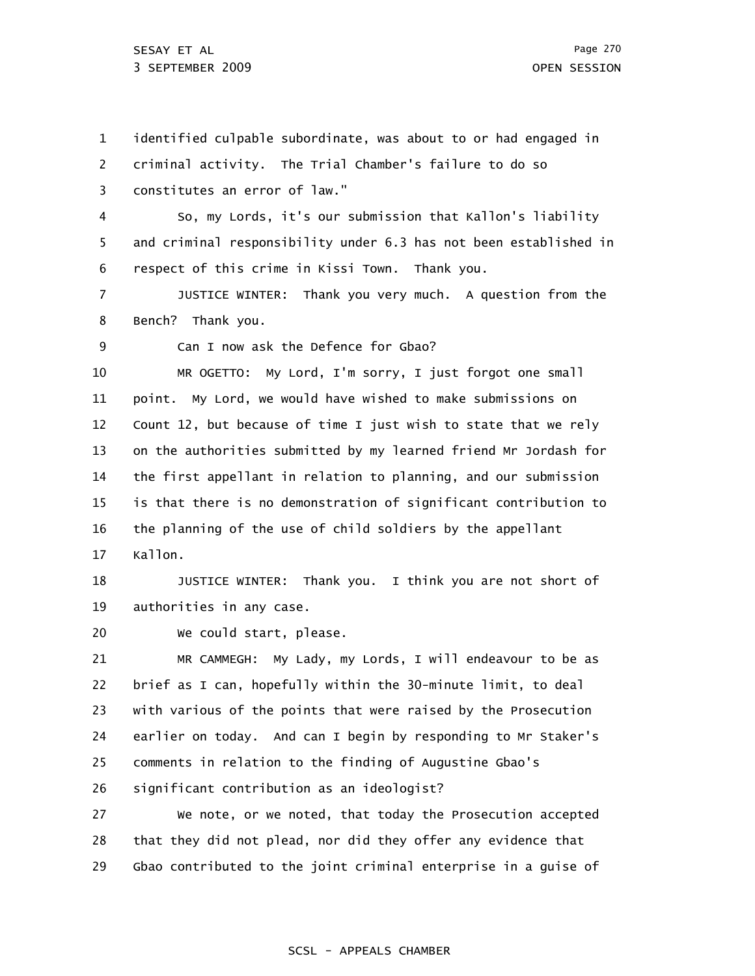SESAY ET AL 3 SEPTEMBER 2009 OPEN SESSION

1 2 3 4 5 6 7 8 identified culpable subordinate, was about to or had engaged in criminal activity. The Trial Chamber's failure to do so constitutes an error of law." So, my Lords, it's our submission that Kallon's liability and criminal responsibility under 6.3 has not been established in respect of this crime in Kissi Town. Thank you. JUSTICE WINTER: Thank you very much. A question from the Bench? Thank you.

9

Can I now ask the Defence for Gbao?

10 11 12 13 14 15 16 17 MR OGETTO: My Lord, I'm sorry, I just forgot one small point. My Lord, we would have wished to make submissions on Count 12, but because of time I just wish to state that we rely on the authorities submitted by my learned friend Mr Jordash for the first appellant in relation to planning, and our submission is that there is no demonstration of significant contribution to the planning of the use of child soldiers by the appellant Kallon.

18 19 JUSTICE WINTER: Thank you. I think you are not short of authorities in any case.

20 We could start, please.

21 22 23 24 25 26 MR CAMMEGH: My Lady, my Lords, I will endeavour to be as brief as I can, hopefully within the 30-minute limit, to deal with various of the points that were raised by the Prosecution earlier on today. And can I begin by responding to Mr Staker's comments in relation to the finding of Augustine Gbao's significant contribution as an ideologist?

27 28 29 We note, or we noted, that today the Prosecution accepted that they did not plead, nor did they offer any evidence that Gbao contributed to the joint criminal enterprise in a guise of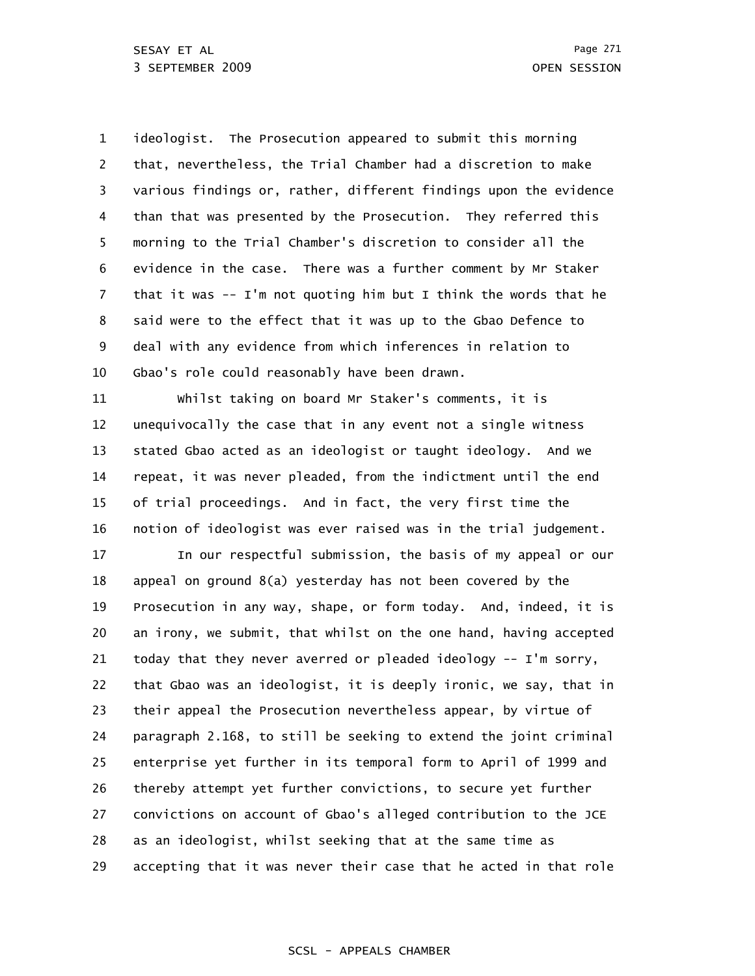1 2 3 4 5 6 7 8 9 10 ideologist. The Prosecution appeared to submit this morning that, nevertheless, the Trial Chamber had a discretion to make various findings or, rather, different findings upon the evidence than that was presented by the Prosecution. They referred this morning to the Trial Chamber's discretion to consider all the evidence in the case. There was a further comment by Mr Staker that it was  $-$ - I'm not quoting him but I think the words that he said were to the effect that it was up to the Gbao Defence to deal with any evidence from which inferences in relation to Gbao's role could reasonably have been drawn.

11 12 13 14 15 16 Whilst taking on board Mr Staker's comments, it is unequivocally the case that in any event not a single witness stated Gbao acted as an ideologist or taught ideology. And we repeat, it was never pleaded, from the indictment until the end of trial proceedings. And in fact, the very first time the notion of ideologist was ever raised was in the trial judgement.

17 18 19 20 21 22 23 24 25 26 27 28 29 In our respectful submission, the basis of my appeal or our appeal on ground 8(a) yesterday has not been covered by the Prosecution in any way, shape, or form today. And, indeed, it is an irony, we submit, that whilst on the one hand, having accepted today that they never averred or pleaded ideology -- I'm sorry, that Gbao was an ideologist, it is deeply ironic, we say, that in their appeal the Prosecution nevertheless appear, by virtue of paragraph 2.168, to still be seeking to extend the joint criminal enterprise yet further in its temporal form to April of 1999 and thereby attempt yet further convictions, to secure yet further convictions on account of Gbao's alleged contribution to the JCE as an ideologist, whilst seeking that at the same time as accepting that it was never their case that he acted in that role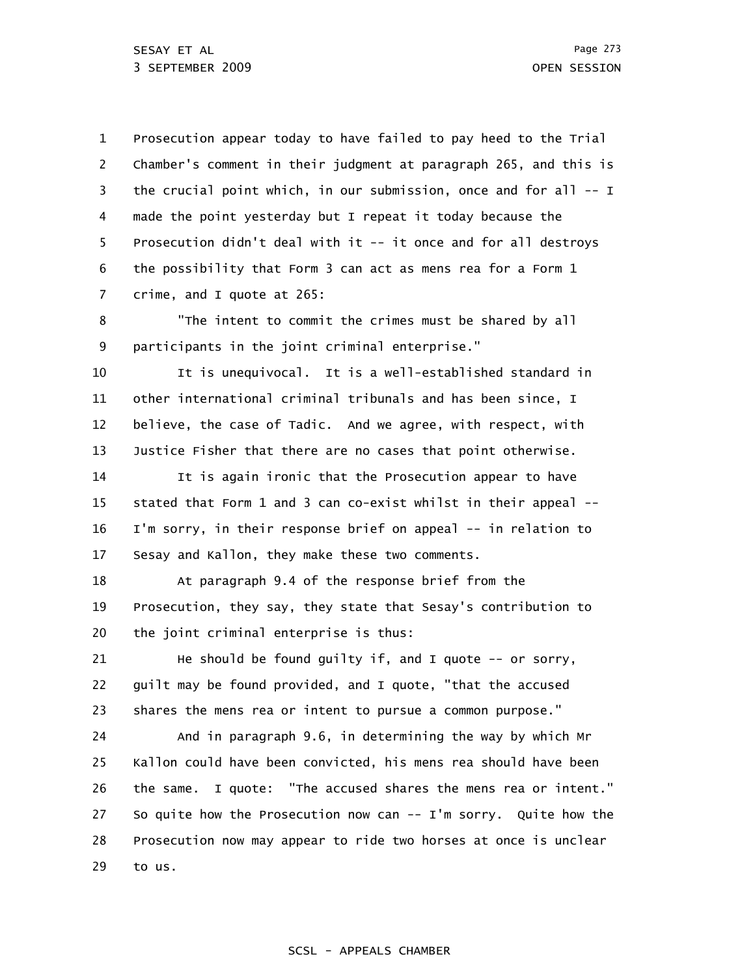1 2 3 4 5 6 7 Prosecution appear today to have failed to pay heed to the Trial Chamber's comment in their judgment at paragraph 265, and this is the crucial point which, in our submission, once and for all -- I made the point yesterday but I repeat it today because the Prosecution didn't deal with it -- it once and for all destroys the possibility that Form 3 can act as mens rea for a Form 1 crime, and I quote at 265:

8 9 "The intent to commit the crimes must be shared by all participants in the joint criminal enterprise."

10 11 12 13 It is unequivocal. It is a well-established standard in other international criminal tribunals and has been since, I believe, the case of Tadic. And we agree, with respect, with Justice Fisher that there are no cases that point otherwise.

14 15 16 17 It is again ironic that the Prosecution appear to have stated that Form 1 and 3 can co-exist whilst in their appeal -- I'm sorry, in their response brief on appeal -- in relation to Sesay and Kallon, they make these two comments.

18 19 20 At paragraph 9.4 of the response brief from the Prosecution, they say, they state that Sesay's contribution to the joint criminal enterprise is thus:

21 22 23 He should be found guilty if, and I quote -- or sorry, guilt may be found provided, and I quote, "that the accused shares the mens rea or intent to pursue a common purpose."

24 25 26 27 28 29 And in paragraph 9.6, in determining the way by which Mr Kallon could have been convicted, his mens rea should have been the same. I quote: "The accused shares the mens rea or intent." So quite how the Prosecution now can -- I'm sorry. Quite how the Prosecution now may appear to ride two horses at once is unclear to us.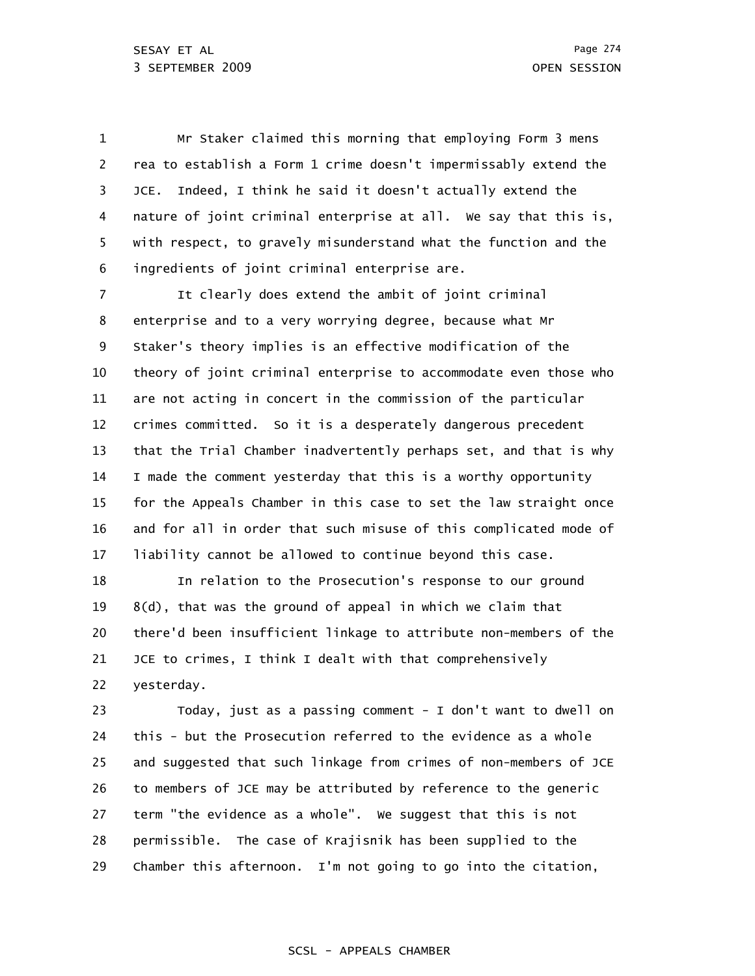1 2 3 4 5 6 Mr Staker claimed this morning that employing Form 3 mens rea to establish a Form 1 crime doesn't impermissably extend the JCE. Indeed, I think he said it doesn't actually extend the nature of joint criminal enterprise at all. We say that this is, with respect, to gravely misunderstand what the function and the ingredients of joint criminal enterprise are.

7 8 9 10 11 12 13 14 15 16 17 It clearly does extend the ambit of joint criminal enterprise and to a very worrying degree, because what Mr Staker's theory implies is an effective modification of the theory of joint criminal enterprise to accommodate even those who are not acting in concert in the commission of the particular crimes committed. So it is a desperately dangerous precedent that the Trial Chamber inadvertently perhaps set, and that is why I made the comment yesterday that this is a worthy opportunity for the Appeals Chamber in this case to set the law straight once and for all in order that such misuse of this complicated mode of liability cannot be allowed to continue beyond this case.

18 19 20 21 22 In relation to the Prosecution's response to our ground 8(d), that was the ground of appeal in which we claim that there'd been insufficient linkage to attribute non-members of the JCE to crimes, I think I dealt with that comprehensively yesterday.

23 24 25 26 27 28 29 Today, just as a passing comment - I don't want to dwell on this - but the Prosecution referred to the evidence as a whole and suggested that such linkage from crimes of non-members of JCE to members of JCE may be attributed by reference to the generic term "the evidence as a whole". We suggest that this is not permissible. The case of Krajisnik has been supplied to the Chamber this afternoon. I'm not going to go into the citation,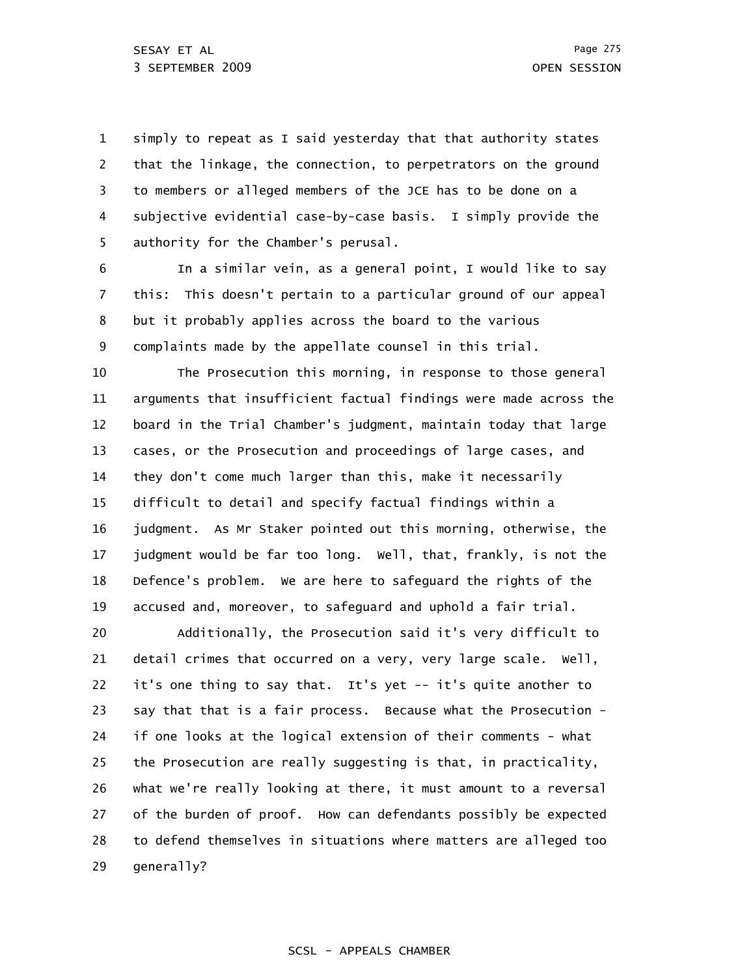1 2 3 4 5 simply to repeat as I said yesterday that that authority states that the linkage, the connection, to perpetrators on the ground to members or alleged members of the JCE has to be done on a subjective evidential case-by-case basis. I simply provide the authority for the Chamber's perusal.

6 7 8 9 In a similar vein, as a general point, I would like to say this: This doesn't pertain to a particular ground of our appeal but it probably applies across the board to the various complaints made by the appellate counsel in this trial.

10 11 12 13 14 15 16 17 18 19 The Prosecution this morning, in response to those general arguments that insufficient factual findings were made across the board in the Trial Chamber's judgment, maintain today that large cases, or the Prosecution and proceedings of large cases, and they don't come much larger than this, make it necessarily difficult to detail and specify factual findings within a judgment. As Mr Staker pointed out this morning, otherwise, the judgment would be far too long. Well, that, frankly, is not the Defence's problem. We are here to safeguard the rights of the accused and, moreover, to safeguard and uphold a fair trial.

20 21 22 23 24 25 26 27 28 29 Additionally, the Prosecution said it's very difficult to detail crimes that occurred on a very, very large scale. Well, it's one thing to say that. It's yet -- it's quite another to say that that is a fair process. Because what the Prosecution if one looks at the logical extension of their comments - what the Prosecution are really suggesting is that, in practicality, what we're really looking at there, it must amount to a reversal of the burden of proof. How can defendants possibly be expected to defend themselves in situations where matters are alleged too generally?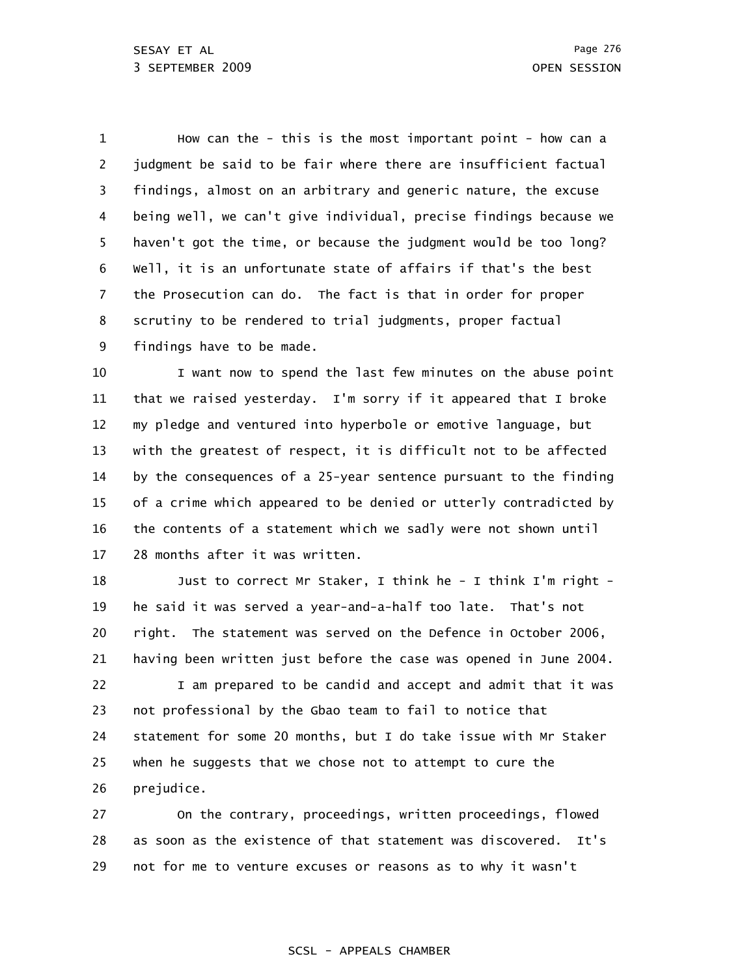1 2 3 4 5 6 7 8 9 How can the - this is the most important point - how can a judgment be said to be fair where there are insufficient factual findings, almost on an arbitrary and generic nature, the excuse being well, we can't give individual, precise findings because we haven't got the time, or because the judgment would be too long? Well, it is an unfortunate state of affairs if that's the best the Prosecution can do. The fact is that in order for proper scrutiny to be rendered to trial judgments, proper factual findings have to be made.

10 11 12 13 14 15 16 17 I want now to spend the last few minutes on the abuse point that we raised yesterday. I'm sorry if it appeared that I broke my pledge and ventured into hyperbole or emotive language, but with the greatest of respect, it is difficult not to be affected by the consequences of a 25-year sentence pursuant to the finding of a crime which appeared to be denied or utterly contradicted by the contents of a statement which we sadly were not shown until 28 months after it was written.

18 19 20 21 Just to correct Mr Staker, I think he - I think I'm right he said it was served a year-and-a-half too late. That's not right. The statement was served on the Defence in October 2006, having been written just before the case was opened in June 2004.

22 23 24 25 26 I am prepared to be candid and accept and admit that it was not professional by the Gbao team to fail to notice that statement for some 20 months, but I do take issue with Mr Staker when he suggests that we chose not to attempt to cure the prejudice.

27 28 29 On the contrary, proceedings, written proceedings, flowed as soon as the existence of that statement was discovered. It's not for me to venture excuses or reasons as to why it wasn't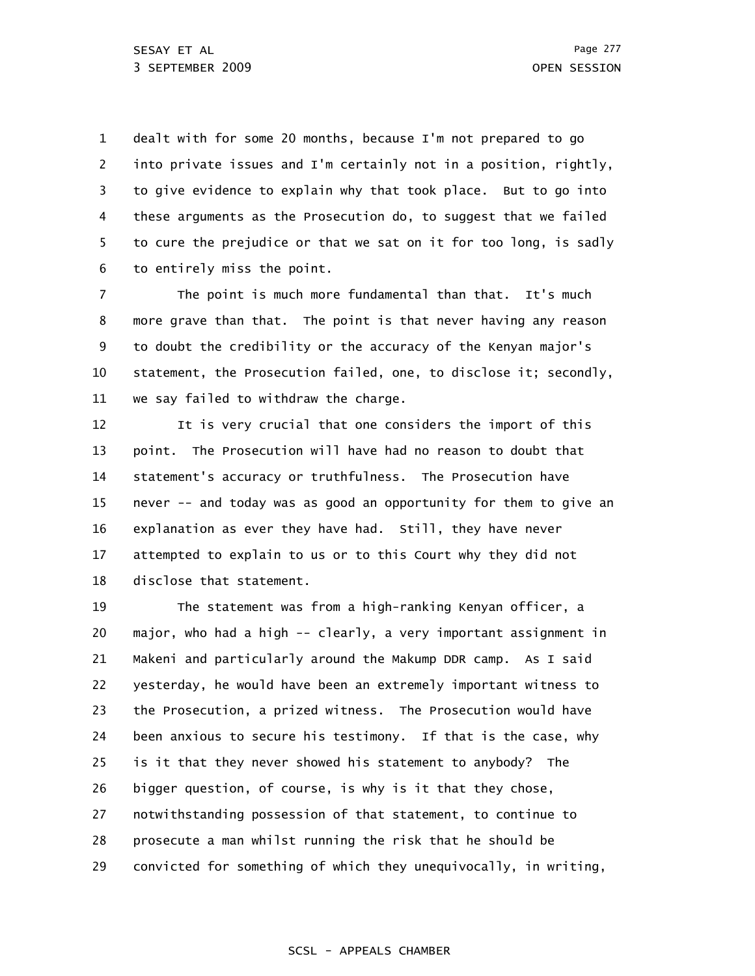1 2 3 4 5 6 dealt with for some 20 months, because I'm not prepared to go into private issues and I'm certainly not in a position, rightly, to give evidence to explain why that took place. But to go into these arguments as the Prosecution do, to suggest that we failed to cure the prejudice or that we sat on it for too long, is sadly to entirely miss the point.

7 8 9 10 11 The point is much more fundamental than that. It's much more grave than that. The point is that never having any reason to doubt the credibility or the accuracy of the Kenyan major's statement, the Prosecution failed, one, to disclose it; secondly, we say failed to withdraw the charge.

12 13 14 15 16 17 18 It is very crucial that one considers the import of this point. The Prosecution will have had no reason to doubt that statement's accuracy or truthfulness. The Prosecution have never -- and today was as good an opportunity for them to give an explanation as ever they have had. Still, they have never attempted to explain to us or to this Court why they did not disclose that statement.

19 20 21 22 23 24 25 26 27 28 29 The statement was from a high-ranking Kenyan officer, a major, who had a high -- clearly, a very important assignment in Makeni and particularly around the Makump DDR camp. As I said yesterday, he would have been an extremely important witness to the Prosecution, a prized witness. The Prosecution would have been anxious to secure his testimony. If that is the case, why is it that they never showed his statement to anybody? The bigger question, of course, is why is it that they chose, notwithstanding possession of that statement, to continue to prosecute a man whilst running the risk that he should be convicted for something of which they unequivocally, in writing,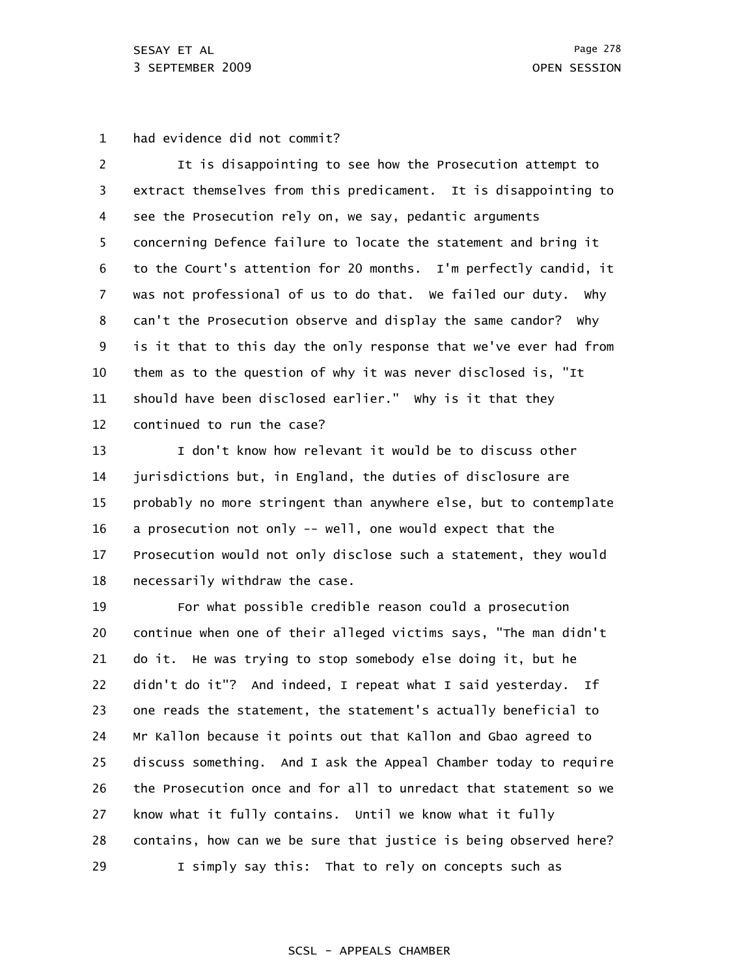1 had evidence did not commit?

2 3 4 5 6 7 8 9 10 11 12 It is disappointing to see how the Prosecution attempt to extract themselves from this predicament. It is disappointing to see the Prosecution rely on, we say, pedantic arguments concerning Defence failure to locate the statement and bring it to the Court's attention for 20 months. I'm perfectly candid, it was not professional of us to do that. We failed our duty. Why can't the Prosecution observe and display the same candor? Why is it that to this day the only response that we've ever had from them as to the question of why it was never disclosed is, "It should have been disclosed earlier." Why is it that they continued to run the case?

13 14 15 16 17 18 I don't know how relevant it would be to discuss other jurisdictions but, in England, the duties of disclosure are probably no more stringent than anywhere else, but to contemplate a prosecution not only -- well, one would expect that the Prosecution would not only disclose such a statement, they would necessarily withdraw the case.

19 20 21 22 23 24 25 26 27 28 29 For what possible credible reason could a prosecution continue when one of their alleged victims says, "The man didn't do it. He was trying to stop somebody else doing it, but he didn't do it"? And indeed, I repeat what I said yesterday. If one reads the statement, the statement's actually beneficial to Mr Kallon because it points out that Kallon and Gbao agreed to discuss something. And I ask the Appeal Chamber today to require the Prosecution once and for all to unredact that statement so we know what it fully contains. Until we know what it fully contains, how can we be sure that justice is being observed here? I simply say this: That to rely on concepts such as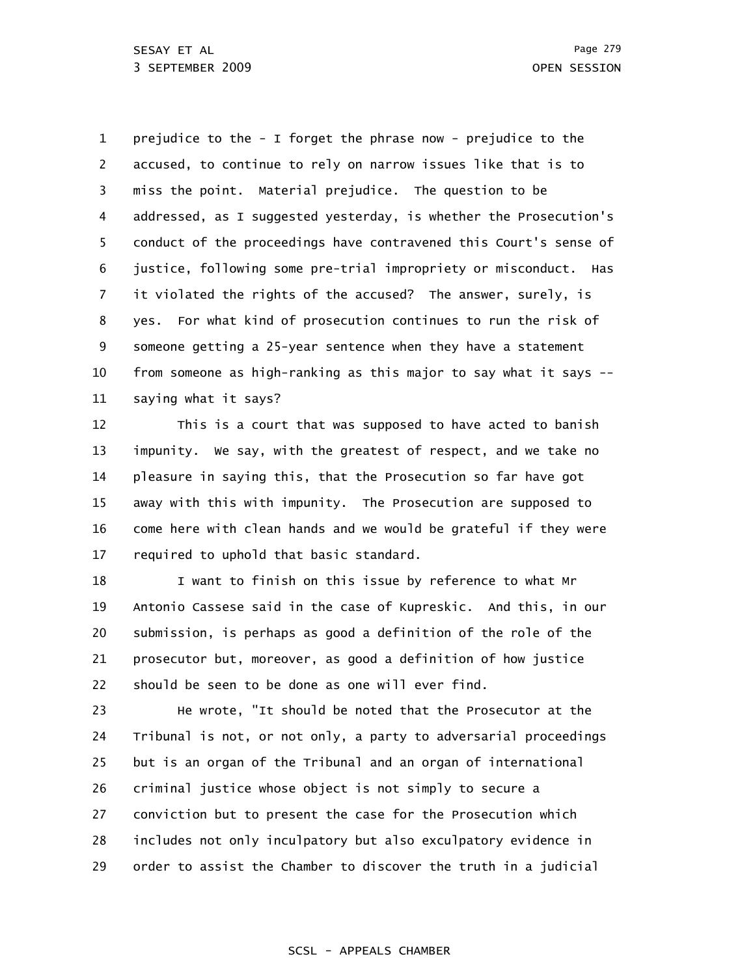1 2 3 4 5 6 7 8 9 10 11 prejudice to the - I forget the phrase now - prejudice to the accused, to continue to rely on narrow issues like that is to miss the point. Material prejudice. The question to be addressed, as I suggested yesterday, is whether the Prosecution's conduct of the proceedings have contravened this Court's sense of justice, following some pre-trial impropriety or misconduct. Has it violated the rights of the accused? The answer, surely, is yes. For what kind of prosecution continues to run the risk of someone getting a 25-year sentence when they have a statement from someone as high-ranking as this major to say what it says - saying what it says?

12 13 14 15 16 17 This is a court that was supposed to have acted to banish impunity. We say, with the greatest of respect, and we take no pleasure in saying this, that the Prosecution so far have got away with this with impunity. The Prosecution are supposed to come here with clean hands and we would be grateful if they were required to uphold that basic standard.

18 19 20 21 22 I want to finish on this issue by reference to what Mr Antonio Cassese said in the case of Kupreskic. And this, in our submission, is perhaps as good a definition of the role of the prosecutor but, moreover, as good a definition of how justice should be seen to be done as one will ever find.

23 24 25 26 27 28 29 He wrote, "It should be noted that the Prosecutor at the Tribunal is not, or not only, a party to adversarial proceedings but is an organ of the Tribunal and an organ of international criminal justice whose object is not simply to secure a conviction but to present the case for the Prosecution which includes not only inculpatory but also exculpatory evidence in order to assist the Chamber to discover the truth in a judicial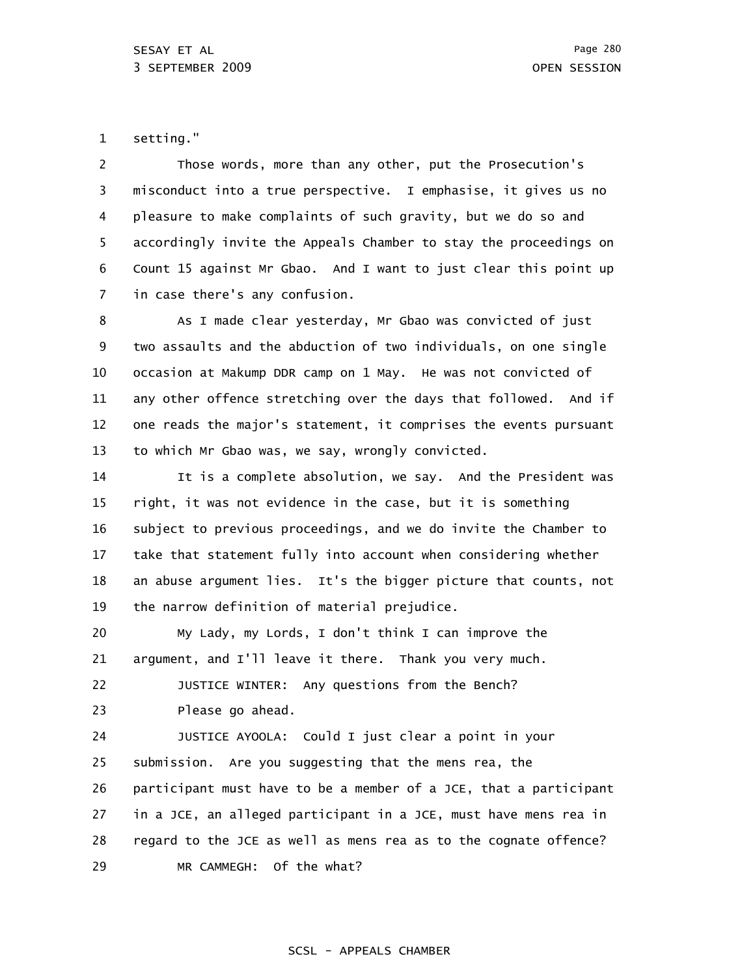1 setting."

2 3 4 5 6 7 Those words, more than any other, put the Prosecution's misconduct into a true perspective. I emphasise, it gives us no pleasure to make complaints of such gravity, but we do so and accordingly invite the Appeals Chamber to stay the proceedings on Count 15 against Mr Gbao. And I want to just clear this point up in case there's any confusion.

8 9 10 11 12 13 As I made clear yesterday, Mr Gbao was convicted of just two assaults and the abduction of two individuals, on one single occasion at Makump DDR camp on 1 May. He was not convicted of any other offence stretching over the days that followed. And if one reads the major's statement, it comprises the events pursuant to which Mr Gbao was, we say, wrongly convicted.

14 15 16 17 18 19 It is a complete absolution, we say. And the President was right, it was not evidence in the case, but it is something subject to previous proceedings, and we do invite the Chamber to take that statement fully into account when considering whether an abuse argument lies. It's the bigger picture that counts, not the narrow definition of material prejudice.

20 21 My Lady, my Lords, I don't think I can improve the argument, and I'll leave it there. Thank you very much.

22 23 JUSTICE WINTER: Any questions from the Bench? Please go ahead.

24 25 26 27 28 29 JUSTICE AYOOLA: Could I just clear a point in your submission. Are you suggesting that the mens rea, the participant must have to be a member of a JCE, that a participant in a JCE, an alleged participant in a JCE, must have mens rea in regard to the JCE as well as mens rea as to the cognate offence? MR CAMMEGH: Of the what?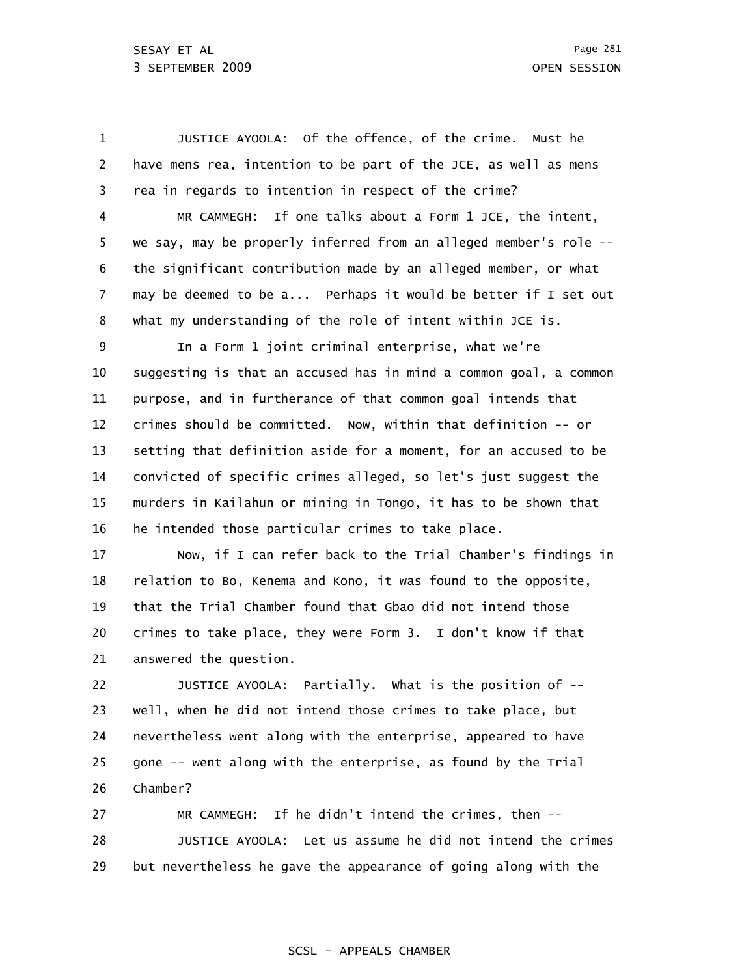1 2 3 JUSTICE AYOOLA: Of the offence, of the crime. Must he have mens rea, intention to be part of the JCE, as well as mens rea in regards to intention in respect of the crime?

4 5 6 7 8 MR CAMMEGH: If one talks about a Form 1 JCE, the intent, we say, may be properly inferred from an alleged member's role - the significant contribution made by an alleged member, or what may be deemed to be a... Perhaps it would be better if I set out what my understanding of the role of intent within JCE is.

9 10 11 12 13 14 15 16 In a Form 1 joint criminal enterprise, what we're suggesting is that an accused has in mind a common goal, a common purpose, and in furtherance of that common goal intends that crimes should be committed. Now, within that definition -- or setting that definition aside for a moment, for an accused to be convicted of specific crimes alleged, so let's just suggest the murders in Kailahun or mining in Tongo, it has to be shown that he intended those particular crimes to take place.

17 18 19 20 21 Now, if I can refer back to the Trial Chamber's findings in relation to Bo, Kenema and Kono, it was found to the opposite, that the Trial Chamber found that Gbao did not intend those crimes to take place, they were Form 3. I don't know if that answered the question.

22 23 24 25 26 JUSTICE AYOOLA: Partially. What is the position of - well, when he did not intend those crimes to take place, but nevertheless went along with the enterprise, appeared to have gone -- went along with the enterprise, as found by the Trial Chamber?

27 28 29 MR CAMMEGH: If he didn't intend the crimes, then -- JUSTICE AYOOLA: Let us assume he did not intend the crimes but nevertheless he gave the appearance of going along with the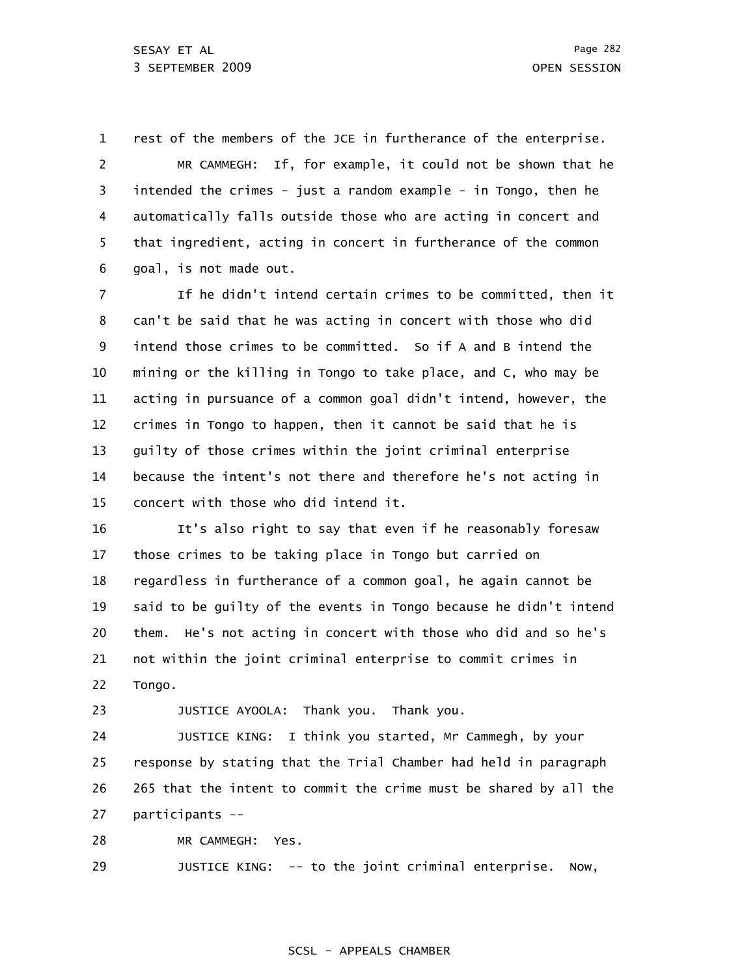1 2 3 4 5 6 rest of the members of the JCE in furtherance of the enterprise. MR CAMMEGH: If, for example, it could not be shown that he intended the crimes - just a random example - in Tongo, then he automatically falls outside those who are acting in concert and that ingredient, acting in concert in furtherance of the common goal, is not made out.

7 8 9 10 11 12 13 14 15 If he didn't intend certain crimes to be committed, then it can't be said that he was acting in concert with those who did intend those crimes to be committed. So if A and B intend the mining or the killing in Tongo to take place, and C, who may be acting in pursuance of a common goal didn't intend, however, the crimes in Tongo to happen, then it cannot be said that he is guilty of those crimes within the joint criminal enterprise because the intent's not there and therefore he's not acting in concert with those who did intend it.

16 17 18 19 20 21 22 It's also right to say that even if he reasonably foresaw those crimes to be taking place in Tongo but carried on regardless in furtherance of a common goal, he again cannot be said to be guilty of the events in Tongo because he didn't intend them. He's not acting in concert with those who did and so he's not within the joint criminal enterprise to commit crimes in Tongo.

23

JUSTICE AYOOLA: Thank you. Thank you.

24 25 26 27 JUSTICE KING: I think you started, Mr Cammegh, by your response by stating that the Trial Chamber had held in paragraph 265 that the intent to commit the crime must be shared by all the participants --

28 MR CAMMEGH: Yes.

29 JUSTICE KING: -- to the joint criminal enterprise. Now,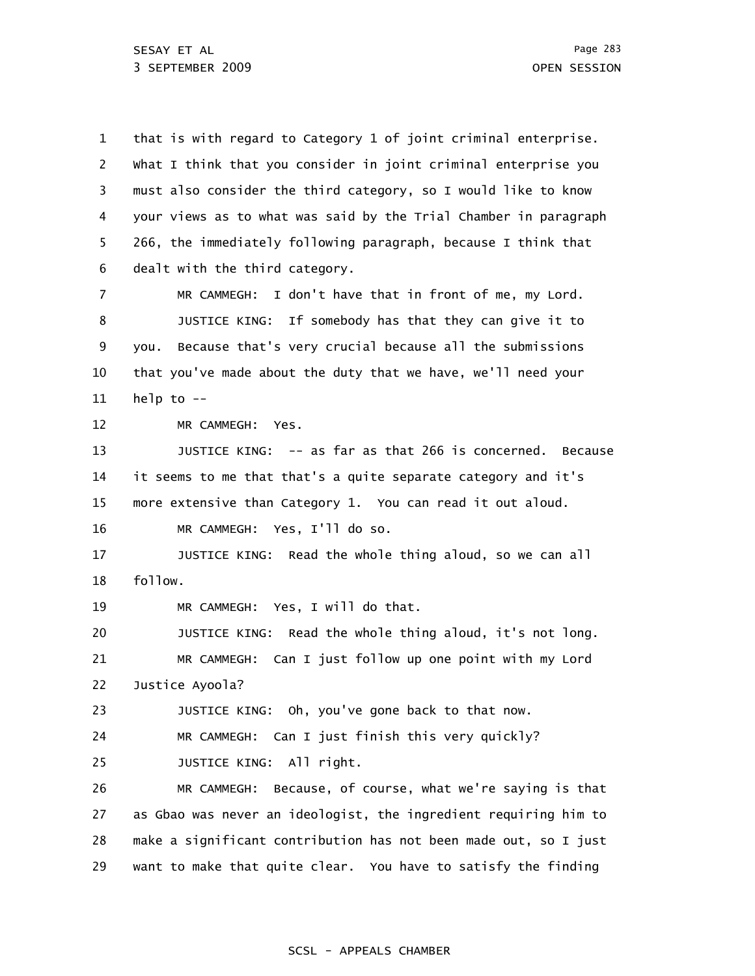1 2 3 4 5 6 7 8 9 10 11 12 13 14 15 16 17 18 19 20 21 22 23 24 25 26 27 28 29 that is with regard to Category 1 of joint criminal enterprise. What I think that you consider in joint criminal enterprise you must also consider the third category, so I would like to know your views as to what was said by the Trial Chamber in paragraph 266, the immediately following paragraph, because I think that dealt with the third category. MR CAMMEGH: I don't have that in front of me, my Lord. JUSTICE KING: If somebody has that they can give it to you. Because that's very crucial because all the submissions that you've made about the duty that we have, we'll need your help to -- MR CAMMEGH: Yes. JUSTICE KING: -- as far as that 266 is concerned. Because it seems to me that that's a quite separate category and it's more extensive than Category 1. You can read it out aloud. MR CAMMEGH: Yes, I'll do so. JUSTICE KING: Read the whole thing aloud, so we can all follow. MR CAMMEGH: Yes, I will do that. JUSTICE KING: Read the whole thing aloud, it's not long. MR CAMMEGH: Can I just follow up one point with my Lord Justice Ayoola? JUSTICE KING: Oh, you've gone back to that now. MR CAMMEGH: Can I just finish this very quickly? JUSTICE KING: All right. MR CAMMEGH: Because, of course, what we're saying is that as Gbao was never an ideologist, the ingredient requiring him to make a significant contribution has not been made out, so I just want to make that quite clear. You have to satisfy the finding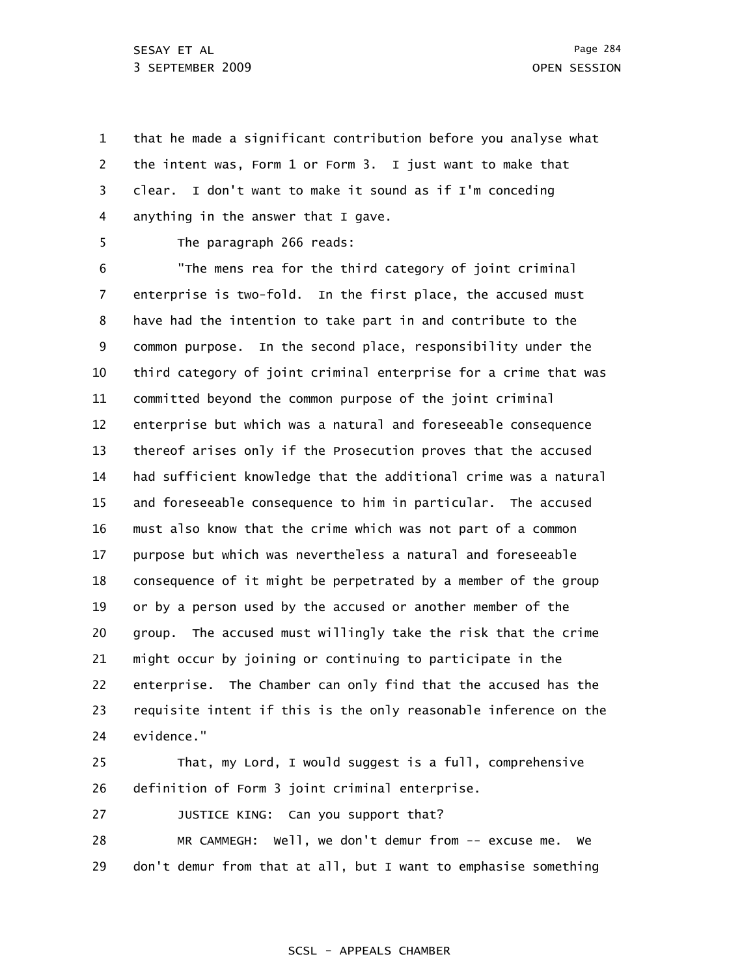1 2 3 4 that he made a significant contribution before you analyse what the intent was, Form 1 or Form 3. I just want to make that clear. I don't want to make it sound as if I'm conceding anything in the answer that I gave.

5

The paragraph 266 reads:

6 7 8 9 10 11 12 13 14 15 16 17 18 19 20 21 22 23 24 "The mens rea for the third category of joint criminal enterprise is two-fold. In the first place, the accused must have had the intention to take part in and contribute to the common purpose. In the second place, responsibility under the third category of joint criminal enterprise for a crime that was committed beyond the common purpose of the joint criminal enterprise but which was a natural and foreseeable consequence thereof arises only if the Prosecution proves that the accused had sufficient knowledge that the additional crime was a natural and foreseeable consequence to him in particular. The accused must also know that the crime which was not part of a common purpose but which was nevertheless a natural and foreseeable consequence of it might be perpetrated by a member of the group or by a person used by the accused or another member of the group. The accused must willingly take the risk that the crime might occur by joining or continuing to participate in the enterprise. The Chamber can only find that the accused has the requisite intent if this is the only reasonable inference on the evidence."

25 26 That, my Lord, I would suggest is a full, comprehensive definition of Form 3 joint criminal enterprise.

27 JUSTICE KING: Can you support that?

28 29 MR CAMMEGH: Well, we don't demur from -- excuse me. We don't demur from that at all, but I want to emphasise something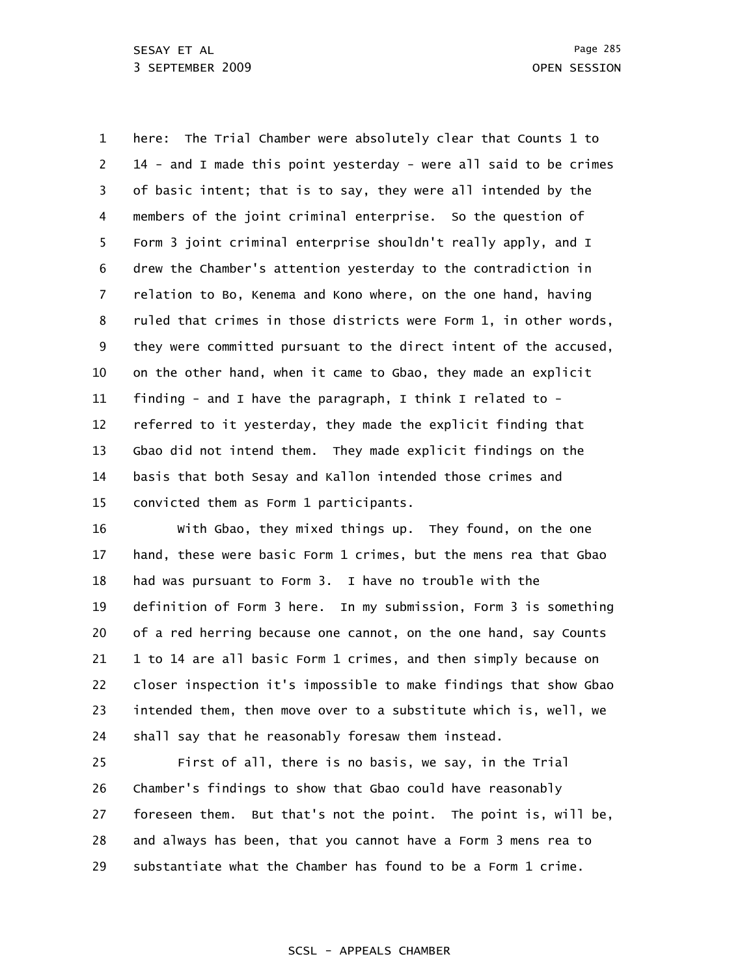1 2 3 4 5 6 7 8 9 10 11 12 13 14 15 here: The Trial Chamber were absolutely clear that Counts 1 to 14 - and I made this point yesterday - were all said to be crimes of basic intent; that is to say, they were all intended by the members of the joint criminal enterprise. So the question of Form 3 joint criminal enterprise shouldn't really apply, and I drew the Chamber's attention yesterday to the contradiction in relation to Bo, Kenema and Kono where, on the one hand, having ruled that crimes in those districts were Form 1, in other words, they were committed pursuant to the direct intent of the accused, on the other hand, when it came to Gbao, they made an explicit finding - and I have the paragraph, I think I related to referred to it yesterday, they made the explicit finding that Gbao did not intend them. They made explicit findings on the basis that both Sesay and Kallon intended those crimes and convicted them as Form 1 participants.

16 17 18 19 20 21 22 23 24 With Gbao, they mixed things up. They found, on the one hand, these were basic Form 1 crimes, but the mens rea that Gbao had was pursuant to Form 3. I have no trouble with the definition of Form 3 here. In my submission, Form 3 is something of a red herring because one cannot, on the one hand, say Counts 1 to 14 are all basic Form 1 crimes, and then simply because on closer inspection it's impossible to make findings that show Gbao intended them, then move over to a substitute which is, well, we shall say that he reasonably foresaw them instead.

25 26 27 28 29 First of all, there is no basis, we say, in the Trial Chamber's findings to show that Gbao could have reasonably foreseen them. But that's not the point. The point is, will be, and always has been, that you cannot have a Form 3 mens rea to substantiate what the Chamber has found to be a Form 1 crime.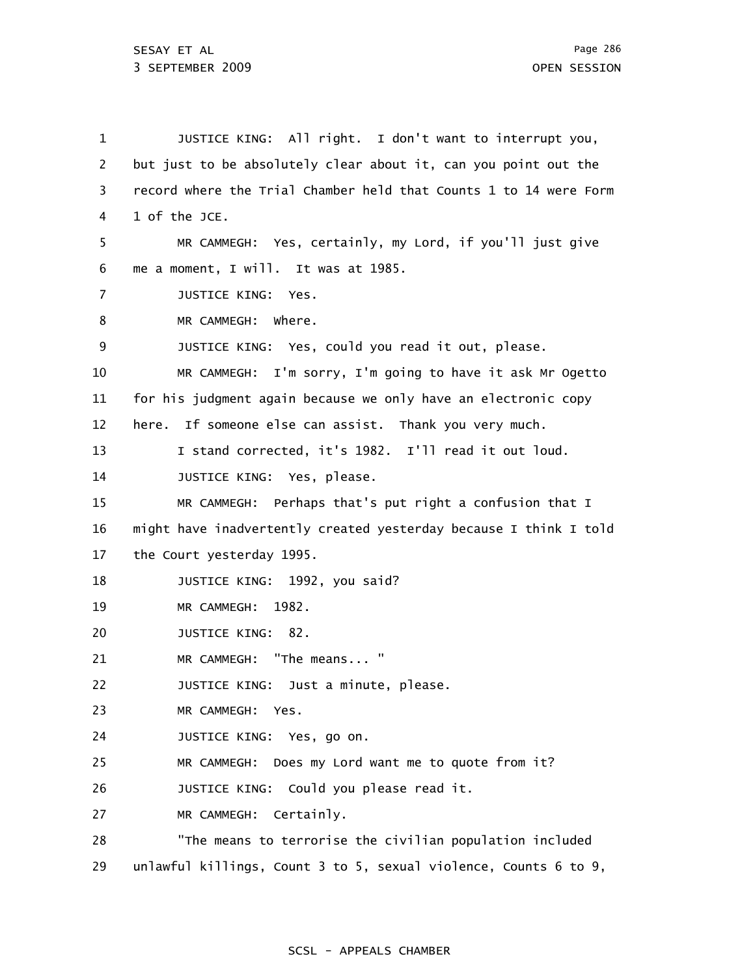1 2 3 4 5 6 7 8 9 10 11 12 13 14 15 16 17 18 19 20 21 22 23 24 25 26 27 28 29 JUSTICE KING: All right. I don't want to interrupt you, but just to be absolutely clear about it, can you point out the record where the Trial Chamber held that Counts 1 to 14 were Form 1 of the JCE. MR CAMMEGH: Yes, certainly, my Lord, if you'll just give me a moment, I will. It was at 1985. JUSTICE KING: Yes. MR CAMMEGH: Where. JUSTICE KING: Yes, could you read it out, please. MR CAMMEGH: I'm sorry, I'm going to have it ask Mr Ogetto for his judgment again because we only have an electronic copy here. If someone else can assist. Thank you very much. I stand corrected, it's 1982. I'll read it out loud. JUSTICE KING: Yes, please. MR CAMMEGH: Perhaps that's put right a confusion that I might have inadvertently created yesterday because I think I told the Court yesterday 1995. JUSTICE KING: 1992, you said? MR CAMMEGH: 1982. JUSTICE KING: 82. MR CAMMEGH: "The means... " JUSTICE KING: Just a minute, please. MR CAMMEGH: Yes. JUSTICE KING: Yes, go on. MR CAMMEGH: Does my Lord want me to quote from it? JUSTICE KING: Could you please read it. MR CAMMEGH: Certainly. "The means to terrorise the civilian population included unlawful killings, Count 3 to 5, sexual violence, Counts 6 to 9,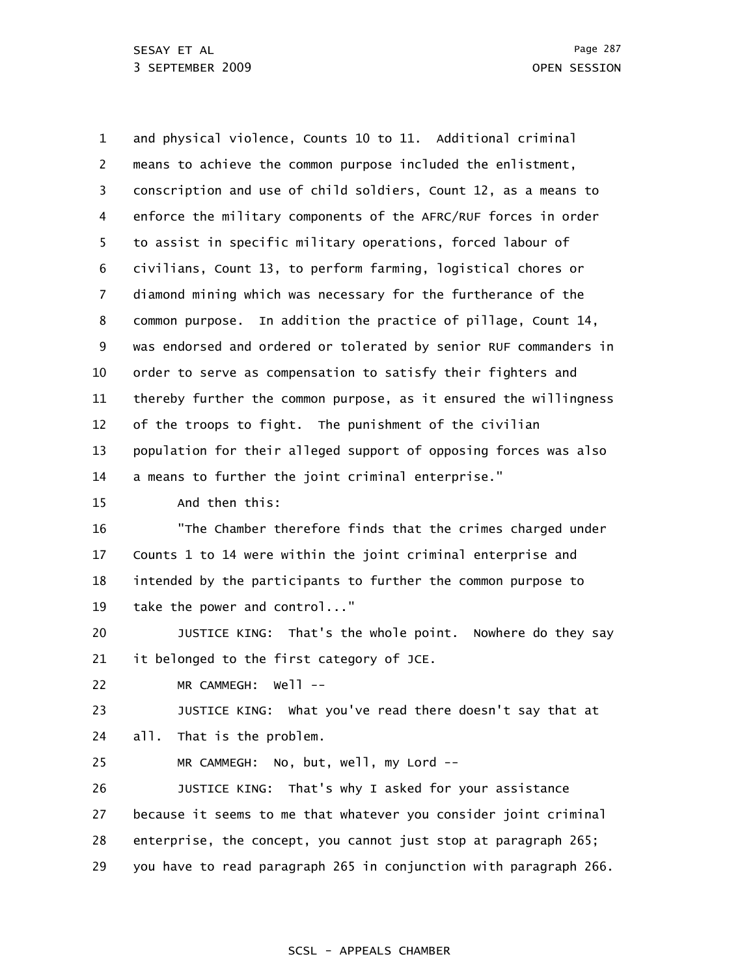1 2 3 4 5 6 7 8 9 10 11 12 13 14 15 16 17 18 19 20 21 22 23 24 25 26 27 28 29 and physical violence, Counts 10 to 11. Additional criminal means to achieve the common purpose included the enlistment, conscription and use of child soldiers, Count 12, as a means to enforce the military components of the AFRC/RUF forces in order to assist in specific military operations, forced labour of civilians, Count 13, to perform farming, logistical chores or diamond mining which was necessary for the furtherance of the common purpose. In addition the practice of pillage, Count 14, was endorsed and ordered or tolerated by senior RUF commanders in order to serve as compensation to satisfy their fighters and thereby further the common purpose, as it ensured the willingness of the troops to fight. The punishment of the civilian population for their alleged support of opposing forces was also a means to further the joint criminal enterprise." And then this: "The Chamber therefore finds that the crimes charged under Counts 1 to 14 were within the joint criminal enterprise and intended by the participants to further the common purpose to take the power and control..." JUSTICE KING: That's the whole point. Nowhere do they say it belonged to the first category of JCE. MR CAMMEGH: Well --JUSTICE KING: What you've read there doesn't say that at all. That is the problem. MR CAMMEGH: No, but, well, my Lord --JUSTICE KING: That's why I asked for your assistance because it seems to me that whatever you consider joint criminal enterprise, the concept, you cannot just stop at paragraph 265; you have to read paragraph 265 in conjunction with paragraph 266.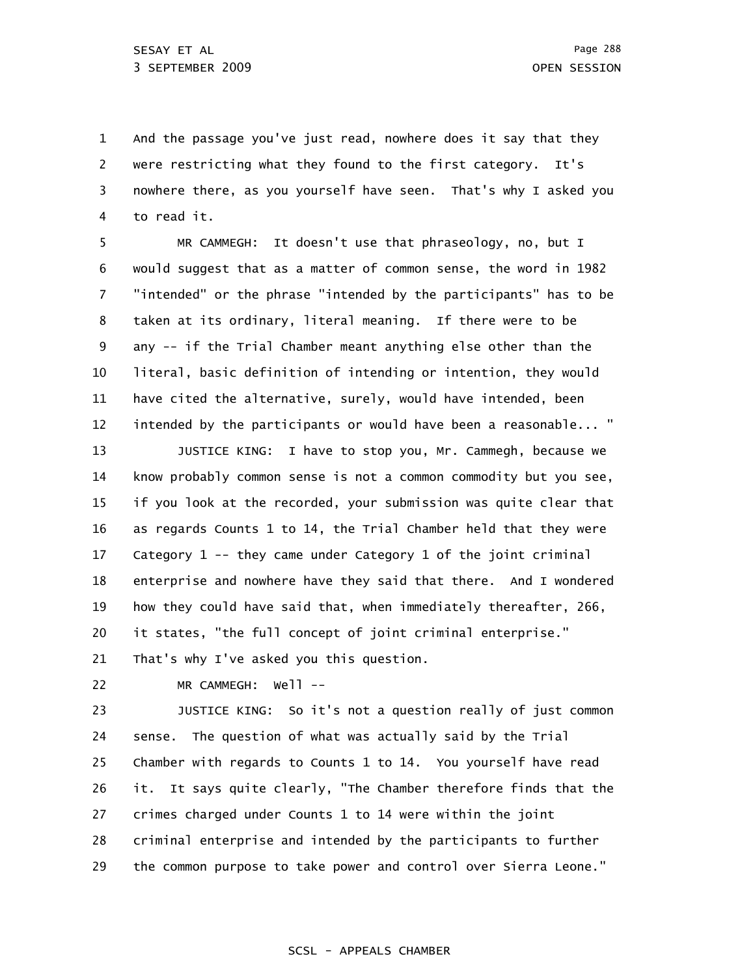1 2 3 4 And the passage you've just read, nowhere does it say that they were restricting what they found to the first category. It's nowhere there, as you yourself have seen. That's why I asked you to read it.

5 6 7 8 9 10 11 12 MR CAMMEGH: It doesn't use that phraseology, no, but I would suggest that as a matter of common sense, the word in 1982 "intended" or the phrase "intended by the participants" has to be taken at its ordinary, literal meaning. If there were to be any -- if the Trial Chamber meant anything else other than the literal, basic definition of intending or intention, they would have cited the alternative, surely, would have intended, been intended by the participants or would have been a reasonable... "

13 14 15 16 17 18 19 20 JUSTICE KING: I have to stop you, Mr. Cammegh, because we know probably common sense is not a common commodity but you see, if you look at the recorded, your submission was quite clear that as regards Counts 1 to 14, the Trial Chamber held that they were Category 1 -- they came under Category 1 of the joint criminal enterprise and nowhere have they said that there. And I wondered how they could have said that, when immediately thereafter, 266, it states, "the full concept of joint criminal enterprise."

21 That's why I've asked you this question.

22 MR CAMMEGH: Well --

23 24 25 26 27 28 29 JUSTICE KING: So it's not a question really of just common sense. The question of what was actually said by the Trial Chamber with regards to Counts 1 to 14. You yourself have read it. It says quite clearly, "The Chamber therefore finds that the crimes charged under Counts 1 to 14 were within the joint criminal enterprise and intended by the participants to further the common purpose to take power and control over Sierra Leone."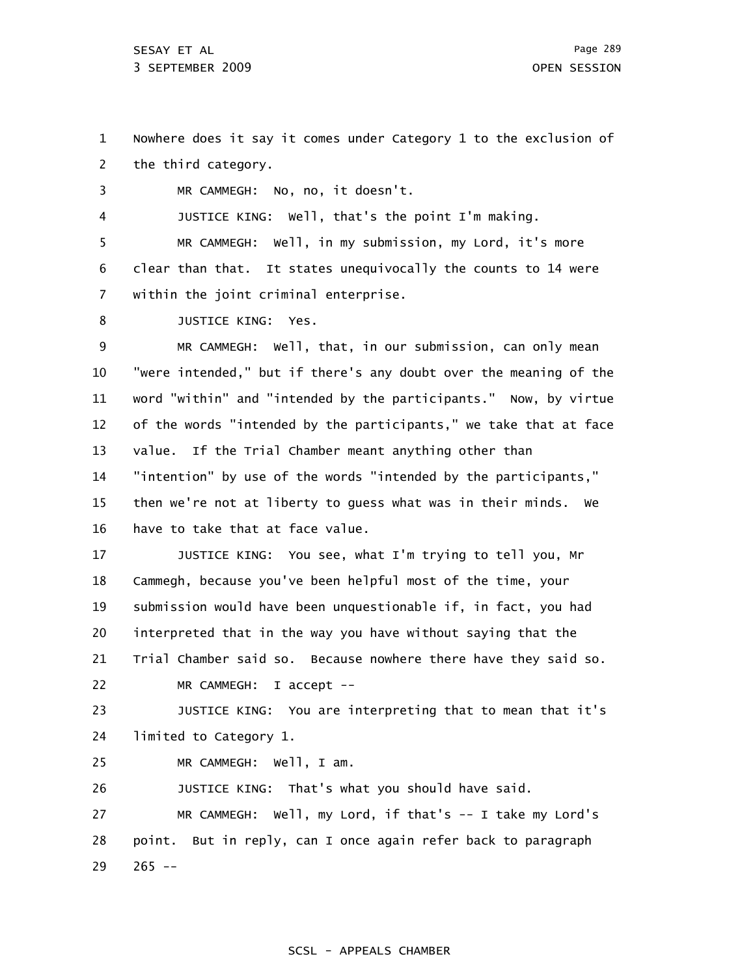1 2 Nowhere does it say it comes under Category 1 to the exclusion of the third category.

3 4 5 6 7 MR CAMMEGH: No, no, it doesn't. JUSTICE KING: Well, that's the point I'm making. MR CAMMEGH: Well, in my submission, my Lord, it's more clear than that. It states unequivocally the counts to 14 were within the joint criminal enterprise.

8 JUSTICE KING: Yes.

9 10 11 12 13 14 15 16 MR CAMMEGH: Well, that, in our submission, can only mean "were intended," but if there's any doubt over the meaning of the word "within" and "intended by the participants." Now, by virtue of the words "intended by the participants," we take that at face value. If the Trial Chamber meant anything other than "intention" by use of the words "intended by the participants," then we're not at liberty to guess what was in their minds. We have to take that at face value.

17 18 19 20 21 JUSTICE KING: You see, what I'm trying to tell you, Mr Cammegh, because you've been helpful most of the time, your submission would have been unquestionable if, in fact, you had interpreted that in the way you have without saying that the Trial Chamber said so. Because nowhere there have they said so.

22 MR CAMMEGH: I accept --

23 24 JUSTICE KING: You are interpreting that to mean that it's limited to Category 1.

25 MR CAMMEGH: Well, I am.

26 JUSTICE KING: That's what you should have said.

27 28 29 MR CAMMEGH: Well, my Lord, if that's -- I take my Lord's point. But in reply, can I once again refer back to paragraph  $265 - -$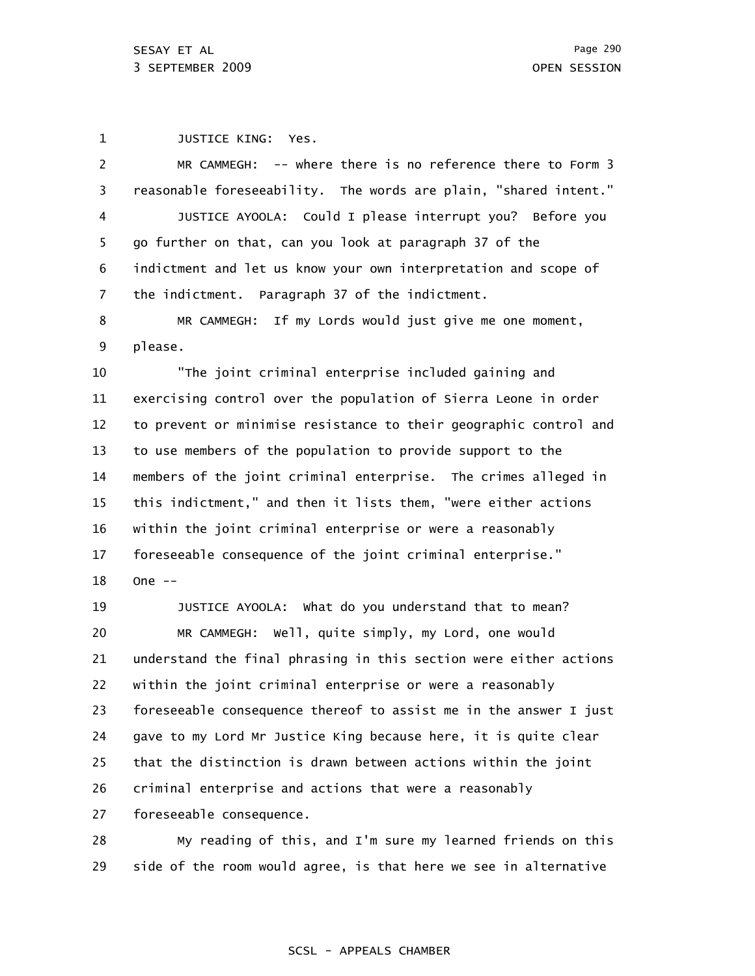1 JUSTICE KING: Yes.

2 3 4 5 6 7 8 9 10 11 12 13 14 15 16 17 18 19 20 21 22 23 24 25 26 MR CAMMEGH: -- where there is no reference there to Form 3 reasonable foreseeability. The words are plain, "shared intent." JUSTICE AYOOLA: Could I please interrupt you? Before you go further on that, can you look at paragraph 37 of the indictment and let us know your own interpretation and scope of the indictment. Paragraph 37 of the indictment. MR CAMMEGH: If my Lords would just give me one moment, please. "The joint criminal enterprise included gaining and exercising control over the population of Sierra Leone in order to prevent or minimise resistance to their geographic control and to use members of the population to provide support to the members of the joint criminal enterprise. The crimes alleged in this indictment," and then it lists them, "were either actions within the joint criminal enterprise or were a reasonably foreseeable consequence of the joint criminal enterprise." One  $--$ JUSTICE AYOOLA: What do you understand that to mean? MR CAMMEGH: Well, quite simply, my Lord, one would understand the final phrasing in this section were either actions within the joint criminal enterprise or were a reasonably foreseeable consequence thereof to assist me in the answer I just gave to my Lord Mr Justice King because here, it is quite clear that the distinction is drawn between actions within the joint criminal enterprise and actions that were a reasonably

27 foreseeable consequence.

28 29 My reading of this, and I'm sure my learned friends on this side of the room would agree, is that here we see in alternative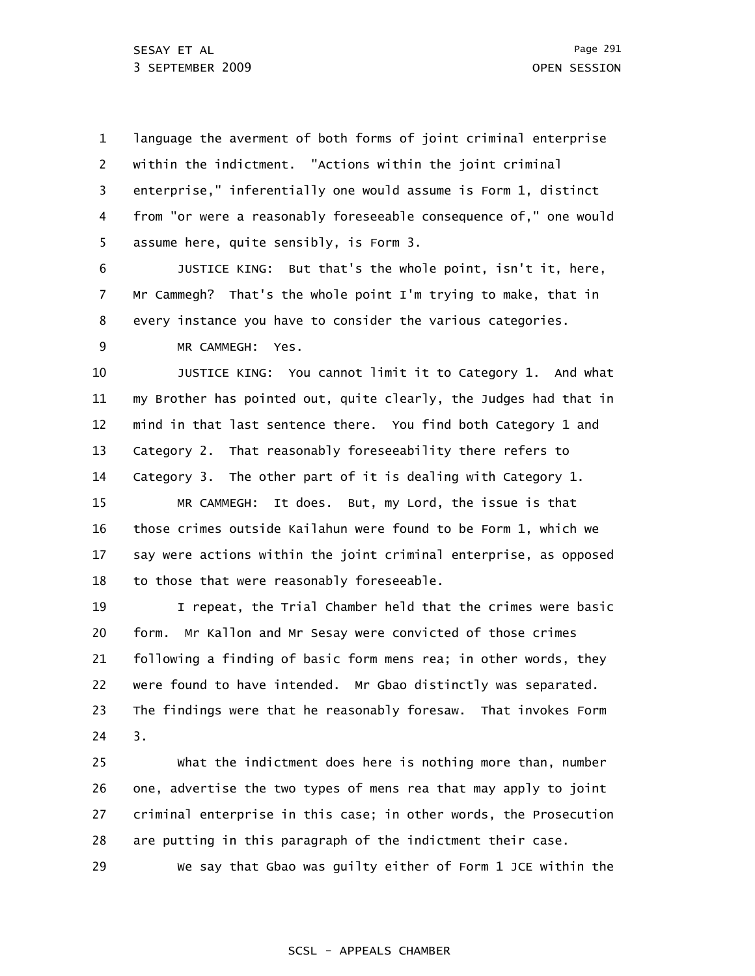1 2 3 4 5 language the averment of both forms of joint criminal enterprise within the indictment. "Actions within the joint criminal enterprise," inferentially one would assume is Form 1, distinct from "or were a reasonably foreseeable consequence of," one would assume here, quite sensibly, is Form 3.

6 7 8 JUSTICE KING: But that's the whole point, isn't it, here, Mr Cammegh? That's the whole point I'm trying to make, that in every instance you have to consider the various categories.

9 MR CAMMEGH: Yes.

10 11 12 13 14 JUSTICE KING: You cannot limit it to Category 1. And what my Brother has pointed out, quite clearly, the Judges had that in mind in that last sentence there. You find both Category 1 and Category 2. That reasonably foreseeability there refers to Category 3. The other part of it is dealing with Category 1.

15 16 17 18 MR CAMMEGH: It does. But, my Lord, the issue is that those crimes outside Kailahun were found to be Form 1, which we say were actions within the joint criminal enterprise, as opposed to those that were reasonably foreseeable.

19 20 21 22 23 24 I repeat, the Trial Chamber held that the crimes were basic form. Mr Kallon and Mr Sesay were convicted of those crimes following a finding of basic form mens rea; in other words, they were found to have intended. Mr Gbao distinctly was separated. The findings were that he reasonably foresaw. That invokes Form 3.

25 26 27 28 What the indictment does here is nothing more than, number one, advertise the two types of mens rea that may apply to joint criminal enterprise in this case; in other words, the Prosecution are putting in this paragraph of the indictment their case.

29 We say that Gbao was guilty either of Form 1 JCE within the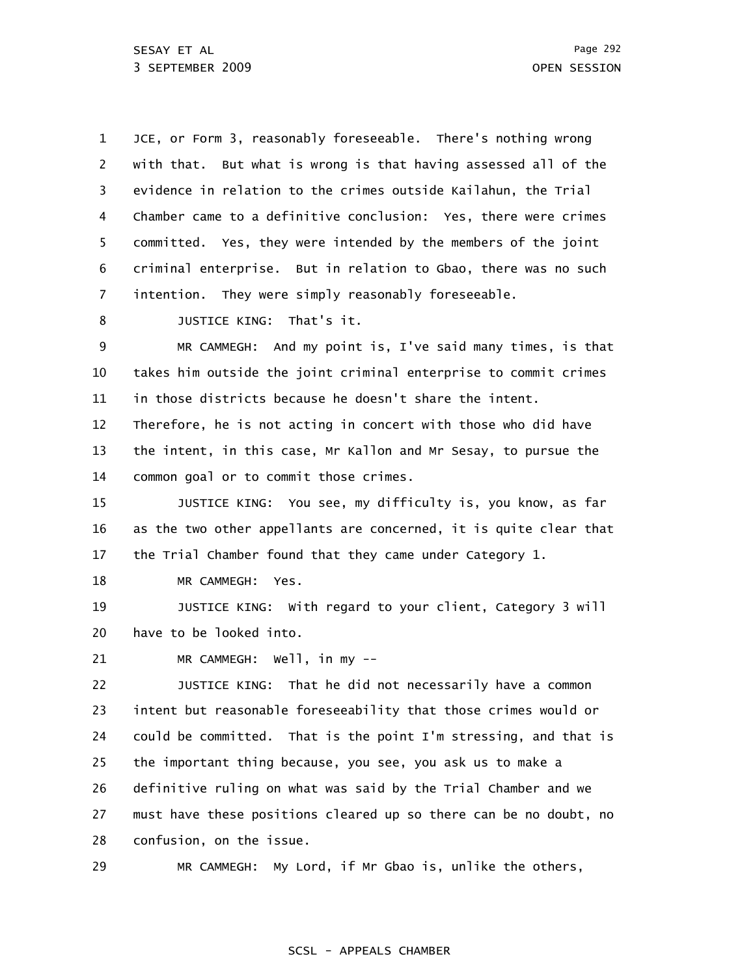1 2 3 4 5 6 7 8 9 10 11 12 13 14 15 16 17 18 19 20 21 22 23 24 25 26 27 28 29 JCE, or Form 3, reasonably foreseeable. There's nothing wrong with that. But what is wrong is that having assessed all of the evidence in relation to the crimes outside Kailahun, the Trial Chamber came to a definitive conclusion: Yes, there were crimes committed. Yes, they were intended by the members of the joint criminal enterprise. But in relation to Gbao, there was no such intention. They were simply reasonably foreseeable. JUSTICE KING: That's it. MR CAMMEGH: And my point is, I've said many times, is that takes him outside the joint criminal enterprise to commit crimes in those districts because he doesn't share the intent. Therefore, he is not acting in concert with those who did have the intent, in this case, Mr Kallon and Mr Sesay, to pursue the common goal or to commit those crimes. JUSTICE KING: You see, my difficulty is, you know, as far as the two other appellants are concerned, it is quite clear that the Trial Chamber found that they came under Category 1. MR CAMMEGH: Yes. JUSTICE KING: With regard to your client, Category 3 will have to be looked into. MR CAMMEGH: Well, in my --JUSTICE KING: That he did not necessarily have a common intent but reasonable foreseeability that those crimes would or could be committed. That is the point I'm stressing, and that is the important thing because, you see, you ask us to make a definitive ruling on what was said by the Trial Chamber and we must have these positions cleared up so there can be no doubt, no confusion, on the issue. MR CAMMEGH: My Lord, if Mr Gbao is, unlike the others,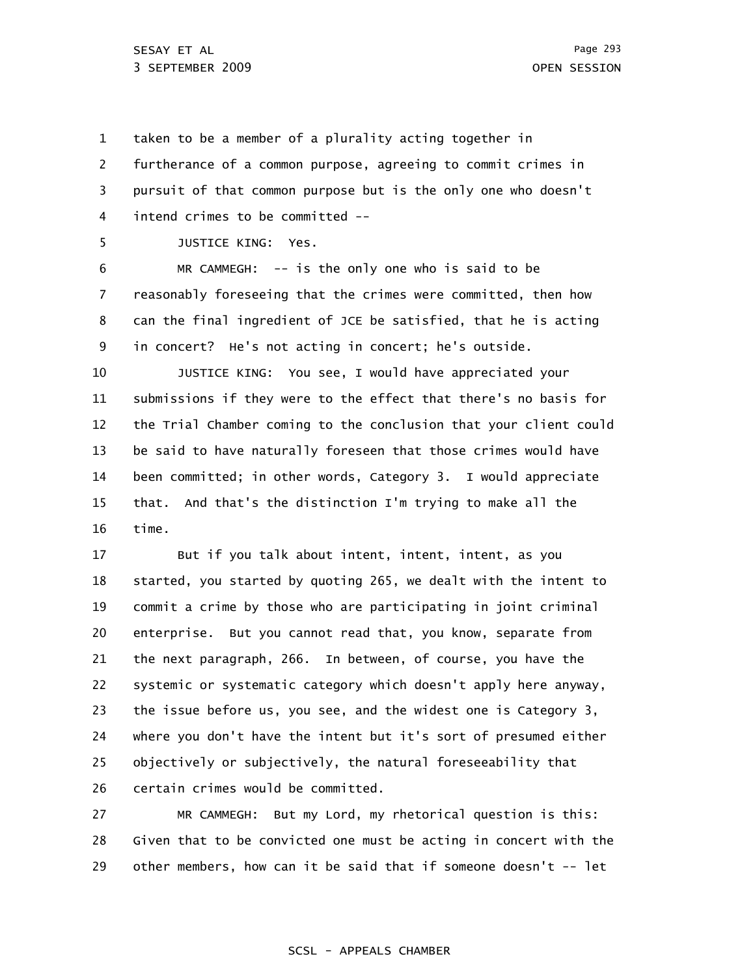1 2 3 4 taken to be a member of a plurality acting together in furtherance of a common purpose, agreeing to commit crimes in pursuit of that common purpose but is the only one who doesn't intend crimes to be committed --

5

JUSTICE KING: Yes.

6 7 8 9 MR CAMMEGH: -- is the only one who is said to be reasonably foreseeing that the crimes were committed, then how can the final ingredient of JCE be satisfied, that he is acting in concert? He's not acting in concert; he's outside.

10 11 12 13 14 15 16 JUSTICE KING: You see, I would have appreciated your submissions if they were to the effect that there's no basis for the Trial Chamber coming to the conclusion that your client could be said to have naturally foreseen that those crimes would have been committed; in other words, Category 3. I would appreciate that. And that's the distinction I'm trying to make all the time.

17 18 19 20 21 22 23 24 25 26 But if you talk about intent, intent, intent, as you started, you started by quoting 265, we dealt with the intent to commit a crime by those who are participating in joint criminal enterprise. But you cannot read that, you know, separate from the next paragraph, 266. In between, of course, you have the systemic or systematic category which doesn't apply here anyway, the issue before us, you see, and the widest one is Category 3, where you don't have the intent but it's sort of presumed either objectively or subjectively, the natural foreseeability that certain crimes would be committed.

27 28 29 MR CAMMEGH: But my Lord, my rhetorical question is this: Given that to be convicted one must be acting in concert with the other members, how can it be said that if someone doesn't -- let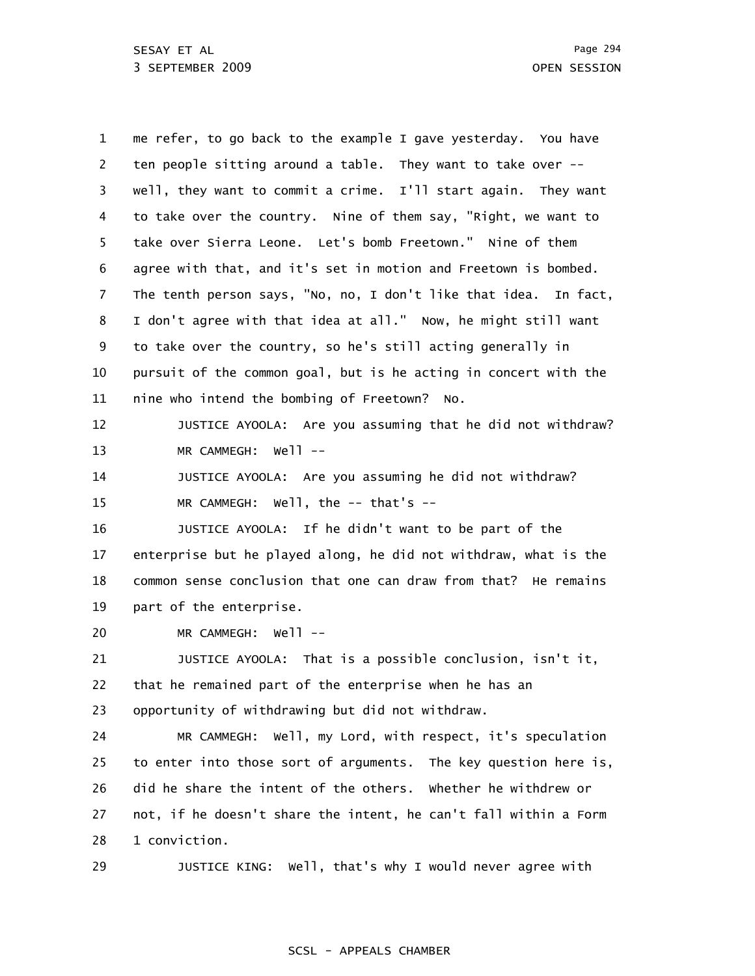1 2 3 4 5 6 7 8 9 10 11 12 13 14 15 16 17 18 19 20 21 22 23 24 25 26 27 28 29 me refer, to go back to the example I gave yesterday. You have ten people sitting around a table. They want to take over - well, they want to commit a crime. I'll start again. They want to take over the country. Nine of them say, "Right, we want to take over Sierra Leone. Let's bomb Freetown." Nine of them agree with that, and it's set in motion and Freetown is bombed. The tenth person says, "No, no, I don't like that idea. In fact, I don't agree with that idea at all." Now, he might still want to take over the country, so he's still acting generally in pursuit of the common goal, but is he acting in concert with the nine who intend the bombing of Freetown? No. JUSTICE AYOOLA: Are you assuming that he did not withdraw? MR CAMMEGH: Well --JUSTICE AYOOLA: Are you assuming he did not withdraw? MR CAMMEGH: Well, the -- that's --JUSTICE AYOOLA: If he didn't want to be part of the enterprise but he played along, he did not withdraw, what is the common sense conclusion that one can draw from that? He remains part of the enterprise. MR CAMMEGH: Well --JUSTICE AYOOLA: That is a possible conclusion, isn't it, that he remained part of the enterprise when he has an opportunity of withdrawing but did not withdraw. MR CAMMEGH: Well, my Lord, with respect, it's speculation to enter into those sort of arguments. The key question here is, did he share the intent of the others. Whether he withdrew or not, if he doesn't share the intent, he can't fall within a Form 1 conviction. JUSTICE KING: Well, that's why I would never agree with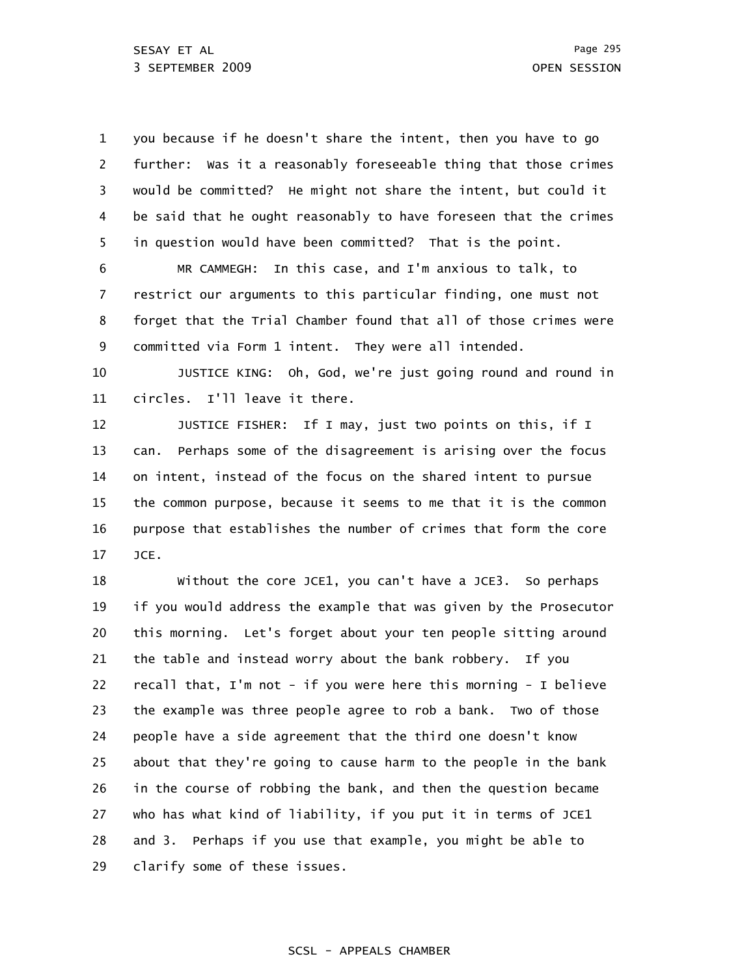1 2 3 4 5 you because if he doesn't share the intent, then you have to go further: Was it a reasonably foreseeable thing that those crimes would be committed? He might not share the intent, but could it be said that he ought reasonably to have foreseen that the crimes in question would have been committed? That is the point.

6 7 8 9 MR CAMMEGH: In this case, and I'm anxious to talk, to restrict our arguments to this particular finding, one must not forget that the Trial Chamber found that all of those crimes were committed via Form 1 intent. They were all intended.

10 11 JUSTICE KING: Oh, God, we're just going round and round in circles. I'll leave it there.

12 13 14 15 16 17 JUSTICE FISHER: If I may, just two points on this, if I can. Perhaps some of the disagreement is arising over the focus on intent, instead of the focus on the shared intent to pursue the common purpose, because it seems to me that it is the common purpose that establishes the number of crimes that form the core JCE.

18 19 20 21 22 23 24 25 26 27 28 29 Without the core JCE1, you can't have a JCE3. So perhaps if you would address the example that was given by the Prosecutor this morning. Let's forget about your ten people sitting around the table and instead worry about the bank robbery. If you recall that, I'm not - if you were here this morning - I believe the example was three people agree to rob a bank. Two of those people have a side agreement that the third one doesn't know about that they're going to cause harm to the people in the bank in the course of robbing the bank, and then the question became who has what kind of liability, if you put it in terms of JCE1 and 3. Perhaps if you use that example, you might be able to clarify some of these issues.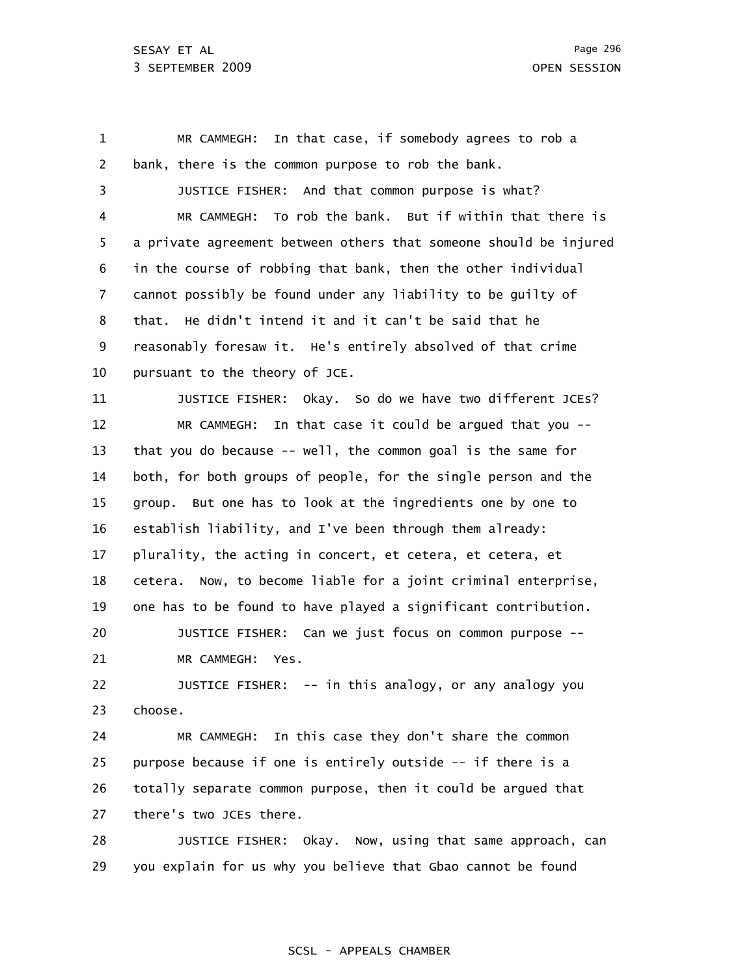29

1 2 3 4 5 6 7 8 9 10 11 12 13 14 15 16 17 18 19 20 21 22 23 24 25 26 27 28 MR CAMMEGH: In that case, if somebody agrees to rob a bank, there is the common purpose to rob the bank. JUSTICE FISHER: And that common purpose is what? MR CAMMEGH: To rob the bank. But if within that there is a private agreement between others that someone should be injured in the course of robbing that bank, then the other individual cannot possibly be found under any liability to be guilty of that. He didn't intend it and it can't be said that he reasonably foresaw it. He's entirely absolved of that crime pursuant to the theory of JCE. JUSTICE FISHER: Okay. So do we have two different JCEs? MR CAMMEGH: In that case it could be argued that you - that you do because -- well, the common goal is the same for both, for both groups of people, for the single person and the group. But one has to look at the ingredients one by one to establish liability, and I've been through them already: plurality, the acting in concert, et cetera, et cetera, et cetera. Now, to become liable for a joint criminal enterprise, one has to be found to have played a significant contribution. JUSTICE FISHER: Can we just focus on common purpose -- MR CAMMEGH: Yes. JUSTICE FISHER: -- in this analogy, or any analogy you choose. MR CAMMEGH: In this case they don't share the common purpose because if one is entirely outside -- if there is a totally separate common purpose, then it could be argued that there's two JCEs there. JUSTICE FISHER: Okay. Now, using that same approach, can

# SCSL - APPEALS CHAMBER

you explain for us why you believe that Gbao cannot be found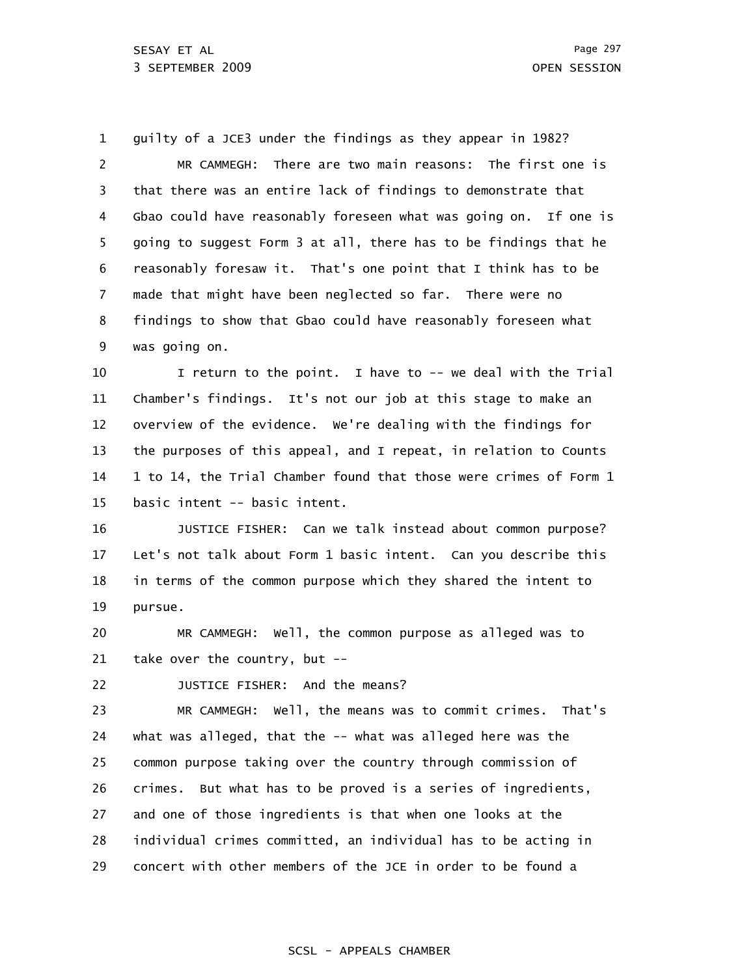1 2 3 4 5 6 7 8 9 guilty of a JCE3 under the findings as they appear in 1982? MR CAMMEGH: There are two main reasons: The first one is that there was an entire lack of findings to demonstrate that Gbao could have reasonably foreseen what was going on. If one is going to suggest Form 3 at all, there has to be findings that he reasonably foresaw it. That's one point that I think has to be made that might have been neglected so far. There were no findings to show that Gbao could have reasonably foreseen what was going on.

10 11 12 13 14 15 I return to the point. I have to -- we deal with the Trial Chamber's findings. It's not our job at this stage to make an overview of the evidence. We're dealing with the findings for the purposes of this appeal, and I repeat, in relation to Counts 1 to 14, the Trial Chamber found that those were crimes of Form 1 basic intent -- basic intent.

16 17 18 19 JUSTICE FISHER: Can we talk instead about common purpose? Let's not talk about Form 1 basic intent. Can you describe this in terms of the common purpose which they shared the intent to pursue.

20 21 MR CAMMEGH: Well, the common purpose as alleged was to take over the country, but --

22 JUSTICE FISHER: And the means?

23 24 25 26 27 28 29 MR CAMMEGH: Well, the means was to commit crimes. That's what was alleged, that the -- what was alleged here was the common purpose taking over the country through commission of crimes. But what has to be proved is a series of ingredients, and one of those ingredients is that when one looks at the individual crimes committed, an individual has to be acting in concert with other members of the JCE in order to be found a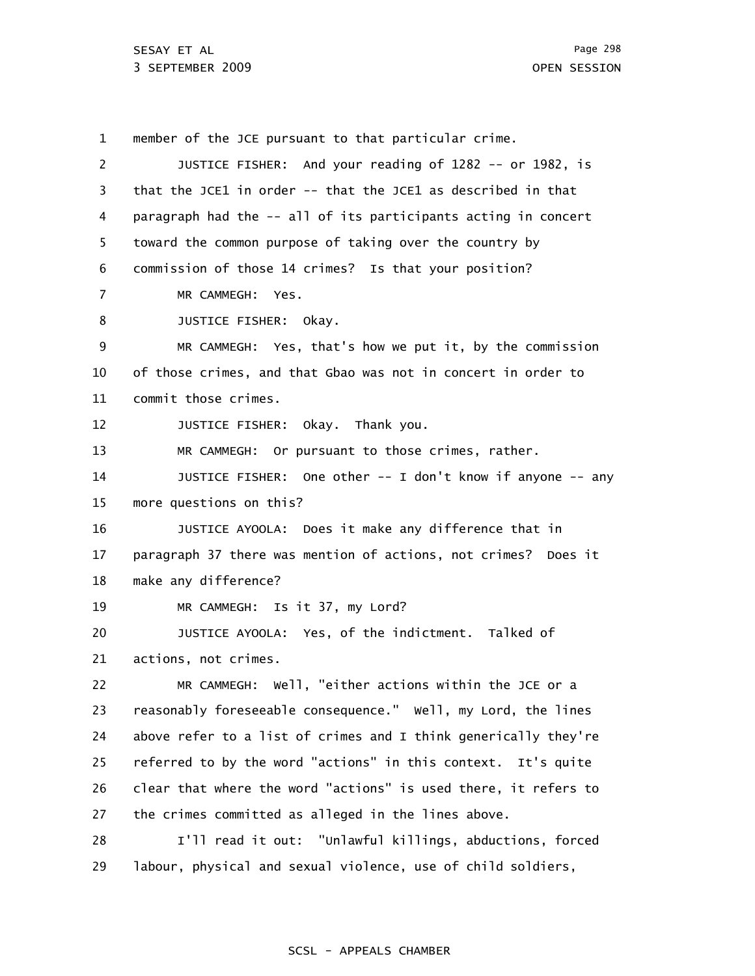1 2 3 4 5 6 7 8 9 10 11 12 13 14 15 16 17 18 19 20 21 22 23 24 25 26 27 28 29 member of the JCE pursuant to that particular crime. JUSTICE FISHER: And your reading of 1282 -- or 1982, is that the JCE1 in order -- that the JCE1 as described in that paragraph had the -- all of its participants acting in concert toward the common purpose of taking over the country by commission of those 14 crimes? Is that your position? MR CAMMEGH: Yes. JUSTICE FISHER: Okay. MR CAMMEGH: Yes, that's how we put it, by the commission of those crimes, and that Gbao was not in concert in order to commit those crimes. JUSTICE FISHER: Okay. Thank you. MR CAMMEGH: Or pursuant to those crimes, rather. JUSTICE FISHER: One other -- I don't know if anyone -- any more questions on this? JUSTICE AYOOLA: Does it make any difference that in paragraph 37 there was mention of actions, not crimes? Does it make any difference? MR CAMMEGH: Is it 37, my Lord? JUSTICE AYOOLA: Yes, of the indictment. Talked of actions, not crimes. MR CAMMEGH: Well, "either actions within the JCE or a reasonably foreseeable consequence." Well, my Lord, the lines above refer to a list of crimes and I think generically they're referred to by the word "actions" in this context. It's quite clear that where the word "actions" is used there, it refers to the crimes committed as alleged in the lines above. I'll read it out: "Unlawful killings, abductions, forced labour, physical and sexual violence, use of child soldiers,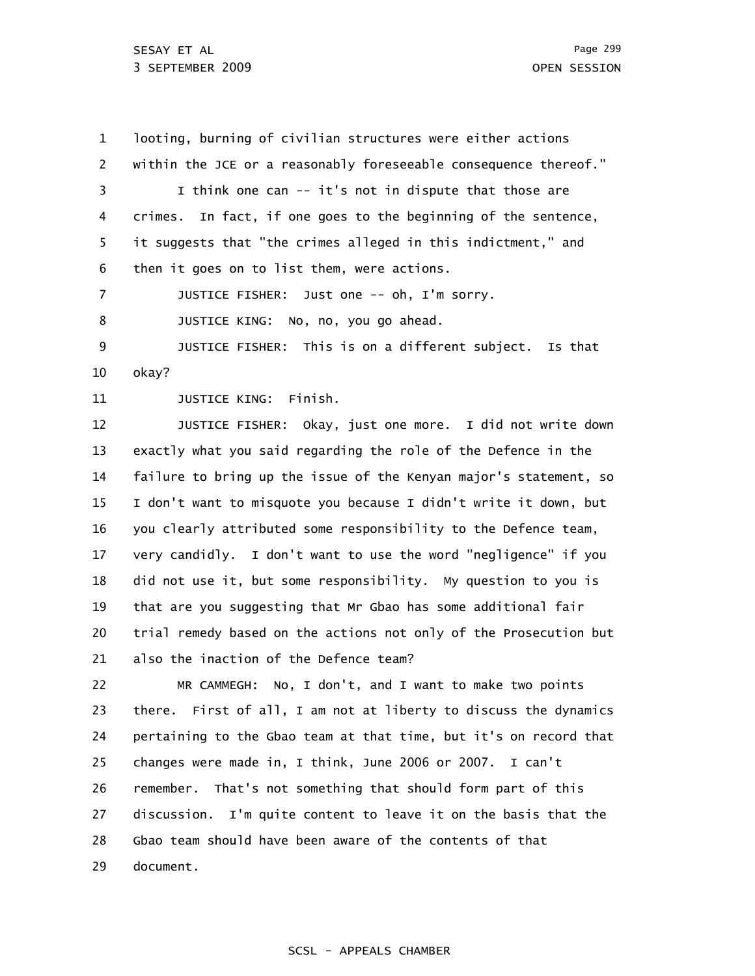1 2 3 4 5 6 7 8 9 10 11 12 looting, burning of civilian structures were either actions within the JCE or a reasonably foreseeable consequence thereof." I think one can -- it's not in dispute that those are crimes. In fact, if one goes to the beginning of the sentence, it suggests that "the crimes alleged in this indictment," and then it goes on to list them, were actions. JUSTICE FISHER: Just one -- oh, I'm sorry. JUSTICE KING: No, no, you go ahead. JUSTICE FISHER: This is on a different subject. Is that okay? JUSTICE KING: Finish. JUSTICE FISHER: Okay, just one more. I did not write down

13 14 15 16 17 18 19 20 21 exactly what you said regarding the role of the Defence in the failure to bring up the issue of the Kenyan major's statement, so I don't want to misquote you because I didn't write it down, but you clearly attributed some responsibility to the Defence team, very candidly. I don't want to use the word "negligence" if you did not use it, but some responsibility. My question to you is that are you suggesting that Mr Gbao has some additional fair trial remedy based on the actions not only of the Prosecution but also the inaction of the Defence team?

22 23 24 25 26 27 28 29 MR CAMMEGH: No, I don't, and I want to make two points there. First of all, I am not at liberty to discuss the dynamics pertaining to the Gbao team at that time, but it's on record that changes were made in, I think, June 2006 or 2007. I can't remember. That's not something that should form part of this discussion. I'm quite content to leave it on the basis that the Gbao team should have been aware of the contents of that document.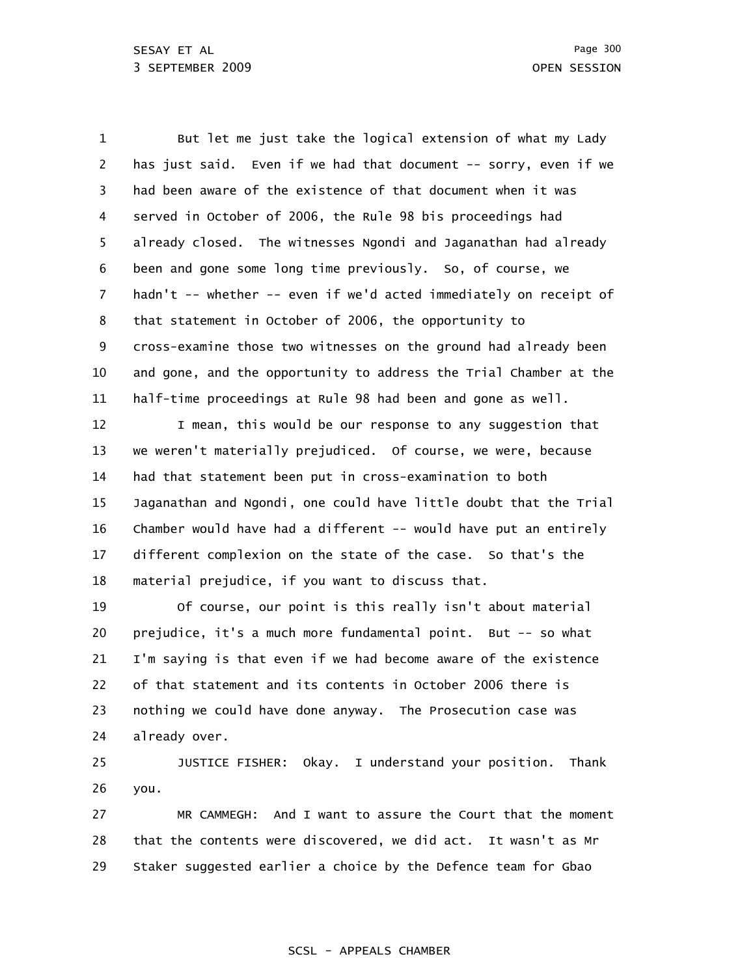1 2 3 4 5 6 7 8 9 10 11 12 13 14 15 16 17 18 19 20 21 22 23 24 But let me just take the logical extension of what my Lady has just said. Even if we had that document -- sorry, even if we had been aware of the existence of that document when it was served in October of 2006, the Rule 98 bis proceedings had already closed. The witnesses Ngondi and Jaganathan had already been and gone some long time previously. So, of course, we hadn't -- whether -- even if we'd acted immediately on receipt of that statement in October of 2006, the opportunity to cross-examine those two witnesses on the ground had already been and gone, and the opportunity to address the Trial Chamber at the half-time proceedings at Rule 98 had been and gone as well. I mean, this would be our response to any suggestion that we weren't materially prejudiced. Of course, we were, because had that statement been put in cross-examination to both Jaganathan and Ngondi, one could have little doubt that the Trial Chamber would have had a different -- would have put an entirely different complexion on the state of the case. So that's the material prejudice, if you want to discuss that. Of course, our point is this really isn't about material prejudice, it's a much more fundamental point. But -- so what I'm saying is that even if we had become aware of the existence of that statement and its contents in October 2006 there is nothing we could have done anyway. The Prosecution case was already over.

25 26 JUSTICE FISHER: Okay. I understand your position. Thank you.

27 28 29 MR CAMMEGH: And I want to assure the Court that the moment that the contents were discovered, we did act. It wasn't as Mr Staker suggested earlier a choice by the Defence team for Gbao

## SCSL - APPEALS CHAMBER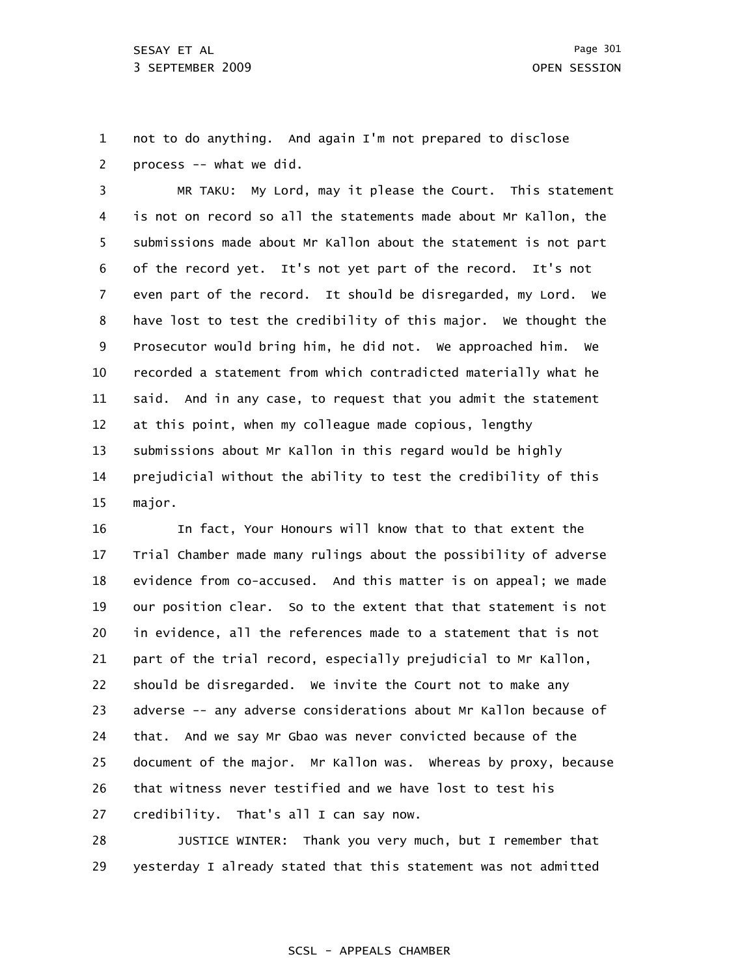1 2 not to do anything. And again I'm not prepared to disclose process -- what we did.

3 4 5 6 7 8 9 10 11 12 13 14 15 MR TAKU: My Lord, may it please the Court. This statement is not on record so all the statements made about Mr Kallon, the submissions made about Mr Kallon about the statement is not part of the record yet. It's not yet part of the record. It's not even part of the record. It should be disregarded, my Lord. We have lost to test the credibility of this major. We thought the Prosecutor would bring him, he did not. We approached him. We recorded a statement from which contradicted materially what he said. And in any case, to request that you admit the statement at this point, when my colleague made copious, lengthy submissions about Mr Kallon in this regard would be highly prejudicial without the ability to test the credibility of this major.

16 17 18 19 20 21 22 23 24 25 26 27 In fact, Your Honours will know that to that extent the Trial Chamber made many rulings about the possibility of adverse evidence from co-accused. And this matter is on appeal; we made our position clear. So to the extent that that statement is not in evidence, all the references made to a statement that is not part of the trial record, especially prejudicial to Mr Kallon, should be disregarded. We invite the Court not to make any adverse -- any adverse considerations about Mr Kallon because of that. And we say Mr Gbao was never convicted because of the document of the major. Mr Kallon was. Whereas by proxy, because that witness never testified and we have lost to test his credibility. That's all I can say now.

28 29 JUSTICE WINTER: Thank you very much, but I remember that yesterday I already stated that this statement was not admitted

## SCSL - APPEALS CHAMBER